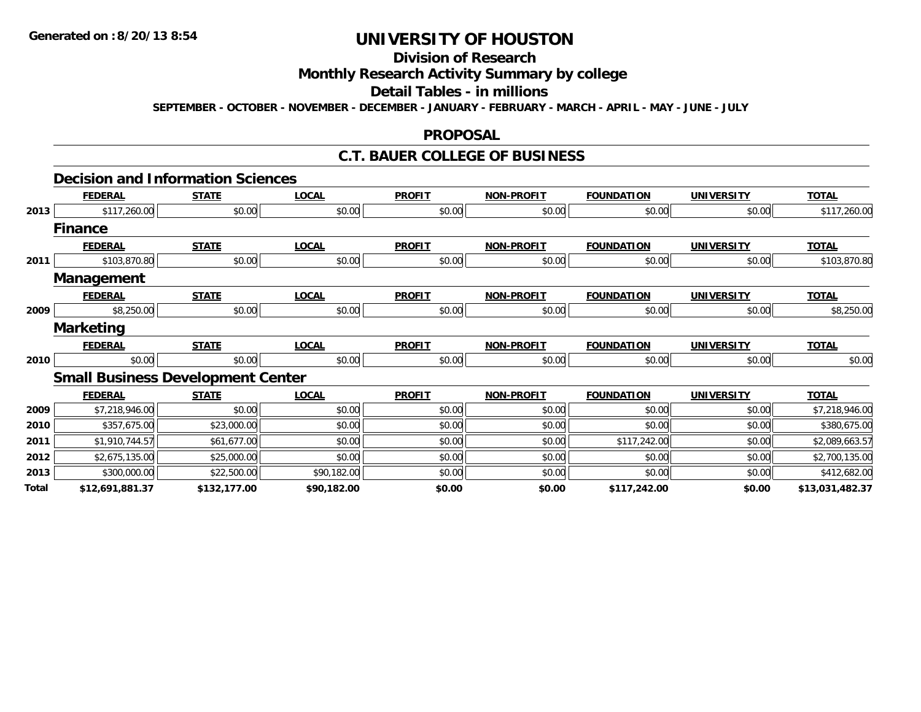# **Division of Research**

## **Monthly Research Activity Summary by college**

#### **Detail Tables - in millions**

**SEPTEMBER - OCTOBER - NOVEMBER - DECEMBER - JANUARY - FEBRUARY - MARCH - APRIL - MAY - JUNE - JULY**

#### **PROPOSAL**

### **C.T. BAUER COLLEGE OF BUSINESS**

|       | <b>Decision and Information Sciences</b> |              |              |               |                   |                   |                   |                 |
|-------|------------------------------------------|--------------|--------------|---------------|-------------------|-------------------|-------------------|-----------------|
|       | <b>FEDERAL</b>                           | <b>STATE</b> | <b>LOCAL</b> | <b>PROFIT</b> | <b>NON-PROFIT</b> | <b>FOUNDATION</b> | <b>UNIVERSITY</b> | <b>TOTAL</b>    |
| 2013  | \$117,260.00                             | \$0.00       | \$0.00       | \$0.00        | \$0.00            | \$0.00            | \$0.00            | \$117,260.00    |
|       | <b>Finance</b>                           |              |              |               |                   |                   |                   |                 |
|       | <b>FEDERAL</b>                           | <b>STATE</b> | <b>LOCAL</b> | <b>PROFIT</b> | <b>NON-PROFIT</b> | <b>FOUNDATION</b> | <b>UNIVERSITY</b> | <b>TOTAL</b>    |
| 2011  | \$103,870.80                             | \$0.00       | \$0.00       | \$0.00        | \$0.00            | \$0.00            | \$0.00            | \$103,870.80    |
|       | Management                               |              |              |               |                   |                   |                   |                 |
|       | <b>FEDERAL</b>                           | <b>STATE</b> | <b>LOCAL</b> | <b>PROFIT</b> | <b>NON-PROFIT</b> | <b>FOUNDATION</b> | <b>UNIVERSITY</b> | <b>TOTAL</b>    |
| 2009  | \$8,250.00                               | \$0.00       | \$0.00       | \$0.00        | \$0.00            | \$0.00            | \$0.00            | \$8,250.00      |
|       | <b>Marketing</b>                         |              |              |               |                   |                   |                   |                 |
|       | <b>FEDERAL</b>                           | <b>STATE</b> | <b>LOCAL</b> | <b>PROFIT</b> | <b>NON-PROFIT</b> | <b>FOUNDATION</b> | <b>UNIVERSITY</b> | <b>TOTAL</b>    |
| 2010  | \$0.00                                   | \$0.00       | \$0.00       | \$0.00        | \$0.00            | \$0.00            | \$0.00            | \$0.00          |
|       | <b>Small Business Development Center</b> |              |              |               |                   |                   |                   |                 |
|       | <b>FEDERAL</b>                           | <b>STATE</b> | <b>LOCAL</b> | <b>PROFIT</b> | <b>NON-PROFIT</b> | <b>FOUNDATION</b> | <b>UNIVERSITY</b> | <b>TOTAL</b>    |
| 2009  | \$7,218,946.00                           | \$0.00       | \$0.00       | \$0.00        | \$0.00            | \$0.00            | \$0.00            | \$7,218,946.00  |
| 2010  | \$357,675.00                             | \$23,000.00  | \$0.00       | \$0.00        | \$0.00            | \$0.00            | \$0.00            | \$380,675.00    |
| 2011  | \$1,910,744.57                           | \$61,677.00  | \$0.00       | \$0.00        | \$0.00            | \$117,242.00      | \$0.00            | \$2,089,663.57  |
| 2012  | \$2,675,135.00                           | \$25,000.00  | \$0.00       | \$0.00        | \$0.00            | \$0.00            | \$0.00            | \$2,700,135.00  |
| 2013  | \$300,000.00                             | \$22,500.00  | \$90,182.00  | \$0.00        | \$0.00            | \$0.00            | \$0.00            | \$412,682.00    |
| Total | \$12,691,881.37                          | \$132,177.00 | \$90,182.00  | \$0.00        | \$0.00            | \$117,242.00      | \$0.00            | \$13,031,482.37 |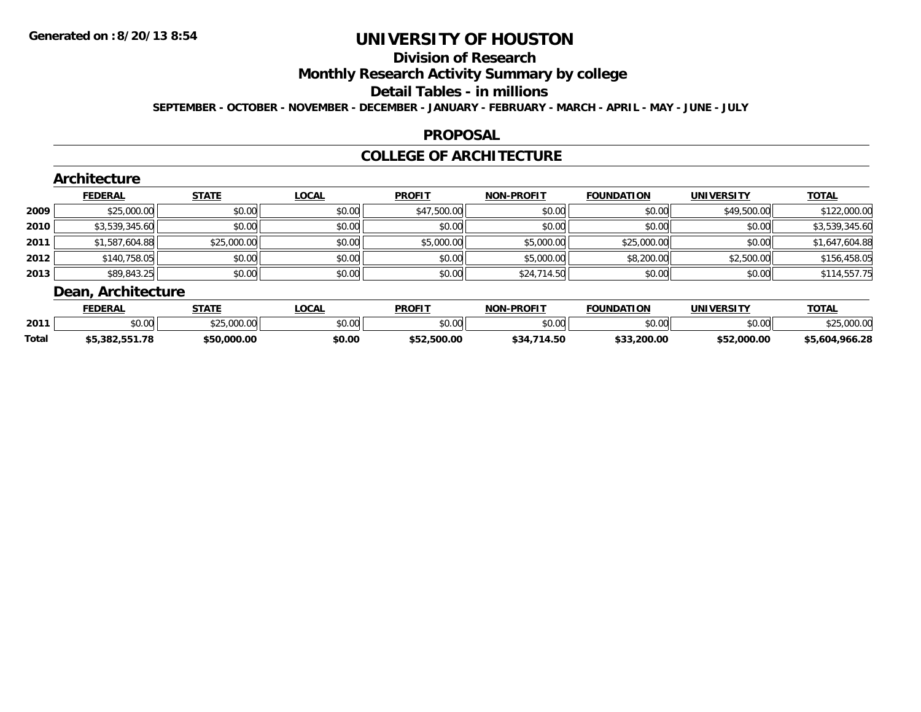## **Division of Research**

**Monthly Research Activity Summary by college**

#### **Detail Tables - in millions**

**SEPTEMBER - OCTOBER - NOVEMBER - DECEMBER - JANUARY - FEBRUARY - MARCH - APRIL - MAY - JUNE - JULY**

### **PROPOSAL**

### **COLLEGE OF ARCHITECTURE**

|      | <b>FEDERAL</b> | <b>STATE</b> | <b>LOCAL</b> | <b>PROFIT</b> | <b>NON-PROFIT</b> | <b>FOUNDATION</b> | <b>UNIVERSITY</b> | <b>TOTAL</b>   |
|------|----------------|--------------|--------------|---------------|-------------------|-------------------|-------------------|----------------|
| 2009 | \$25,000.00    | \$0.00       | \$0.00       | \$47,500.00   | \$0.00            | \$0.00            | \$49,500.00       | \$122,000.00   |
| 2010 | \$3,539,345.60 | \$0.00       | \$0.00       | \$0.00        | \$0.00            | \$0.00            | \$0.00            | \$3,539,345.60 |
| 2011 | \$1,587,604.88 | \$25,000.00  | \$0.00       | \$5,000.00    | \$5,000.00        | \$25,000.00       | \$0.00            | \$1,647,604.88 |
| 2012 | \$140,758.05   | \$0.00       | \$0.00       | \$0.00        | \$5,000.00        | \$8,200.00        | \$2,500.00        | \$156,458.05   |
| 2013 | \$89,843.25    | \$0.00       | \$0.00       | \$0.00        | \$24,714.50       | \$0.00            | \$0.00            | \$114,557.75   |

|              | <b>FEDERAL</b> | <b>STATE</b> | <b>OCAL</b>    | <b>PROFIT</b> | <b>NON</b><br><b>LPROFIT</b> | <b>FOUNDATION</b> | UNIVERSITY  | <b>TOTAL</b>   |
|--------------|----------------|--------------|----------------|---------------|------------------------------|-------------------|-------------|----------------|
| 2011         | nn nn<br>JU.UU | \$25,000.00  | ⊄n nn<br>JU.UU | 0000<br>JU.UU | \$0.00                       | ልስ ስስ<br>DU.UU    | \$0.00      | റററ<br>.uuu.ut |
| <b>Total</b> | \$5.382.551.78 | \$50,000.00  | \$0.00         | \$52,500.00   | .714.50<br>\$34,             | \$33,200.00       | \$52,000.00 | \$5,604,966.28 |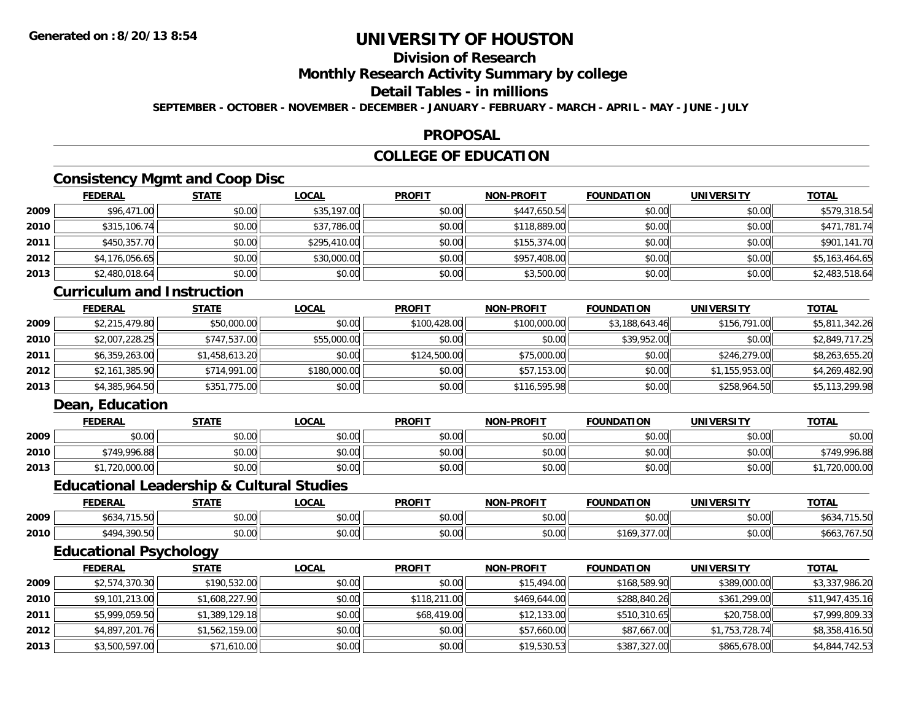## **Division of Research**

**Monthly Research Activity Summary by college**

### **Detail Tables - in millions**

**SEPTEMBER - OCTOBER - NOVEMBER - DECEMBER - JANUARY - FEBRUARY - MARCH - APRIL - MAY - JUNE - JULY**

#### **PROPOSAL**

### **COLLEGE OF EDUCATION**

### **Consistency Mgmt and Coop Disc**

|        | <u>FEDERAL</u> | <b>STATE</b> | <u>LOCAL</u> | <b>PROFIT</b> | <b>NON-PROFIT</b> | <b>FOUNDATION</b> | <b>UNIVERSITY</b> | <b>TOTAL</b>   |
|--------|----------------|--------------|--------------|---------------|-------------------|-------------------|-------------------|----------------|
| 2009   | \$96,471.00    | \$0.00       | \$35,197.00  | \$0.00        | \$447,650.54      | \$0.00            | \$0.00            | \$579,318.54   |
| ا 2010 | \$315,106.74   | \$0.00       | \$37,786.00  | \$0.00        | \$118,889.00      | \$0.00            | \$0.00            | \$471,781.74   |
| 2011   | \$450,357.70   | \$0.00       | \$295,410.00 | \$0.00        | \$155,374.00      | \$0.00            | \$0.00            | \$901,141.70   |
| 2012   | \$4,176,056.65 | \$0.00       | \$30,000.00  | \$0.00        | \$957,408.00      | \$0.00            | \$0.00            | \$5,163,464.65 |
| 2013   | \$2,480,018.64 | \$0.00       | \$0.00       | \$0.00        | \$3,500.00        | \$0.00            | \$0.00            | \$2,483,518.64 |

#### **Curriculum and Instruction**

|      | <u>FEDERAL</u> | <b>STATE</b>   | <b>LOCAL</b> | <b>PROFIT</b> | <b>NON-PROFIT</b> | <b>FOUNDATION</b> | <b>UNIVERSITY</b> | <b>TOTAL</b>   |
|------|----------------|----------------|--------------|---------------|-------------------|-------------------|-------------------|----------------|
| 2009 | \$2,215,479.80 | \$50,000.00    | \$0.00       | \$100,428.00  | \$100,000.00      | \$3,188,643.46    | \$156,791.00      | \$5,811,342.26 |
| 2010 | \$2,007,228.25 | \$747,537.00   | \$55,000.00  | \$0.00        | \$0.00            | \$39,952.00       | \$0.00            | \$2,849,717.25 |
| 2011 | \$6,359,263.00 | \$1,458,613.20 | \$0.00       | \$124,500.00  | \$75,000.00       | \$0.00            | \$246,279.00      | \$8,263,655.20 |
| 2012 | \$2,161,385.90 | \$714,991.00   | \$180,000.00 | \$0.00        | \$57,153.00       | \$0.00            | \$1,155,953.00    | \$4,269,482.90 |
| 2013 | \$4,385,964.50 | \$351,775.00   | \$0.00       | \$0.00        | \$116,595.98      | \$0.00            | \$258,964.50      | \$5,113,299.98 |

### **Dean, Education**

|      | <b>FEDERAL</b> | <b>STATE</b> | <b>.OCAL</b> | <b>PROFIT</b> | <b>NON-PROFIT</b> | <b>FOUNDATION</b> | <b>UNIVERSITY</b> | TOTAL        |
|------|----------------|--------------|--------------|---------------|-------------------|-------------------|-------------------|--------------|
| 2009 | \$0.00         | \$0.00       | \$0.00       | \$0.00        | \$0.00            | \$0.00            | \$0.00            | \$0.00       |
| 2010 | \$749.996.88   | \$0.00       | \$0.00       | \$0.00        | \$0.00            | \$0.00            | \$0.00            | \$749.996.88 |
| 2013 | 720,000.00     | \$0.00       | \$0.00       | \$0.00        | \$0.00            | \$0.00            | \$0.00            | 720,000.00   |

### **Educational Leadership & Cultural Studies**

|      | -----<br>. IN F       | 27.77                  | 001<br>UUMI          | <b>PROFIT</b>           | <b>DDOCLT</b><br>חחו | ΠΟΝ                                      | IINIVERSITV   | $T^{\prime}$ |
|------|-----------------------|------------------------|----------------------|-------------------------|----------------------|------------------------------------------|---------------|--------------|
| 2009 | ⊅034                  | $\sim$ 00<br>PU.UU     | 0.00<br>PU.UU        | 0 <sub>n</sub><br>vv.vv | $\sim$ 00<br>vv.vv   | 0000<br>DU.UU                            | 0.00<br>JU.UU | りひこ          |
| 2010 | <b>t494</b><br>300 RC | $\sim$ $\sim$<br>PU.UU | 0000<br><b>JU.UU</b> | 0000<br>vv.v            | $\sim$ 00<br>vu.uu   | $\sim$ $\sim$ $\sim$ $\sim$ $\sim$<br>ır | 0.00<br>JU.UU | 50C          |

## **Educational Psychology**

|      | <b>FEDERAL</b> | <u>STATE</u>   | <b>LOCAL</b> | <b>PROFIT</b> | <b>NON-PROFIT</b> | <b>FOUNDATION</b> | <b>UNIVERSITY</b> | <b>TOTAL</b>    |
|------|----------------|----------------|--------------|---------------|-------------------|-------------------|-------------------|-----------------|
| 2009 | \$2,574,370.30 | \$190,532.00   | \$0.00       | \$0.00        | \$15,494.00       | \$168,589.90      | \$389,000.00      | \$3,337,986.20  |
| 2010 | \$9,101,213.00 | \$1,608,227.90 | \$0.00       | \$118,211.00  | \$469,644.00      | \$288,840.26      | \$361,299.00      | \$11,947,435.16 |
| 2011 | \$5,999,059.50 | \$1,389,129.18 | \$0.00       | \$68,419.00   | \$12,133.00       | \$510,310.65      | \$20,758.00       | \$7,999,809.33  |
| 2012 | \$4,897,201.76 | \$1,562,159.00 | \$0.00       | \$0.00        | \$57,660.00       | \$87,667.00       | \$1,753,728.74    | \$8,358,416.50  |
| 2013 | \$3,500,597.00 | \$71,610.00    | \$0.00       | \$0.00        | \$19,530.53       | \$387,327.00      | \$865,678.00      | \$4,844,742.53  |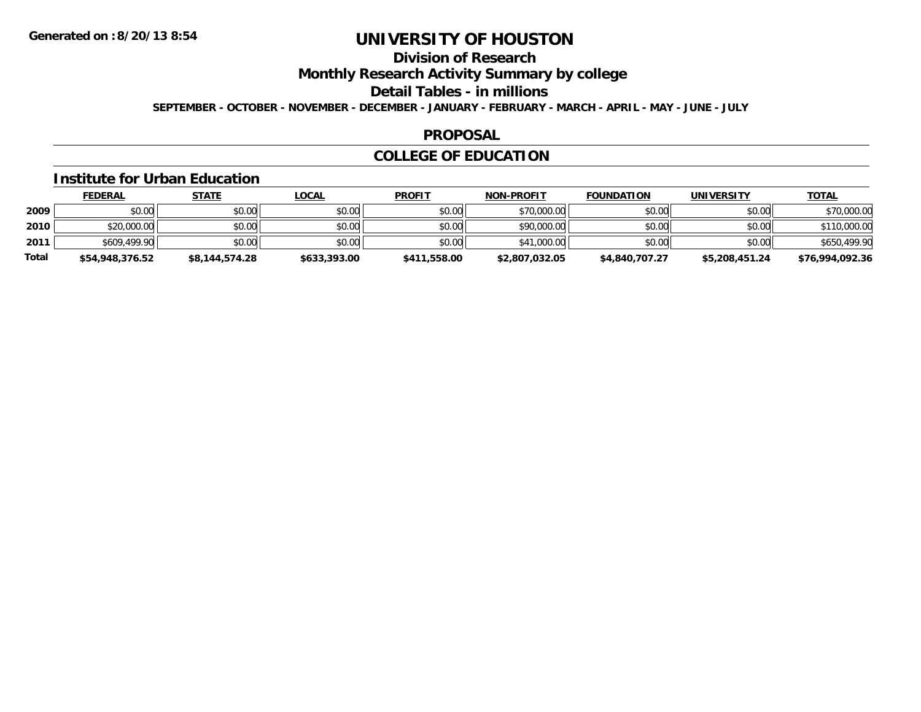## **Division of Research**

**Monthly Research Activity Summary by college**

**Detail Tables - in millions**

**SEPTEMBER - OCTOBER - NOVEMBER - DECEMBER - JANUARY - FEBRUARY - MARCH - APRIL - MAY - JUNE - JULY**

### **PROPOSAL**

## **COLLEGE OF EDUCATION**

#### **Institute for Urban Education**

|              | <b>FEDERAL</b>  | <u>STATE</u>   | <u>LOCAL</u> | <b>PROFIT</b> | <b>NON-PROFIT</b> | <b>FOUNDATION</b> | <b>UNIVERSITY</b> | <b>TOTAL</b>    |
|--------------|-----------------|----------------|--------------|---------------|-------------------|-------------------|-------------------|-----------------|
| 2009         | \$0.00          | \$0.00         | \$0.00       | \$0.00        | \$70,000.00       | \$0.00            | \$0.00            | \$70,000.00     |
| 2010         | \$20,000.00     | \$0.00         | \$0.00       | \$0.00        | \$90,000.00       | \$0.00            | \$0.00            | \$110,000.00    |
| 2011         | \$609,499.90    | \$0.00         | \$0.00       | \$0.00        | \$41,000,00       | \$0.00            | \$0.00            | \$650,499.90    |
| <b>Total</b> | \$54,948,376.52 | \$8,144,574.28 | \$633,393.00 | \$411,558.00  | \$2,807,032.05    | \$4,840,707.27    | \$5,208,451.24    | \$76,994,092.36 |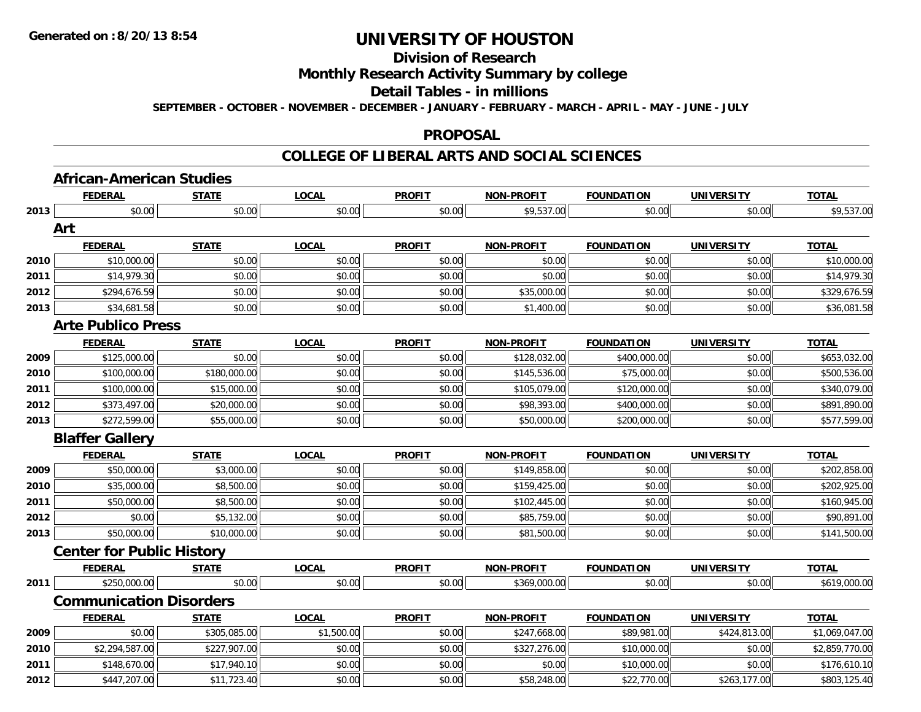## **Division of Research**

### **Monthly Research Activity Summary by college**

### **Detail Tables - in millions**

**SEPTEMBER - OCTOBER - NOVEMBER - DECEMBER - JANUARY - FEBRUARY - MARCH - APRIL - MAY - JUNE - JULY**

#### **PROPOSAL**

## **COLLEGE OF LIBERAL ARTS AND SOCIAL SCIENCES**

# **African-American Studies**

|      | <b>FEDERAL</b>                   | <b>STATE</b> | <b>LOCAL</b> | <b>PROFIT</b> | <b>NON-PROFIT</b> | <b>FOUNDATION</b> | <b>UNIVERSITY</b> | <b>TOTAL</b>   |
|------|----------------------------------|--------------|--------------|---------------|-------------------|-------------------|-------------------|----------------|
| 2013 | \$0.00                           | \$0.00       | \$0.00       | \$0.00        | \$9,537.00        | \$0.00            | \$0.00            | \$9,537.00     |
|      | Art                              |              |              |               |                   |                   |                   |                |
|      | <b>FEDERAL</b>                   | <b>STATE</b> | <b>LOCAL</b> | <b>PROFIT</b> | <b>NON-PROFIT</b> | <b>FOUNDATION</b> | <b>UNIVERSITY</b> | <b>TOTAL</b>   |
| 2010 | \$10,000.00                      | \$0.00       | \$0.00       | \$0.00        | \$0.00            | \$0.00            | \$0.00            | \$10,000.00    |
| 2011 | \$14,979.30                      | \$0.00       | \$0.00       | \$0.00        | \$0.00            | \$0.00            | \$0.00            | \$14,979.30    |
| 2012 | \$294,676.59                     | \$0.00       | \$0.00       | \$0.00        | \$35,000.00       | \$0.00            | \$0.00            | \$329,676.59   |
| 2013 | \$34,681.58                      | \$0.00       | \$0.00       | \$0.00        | \$1,400.00        | \$0.00            | \$0.00            | \$36,081.58    |
|      | <b>Arte Publico Press</b>        |              |              |               |                   |                   |                   |                |
|      | <b>FEDERAL</b>                   | <b>STATE</b> | <b>LOCAL</b> | <b>PROFIT</b> | <b>NON-PROFIT</b> | <b>FOUNDATION</b> | <b>UNIVERSITY</b> | <b>TOTAL</b>   |
| 2009 | \$125,000.00                     | \$0.00       | \$0.00       | \$0.00        | \$128,032.00      | \$400,000.00      | \$0.00            | \$653,032.00   |
| 2010 | \$100,000.00                     | \$180,000.00 | \$0.00       | \$0.00        | \$145,536.00      | \$75,000.00       | \$0.00            | \$500,536.00   |
| 2011 | \$100,000.00                     | \$15,000.00  | \$0.00       | \$0.00        | \$105,079.00      | \$120,000.00      | \$0.00            | \$340,079.00   |
| 2012 | \$373,497.00                     | \$20,000.00  | \$0.00       | \$0.00        | \$98,393.00       | \$400,000.00      | \$0.00            | \$891,890.00   |
| 2013 | \$272,599.00                     | \$55,000.00  | \$0.00       | \$0.00        | \$50,000.00       | \$200,000.00      | \$0.00            | \$577,599.00   |
|      | <b>Blaffer Gallery</b>           |              |              |               |                   |                   |                   |                |
|      | <b>FEDERAL</b>                   | <b>STATE</b> | <b>LOCAL</b> | <b>PROFIT</b> | <b>NON-PROFIT</b> | <b>FOUNDATION</b> | <b>UNIVERSITY</b> | <b>TOTAL</b>   |
| 2009 | \$50,000.00                      | \$3,000.00   | \$0.00       | \$0.00        | \$149,858.00      | \$0.00            | \$0.00            | \$202,858.00   |
| 2010 | \$35,000.00                      | \$8,500.00   | \$0.00       | \$0.00        | \$159,425.00      | \$0.00            | \$0.00            | \$202,925.00   |
| 2011 | \$50,000.00                      | \$8,500.00   | \$0.00       | \$0.00        | \$102,445.00      | \$0.00            | \$0.00            | \$160,945.00   |
| 2012 | \$0.00                           | \$5,132.00   | \$0.00       | \$0.00        | \$85,759.00       | \$0.00            | \$0.00            | \$90,891.00    |
| 2013 | \$50,000.00                      | \$10,000.00  | \$0.00       | \$0.00        | \$81,500.00       | \$0.00            | \$0.00            | \$141,500.00   |
|      | <b>Center for Public History</b> |              |              |               |                   |                   |                   |                |
|      | <b>FEDERAL</b>                   | <b>STATE</b> | <b>LOCAL</b> | <b>PROFIT</b> | <b>NON-PROFIT</b> | <b>FOUNDATION</b> | <b>UNIVERSITY</b> | <b>TOTAL</b>   |
| 2011 | \$250,000.00                     | \$0.00       | \$0.00       | \$0.00        | \$369,000.00      | \$0.00            | \$0.00            | \$619,000.00   |
|      | <b>Communication Disorders</b>   |              |              |               |                   |                   |                   |                |
|      | <b>FEDERAL</b>                   | <b>STATE</b> | <b>LOCAL</b> | <b>PROFIT</b> | <b>NON-PROFIT</b> | <b>FOUNDATION</b> | <b>UNIVERSITY</b> | <b>TOTAL</b>   |
| 2009 | \$0.00                           | \$305,085.00 | \$1,500.00   | \$0.00        | \$247,668.00      | \$89,981.00       | \$424,813.00      | \$1,069,047.00 |
| 2010 | \$2,294,587.00                   | \$227,907.00 | \$0.00       | \$0.00        | \$327,276.00      | \$10,000.00       | \$0.00            | \$2,859,770.00 |
| 2011 | \$148,670.00                     | \$17,940.10  | \$0.00       | \$0.00        | \$0.00            | \$10,000.00       | \$0.00            | \$176,610.10   |
| 2012 | \$447,207.00                     | \$11,723.40  | \$0.00       | \$0.00        | \$58,248.00       | \$22,770.00       | \$263,177.00      | \$803,125.40   |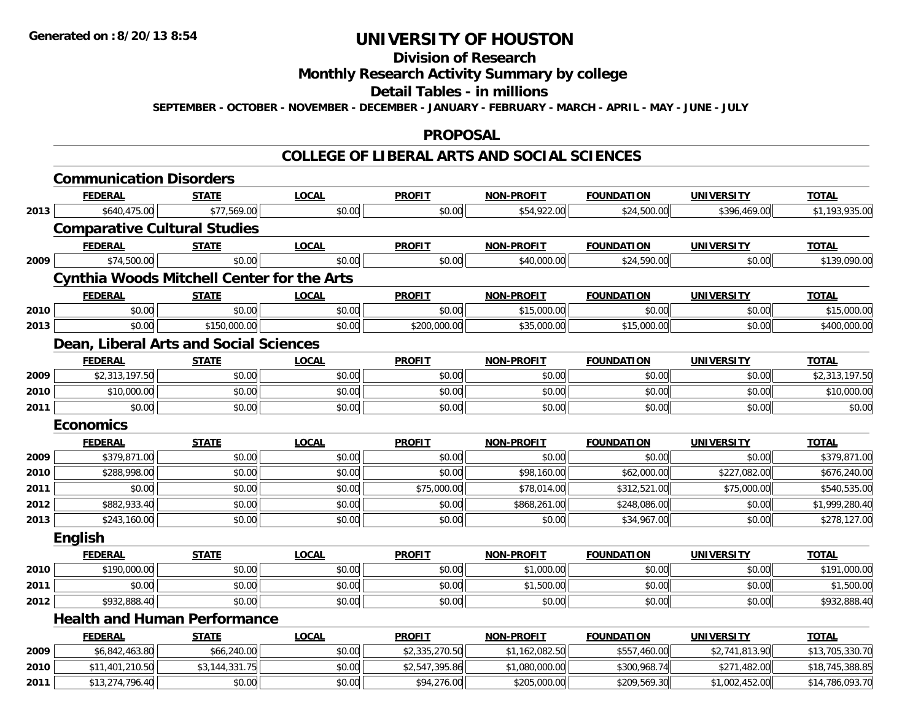#### **Division of Research**

# **Monthly Research Activity Summary by college**

#### **Detail Tables - in millions**

**SEPTEMBER - OCTOBER - NOVEMBER - DECEMBER - JANUARY - FEBRUARY - MARCH - APRIL - MAY - JUNE - JULY**

### **PROPOSAL**

### **COLLEGE OF LIBERAL ARTS AND SOCIAL SCIENCES**

|      | <b>Communication Disorders</b>                    |                |              |                |                   |                   |                   |                 |
|------|---------------------------------------------------|----------------|--------------|----------------|-------------------|-------------------|-------------------|-----------------|
|      | <b>FEDERAL</b>                                    | <b>STATE</b>   | <b>LOCAL</b> | <b>PROFIT</b>  | <b>NON-PROFIT</b> | <b>FOUNDATION</b> | <b>UNIVERSITY</b> | <b>TOTAL</b>    |
| 2013 | \$640,475.00                                      | \$77,569.00    | \$0.00       | \$0.00         | \$54,922.00       | \$24,500.00       | \$396,469.00      | \$1,193,935.00  |
|      | <b>Comparative Cultural Studies</b>               |                |              |                |                   |                   |                   |                 |
|      | <b>FEDERAL</b>                                    | <b>STATE</b>   | <b>LOCAL</b> | <b>PROFIT</b>  | <b>NON-PROFIT</b> | <b>FOUNDATION</b> | <b>UNIVERSITY</b> | <b>TOTAL</b>    |
| 2009 | \$74,500.00                                       | \$0.00         | \$0.00       | \$0.00         | \$40,000.00       | \$24,590.00       | \$0.00            | \$139,090.00    |
|      | <b>Cynthia Woods Mitchell Center for the Arts</b> |                |              |                |                   |                   |                   |                 |
|      | <b>FEDERAL</b>                                    | <b>STATE</b>   | <b>LOCAL</b> | <b>PROFIT</b>  | <b>NON-PROFIT</b> | <b>FOUNDATION</b> | <b>UNIVERSITY</b> | <b>TOTAL</b>    |
| 2010 | \$0.00                                            | \$0.00         | \$0.00       | \$0.00         | \$15,000.00       | \$0.00            | \$0.00            | \$15,000.00     |
| 2013 | \$0.00                                            | \$150,000.00   | \$0.00       | \$200,000.00   | \$35,000.00       | \$15,000.00       | \$0.00            | \$400,000.00    |
|      | Dean, Liberal Arts and Social Sciences            |                |              |                |                   |                   |                   |                 |
|      | <b>FEDERAL</b>                                    | <b>STATE</b>   | <b>LOCAL</b> | <b>PROFIT</b>  | <b>NON-PROFIT</b> | <b>FOUNDATION</b> | <b>UNIVERSITY</b> | <b>TOTAL</b>    |
| 2009 | \$2,313,197.50                                    | \$0.00         | \$0.00       | \$0.00         | \$0.00            | \$0.00            | \$0.00            | \$2,313,197.50  |
| 2010 | \$10,000.00                                       | \$0.00         | \$0.00       | \$0.00         | \$0.00            | \$0.00            | \$0.00            | \$10,000.00     |
| 2011 | \$0.00                                            | \$0.00         | \$0.00       | \$0.00         | \$0.00            | \$0.00            | \$0.00            | \$0.00          |
|      | <b>Economics</b>                                  |                |              |                |                   |                   |                   |                 |
|      |                                                   |                |              |                |                   |                   |                   | <b>TOTAL</b>    |
|      | <b>FEDERAL</b>                                    | <b>STATE</b>   | <b>LOCAL</b> | <b>PROFIT</b>  | <b>NON-PROFIT</b> | <b>FOUNDATION</b> | <b>UNIVERSITY</b> |                 |
| 2009 | \$379,871.00                                      | \$0.00         | \$0.00       | \$0.00         | \$0.00            | \$0.00            | \$0.00            | \$379,871.00    |
| 2010 | \$288,998.00                                      | \$0.00         | \$0.00       | \$0.00         | \$98,160.00       | \$62,000.00       | \$227,082.00      | \$676,240.00    |
| 2011 | \$0.00                                            | \$0.00         | \$0.00       | \$75,000.00    | \$78,014.00       | \$312,521.00      | \$75,000.00       | \$540,535.00    |
| 2012 | \$882,933.40                                      | \$0.00         | \$0.00       | \$0.00         | \$868,261.00      | \$248,086.00      | \$0.00            | \$1,999,280.40  |
| 2013 | \$243,160.00                                      | \$0.00         | \$0.00       | \$0.00         | \$0.00            | \$34,967.00       | \$0.00            | \$278,127.00    |
|      | <b>English</b>                                    |                |              |                |                   |                   |                   |                 |
|      | <b>FEDERAL</b>                                    | <b>STATE</b>   | <b>LOCAL</b> | <b>PROFIT</b>  | <b>NON-PROFIT</b> | <b>FOUNDATION</b> | <b>UNIVERSITY</b> | <b>TOTAL</b>    |
| 2010 | \$190,000.00                                      | \$0.00         | \$0.00       | \$0.00         | \$1,000.00        | \$0.00            | \$0.00            | \$191,000.00    |
| 2011 | \$0.00                                            | \$0.00         | \$0.00       | \$0.00         | \$1,500.00        | \$0.00            | \$0.00            | \$1,500.00      |
| 2012 | \$932,888.40                                      | \$0.00         | \$0.00       | \$0.00         | \$0.00            | \$0.00            | \$0.00            | \$932,888.40    |
|      | <b>Health and Human Performance</b>               |                |              |                |                   |                   |                   |                 |
|      | <b>FEDERAL</b>                                    | <b>STATE</b>   | <b>LOCAL</b> | <b>PROFIT</b>  | <b>NON-PROFIT</b> | <b>FOUNDATION</b> | <b>UNIVERSITY</b> | <b>TOTAL</b>    |
| 2009 | \$6,842,463.80                                    | \$66,240.00    | \$0.00       | \$2,335,270.50 | \$1,162,082.50    | \$557,460.00      | \$2,741,813.90    | \$13,705,330.70 |
| 2010 | \$11,401,210.50                                   | \$3,144,331.75 | \$0.00       | \$2,547,395.86 | \$1,080,000.00    | \$300,968.74      | \$271,482.00      | \$18,745,388.85 |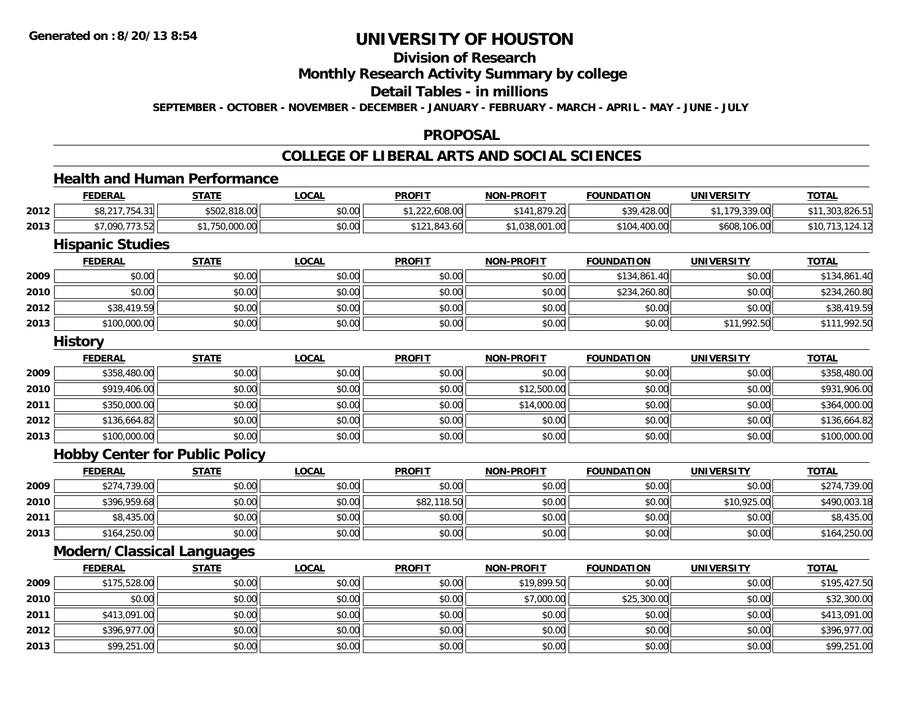## **Division of Research**

### **Monthly Research Activity Summary by college**

#### **Detail Tables - in millions**

**SEPTEMBER - OCTOBER - NOVEMBER - DECEMBER - JANUARY - FEBRUARY - MARCH - APRIL - MAY - JUNE - JULY**

#### **PROPOSAL**

### **COLLEGE OF LIBERAL ARTS AND SOCIAL SCIENCES**

### **Health and Human Performance**

|      | <u>FEDERAL</u>            | <u>STATE</u>                   | <u>LOCAL</u> | <b>PROFIT</b> | <b>NON-PROFIT</b>        | <b>FOUNDATION</b> | <b>UNIVERSITY</b> | <b>TOTAL</b>                                 |
|------|---------------------------|--------------------------------|--------------|---------------|--------------------------|-------------------|-------------------|----------------------------------------------|
| 2012 | 0.21775121<br>T.J         | $ATAA$ 010 00<br>\$502.818.001 | \$0.00       | 222,608.00    | 1.879.20<br>0.11<br>- 14 | \$39,428.00       | .179.339.00       | $$11$<br>0 <sup>0</sup><br>303<br>303.820.0. |
| 2013 | -----<br>\$7.090.<br>3.JZ | 50,000.00                      | \$0.00       | \$121,843.60  | 3,001.00<br>.038         | .400.00<br>\$104. | \$608,106.00      | \$10                                         |

<u> 1989 - Johann Stoff, deutscher Stoffen und der Stoffen und der Stoffen und der Stoffen und der Stoffen und de</u>

### **Hispanic Studies**

|      | <b>FEDERAL</b> | <u>STATE</u> | <b>LOCAL</b> | <b>PROFIT</b> | <b>NON-PROFIT</b> | <b>FOUNDATION</b> | <b>UNIVERSITY</b> | <b>TOTAL</b> |
|------|----------------|--------------|--------------|---------------|-------------------|-------------------|-------------------|--------------|
| 2009 | \$0.00         | \$0.00       | \$0.00       | \$0.00        | \$0.00            | \$134,861.40      | \$0.00            | \$134,861.40 |
| 2010 | \$0.00         | \$0.00       | \$0.00       | \$0.00        | \$0.00            | \$234,260.80      | \$0.00            | \$234,260.80 |
| 2012 | \$38,419.59    | \$0.00       | \$0.00       | \$0.00        | \$0.00            | \$0.00            | \$0.00            | \$38,419.59  |
| 2013 | \$100,000.00   | \$0.00       | \$0.00       | \$0.00        | \$0.00            | \$0.00            | \$11,992.50       | \$111,992.50 |

#### **History**

|      | <u>FEDERAL</u> | <b>STATE</b> | <b>LOCAL</b> | <b>PROFIT</b> | <b>NON-PROFIT</b> | <b>FOUNDATION</b> | <b>UNIVERSITY</b> | <b>TOTAL</b> |
|------|----------------|--------------|--------------|---------------|-------------------|-------------------|-------------------|--------------|
| 2009 | \$358,480.00   | \$0.00       | \$0.00       | \$0.00        | \$0.00            | \$0.00            | \$0.00            | \$358,480.00 |
| 2010 | \$919,406.00   | \$0.00       | \$0.00       | \$0.00        | \$12,500.00       | \$0.00            | \$0.00            | \$931,906.00 |
| 2011 | \$350,000.00   | \$0.00       | \$0.00       | \$0.00        | \$14,000.00       | \$0.00            | \$0.00            | \$364,000.00 |
| 2012 | \$136,664.82   | \$0.00       | \$0.00       | \$0.00        | \$0.00            | \$0.00            | \$0.00            | \$136,664.82 |
| 2013 | \$100,000.00   | \$0.00       | \$0.00       | \$0.00        | \$0.00            | \$0.00            | \$0.00            | \$100,000.00 |

#### **Hobby Center for Public Policy**

|      | <b>FEDERAL</b> | <b>STATE</b> | <u>LOCAL</u> | <b>PROFIT</b> | <b>NON-PROFIT</b> | <b>FOUNDATION</b> | <b>UNIVERSITY</b> | <b>TOTAL</b> |
|------|----------------|--------------|--------------|---------------|-------------------|-------------------|-------------------|--------------|
| 2009 | \$274,739.00   | \$0.00       | \$0.00       | \$0.00        | \$0.00            | \$0.00            | \$0.00            | \$274,739.00 |
| 2010 | \$396,959.68   | \$0.00       | \$0.00       | \$82,118.50   | \$0.00            | \$0.00            | \$10,925.00       | \$490,003.18 |
| 2011 | \$8,435.00     | \$0.00       | \$0.00       | \$0.00        | \$0.00            | \$0.00            | \$0.00            | \$8,435.00   |
| 2013 | \$164,250.00   | \$0.00       | \$0.00       | \$0.00        | \$0.00            | \$0.00            | \$0.00            | \$164,250.00 |

### **Modern/Classical Languages**

|      | <b>FEDERAL</b> | <b>STATE</b> | <u>LOCAL</u> | <b>PROFIT</b> | <b>NON-PROFIT</b> | <b>FOUNDATION</b> | UNIVERSITY | <b>TOTAL</b> |
|------|----------------|--------------|--------------|---------------|-------------------|-------------------|------------|--------------|
| 2009 | \$175,528.00   | \$0.00       | \$0.00       | \$0.00        | \$19,899.50       | \$0.00            | \$0.00     | \$195,427.50 |
| 2010 | \$0.00         | \$0.00       | \$0.00       | \$0.00        | \$7,000.00        | \$25,300.00       | \$0.00     | \$32,300.00  |
| 2011 | \$413,091.00   | \$0.00       | \$0.00       | \$0.00        | \$0.00            | \$0.00            | \$0.00     | \$413,091.00 |
| 2012 | \$396,977.00   | \$0.00       | \$0.00       | \$0.00        | \$0.00            | \$0.00            | \$0.00     | \$396,977.00 |
| 2013 | \$99,251.00    | \$0.00       | \$0.00       | \$0.00        | \$0.00            | \$0.00            | \$0.00     | \$99,251.00  |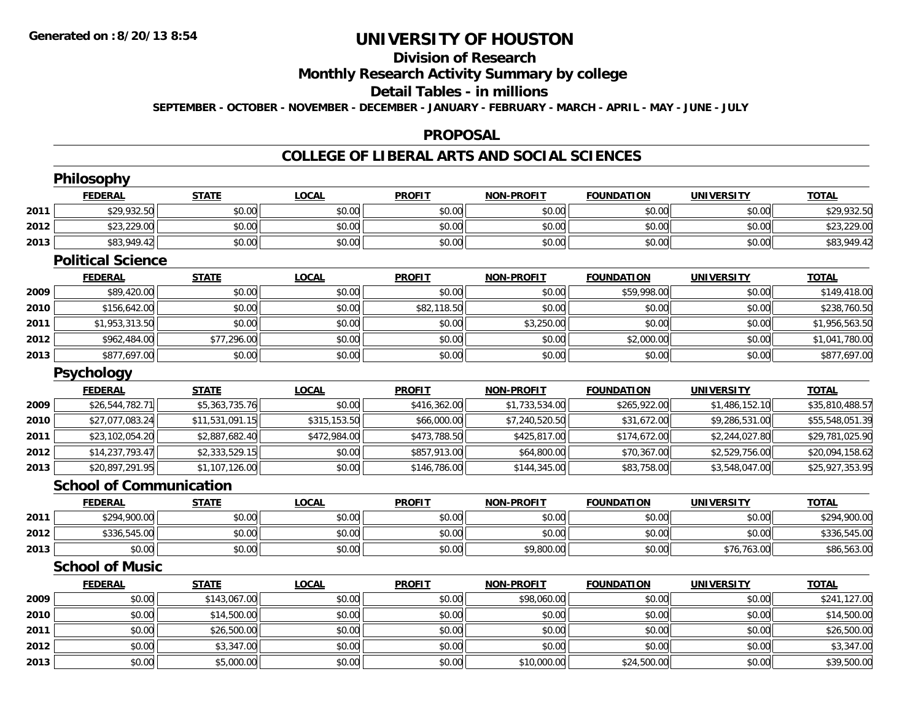# **Division of Research**

**Monthly Research Activity Summary by college**

#### **Detail Tables - in millions**

**SEPTEMBER - OCTOBER - NOVEMBER - DECEMBER - JANUARY - FEBRUARY - MARCH - APRIL - MAY - JUNE - JULY**

### **PROPOSAL**

### **COLLEGE OF LIBERAL ARTS AND SOCIAL SCIENCES**

|      | Philosophy                     |                 |              |               |                   |                   |                   |                 |
|------|--------------------------------|-----------------|--------------|---------------|-------------------|-------------------|-------------------|-----------------|
|      | <b>FEDERAL</b>                 | <b>STATE</b>    | <b>LOCAL</b> | <b>PROFIT</b> | <b>NON-PROFIT</b> | <b>FOUNDATION</b> | <b>UNIVERSITY</b> | <b>TOTAL</b>    |
| 2011 | \$29,932.50                    | \$0.00          | \$0.00       | \$0.00        | \$0.00            | \$0.00            | \$0.00            | \$29,932.50     |
| 2012 | \$23,229.00                    | \$0.00          | \$0.00       | \$0.00        | \$0.00            | \$0.00            | \$0.00            | \$23,229.00     |
| 2013 | \$83,949.42                    | \$0.00          | \$0.00       | \$0.00        | \$0.00            | \$0.00            | \$0.00            | \$83,949.42     |
|      | <b>Political Science</b>       |                 |              |               |                   |                   |                   |                 |
|      | <b>FEDERAL</b>                 | <b>STATE</b>    | <b>LOCAL</b> | <b>PROFIT</b> | <b>NON-PROFIT</b> | <b>FOUNDATION</b> | <b>UNIVERSITY</b> | <b>TOTAL</b>    |
| 2009 | \$89,420.00                    | \$0.00          | \$0.00       | \$0.00        | \$0.00            | \$59,998.00       | \$0.00            | \$149,418.00    |
| 2010 | \$156,642.00                   | \$0.00          | \$0.00       | \$82,118.50   | \$0.00            | \$0.00            | \$0.00            | \$238,760.50    |
| 2011 | \$1,953,313.50                 | \$0.00          | \$0.00       | \$0.00        | \$3,250.00        | \$0.00            | \$0.00            | \$1,956,563.50  |
| 2012 | \$962,484.00                   | \$77,296.00     | \$0.00       | \$0.00        | \$0.00            | \$2,000.00        | \$0.00            | \$1,041,780.00  |
| 2013 | \$877,697.00                   | \$0.00          | \$0.00       | \$0.00        | \$0.00            | \$0.00            | \$0.00            | \$877,697.00    |
|      | <b>Psychology</b>              |                 |              |               |                   |                   |                   |                 |
|      | <b>FEDERAL</b>                 | <b>STATE</b>    | <b>LOCAL</b> | <b>PROFIT</b> | <b>NON-PROFIT</b> | <b>FOUNDATION</b> | <b>UNIVERSITY</b> | <b>TOTAL</b>    |
| 2009 | \$26,544,782.71                | \$5,363,735.76  | \$0.00       | \$416,362.00  | \$1,733,534.00    | \$265,922.00      | \$1,486,152.10    | \$35,810,488.57 |
| 2010 | \$27,077,083.24                | \$11,531,091.15 | \$315,153.50 | \$66,000.00   | \$7,240,520.50    | \$31,672.00       | \$9,286,531.00    | \$55,548,051.39 |
| 2011 | \$23,102,054.20                | \$2,887,682.40  | \$472,984.00 | \$473,788.50  | \$425,817.00      | \$174,672.00      | \$2,244,027.80    | \$29,781,025.90 |
| 2012 | \$14,237,793.47                | \$2,333,529.15  | \$0.00       | \$857,913.00  | \$64,800.00       | \$70,367.00       | \$2,529,756.00    | \$20,094,158.62 |
| 2013 | \$20,897,291.95                | \$1,107,126.00  | \$0.00       | \$146,786.00  | \$144,345.00      | \$83,758.00       | \$3,548,047.00    | \$25,927,353.95 |
|      | <b>School of Communication</b> |                 |              |               |                   |                   |                   |                 |
|      | <b>FEDERAL</b>                 | <b>STATE</b>    | <b>LOCAL</b> | <b>PROFIT</b> | <b>NON-PROFIT</b> | <b>FOUNDATION</b> | <b>UNIVERSITY</b> | <b>TOTAL</b>    |
| 2011 | \$294,900.00                   | \$0.00          | \$0.00       | \$0.00        | \$0.00            | \$0.00            | \$0.00            | \$294,900.00    |
| 2012 | \$336,545.00                   | \$0.00          | \$0.00       | \$0.00        | \$0.00            | \$0.00            | \$0.00            | \$336,545.00    |
| 2013 | \$0.00                         | \$0.00          | \$0.00       | \$0.00        | \$9,800.00        | \$0.00            | \$76,763.00       | \$86,563.00     |
|      | <b>School of Music</b>         |                 |              |               |                   |                   |                   |                 |
|      | <b>FEDERAL</b>                 | <b>STATE</b>    | <b>LOCAL</b> | <b>PROFIT</b> | <b>NON-PROFIT</b> | <b>FOUNDATION</b> | <b>UNIVERSITY</b> | <b>TOTAL</b>    |
| 2009 | \$0.00                         | \$143,067.00    | \$0.00       | \$0.00        | \$98,060.00       | \$0.00            | \$0.00            | \$241,127.00    |
| 2010 | \$0.00                         | \$14,500.00     | \$0.00       | \$0.00        | \$0.00            | \$0.00            | \$0.00            | \$14,500.00     |
| 2011 | \$0.00                         | \$26,500.00     | \$0.00       | \$0.00        | \$0.00            | \$0.00            | \$0.00            | \$26,500.00     |
| 2012 | \$0.00                         | \$3,347.00      | \$0.00       | \$0.00        | \$0.00            | \$0.00            | \$0.00            | \$3,347.00      |
| 2013 | \$0.00                         | \$5,000.00      | \$0.00       | \$0.00        | \$10,000.00       | \$24,500.00       | \$0.00            | \$39,500.00     |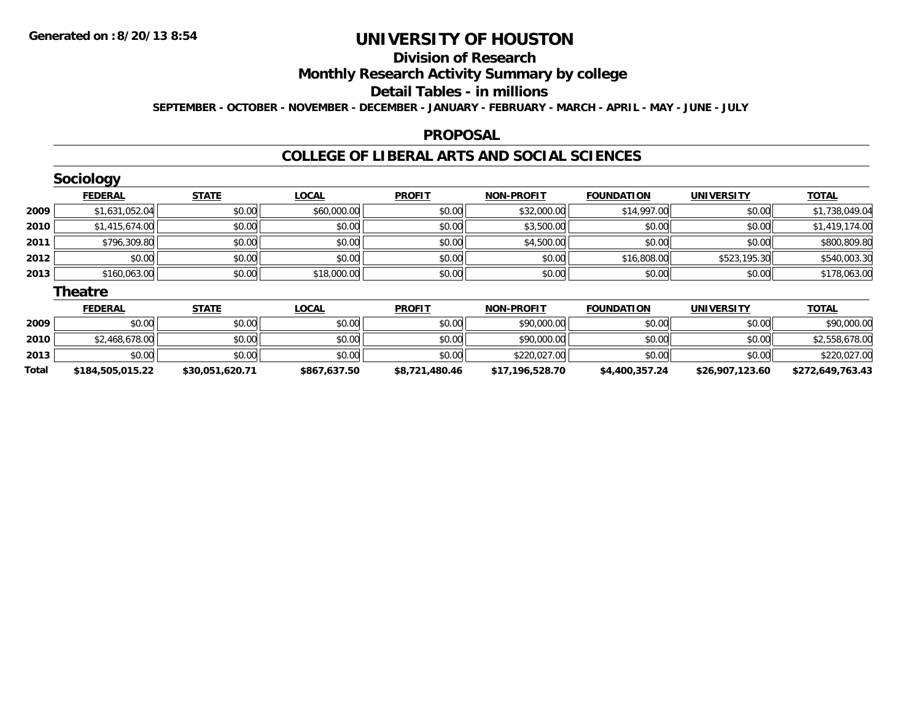# **Division of Research**

**Monthly Research Activity Summary by college**

#### **Detail Tables - in millions**

**SEPTEMBER - OCTOBER - NOVEMBER - DECEMBER - JANUARY - FEBRUARY - MARCH - APRIL - MAY - JUNE - JULY**

### **PROPOSAL**

### **COLLEGE OF LIBERAL ARTS AND SOCIAL SCIENCES**

|      | <b>Sociology</b> |              |              |               |                   |                   |                   |                |
|------|------------------|--------------|--------------|---------------|-------------------|-------------------|-------------------|----------------|
|      | <b>FEDERAL</b>   | <b>STATE</b> | <b>LOCAL</b> | <b>PROFIT</b> | <b>NON-PROFIT</b> | <b>FOUNDATION</b> | <b>UNIVERSITY</b> | <b>TOTAL</b>   |
| 2009 | \$1,631,052.04   | \$0.00       | \$60,000.00  | \$0.00        | \$32,000.00       | \$14,997.00       | \$0.00            | \$1,738,049.04 |
| 2010 | \$1,415,674.00   | \$0.00       | \$0.00       | \$0.00        | \$3,500.00        | \$0.00            | \$0.00            | \$1,419,174.00 |
| 2011 | \$796,309.80     | \$0.00       | \$0.00       | \$0.00        | \$4,500.00        | \$0.00            | \$0.00            | \$800,809.80   |
| 2012 | \$0.00           | \$0.00       | \$0.00       | \$0.00        | \$0.00            | \$16,808.00       | \$523,195.30      | \$540,003.30   |
| 2013 | \$160,063.00     | \$0.00       | \$18,000.00  | \$0.00        | \$0.00            | \$0.00            | \$0.00            | \$178,063.00   |
|      | <b>Theatre</b>   |              |              |               |                   |                   |                   |                |
|      | <b>FEDERAL</b>   | <b>STATE</b> | <b>LOCAL</b> | <b>PROFIT</b> | <b>NON-PROFIT</b> | <b>FOUNDATION</b> | <b>UNIVERSITY</b> | <b>TOTAL</b>   |
| 2009 | \$0.00           | \$0.00       | \$0.00       | \$0.00        | \$90,000.00       | \$0.00            | \$0.00            | \$90,000.00    |

| Total | \$184,505,015.22 | \$30.051.620.71 | \$867,637.50 | \$8,721,480.46 | \$17,196,528.70 | \$4,400,357,24 | \$26,907,123.60 | \$272,649,763.43 |
|-------|------------------|-----------------|--------------|----------------|-----------------|----------------|-----------------|------------------|
| 2013  | \$0.00           | \$0.00          | \$0.00       | \$0.00         | \$220,027.00    | \$0.00         | \$0.00          | \$220,027.00     |
| 2010  | \$2,468,678.00   | \$0.00          | \$0.00       | \$0.00         | \$90,000.00     | \$0.00         | \$0.00          | \$2,558,678.00   |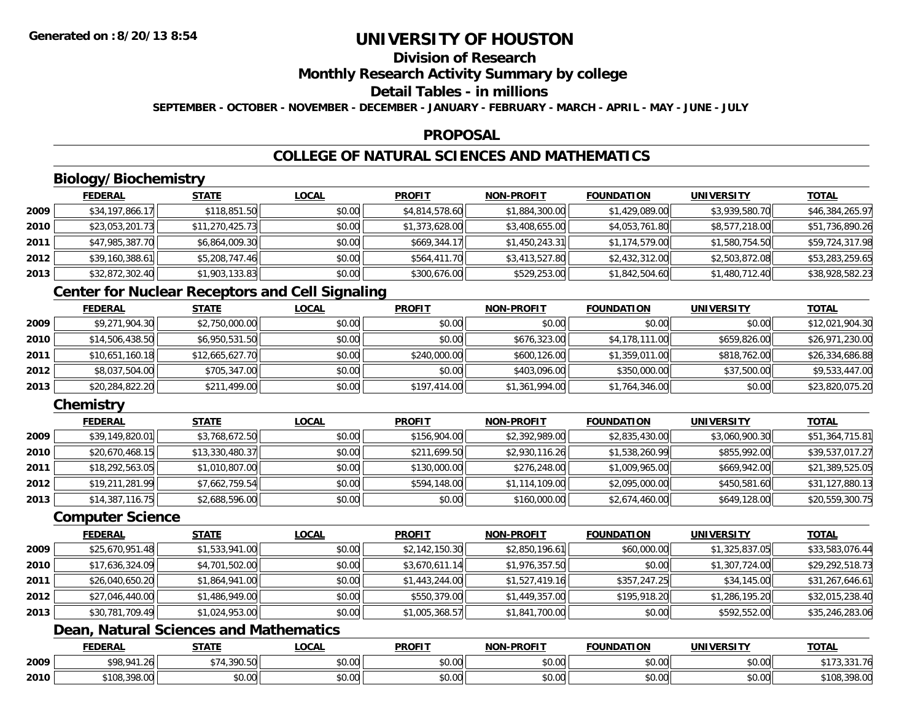## **Division of Research**

**Monthly Research Activity Summary by college**

#### **Detail Tables - in millions**

**SEPTEMBER - OCTOBER - NOVEMBER - DECEMBER - JANUARY - FEBRUARY - MARCH - APRIL - MAY - JUNE - JULY**

### **PROPOSAL**

## **COLLEGE OF NATURAL SCIENCES AND MATHEMATICS**

## **Biology/Biochemistry**

|      | <b>FEDERAL</b>  | <b>STATE</b>    | <u>LOCAL</u> | <b>PROFIT</b>  | <b>NON-PROFIT</b> | <b>FOUNDATION</b> | <b>UNIVERSITY</b> | <u>TOTAL</u>    |
|------|-----------------|-----------------|--------------|----------------|-------------------|-------------------|-------------------|-----------------|
| 2009 | \$34,197,866.17 | \$118,851.50    | \$0.00       | \$4,814,578.60 | \$1,884,300.00    | \$1,429,089.00    | \$3,939,580.70    | \$46,384,265.97 |
| 2010 | \$23,053,201.73 | \$11,270,425.73 | \$0.00       | \$1,373,628.00 | \$3,408,655.00    | \$4,053,761.80    | \$8,577,218.00    | \$51,736,890.26 |
| 2011 | \$47,985,387.70 | \$6,864,009.30  | \$0.00       | \$669,344.17   | \$1,450,243.31    | \$1,174,579.00    | \$1,580,754.50    | \$59,724,317.98 |
| 2012 | \$39,160,388.61 | \$5,208,747.46  | \$0.00       | \$564,411.70   | \$3,413,527.80    | \$2,432,312.00    | \$2,503,872.08    | \$53,283,259.65 |
| 2013 | \$32,872,302.40 | \$1,903,133.83  | \$0.00       | \$300,676.00   | \$529,253.00      | \$1,842,504.60    | \$1,480,712.40    | \$38,928,582.23 |

## **Center for Nuclear Receptors and Cell Signaling**

|      | <u>FEDERAL</u>  | <b>STATE</b>    | <b>LOCAL</b> | <b>PROFIT</b> | <b>NON-PROFIT</b> | <b>FOUNDATION</b> | <b>UNIVERSITY</b> | <b>TOTAL</b>    |
|------|-----------------|-----------------|--------------|---------------|-------------------|-------------------|-------------------|-----------------|
| 2009 | \$9,271,904.30  | \$2,750,000.00  | \$0.00       | \$0.00        | \$0.00            | \$0.00            | \$0.00            | \$12,021,904.30 |
| 2010 | \$14,506,438.50 | \$6,950,531.50  | \$0.00       | \$0.00        | \$676,323.00      | \$4,178,111.00    | \$659,826.00      | \$26,971,230.00 |
| 2011 | \$10,651,160.18 | \$12,665,627.70 | \$0.00       | \$240,000.00  | \$600,126.00      | \$1,359,011.00    | \$818,762.00      | \$26,334,686.88 |
| 2012 | \$8,037,504.00  | \$705,347.00    | \$0.00       | \$0.00        | \$403,096.00      | \$350,000.00      | \$37,500.00       | \$9,533,447.00  |
| 2013 | \$20,284,822.20 | \$211,499.00    | \$0.00       | \$197,414.00  | \$1,361,994.00    | \$1,764,346.00    | \$0.00            | \$23,820,075.20 |

### **Chemistry**

|      | <b>FEDERAL</b>  | <u>STATE</u>    | <u>LOCAL</u> | <b>PROFIT</b> | <b>NON-PROFIT</b> | <b>FOUNDATION</b> | <b>UNIVERSITY</b> | <b>TOTAL</b>    |
|------|-----------------|-----------------|--------------|---------------|-------------------|-------------------|-------------------|-----------------|
| 2009 | \$39,149,820.01 | \$3,768,672.50  | \$0.00       | \$156,904.00  | \$2,392,989.00    | \$2,835,430.00    | \$3,060,900.30    | \$51,364,715.81 |
| 2010 | \$20,670,468.15 | \$13,330,480.37 | \$0.00       | \$211,699.50  | \$2,930,116.26    | \$1,538,260.99    | \$855,992.00      | \$39,537,017.27 |
| 2011 | \$18,292,563.05 | \$1,010,807.00  | \$0.00       | \$130,000.00  | \$276,248.00      | \$1,009,965.00    | \$669,942.00      | \$21,389,525.05 |
| 2012 | \$19,211,281.99 | \$7,662,759.54  | \$0.00       | \$594,148.00  | \$1,114,109.00    | \$2,095,000.00    | \$450,581.60      | \$31,127,880.13 |
| 2013 | \$14,387,116.75 | \$2,688,596.00  | \$0.00       | \$0.00        | \$160,000.00      | \$2,674,460.00    | \$649,128.00      | \$20,559,300.75 |

#### **Computer Science**

|      | <b>FEDERAL</b>  | <b>STATE</b>   | <b>LOCAL</b> | <b>PROFIT</b>  | <b>NON-PROFIT</b> | <b>FOUNDATION</b> | <b>UNIVERSITY</b> | <b>TOTAL</b>    |
|------|-----------------|----------------|--------------|----------------|-------------------|-------------------|-------------------|-----------------|
| 2009 | \$25,670,951.48 | \$1,533,941.00 | \$0.00       | \$2,142,150.30 | \$2,850,196.61    | \$60,000.00       | \$1,325,837.05    | \$33,583,076.44 |
| 2010 | \$17,636,324.09 | \$4,701,502.00 | \$0.00       | \$3,670,611.14 | \$1,976,357.50    | \$0.00            | \$1,307,724.00    | \$29,292,518.73 |
| 2011 | \$26,040,650.20 | \$1,864,941.00 | \$0.00       | \$1,443,244.00 | \$1,527,419.16    | \$357,247.25      | \$34,145.00       | \$31,267,646.61 |
| 2012 | \$27,046,440.00 | \$1,486,949.00 | \$0.00       | \$550,379.00   | \$1,449,357.00    | \$195,918.20      | \$1,286,195.20    | \$32,015,238.40 |
| 2013 | \$30,781,709.49 | \$1,024,953.00 | \$0.00       | \$1,005,368.57 | \$1,841,700.00    | \$0.00            | \$592,552.00      | \$35,246,283.06 |

## **Dean, Natural Sciences and Mathematics**

|      | <b>FEDERAL</b>               | CTATI         | 00 <sub>n</sub><br>.UGAL  | <b>PROFIT</b>          | $\cdot$ <sub>J</sub> -PROF!<br><b>NICH</b> | <b>FOUNDATION</b> | EDCITY<br>UNIVE        | <b>TOTAL</b>          |
|------|------------------------------|---------------|---------------------------|------------------------|--------------------------------------------|-------------------|------------------------|-----------------------|
| 2009 | 000011<br>$\sim$<br>. .      | 200 $ED$      | ሐሴ ሰሰ<br>JU.UU            | $\sim$ $\sim$<br>טט.טע | $\sim$ $\sim$<br>vv.vv                     | \$0.00            | $\sim$ $\sim$<br>vu.vu | .<br>$\sim$ $-$<br>.  |
| 2010 | 0.00<br>3100.5<br>TU8.398.UU | 0000<br>ง∪.∪บ | $\sim$<br>$\sim$<br>vu.uu | ሶስ ሰሰ<br>טט.טע         | $\sim$ 00<br>vu.vu                         | \$0.00            | \$0.00                 | 0000<br>`10ઠ<br>70.UU |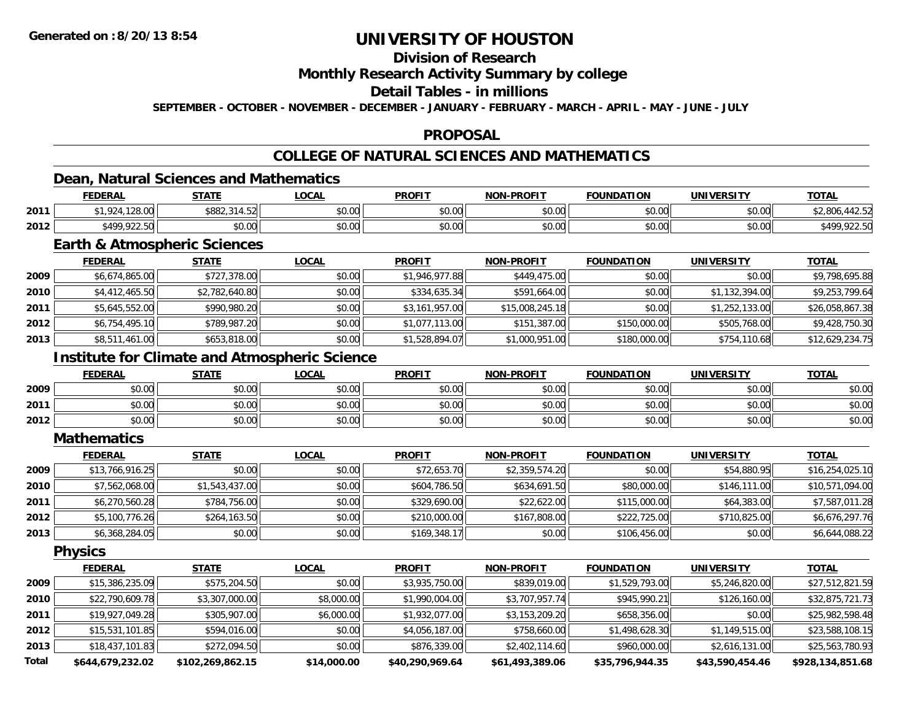## **Division of Research**

### **Monthly Research Activity Summary by college**

#### **Detail Tables - in millions**

**SEPTEMBER - OCTOBER - NOVEMBER - DECEMBER - JANUARY - FEBRUARY - MARCH - APRIL - MAY - JUNE - JULY**

### **PROPOSAL**

## **COLLEGE OF NATURAL SCIENCES AND MATHEMATICS**

### **Dean, Natural Sciences and Mathematics**

|      | <b>FEDERAL</b>        | STATE                                                       | LOCAL                | <b>PROFIT</b>   | <b>NON-PROFIT</b> | <b>FOUNDATION</b>  | <b>UNIVERSITY</b> | <b>TOTAL</b>                |
|------|-----------------------|-------------------------------------------------------------|----------------------|-----------------|-------------------|--------------------|-------------------|-----------------------------|
| 2011 | 13000<br>റി<br>128.UU | coot<br>$  \sim$<br>$\sim$ $\sim$ $\sim$<br>DOOZ.3<br>4.JZI | 0.00<br><b>JU.UU</b> | 60.00<br>\$U.UU | \$0.00            | 0000<br>งบ.บบ      | \$0.00            | ⊦∠.J∠                       |
| 2012 | \$499,922.50          | \$0.00                                                      | JU.UU                | \$0.00          | \$0.00            | $\sim$ 00<br>งบ.บบ | \$0.00            | <b>100 022 50</b><br>922.50 |

### **Earth & Atmospheric Sciences**

|      | <b>FEDERAL</b> | <b>STATE</b>   | <b>LOCAL</b> | <b>PROFIT</b>  | <b>NON-PROFIT</b> | <b>FOUNDATION</b> | <b>UNIVERSITY</b> | <b>TOTAL</b>    |
|------|----------------|----------------|--------------|----------------|-------------------|-------------------|-------------------|-----------------|
| 2009 | \$6,674,865.00 | \$727,378.00   | \$0.00       | \$1,946,977.88 | \$449,475.00      | \$0.00            | \$0.00            | \$9,798,695.88  |
| 2010 | \$4,412,465.50 | \$2,782,640.80 | \$0.00       | \$334,635.34   | \$591,664.00      | \$0.00            | \$1,132,394.00    | \$9,253,799.64  |
| 2011 | \$5,645,552.00 | \$990,980.20   | \$0.00       | \$3,161,957.00 | \$15,008,245.18   | \$0.00            | \$1,252,133.00    | \$26,058,867.38 |
| 2012 | \$6,754,495.10 | \$789,987.20   | \$0.00       | \$1,077,113.00 | \$151,387.00      | \$150,000.00      | \$505,768.00      | \$9,428,750.30  |
| 2013 | \$8,511,461.00 | \$653,818.00   | \$0.00       | \$1,528,894.07 | \$1,000,951.00    | \$180,000.00      | \$754,110.68      | \$12,629,234.75 |

### **Institute for Climate and Atmospheric Science**

|      | <b>FEDERAL</b>        | <b>STATE</b> | <u>LOCAL</u> | <b>PROFIT</b>          | <b>NON-PROFIT</b> | <b>FOUNDATION</b> | <b>UNIVERSITY</b> | <b>TOTAL</b> |
|------|-----------------------|--------------|--------------|------------------------|-------------------|-------------------|-------------------|--------------|
| 2009 | ሳ ሳ<br>pv.uu          | \$0.00       | \$0.00       | \$0.00<br><b>SU.UU</b> | \$0.00            | \$0.00            | \$0.00            | \$0.00       |
| 2011 | ልስ ሰሰ<br>PU.UU        | \$0.00       | \$0.00       | \$0.00                 | \$0.00            | \$0.00            | \$0.00            | \$0.00       |
| 2012 | ÷∩<br>$\cap$<br>DU.UU | \$0.00       | \$0.00       | \$0.00                 | \$0.00            | \$0.00            | \$0.00            | \$0.00       |

#### **Mathematics**

|      | <b>FEDERAL</b>  | <b>STATE</b>   | <u>LOCAL</u> | <b>PROFIT</b> | <b>NON-PROFIT</b> | <b>FOUNDATION</b> | <b>UNIVERSITY</b> | <b>TOTAL</b>    |
|------|-----------------|----------------|--------------|---------------|-------------------|-------------------|-------------------|-----------------|
| 2009 | \$13,766,916.25 | \$0.00         | \$0.00       | \$72,653.70   | \$2,359,574.20    | \$0.00            | \$54,880.95       | \$16,254,025.10 |
| 2010 | \$7,562,068.00  | \$1,543,437.00 | \$0.00       | \$604,786.50  | \$634,691.50      | \$80,000.00       | \$146,111,00      | \$10,571,094.00 |
| 2011 | \$6,270,560.28  | \$784,756.00   | \$0.00       | \$329,690.00  | \$22,622.00       | \$115,000.00      | \$64,383.00       | \$7,587,011.28  |
| 2012 | \$5,100,776.26  | \$264,163.50   | \$0.00       | \$210,000.00  | \$167,808.00      | \$222,725.00      | \$710,825.00      | \$6,676,297.76  |
| 2013 | \$6,368,284.05  | \$0.00         | \$0.00       | \$169,348.17  | \$0.00            | \$106,456.00      | \$0.00            | \$6,644,088.22  |

**Physics**

|              | <b>FEDERAL</b>   | <b>STATE</b>     | <u>LOCAL</u> | <b>PROFIT</b>   | <b>NON-PROFIT</b> | <b>FOUNDATION</b> | <b>UNIVERSITY</b> | <u>TOTAL</u>     |
|--------------|------------------|------------------|--------------|-----------------|-------------------|-------------------|-------------------|------------------|
| 2009         | \$15,386,235.09  | \$575,204.50     | \$0.00       | \$3,935,750.00  | \$839,019.00      | \$1,529,793.00    | \$5,246,820.00    | \$27,512,821.59  |
| 2010         | \$22,790,609.78  | \$3,307,000.00   | \$8,000.00   | \$1,990,004.00  | \$3,707,957.74    | \$945,990.21      | \$126,160.00      | \$32,875,721.73  |
| 2011         | \$19,927,049.28  | \$305,907.00     | \$6,000.00   | \$1,932,077.00  | \$3,153,209.20    | \$658,356.00      | \$0.00            | \$25,982,598.48  |
| 2012         | \$15,531,101.85  | \$594,016.00     | \$0.00       | \$4,056,187.00  | \$758,660.00      | \$1,498,628.30    | \$1,149,515.00    | \$23,588,108.15  |
| 2013         | \$18,437,101.83  | \$272,094.50     | \$0.00       | \$876,339.00    | \$2,402,114.60    | \$960,000.00      | \$2,616,131.00    | \$25,563,780.93  |
| <b>Total</b> | \$644.679.232.02 | \$102,269,862.15 | \$14,000.00  | \$40,290,969.64 | \$61,493,389.06   | \$35,796,944.35   | \$43,590,454.46   | \$928,134,851.68 |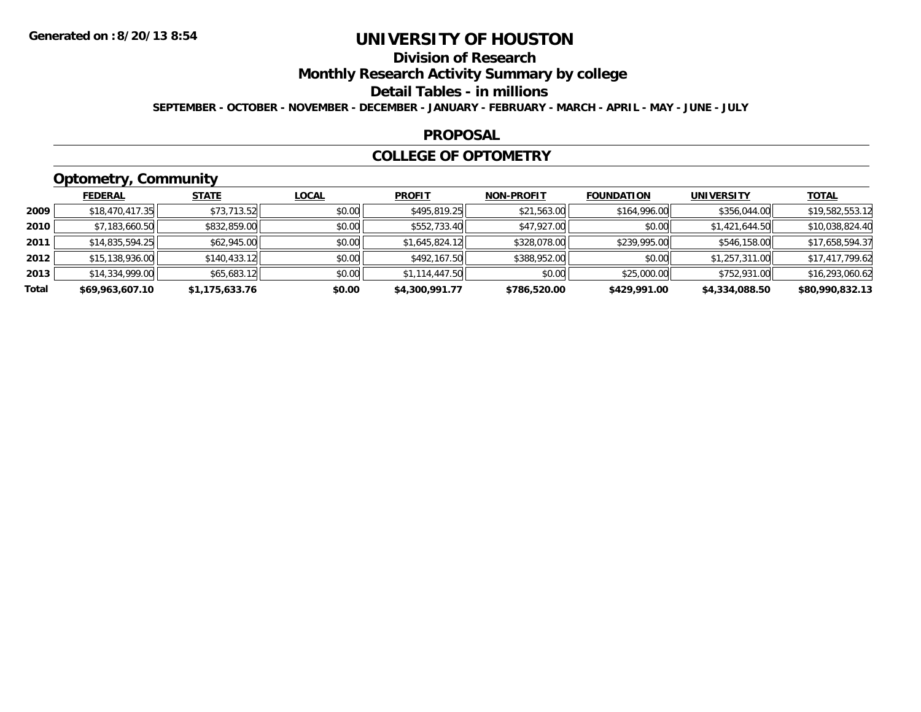## **Division of Research**

**Monthly Research Activity Summary by college**

**Detail Tables - in millions**

**SEPTEMBER - OCTOBER - NOVEMBER - DECEMBER - JANUARY - FEBRUARY - MARCH - APRIL - MAY - JUNE - JULY**

### **PROPOSAL**

### **COLLEGE OF OPTOMETRY**

## **Optometry, Community**

|       | ___             |                |              |                |                   |                   |                   |                 |
|-------|-----------------|----------------|--------------|----------------|-------------------|-------------------|-------------------|-----------------|
|       | <b>FEDERAL</b>  | <b>STATE</b>   | <b>LOCAL</b> | <b>PROFIT</b>  | <b>NON-PROFIT</b> | <b>FOUNDATION</b> | <b>UNIVERSITY</b> | <b>TOTAL</b>    |
| 2009  | \$18,470,417.35 | \$73,713.52    | \$0.00       | \$495,819.25   | \$21,563.00       | \$164,996.00      | \$356,044.00      | \$19,582,553.12 |
| 2010  | \$7,183,660.50  | \$832,859.00   | \$0.00       | \$552,733.40   | \$47,927.00       | \$0.00            | \$1,421,644.50    | \$10,038,824.40 |
| 2011  | \$14,835,594.25 | \$62,945.00    | \$0.00       | \$1,645,824.12 | \$328,078.00      | \$239,995.00      | \$546,158.00      | \$17,658,594.37 |
| 2012  | \$15,138,936.00 | \$140,433.12   | \$0.00       | \$492,167.50   | \$388,952.00      | \$0.00            | \$1,257,311.00    | \$17,417,799.62 |
| 2013  | \$14,334,999.00 | \$65,683.12    | \$0.00       | \$1,114,447.50 | \$0.00            | \$25,000.00       | \$752,931.00      | \$16,293,060.62 |
| Total | \$69,963,607.10 | \$1,175,633.76 | \$0.00       | \$4,300,991.77 | \$786,520.00      | \$429,991.00      | \$4,334,088.50    | \$80,990,832.13 |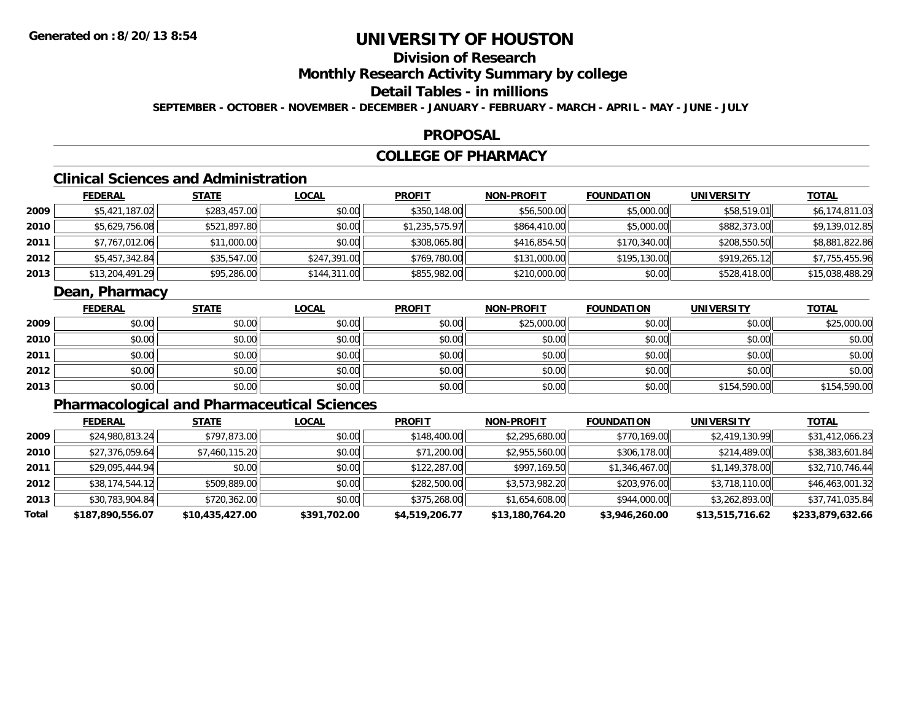## **Division of Research**

**Monthly Research Activity Summary by college**

## **Detail Tables - in millions**

**SEPTEMBER - OCTOBER - NOVEMBER - DECEMBER - JANUARY - FEBRUARY - MARCH - APRIL - MAY - JUNE - JULY**

### **PROPOSAL**

### **COLLEGE OF PHARMACY**

## **Clinical Sciences and Administration**

|      | <b>FEDERAL</b>  | <u>STATE</u> | <b>LOCAL</b> | <b>PROFIT</b>  | <b>NON-PROFIT</b> | <b>FOUNDATION</b> | UNIVERSITY   | <b>TOTAL</b>    |
|------|-----------------|--------------|--------------|----------------|-------------------|-------------------|--------------|-----------------|
| 2009 | \$5,421,187.02  | \$283,457.00 | \$0.00       | \$350,148.00   | \$56,500.00       | \$5,000.00        | \$58,519.01  | \$6,174,811.03  |
| 2010 | \$5,629,756.08  | \$521,897.80 | \$0.00       | \$1,235,575.97 | \$864,410.00      | \$5,000.00        | \$882,373.00 | \$9,139,012.85  |
| 2011 | \$7,767,012.06  | \$11,000.00  | \$0.00       | \$308,065.80   | \$416,854.50      | \$170,340.00      | \$208,550.50 | \$8,881,822.86  |
| 2012 | \$5,457,342.84  | \$35,547.00  | \$247,391.00 | \$769,780.00   | \$131,000.00      | \$195,130.00      | \$919,265.12 | \$7,755,455.96  |
| 2013 | \$13,204,491.29 | \$95,286.00  | \$144,311.00 | \$855,982.00   | \$210,000.00      | \$0.00            | \$528,418.00 | \$15,038,488.29 |

### **Dean, Pharmacy**

|      | <u>FEDERAL</u> | <b>STATE</b> | <u>LOCAL</u> | <b>PROFIT</b> | <b>NON-PROFIT</b> | <b>FOUNDATION</b> | <b>UNIVERSITY</b> | <b>TOTAL</b> |
|------|----------------|--------------|--------------|---------------|-------------------|-------------------|-------------------|--------------|
| 2009 | \$0.00         | \$0.00       | \$0.00       | \$0.00        | \$25,000.00       | \$0.00            | \$0.00            | \$25,000.00  |
| 2010 | \$0.00         | \$0.00       | \$0.00       | \$0.00        | \$0.00            | \$0.00            | \$0.00            | \$0.00       |
| 2011 | \$0.00         | \$0.00       | \$0.00       | \$0.00        | \$0.00            | \$0.00            | \$0.00            | \$0.00       |
| 2012 | \$0.00         | \$0.00       | \$0.00       | \$0.00        | \$0.00            | \$0.00            | \$0.00            | \$0.00       |
| 2013 | \$0.00         | \$0.00       | \$0.00       | \$0.00        | \$0.00            | \$0.00            | \$154,590.00      | \$154,590.00 |

## **Pharmacological and Pharmaceutical Sciences**

|       | <b>FEDERAL</b>   | <b>STATE</b>    | <u>LOCAL</u> | <b>PROFIT</b>  | <b>NON-PROFIT</b> | <b>FOUNDATION</b> | UNIVERSITY      | <b>TOTAL</b>     |
|-------|------------------|-----------------|--------------|----------------|-------------------|-------------------|-----------------|------------------|
| 2009  | \$24,980,813.24  | \$797,873.00    | \$0.00       | \$148,400.00   | \$2,295,680.00    | \$770,169.00      | \$2,419,130.99  | \$31,412,066.23  |
| 2010  | \$27,376,059.64  | \$7,460,115.20  | \$0.00       | \$71,200.00    | \$2,955,560.00    | \$306,178.00      | \$214,489.00    | \$38,383,601.84  |
| 2011  | \$29,095,444.94  | \$0.00          | \$0.00       | \$122,287.00   | \$997,169.50      | \$1,346,467.00    | \$1,149,378.00  | \$32,710,746.44  |
| 2012  | \$38,174,544.12  | \$509,889.00    | \$0.00       | \$282,500.00   | \$3,573,982.20    | \$203,976.00      | \$3,718,110.00  | \$46,463,001.32  |
| 2013  | \$30,783,904.84  | \$720,362.00    | \$0.00       | \$375,268.00   | \$1,654,608.00    | \$944,000.00      | \$3,262,893.00  | \$37,741,035.84  |
| Total | \$187,890,556.07 | \$10,435,427.00 | \$391,702.00 | \$4,519,206.77 | \$13,180,764.20   | \$3,946,260.00    | \$13,515,716.62 | \$233,879,632.66 |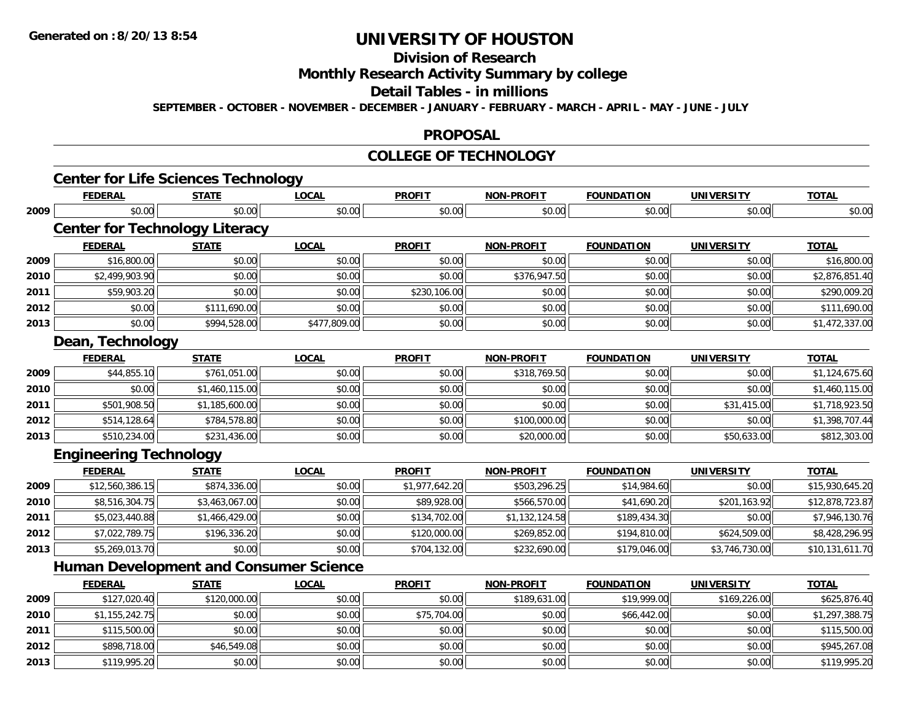# **Division of Research**

**Monthly Research Activity Summary by college**

**Detail Tables - in millions**

**SEPTEMBER - OCTOBER - NOVEMBER - DECEMBER - JANUARY - FEBRUARY - MARCH - APRIL - MAY - JUNE - JULY**

### **PROPOSAL**

#### **COLLEGE OF TECHNOLOGY**

|      | <b>Center for Life Sciences Technology</b>    |                |              |                |                   |                   |                   |                 |
|------|-----------------------------------------------|----------------|--------------|----------------|-------------------|-------------------|-------------------|-----------------|
|      | <b>FEDERAL</b>                                | <b>STATE</b>   | <b>LOCAL</b> | <b>PROFIT</b>  | <b>NON-PROFIT</b> | <b>FOUNDATION</b> | <b>UNIVERSITY</b> | <b>TOTAL</b>    |
| 2009 | \$0.00                                        | \$0.00         | \$0.00       | \$0.00         | \$0.00            | \$0.00            | \$0.00            | \$0.00          |
|      | <b>Center for Technology Literacy</b>         |                |              |                |                   |                   |                   |                 |
|      | <b>FEDERAL</b>                                | <b>STATE</b>   | <b>LOCAL</b> | <b>PROFIT</b>  | <b>NON-PROFIT</b> | <b>FOUNDATION</b> | <b>UNIVERSITY</b> | <b>TOTAL</b>    |
| 2009 | \$16,800.00                                   | \$0.00         | \$0.00       | \$0.00         | \$0.00            | \$0.00            | \$0.00            | \$16,800.00     |
| 2010 | \$2,499,903.90                                | \$0.00         | \$0.00       | \$0.00         | \$376,947.50      | \$0.00            | \$0.00            | \$2,876,851.40  |
| 2011 | \$59,903.20                                   | \$0.00         | \$0.00       | \$230,106.00   | \$0.00            | \$0.00            | \$0.00            | \$290,009.20    |
| 2012 | \$0.00                                        | \$111,690.00   | \$0.00       | \$0.00         | \$0.00            | \$0.00            | \$0.00            | \$111,690.00    |
| 2013 | \$0.00                                        | \$994,528.00   | \$477,809.00 | \$0.00         | \$0.00            | \$0.00            | \$0.00            | \$1,472,337.00  |
|      | Dean, Technology                              |                |              |                |                   |                   |                   |                 |
|      | <b>FEDERAL</b>                                | <b>STATE</b>   | <b>LOCAL</b> | <b>PROFIT</b>  | <b>NON-PROFIT</b> | <b>FOUNDATION</b> | <b>UNIVERSITY</b> | <b>TOTAL</b>    |
| 2009 | \$44,855.10                                   | \$761,051.00   | \$0.00       | \$0.00         | \$318,769.50      | \$0.00            | \$0.00            | \$1,124,675.60  |
| 2010 | \$0.00                                        | \$1,460,115.00 | \$0.00       | \$0.00         | \$0.00            | \$0.00            | \$0.00            | \$1,460,115.00  |
| 2011 | \$501,908.50                                  | \$1,185,600.00 | \$0.00       | \$0.00         | \$0.00            | \$0.00            | \$31,415.00       | \$1,718,923.50  |
| 2012 | \$514,128.64                                  | \$784,578.80   | \$0.00       | \$0.00         | \$100,000.00      | \$0.00            | \$0.00            | \$1,398,707.44  |
| 2013 | \$510,234.00                                  | \$231,436.00   | \$0.00       | \$0.00         | \$20,000.00       | \$0.00            | \$50,633.00       | \$812,303.00    |
|      | <b>Engineering Technology</b>                 |                |              |                |                   |                   |                   |                 |
|      | <b>FEDERAL</b>                                | <b>STATE</b>   | <b>LOCAL</b> | <b>PROFIT</b>  | <b>NON-PROFIT</b> | <b>FOUNDATION</b> | <b>UNIVERSITY</b> | <b>TOTAL</b>    |
| 2009 | \$12,560,386.15                               | \$874,336.00   | \$0.00       | \$1,977,642.20 | \$503,296.25      | \$14,984.60       | \$0.00            | \$15,930,645.20 |
| 2010 | \$8,516,304.75                                | \$3,463,067.00 | \$0.00       | \$89,928.00    | \$566,570.00      | \$41,690.20       | \$201,163.92      | \$12,878,723.87 |
| 2011 | \$5,023,440.88                                | \$1,466,429.00 | \$0.00       | \$134,702.00   | \$1,132,124.58    | \$189,434.30      | \$0.00            | \$7,946,130.76  |
| 2012 | \$7,022,789.75                                | \$196,336.20   | \$0.00       | \$120,000.00   | \$269,852.00      | \$194,810.00      | \$624,509.00      | \$8,428,296.95  |
| 2013 | \$5,269,013.70                                | \$0.00         | \$0.00       | \$704,132.00   | \$232,690.00      | \$179,046.00      | \$3,746,730.00    | \$10,131,611.70 |
|      | <b>Human Development and Consumer Science</b> |                |              |                |                   |                   |                   |                 |
|      | <b>FEDERAL</b>                                | <b>STATE</b>   | <b>LOCAL</b> | <b>PROFIT</b>  | <b>NON-PROFIT</b> | <b>FOUNDATION</b> | <b>UNIVERSITY</b> | <b>TOTAL</b>    |
| 2009 | \$127,020.40                                  | \$120,000.00   | \$0.00       | \$0.00         | \$189,631.00      | \$19,999.00       | \$169,226.00      | \$625,876.40    |
| 2010 | \$1,155,242.75                                | \$0.00         | \$0.00       | \$75,704.00    | \$0.00            | \$66,442.00       | \$0.00            | \$1,297,388.75  |
| 2011 | \$115,500.00                                  | \$0.00         | \$0.00       | \$0.00         | \$0.00            | \$0.00            | \$0.00            | \$115,500.00    |
| 2012 | \$898,718.00                                  | \$46,549.08    | \$0.00       | \$0.00         | \$0.00            | \$0.00            | \$0.00            | \$945,267.08    |
| 2013 | \$119,995.20                                  | \$0.00         | \$0.00       | \$0.00         | \$0.00            | \$0.00            | \$0.00            | \$119,995.20    |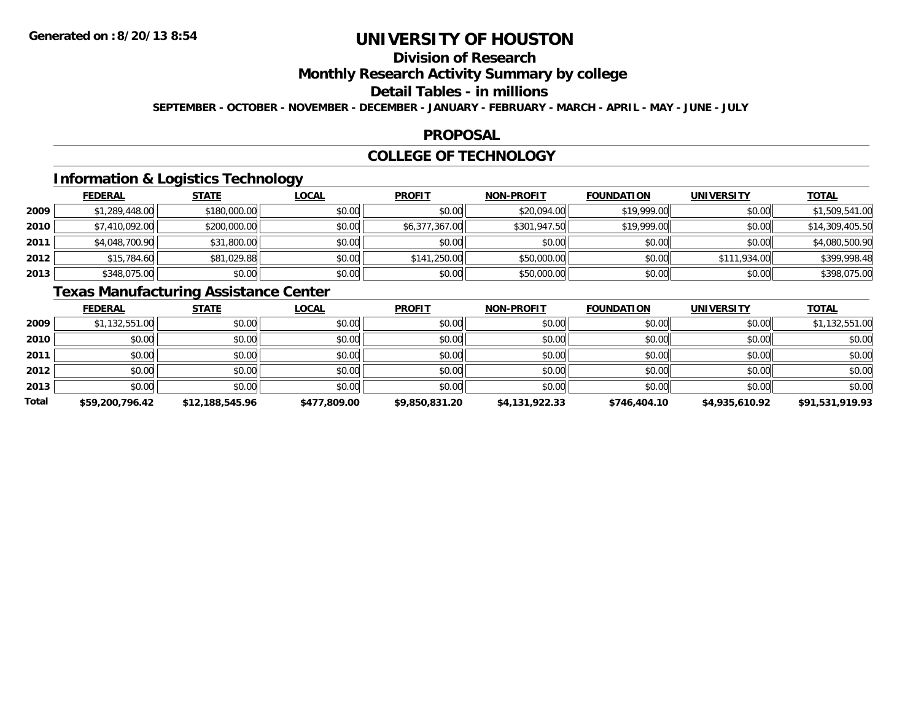## **Division of Research**

**Monthly Research Activity Summary by college**

#### **Detail Tables - in millions**

**SEPTEMBER - OCTOBER - NOVEMBER - DECEMBER - JANUARY - FEBRUARY - MARCH - APRIL - MAY - JUNE - JULY**

### **PROPOSAL**

### **COLLEGE OF TECHNOLOGY**

## **Information & Logistics Technology**

|      | <b>FEDERAL</b> | <b>STATE</b> | <b>LOCAL</b> | <b>PROFIT</b>  | <b>NON-PROFIT</b> | <b>FOUNDATION</b> | <b>UNIVERSITY</b> | <b>TOTAL</b>    |
|------|----------------|--------------|--------------|----------------|-------------------|-------------------|-------------------|-----------------|
| 2009 | \$1,289,448.00 | \$180,000.00 | \$0.00       | \$0.00         | \$20,094.00       | \$19,999,00       | \$0.00            | \$1,509,541.00  |
| 2010 | \$7,410,092.00 | \$200,000.00 | \$0.00       | \$6,377,367.00 | \$301,947.50      | \$19,999.00       | \$0.00            | \$14,309,405.50 |
| 2011 | \$4,048,700.90 | \$31,800.00  | \$0.00       | \$0.00         | \$0.00            | \$0.00            | \$0.00            | \$4,080,500.90  |
| 2012 | \$15,784.60    | \$81,029.88  | \$0.00       | \$141,250.00   | \$50,000.00       | \$0.00            | \$111,934.00      | \$399,998.48    |
| 2013 | \$348,075.00   | \$0.00       | \$0.00       | \$0.00         | \$50,000.00       | \$0.00            | \$0.00            | \$398,075.00    |

## **Texas Manufacturing Assistance Center**

|              | <u>FEDERAL</u>  | <b>STATE</b>    | <u>LOCAL</u> | <b>PROFIT</b>  | <b>NON-PROFIT</b> | <b>FOUNDATION</b> | <b>UNIVERSITY</b> | <b>TOTAL</b>    |
|--------------|-----------------|-----------------|--------------|----------------|-------------------|-------------------|-------------------|-----------------|
| 2009         | \$1,132,551.00  | \$0.00          | \$0.00       | \$0.00         | \$0.00            | \$0.00            | \$0.00            | \$1,132,551.00  |
| 2010         | \$0.00          | \$0.00          | \$0.00       | \$0.00         | \$0.00            | \$0.00            | \$0.00            | \$0.00          |
| 2011         | \$0.00          | \$0.00          | \$0.00       | \$0.00         | \$0.00            | \$0.00            | \$0.00            | \$0.00          |
| 2012         | \$0.00          | \$0.00          | \$0.00       | \$0.00         | \$0.00            | \$0.00            | \$0.00            | \$0.00          |
| 2013         | \$0.00          | \$0.00          | \$0.00       | \$0.00         | \$0.00            | \$0.00            | \$0.00            | \$0.00          |
| <b>Total</b> | \$59,200,796.42 | \$12,188,545.96 | \$477,809.00 | \$9,850,831.20 | \$4,131,922.33    | \$746,404.10      | \$4,935,610.92    | \$91,531,919.93 |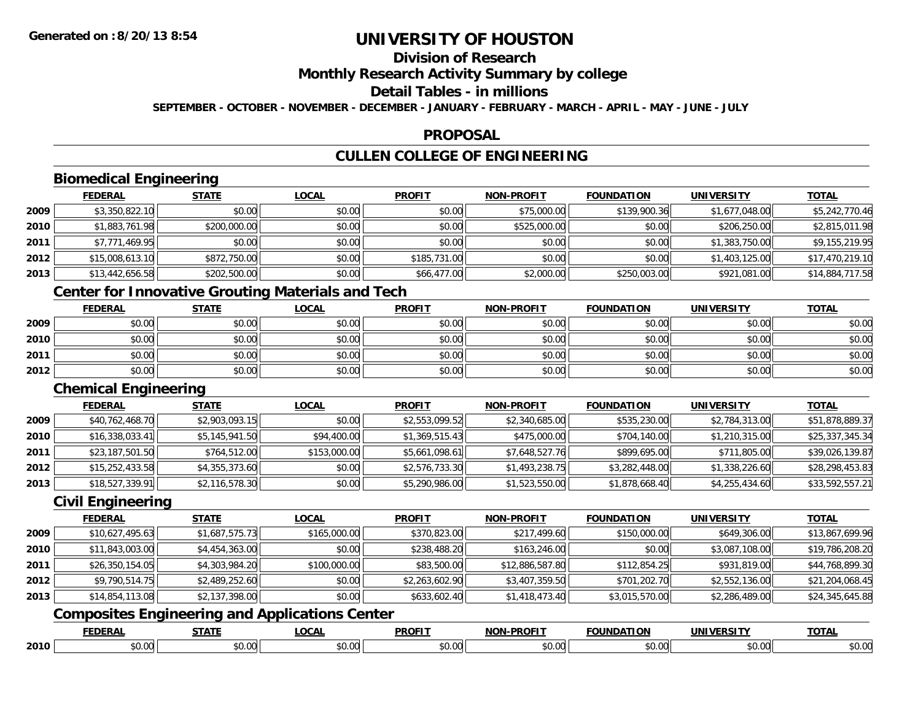## **Division of Research**

### **Monthly Research Activity Summary by college**

### **Detail Tables - in millions**

**SEPTEMBER - OCTOBER - NOVEMBER - DECEMBER - JANUARY - FEBRUARY - MARCH - APRIL - MAY - JUNE - JULY**

### **PROPOSAL**

## **CULLEN COLLEGE OF ENGINEERING**

## **Biomedical Engineering**

|        | <b>FEDERAL</b>  | <b>STATE</b> | <u>LOCAL</u> | <b>PROFIT</b> | <b>NON-PROFIT</b> | <b>FOUNDATION</b> | <b>UNIVERSITY</b> | <b>TOTAL</b>    |
|--------|-----------------|--------------|--------------|---------------|-------------------|-------------------|-------------------|-----------------|
| 2009   | \$3,350,822.10  | \$0.00       | \$0.00       | \$0.00        | \$75,000.00       | \$139,900.36      | \$1,677,048.00    | \$5,242,770.46  |
| ا 2010 | \$1,883,761.98  | \$200,000.00 | \$0.00       | \$0.00        | \$525,000.00      | \$0.00            | \$206,250.00      | \$2,815,011.98  |
| 2011   | \$7,771,469.95  | \$0.00       | \$0.00       | \$0.00        | \$0.00            | \$0.00            | \$1,383,750.00    | \$9,155,219.95  |
| 2012   | \$15,008,613.10 | \$872,750.00 | \$0.00       | \$185,731.00  | \$0.00            | \$0.00            | \$1,403,125.00    | \$17,470,219.10 |
| 2013   | \$13,442,656.58 | \$202,500.00 | \$0.00       | \$66,477.00   | \$2,000.00        | \$250,003.00      | \$921,081.00      | \$14,884,717.58 |

### **Center for Innovative Grouting Materials and Tech**

|      | <u>FEDERAL</u> | <b>STATE</b> | <u>LOCAL</u> | <b>PROFIT</b> | <b>NON-PROFIT</b> | <b>FOUNDATION</b> | <b>UNIVERSITY</b> | <b>TOTAL</b> |
|------|----------------|--------------|--------------|---------------|-------------------|-------------------|-------------------|--------------|
| 2009 | \$0.00         | \$0.00       | \$0.00       | \$0.00        | \$0.00            | \$0.00            | \$0.00            | \$0.00       |
| 2010 | \$0.00         | \$0.00       | \$0.00       | \$0.00        | \$0.00            | \$0.00            | \$0.00            | \$0.00       |
| 2011 | \$0.00         | \$0.00       | \$0.00       | \$0.00        | \$0.00            | \$0.00            | \$0.00            | \$0.00       |
| 2012 | \$0.00         | \$0.00       | \$0.00       | \$0.00        | \$0.00            | \$0.00            | \$0.00            | \$0.00       |

### **Chemical Engineering**

|      | <b>FEDERAL</b>  | <b>STATE</b>   | <b>LOCAL</b> | <b>PROFIT</b>  | <b>NON-PROFIT</b> | <b>FOUNDATION</b> | <b>UNIVERSITY</b> | <b>TOTAL</b>    |
|------|-----------------|----------------|--------------|----------------|-------------------|-------------------|-------------------|-----------------|
| 2009 | \$40,762,468.70 | \$2,903,093.15 | \$0.00       | \$2,553,099.52 | \$2,340,685.00    | \$535,230.00      | \$2,784,313.00    | \$51,878,889.37 |
| 2010 | \$16,338,033.41 | \$5,145,941.50 | \$94,400.00  | \$1,369,515.43 | \$475,000.00      | \$704,140.00      | \$1,210,315.00    | \$25,337,345.34 |
| 2011 | \$23,187,501.50 | \$764,512.00   | \$153,000.00 | \$5,661,098.61 | \$7,648,527.76    | \$899,695.00      | \$711,805.00      | \$39,026,139.87 |
| 2012 | \$15,252,433.58 | \$4,355,373.60 | \$0.00       | \$2,576,733.30 | \$1,493,238.75    | \$3,282,448.00    | \$1,338,226.60    | \$28,298,453.83 |
| 2013 | \$18,527,339.91 | \$2,116,578.30 | \$0.00       | \$5,290,986.00 | \$1,523,550.00    | \$1,878,668.40    | \$4,255,434.60    | \$33,592,557.21 |

### **Civil Engineering**

|      | <u>FEDERAL</u>  | <b>STATE</b>   | <b>LOCAL</b> | <b>PROFIT</b>  | <b>NON-PROFIT</b> | <b>FOUNDATION</b> | UNIVERSITY     | <u>TOTAL</u>    |
|------|-----------------|----------------|--------------|----------------|-------------------|-------------------|----------------|-----------------|
| 2009 | \$10,627,495.63 | \$1,687,575.73 | \$165,000.00 | \$370,823.00   | \$217,499.60      | \$150,000.00      | \$649,306.00   | \$13,867,699.96 |
| 2010 | \$11,843,003.00 | \$4,454,363.00 | \$0.00       | \$238,488.20   | \$163,246.00      | \$0.00            | \$3,087,108.00 | \$19,786,208.20 |
| 2011 | \$26,350,154.05 | \$4,303,984.20 | \$100,000.00 | \$83,500.00    | \$12,886,587.80   | \$112,854.25      | \$931,819.00   | \$44,768,899.30 |
| 2012 | \$9,790,514.75  | \$2,489,252.60 | \$0.00       | \$2,263,602.90 | \$3,407,359.50    | \$701,202.70      | \$2,552,136.00 | \$21,204,068.45 |
| 2013 | \$14,854,113.08 | \$2,137,398.00 | \$0.00       | \$633,602.40   | \$1,418,473.40    | \$3,015,570.00    | \$2,286,489.00 | \$24,345,645.88 |

## **Composites Engineering and Applications Center**

|      | EEDEDAI<br>ULRA | 27.77     | 0.01<br>$\mathbf{v}$<br>.w. | <b>PROFIT</b> | <b>-PROFIT</b><br>. | .<br>IINDAT | ----          | <b>TOTAL</b> |
|------|-----------------|-----------|-----------------------------|---------------|---------------------|-------------|---------------|--------------|
| 2010 | $\sim$          | $\sim$ 00 | $\sim$ $\sim$               | $\cdots$      | $\sim$ 0.00 $\sim$  | $\sim$ 00   | $\sim$ $\sim$ | . r          |
|      | ,,,,            | ט.טע      | pu.uu                       | JU.UU         | pu.uu               | וט.טי       | DU.UU         | 70.U         |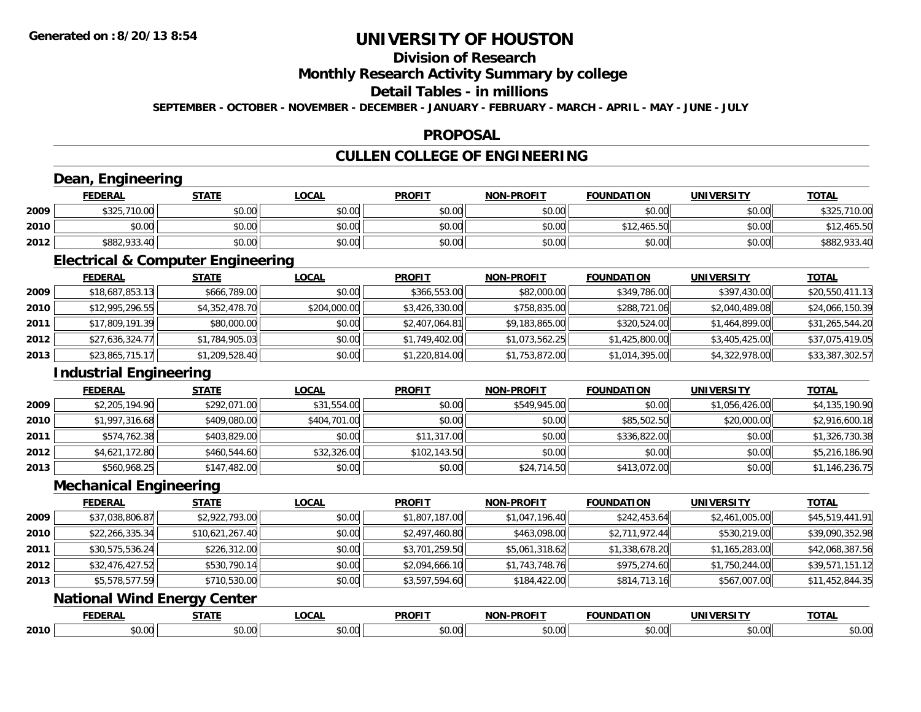## **Division of Research**

### **Monthly Research Activity Summary by college**

### **Detail Tables - in millions**

**SEPTEMBER - OCTOBER - NOVEMBER - DECEMBER - JANUARY - FEBRUARY - MARCH - APRIL - MAY - JUNE - JULY**

### **PROPOSAL**

## **CULLEN COLLEGE OF ENGINEERING**

### **Dean, Engineering**

|      | <b>FEDERAL</b> | <b>STATE</b> | <u>LOCAL</u> | <b>PROFIT</b> | <b>NON-PROFIT</b> | <b>FOUNDATION</b> | <b>UNIVERSITY</b> | <b>TOTAL</b>                  |
|------|----------------|--------------|--------------|---------------|-------------------|-------------------|-------------------|-------------------------------|
| 2009 | \$325,710.00   | \$0.00       | \$0.00       | \$0.00        | \$0.00            | \$0.00            | \$0.00            | \$325<br>ັ 710.0 <del>ບ</del> |
| 2010 | \$0.00         | \$0.00       | \$0.00       | \$0.00        | \$0.00            | \$12,465.50       | \$0.00            | \$12,465.50                   |
| 2012 | \$882,933.40   | \$0.00       | \$0.00       | \$0.00        | \$0.00            | \$0.00            | \$0.00            | \$882,933.40                  |

<u> 1980 - Johann Stoff, amerikansk politik (d. 1980)</u>

### **Electrical & Computer Engineering**

<u> 1989 - Johann Barbara, martxa amerikan per</u>

|      | <b>FEDERAL</b>  | <b>STATE</b>   | <u>LOCAL</u> | <b>PROFIT</b>  | <b>NON-PROFIT</b> | <b>FOUNDATION</b> | UNIVERSITY     | <u>TOTAL</u>    |
|------|-----------------|----------------|--------------|----------------|-------------------|-------------------|----------------|-----------------|
| 2009 | \$18,687,853.13 | \$666,789.00   | \$0.00       | \$366,553,00   | \$82,000.00       | \$349,786.00      | \$397,430.00   | \$20,550,411.13 |
| 2010 | \$12,995,296.55 | \$4,352,478.70 | \$204,000.00 | \$3,426,330.00 | \$758,835.00      | \$288,721.06      | \$2,040,489.08 | \$24,066,150.39 |
| 2011 | \$17,809,191.39 | \$80,000.00    | \$0.00       | \$2,407,064.81 | \$9,183,865.00    | \$320,524.00      | \$1,464,899.00 | \$31,265,544.20 |
| 2012 | \$27,636,324.77 | \$1,784,905.03 | \$0.00       | \$1,749,402.00 | \$1,073,562.25    | \$1,425,800.00    | \$3,405,425.00 | \$37,075,419.05 |
| 2013 | \$23,865,715.17 | \$1,209,528.40 | \$0.00       | \$1,220,814.00 | \$1,753,872.00    | \$1,014,395.00    | \$4,322,978.00 | \$33,387,302.57 |

### **Industrial Engineering**

|        | <b>FEDERAL</b> | <b>STATE</b> | <u>LOCAL</u> | <b>PROFIT</b> | <b>NON-PROFIT</b> | <b>FOUNDATION</b> | <b>UNIVERSITY</b> | <b>TOTAL</b>   |
|--------|----------------|--------------|--------------|---------------|-------------------|-------------------|-------------------|----------------|
| 2009   | \$2,205,194.90 | \$292,071.00 | \$31,554.00  | \$0.00        | \$549,945.00      | \$0.00            | \$1,056,426.00    | \$4,135,190.90 |
| ا 2010 | \$1,997,316.68 | \$409,080.00 | \$404,701.00 | \$0.00        | \$0.00            | \$85,502.50       | \$20,000.00       | \$2,916,600.18 |
| 2011   | \$574,762.38   | \$403,829.00 | \$0.00       | \$11,317.00   | \$0.00            | \$336,822.00      | \$0.00            | \$1,326,730.38 |
| 2012   | \$4,621,172.80 | \$460,544.60 | \$32,326.00  | \$102,143.50  | \$0.00            | \$0.00            | \$0.00            | \$5,216,186.90 |
| 2013   | \$560,968.25   | \$147,482.00 | \$0.00       | \$0.00        | \$24,714.50       | \$413,072.00      | \$0.00            | \$1,146,236.75 |

<u> 1989 - Johann Stoff, deutscher Stoffen und der Stoffen und der Stoffen und der Stoffen und der Stoffen und de</u>

### **Mechanical Engineering**

|      | <b>FEDERAL</b>  | <b>STATE</b>    | <b>LOCAL</b> | <b>PROFIT</b>  | <b>NON-PROFIT</b> | <b>FOUNDATION</b> | <b>UNIVERSITY</b> | <u>TOTAL</u>    |
|------|-----------------|-----------------|--------------|----------------|-------------------|-------------------|-------------------|-----------------|
| 2009 | \$37,038,806.87 | \$2,922,793.00  | \$0.00       | \$1,807,187.00 | \$1,047,196.40    | \$242,453.64      | \$2,461,005.00    | \$45,519,441.91 |
| 2010 | \$22,266,335.34 | \$10,621,267.40 | \$0.00       | \$2,497,460.80 | \$463,098.00      | \$2,711,972.44    | \$530,219.00      | \$39,090,352.98 |
| 2011 | \$30,575,536.24 | \$226,312.00    | \$0.00       | \$3,701,259.50 | \$5,061,318.62    | \$1,338,678.20    | \$1,165,283.00    | \$42,068,387.56 |
| 2012 | \$32,476,427.52 | \$530,790.14    | \$0.00       | \$2,094,666.10 | \$1,743,748.76    | \$975,274.60      | \$1,750,244.00    | \$39,571,151.12 |
| 2013 | \$5,578,577.59  | \$710,530.00    | \$0.00       | \$3,597,594.60 | \$184,422.00      | \$814,713.16      | \$567,007.00      | \$11,452,844.35 |

### **National Wind Energy Center**

|      | -------<br>LINA | -----                   | $\bigcap$       | <b>PROFIT</b>                 | <b>PROFIT</b><br>. | <b>INDA</b>        | <b>INIVE</b> | <b>TOTA</b> |
|------|-----------------|-------------------------|-----------------|-------------------------------|--------------------|--------------------|--------------|-------------|
| 2010 | ט.טי            | $\sim$<br>$\sim$<br>ט.ט | $\sim$<br>vu.uu | 0.00<br>$\hat{v}$<br>้ง . ง ง | $\sim$<br>וט.טע    | <b>↑∩</b><br>JU.UU | 00.U         | 40.06       |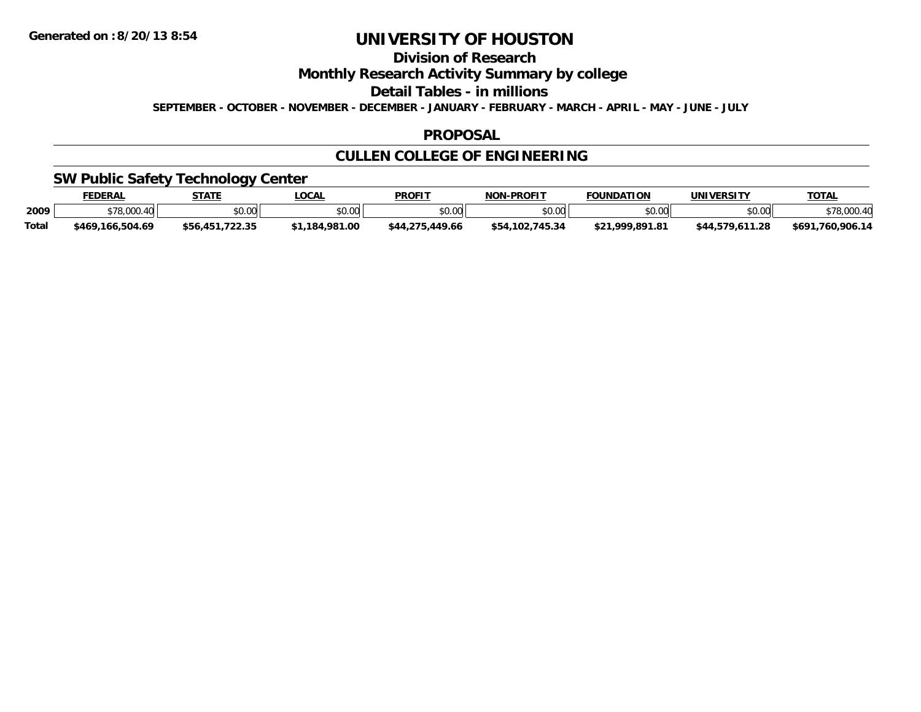## **Division of Research**

**Monthly Research Activity Summary by college**

**Detail Tables - in millions**

**SEPTEMBER - OCTOBER - NOVEMBER - DECEMBER - JANUARY - FEBRUARY - MARCH - APRIL - MAY - JUNE - JULY**

### **PROPOSAL**

## **CULLEN COLLEGE OF ENGINEERING**

### **SW Public Safety Technology Center**

|              | <b>FEDERAL</b>        | <b>STATE</b>        | LOCAL          | <b>PROFIT</b>   | <b>NON-PROFIT</b>   | <b>FOUNDATION</b>   | UNIVERSITY      | TOTAL                 |
|--------------|-----------------------|---------------------|----------------|-----------------|---------------------|---------------------|-----------------|-----------------------|
| 2009         | <sup>₹78,000.4∪</sup> | \$0.00              | \$0.00         | \$0.00          | \$0.00              | \$0.00              | \$0.00          | \$78,000.40           |
| <b>Total</b> | \$469.166.504.69      | .722.35<br>\$56.451 | \$1,184,981.00 | \$44,275,449.66 | 102.745.34<br>\$54. | 1.999.891.81<br>ሐጣብ | \$44.579.611.28 | .760.906.14<br>\$691. |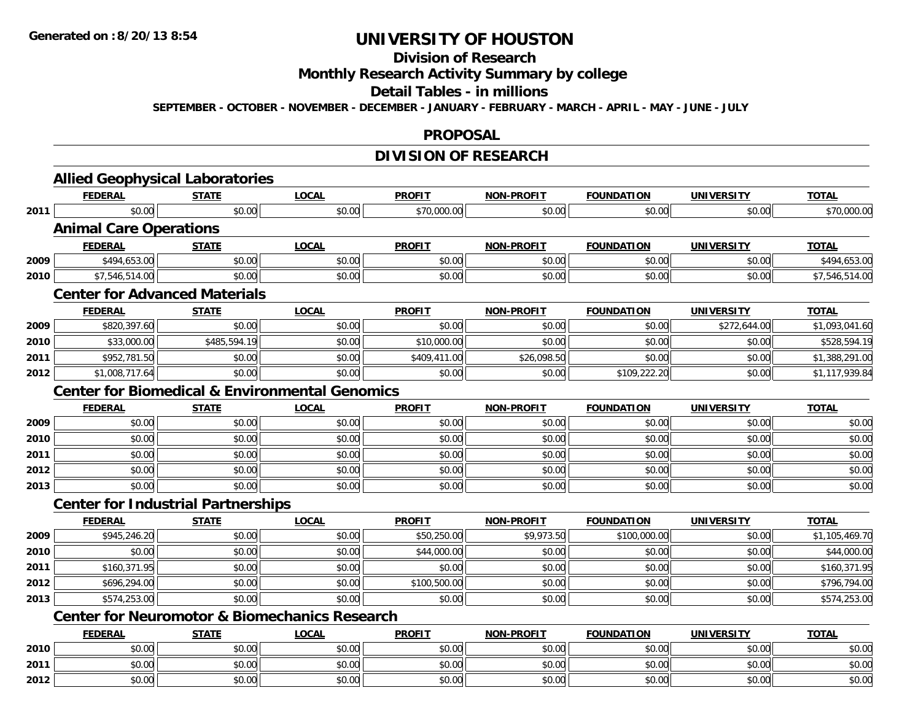# **Division of Research**

**Monthly Research Activity Summary by college**

#### **Detail Tables - in millions**

**SEPTEMBER - OCTOBER - NOVEMBER - DECEMBER - JANUARY - FEBRUARY - MARCH - APRIL - MAY - JUNE - JULY**

#### **PROPOSAL**

## **DIVISION OF RESEARCH**

|                                                                                                                              | <b>Allied Geophysical Laboratories</b>                    |              |              |               |                   |                   |                   |                |
|------------------------------------------------------------------------------------------------------------------------------|-----------------------------------------------------------|--------------|--------------|---------------|-------------------|-------------------|-------------------|----------------|
|                                                                                                                              | <b>FEDERAL</b>                                            | <b>STATE</b> | <b>LOCAL</b> | <b>PROFIT</b> | <b>NON-PROFIT</b> | <b>FOUNDATION</b> | <b>UNIVERSITY</b> | <b>TOTAL</b>   |
| 2011<br>2009<br>2010<br>2009<br>2010<br>2011<br>2012<br>2009<br>2010<br>2011<br>2012<br>2013<br>2009<br>2010<br>2011<br>2012 | \$0.00                                                    | \$0.00       | \$0.00       | \$70,000.00   | \$0.00            | \$0.00            | \$0.00            | \$70,000.00    |
|                                                                                                                              | <b>Animal Care Operations</b>                             |              |              |               |                   |                   |                   |                |
|                                                                                                                              | <b>FEDERAL</b>                                            | <b>STATE</b> | <b>LOCAL</b> | <b>PROFIT</b> | <b>NON-PROFIT</b> | <b>FOUNDATION</b> | <b>UNIVERSITY</b> | <b>TOTAL</b>   |
|                                                                                                                              | \$494,653.00                                              | \$0.00       | \$0.00       | \$0.00        | \$0.00            | \$0.00            | \$0.00            | \$494,653.00   |
|                                                                                                                              | \$7,546,514.00                                            | \$0.00       | \$0.00       | \$0.00        | \$0.00            | \$0.00            | \$0.00            | \$7,546,514.00 |
|                                                                                                                              | <b>Center for Advanced Materials</b>                      |              |              |               |                   |                   |                   |                |
|                                                                                                                              | <b>FEDERAL</b>                                            | <b>STATE</b> | <b>LOCAL</b> | <b>PROFIT</b> | <b>NON-PROFIT</b> | <b>FOUNDATION</b> | <b>UNIVERSITY</b> | <b>TOTAL</b>   |
|                                                                                                                              | \$820,397.60                                              | \$0.00       | \$0.00       | \$0.00        | \$0.00            | \$0.00            | \$272,644.00      | \$1,093,041.60 |
|                                                                                                                              | \$33,000.00                                               | \$485,594.19 | \$0.00       | \$10,000.00   | \$0.00            | \$0.00            | \$0.00            | \$528,594.19   |
|                                                                                                                              | \$952,781.50                                              | \$0.00       | \$0.00       | \$409,411.00  | \$26,098.50       | \$0.00            | \$0.00            | \$1,388,291.00 |
|                                                                                                                              | \$1,008,717.64                                            | \$0.00       | \$0.00       | \$0.00        | \$0.00            | \$109,222.20      | \$0.00            | \$1,117,939.84 |
|                                                                                                                              | <b>Center for Biomedical &amp; Environmental Genomics</b> |              |              |               |                   |                   |                   |                |
|                                                                                                                              | <b>FEDERAL</b>                                            | <b>STATE</b> | <b>LOCAL</b> | <b>PROFIT</b> | <b>NON-PROFIT</b> | <b>FOUNDATION</b> | <b>UNIVERSITY</b> | <b>TOTAL</b>   |
|                                                                                                                              | \$0.00                                                    | \$0.00       | \$0.00       | \$0.00        | \$0.00            | \$0.00            | \$0.00            | \$0.00         |
|                                                                                                                              | \$0.00                                                    | \$0.00       | \$0.00       | \$0.00        | \$0.00            | \$0.00            | \$0.00            | \$0.00         |
|                                                                                                                              | \$0.00                                                    | \$0.00       | \$0.00       | \$0.00        | \$0.00            | \$0.00            | \$0.00            | \$0.00         |
|                                                                                                                              | \$0.00                                                    | \$0.00       | \$0.00       | \$0.00        | \$0.00            | \$0.00            | \$0.00            | \$0.00         |
|                                                                                                                              | \$0.00                                                    | \$0.00       | \$0.00       | \$0.00        | \$0.00            | \$0.00            | \$0.00            | \$0.00         |
|                                                                                                                              | <b>Center for Industrial Partnerships</b>                 |              |              |               |                   |                   |                   |                |
|                                                                                                                              | <b>FEDERAL</b>                                            | <b>STATE</b> | <b>LOCAL</b> | <b>PROFIT</b> | <b>NON-PROFIT</b> | <b>FOUNDATION</b> | <b>UNIVERSITY</b> | <b>TOTAL</b>   |
|                                                                                                                              | \$945,246.20                                              | \$0.00       | \$0.00       | \$50,250.00   | \$9,973.50        | \$100,000.00      | \$0.00            | \$1,105,469.70 |
|                                                                                                                              | \$0.00                                                    | \$0.00       | \$0.00       | \$44,000.00   | \$0.00            | \$0.00            | \$0.00            | \$44,000.00    |
|                                                                                                                              | \$160,371.95                                              | \$0.00       | \$0.00       | \$0.00        | \$0.00            | \$0.00            | \$0.00            | \$160,371.95   |
|                                                                                                                              | \$696,294.00                                              | \$0.00       | \$0.00       | \$100,500.00  | \$0.00            | \$0.00            | \$0.00            | \$796,794.00   |
| 2013                                                                                                                         | \$574,253.00                                              | \$0.00       | \$0.00       | \$0.00        | \$0.00            | \$0.00            | \$0.00            | \$574,253.00   |
|                                                                                                                              | <b>Center for Neuromotor &amp; Biomechanics Research</b>  |              |              |               |                   |                   |                   |                |
|                                                                                                                              | <b>FEDERAL</b>                                            | <b>STATE</b> | <b>LOCAL</b> | <b>PROFIT</b> | <b>NON-PROFIT</b> | <b>FOUNDATION</b> | <b>UNIVERSITY</b> | <b>TOTAL</b>   |
| 2010                                                                                                                         | \$0.00                                                    | \$0.00       | \$0.00       | \$0.00        | \$0.00            | \$0.00            | \$0.00            | \$0.00         |
| 2011                                                                                                                         | \$0.00                                                    | \$0.00       | \$0.00       | \$0.00        | \$0.00            | \$0.00            | \$0.00            | \$0.00         |
| 2012                                                                                                                         | \$0.00                                                    | \$0.00       | \$0.00       | \$0.00        | \$0.00            | \$0.00            | \$0.00            | \$0.00         |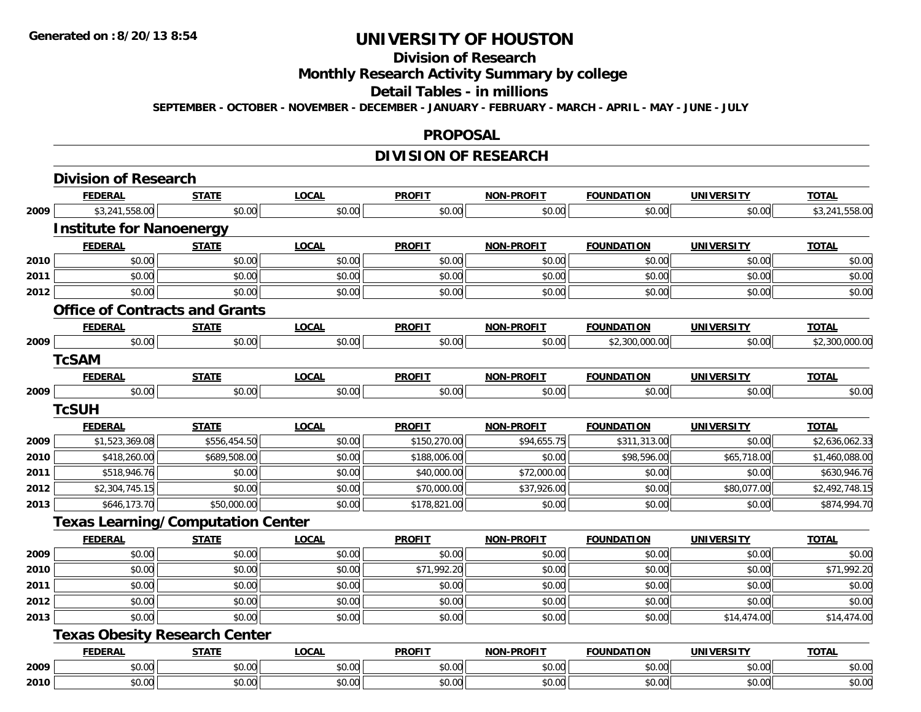#### **Division of Research**

**Monthly Research Activity Summary by college**

#### **Detail Tables - in millions**

**SEPTEMBER - OCTOBER - NOVEMBER - DECEMBER - JANUARY - FEBRUARY - MARCH - APRIL - MAY - JUNE - JULY**

#### **PROPOSAL**

### **DIVISION OF RESEARCH**

|      | <b>Division of Research</b>              |              |              |               |                   |                   |                   |                |
|------|------------------------------------------|--------------|--------------|---------------|-------------------|-------------------|-------------------|----------------|
|      | <b>FEDERAL</b>                           | <b>STATE</b> | <b>LOCAL</b> | <b>PROFIT</b> | <b>NON-PROFIT</b> | <b>FOUNDATION</b> | <b>UNIVERSITY</b> | <b>TOTAL</b>   |
| 2009 | \$3,241,558.00                           | \$0.00       | \$0.00       | \$0.00        | \$0.00            | \$0.00            | \$0.00            | \$3,241,558.00 |
|      | <b>Institute for Nanoenergy</b>          |              |              |               |                   |                   |                   |                |
|      | <b>FEDERAL</b>                           | <b>STATE</b> | <b>LOCAL</b> | <b>PROFIT</b> | <b>NON-PROFIT</b> | <b>FOUNDATION</b> | <b>UNIVERSITY</b> | <b>TOTAL</b>   |
| 2010 | \$0.00                                   | \$0.00       | \$0.00       | \$0.00        | \$0.00            | \$0.00            | \$0.00            | \$0.00         |
| 2011 | \$0.00                                   | \$0.00       | \$0.00       | \$0.00        | \$0.00            | \$0.00            | \$0.00            | \$0.00         |
| 2012 | \$0.00                                   | \$0.00       | \$0.00       | \$0.00        | \$0.00            | \$0.00            | \$0.00            | \$0.00         |
|      | <b>Office of Contracts and Grants</b>    |              |              |               |                   |                   |                   |                |
|      | <b>FEDERAL</b>                           | <b>STATE</b> | <b>LOCAL</b> | <b>PROFIT</b> | <b>NON-PROFIT</b> | <b>FOUNDATION</b> | <b>UNIVERSITY</b> | <b>TOTAL</b>   |
| 2009 | \$0.00                                   | \$0.00       | \$0.00       | \$0.00        | \$0.00            | \$2,300,000.00    | \$0.00            | \$2,300,000.00 |
|      | <b>TcSAM</b>                             |              |              |               |                   |                   |                   |                |
|      | <b>FEDERAL</b>                           | <b>STATE</b> | <b>LOCAL</b> | <b>PROFIT</b> | <b>NON-PROFIT</b> | <b>FOUNDATION</b> | <b>UNIVERSITY</b> | <b>TOTAL</b>   |
| 2009 | \$0.00                                   | \$0.00       | \$0.00       | \$0.00        | \$0.00            | \$0.00            | \$0.00            | \$0.00         |
|      | <b>TcSUH</b>                             |              |              |               |                   |                   |                   |                |
|      | <b>FEDERAL</b>                           | <b>STATE</b> | <b>LOCAL</b> | <b>PROFIT</b> | <b>NON-PROFIT</b> | <b>FOUNDATION</b> | <b>UNIVERSITY</b> | <b>TOTAL</b>   |
| 2009 | \$1,523,369.08                           | \$556,454.50 | \$0.00       | \$150,270.00  | \$94,655.75       | \$311,313.00      | \$0.00            | \$2,636,062.33 |
| 2010 | \$418,260.00                             | \$689,508.00 | \$0.00       | \$188,006.00  | \$0.00            | \$98,596.00       | \$65,718.00       | \$1,460,088.00 |
| 2011 | \$518,946.76                             | \$0.00       | \$0.00       | \$40,000.00   | \$72,000.00       | \$0.00            | \$0.00            | \$630,946.76   |
| 2012 | \$2,304,745.15                           | \$0.00       | \$0.00       | \$70,000.00   | \$37,926.00       | \$0.00            | \$80,077.00       | \$2,492,748.15 |
| 2013 | \$646,173.70                             | \$50,000.00  | \$0.00       | \$178,821.00  | \$0.00            | \$0.00            | \$0.00            | \$874,994.70   |
|      | <b>Texas Learning/Computation Center</b> |              |              |               |                   |                   |                   |                |
|      | <b>FEDERAL</b>                           | <b>STATE</b> | <b>LOCAL</b> | <b>PROFIT</b> | <b>NON-PROFIT</b> | <b>FOUNDATION</b> | UNIVERSITY        | <b>TOTAL</b>   |
| 2009 | \$0.00                                   | \$0.00       | \$0.00       | \$0.00        | \$0.00            | \$0.00            | \$0.00            | \$0.00         |
| 2010 | \$0.00                                   | \$0.00       | \$0.00       | \$71,992.20   | \$0.00            | \$0.00            | \$0.00            | \$71,992.20    |
| 2011 | \$0.00                                   | \$0.00       | \$0.00       | \$0.00        | \$0.00            | \$0.00            | \$0.00            | \$0.00         |
| 2012 | \$0.00                                   | \$0.00       | \$0.00       | \$0.00        | \$0.00            | \$0.00            | \$0.00            | \$0.00         |
| 2013 | \$0.00                                   | \$0.00       | \$0.00       | \$0.00        | \$0.00            | \$0.00            | \$14,474.00       | \$14,474.00    |
|      | <b>Texas Obesity Research Center</b>     |              |              |               |                   |                   |                   |                |
|      | <b>FEDERAL</b>                           | <b>STATE</b> | <b>LOCAL</b> | <b>PROFIT</b> | <b>NON-PROFIT</b> | <b>FOUNDATION</b> | <b>UNIVERSITY</b> | <b>TOTAL</b>   |
| 2009 | \$0.00                                   | \$0.00       | \$0.00       | \$0.00        | \$0.00            | \$0.00            | \$0.00            | \$0.00         |
| 2010 | \$0.00                                   | \$0.00       | \$0.00       | \$0.00        | \$0.00            | \$0.00            | \$0.00            | \$0.00         |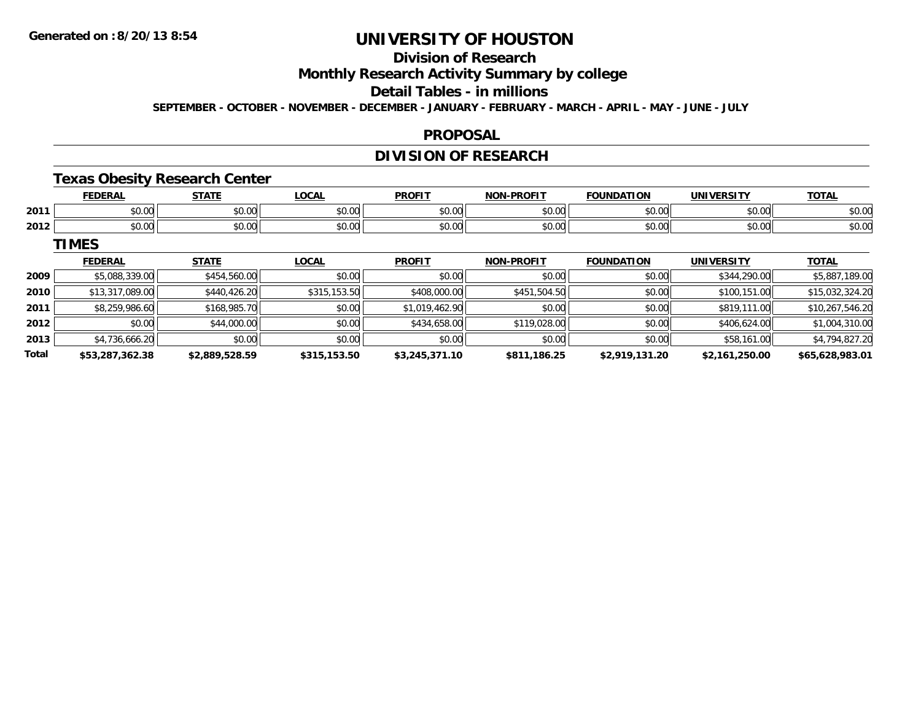## **Division of Research**

**Monthly Research Activity Summary by college**

#### **Detail Tables - in millions**

**SEPTEMBER - OCTOBER - NOVEMBER - DECEMBER - JANUARY - FEBRUARY - MARCH - APRIL - MAY - JUNE - JULY**

### **PROPOSAL**

### **DIVISION OF RESEARCH**

### **Texas Obesity Research Center**

|      | -------         | <b>CTATE</b>   | $\sim$<br>ww           | <b>DDOEIT</b> | <b>DDAEIT</b><br><b>NON</b>                           |                   | INIL                   | $-2 -$         |
|------|-----------------|----------------|------------------------|---------------|-------------------------------------------------------|-------------------|------------------------|----------------|
| 2011 | $\sim$<br>ט. ט  | ሐሴ ሰሰ<br>JU.UU | $\sim$ $\sim$<br>vu.vu | JU.UU         | 0000<br>JU.UU                                         | ሶስ ሰሰ<br>וטט.טי   | $\sim$ 00<br>וטט.טע    | ሶስ ሰ<br>pu.uu  |
| 2012 | $\sim$<br>,,,,, | ሐሴ ሰሰ<br>DU.UU | 0000<br>JU.UU          |               | $\mathsf{A} \cap \mathsf{A} \cap \mathsf{A}$<br>JU.UL | $\sim$ 00<br>. UU | $\sim$ 00<br>ww<br>ּשׁ | ሶስ ሰሰ<br>PU.UU |

**TIMES**

|       | <b>FEDERAL</b>  | <b>STATE</b>   | <b>LOCAL</b> | <b>PROFIT</b>  | <b>NON-PROFIT</b> | <b>FOUNDATION</b> | <b>UNIVERSITY</b> | <b>TOTAL</b>    |
|-------|-----------------|----------------|--------------|----------------|-------------------|-------------------|-------------------|-----------------|
| 2009  | \$5,088,339.00  | \$454,560.00   | \$0.00       | \$0.00         | \$0.00            | \$0.00            | \$344,290.00      | \$5,887,189.00  |
| 2010  | \$13,317,089.00 | \$440,426.20   | \$315,153.50 | \$408,000.00   | \$451,504.50      | \$0.00            | \$100,151.00      | \$15,032,324.20 |
| 2011  | \$8,259,986.60  | \$168,985.70   | \$0.00       | \$1,019,462.90 | \$0.00            | \$0.00            | \$819,111.00      | \$10,267,546.20 |
| 2012  | \$0.00          | \$44,000.00    | \$0.00       | \$434,658.00   | \$119,028.00      | \$0.00            | \$406,624,00      | \$1,004,310.00  |
| 2013  | \$4,736,666.20  | \$0.00         | \$0.00       | \$0.00         | \$0.00            | \$0.00            | \$58,161.00       | \$4,794,827.20  |
| Total | \$53,287,362.38 | \$2,889,528.59 | \$315,153.50 | \$3,245,371.10 | \$811,186.25      | \$2,919,131.20    | \$2,161,250.00    | \$65,628,983.01 |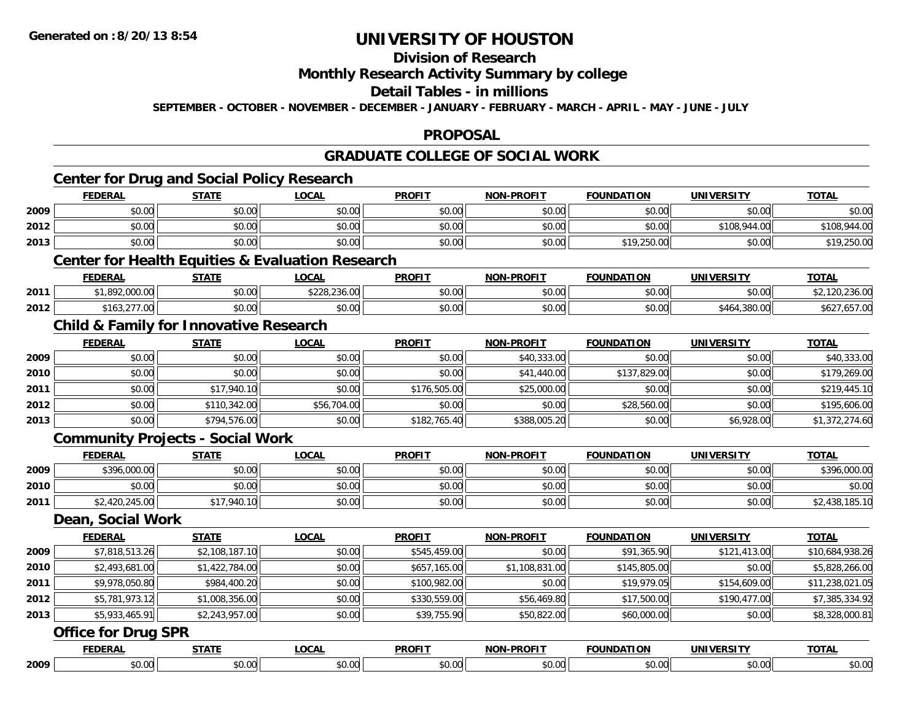**2009**

# **UNIVERSITY OF HOUSTON**

### **Division of Research**

#### **Monthly Research Activity Summary by college**

#### **Detail Tables - in millions**

**SEPTEMBER - OCTOBER - NOVEMBER - DECEMBER - JANUARY - FEBRUARY - MARCH - APRIL - MAY - JUNE - JULY**

#### **PROPOSAL**

#### **GRADUATE COLLEGE OF SOCIAL WORKCenter for Drug and Social Policy Research FEDERAL STATE LOCAL PROFIT NON-PROFIT FOUNDATION UNIVERSITY TOTALTOTAL 2009** \$0.00 \$0.00 \$0.00 \$0.00 \$0.00 \$0.00 \$0.00 \$0.00 **2012**2 | \$0.00 | \$0.00 | \$0.00 | \$0.00 | \$108,944.00 | \$108,944.00 | \$108,944.00 | \$108,944.00 | \$108,944.00 **2013**3 | \$0.00 \$0.00 \$0.00 \$0.00 \$0.00 \$0.00 \$0.00 \$0.00 \$0.00 \$0.00 \$19,250.00 \$19,250.00 \$0.00 \$19,250.00 \$19,250 **Center for Health Equities & Evaluation Research FEDERAL STATE LOCAL PROFIT NON-PROFIT FOUNDATION UNIVERSITY TOTAL2011** \$1,892,000.00 \$0.00 \$228,236.00 \$0.00 \$0.00 \$0.00 \$0.00 \$2,120,236.00 **2012** \$163,277.00 \$0.00 \$0.00 \$0.00 \$0.00 \$0.00 \$464,380.00 \$627,657.00 **Child & Family for Innovative Research FEDERAL STATE LOCAL PROFIT NON-PROFIT FOUNDATION UNIVERSITY TOTAL2009** \$0.00 \$0.00 \$0.00 \$0.00 \$40,333.00 \$0.00 \$0.00 \$40,333.00 **2010** \$0.00 \$0.00 \$0.00 \$0.00 \$41,440.00 \$137,829.00 \$0.00 \$179,269.00 **2011** \$0.00 \$17,940.10 \$0.00 \$176,505.00 \$25,000.00 \$0.00 \$0.00 \$219,445.10 **2012** $\bm{2} \parallel 30.00 \parallel 40.342.00 \parallel 556,704.00 \parallel 556,704.00 \parallel 50.00 \parallel 528,560.00 \parallel 50.00 \parallel 50.00 \parallel 5195,606.00 \parallel 5195,606.00 \parallel 5195,606.00 \parallel 5195,606.00 \parallel 5195,606.00 \parallel 5195,606.00 \parallel 5195,606.00 \parallel 5195,606.00 \parallel 5195,606.00 \parallel 519$ **2013** $\bf{3} \mid 3 \mid 372,274.60 \mid 47372,274.60$  \$1,372,274.60  $\mid 56,928.00 \mid 56,928.00 \mid 51,372,274.60$ **Community Projects - Social Work FEDERAL STATE LOCAL PROFIT NON-PROFIT FOUNDATION UNIVERSITY TOTAL2009** \$396,000.00 \$0.00 \$0.00 \$0.00 \$0.00 \$0.00 \$0.00 \$396,000.00 **2010**0 \$0.00 \$0.00 \$0.00 \$0.00 \$0.00 \$0.00 \$0.00 \$0.00 \$0.00 \$0.00 \$0.00 \$0.00 \$0.00 \$0.00 \$0.00 \$0.00 \$0.00 **2011** \$2,420,245.00 \$17,940.10 \$0.00 \$0.00 \$0.00 \$0.00 \$0.00 \$2,438,185.10 **Dean, Social Work FEDERAL STATE LOCAL PROFIT NON-PROFIT FOUNDATION UNIVERSITY TOTAL20099** \$7,818,513.26 \$2,108,187.10 \$2,108,187.10 \$0.00 \$0.00 \$545,459.00 \$545,459.00 \$0.00 \$0.00 \$10,684,938.26 **2010** $\textsf{0} \parallel \textsf{2} \parallel \textsf{3} \parallel \textsf{4} \parallel \textsf{5}, 22, 784.00 \parallel \textsf{4} \parallel \textsf{5} \parallel \textsf{6} \parallel \textsf{6} \parallel \textsf{6} \parallel \textsf{6} \parallel \textsf{6} \parallel \textsf{6} \parallel \textsf{6} \parallel \textsf{6} \parallel \textsf{6} \parallel \textsf{6} \parallel \textsf{6} \parallel \textsf{6} \parallel \textsf{6} \parallel \textsf{6} \parallel \textsf{6} \parallel \textsf{6} \parallel \textsf{6} \parallel \textsf{6} \parallel \textsf{6} \parallel \text$ **2011** \$9,978,050.80 \$984,400.20 \$0.00 \$100,982.00 \$0.00 \$19,979.05 \$154,609.00 \$11,238,021.05 **2012** $\textbf{2} \mid \textbf{3} \mid \textbf{5},781,973.12 | \textbf{1} \mid \textbf{3},738,356.00 | \textbf{4},7385,334.92 | \textbf{5},7385,334.92 | \textbf{6},7385,334.92 | \textbf{7},7385,334.92 | \textbf{8},7385,334.92 | \textbf{9},7385,334.92 | \textbf{10},7385,334.92 | \textbf{11},7385,334.92 | \textbf{12},7385,334.9$ **2013** \$5,933,465.91 \$2,243,957.00 \$0.00 \$39,755.90 \$50,822.00 \$60,000.00 \$0.00 \$8,328,000.81 **Office for Drug SPR FEDERAL STATE LOCAL PROFIT NON-PROFIT FOUNDATION UNIVERSITY TOTALTOTAL**

\$0.00 \$0.00 \$0.00 \$0.00 \$0.00 \$0.00 \$0.00 \$0.00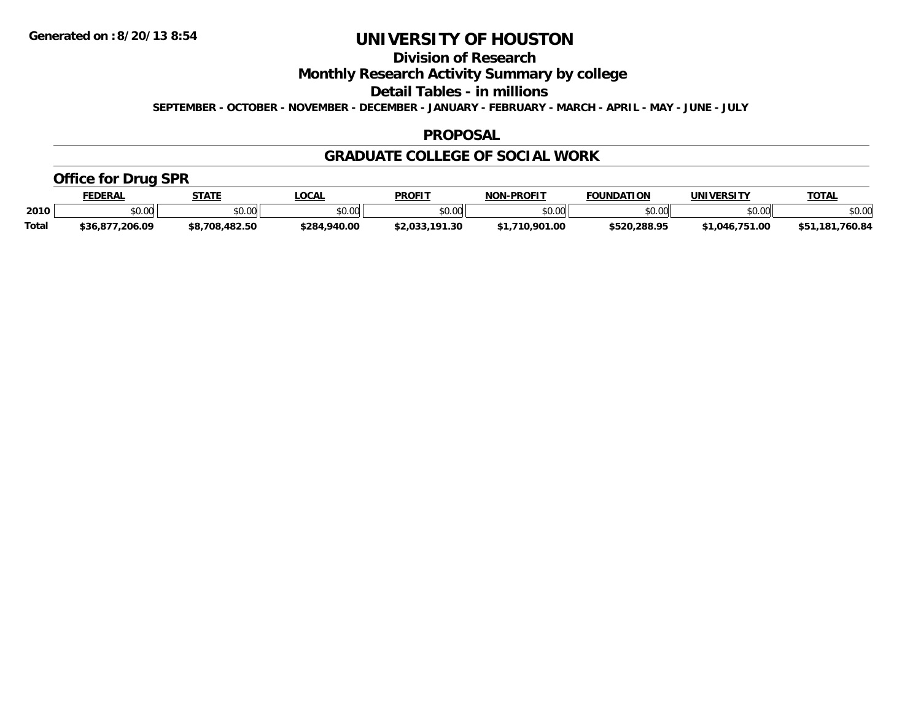**Division of Research**

**Monthly Research Activity Summary by college**

**Detail Tables - in millions**

**SEPTEMBER - OCTOBER - NOVEMBER - DECEMBER - JANUARY - FEBRUARY - MARCH - APRIL - MAY - JUNE - JULY**

### **PROPOSAL**

### **GRADUATE COLLEGE OF SOCIAL WORK**

### **Office for Drug SPR**

|              | <b>FEDERAL</b>  | STATE          | _OCAL        | <b>PROFIT</b>  | <b>NON-PROFIT</b> | <b>FOUNDATION</b> | <b>UNIVERSITY</b> | <u>TOTAL</u>    |
|--------------|-----------------|----------------|--------------|----------------|-------------------|-------------------|-------------------|-----------------|
| 2010         | \$0.00          | \$0.00         | DU.UU        | \$0.00         | 0000<br>\$U.UU    | \$0.00            | \$0.00            | \$0.00          |
| <b>Total</b> | \$36,877,206.09 | \$8,708,482.50 | \$284,940.00 | \$2,033,191.30 | \$1,710,901.00    | \$520.288.95      | \$1.046.751.00    | \$51.181.760.84 |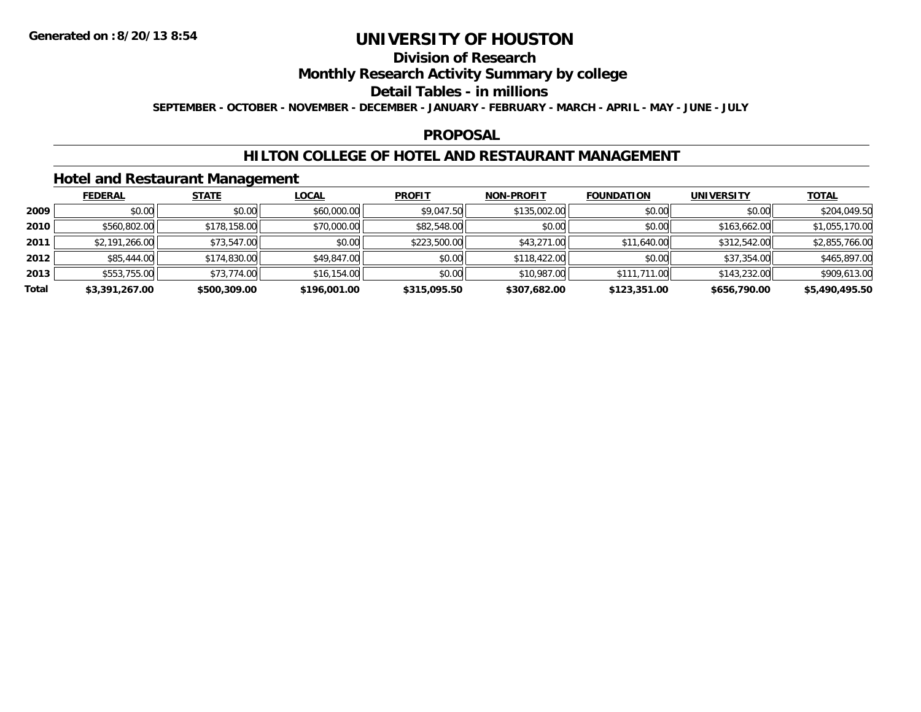## **Division of Research**

### **Monthly Research Activity Summary by college**

#### **Detail Tables - in millions**

**SEPTEMBER - OCTOBER - NOVEMBER - DECEMBER - JANUARY - FEBRUARY - MARCH - APRIL - MAY - JUNE - JULY**

### **PROPOSAL**

### **HILTON COLLEGE OF HOTEL AND RESTAURANT MANAGEMENT**

### **Hotel and Restaurant Management**

|       | <b>FEDERAL</b> | <b>STATE</b> | <u>LOCAL</u> | <b>PROFIT</b> | <b>NON-PROFIT</b> | <b>FOUNDATION</b> | <b>UNIVERSITY</b> | <b>TOTAL</b>   |
|-------|----------------|--------------|--------------|---------------|-------------------|-------------------|-------------------|----------------|
| 2009  | \$0.00         | \$0.00       | \$60,000.00  | \$9,047.50    | \$135,002.00      | \$0.00            | \$0.00            | \$204,049.50   |
| 2010  | \$560,802.00   | \$178,158.00 | \$70,000.00  | \$82,548.00   | \$0.00            | \$0.00            | \$163,662.00      | \$1,055,170.00 |
| 2011  | \$2,191,266.00 | \$73,547.00  | \$0.00       | \$223,500.00  | \$43,271.00       | \$11,640.00       | \$312,542.00      | \$2,855,766.00 |
| 2012  | \$85,444.00    | \$174,830.00 | \$49,847.00  | \$0.00        | \$118,422.00      | \$0.00            | \$37,354.00       | \$465,897.00   |
| 2013  | \$553,755.00   | \$73,774.00  | \$16,154.00  | \$0.00        | \$10,987.00       | \$111,711.00      | \$143,232.00      | \$909,613.00   |
| Total | \$3,391,267.00 | \$500,309.00 | \$196,001.00 | \$315,095.50  | \$307,682.00      | \$123,351.00      | \$656,790.00      | \$5,490,495.50 |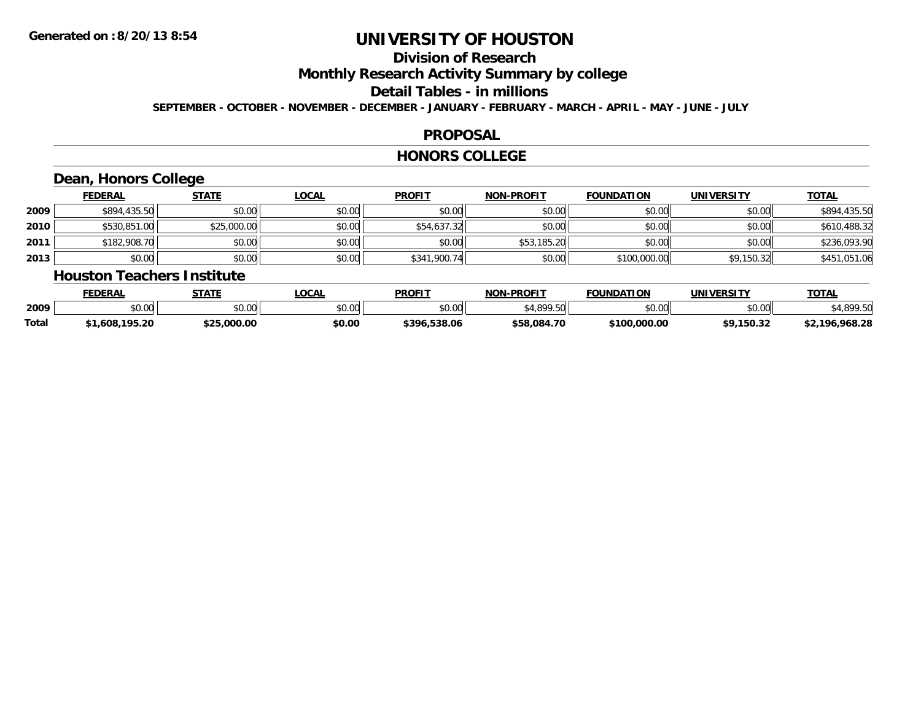## **Division of Research**

**Monthly Research Activity Summary by college**

#### **Detail Tables - in millions**

**SEPTEMBER - OCTOBER - NOVEMBER - DECEMBER - JANUARY - FEBRUARY - MARCH - APRIL - MAY - JUNE - JULY**

### **PROPOSAL**

#### **HONORS COLLEGE**

## **Dean, Honors College**

|      | <b>FEDERAL</b> | <b>STATE</b> | <b>LOCAL</b> | <b>PROFIT</b> | <b>NON-PROFIT</b> | <b>FOUNDATION</b> | UNIVERSITY | <b>TOTAL</b> |
|------|----------------|--------------|--------------|---------------|-------------------|-------------------|------------|--------------|
| 2009 | \$894,435.50   | \$0.00       | \$0.00       | \$0.00        | \$0.00            | \$0.00            | \$0.00     | \$894,435.50 |
| 2010 | \$530,851.00   | \$25,000.00  | \$0.00       | \$54,637.32   | \$0.00            | \$0.00            | \$0.00     | \$610,488.32 |
| 2011 | \$182,908.70   | \$0.00       | \$0.00       | \$0.00        | \$53,185.20       | \$0.00            | \$0.00     | \$236,093.90 |
| 2013 | \$0.00         | \$0.00       | \$0.00       | \$341,900.74  | \$0.00            | \$100,000.00      | \$9,150.32 | \$451,051.06 |

#### **Houston Teachers Institute**

|       | <b>FEDERAL</b>     | STATE       | <b>_OCAL</b> | <b>PROFIT</b>    | <b>J-PROFIT</b><br>NON- | <b>FOUNDATION</b> | UNIVERSITY | <b>TOTAL</b>        |
|-------|--------------------|-------------|--------------|------------------|-------------------------|-------------------|------------|---------------------|
| 2009  | $\sim$ 00<br>vu.uu | \$0.00      | \$0.00       | \$0.00           | 0.10000<br>.5U          | \$0.00            | \$0.00     | 000E                |
| Total | .,608,195.20       | \$25.000.00 | \$0.00       | .538.06<br>\$396 | \$58,084.70             | \$100,000.00      | \$9.150.32 | ,968.28<br>$+2.106$ |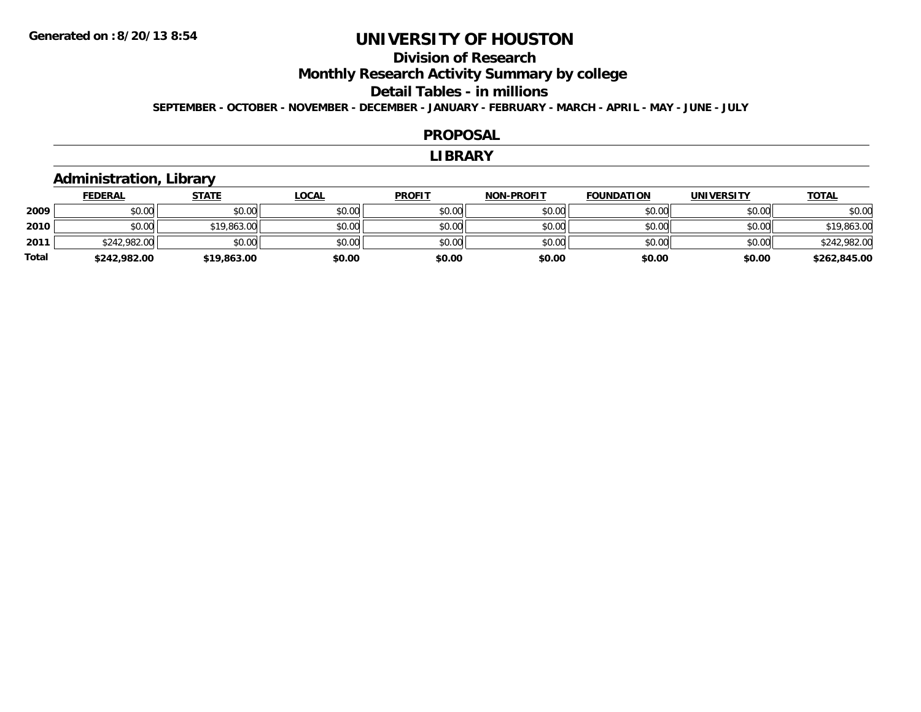### **Division of ResearchMonthly Research Activity Summary by college Detail Tables - in millions SEPTEMBER - OCTOBER - NOVEMBER - DECEMBER - JANUARY - FEBRUARY - MARCH - APRIL - MAY - JUNE - JULY**

#### **PROPOSAL**

#### **LIBRARY**

### **Administration, Library**

|       | <b>FEDERAL</b> | <u>STATE</u> | <u>LOCAL</u> | <b>PROFIT</b> | <b>NON-PROFIT</b> | <b>FOUNDATION</b> | <b>UNIVERSITY</b> | <b>TOTAL</b> |
|-------|----------------|--------------|--------------|---------------|-------------------|-------------------|-------------------|--------------|
| 2009  | \$0.00         | \$0.00       | \$0.00       | \$0.00        | \$0.00            | \$0.00            | \$0.00            | \$0.00       |
| 2010  | \$0.00         | \$19,863.00  | \$0.00       | \$0.00        | \$0.00            | \$0.00            | \$0.00            | \$19,863.00  |
| 2011  | \$242,982.00   | \$0.00       | \$0.00       | \$0.00        | \$0.00            | \$0.00            | \$0.00            | \$242,982.00 |
| Total | \$242,982.00   | \$19,863.00  | \$0.00       | \$0.00        | \$0.00            | \$0.00            | \$0.00            | \$262,845.00 |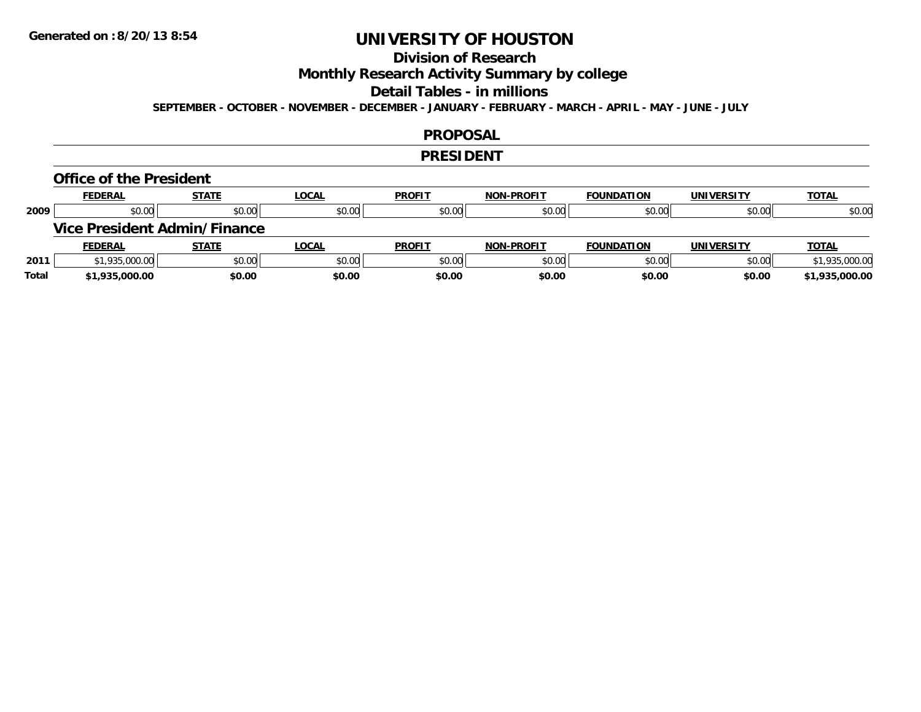## **Division of Research**

**Monthly Research Activity Summary by college**

#### **Detail Tables - in millions**

**SEPTEMBER - OCTOBER - NOVEMBER - DECEMBER - JANUARY - FEBRUARY - MARCH - APRIL - MAY - JUNE - JULY**

#### **PROPOSAL**

#### **PRESIDENT**

#### **Office of the President**

|      | <b>FEDERAL</b>                      | <b>STATE</b> | <b>LOCAL</b> | <b>PROFIT</b> | <b>NON-PROFIT</b> | <b>FOUNDATION</b> | <b>UNIVERSITY</b> | <b>TOTAL</b>   |
|------|-------------------------------------|--------------|--------------|---------------|-------------------|-------------------|-------------------|----------------|
| 2009 | \$0.00                              | \$0.00       | \$0.00       | \$0.00        | \$0.00            | \$0.00            | \$0.00            | \$0.00         |
|      | <b>Vice President Admin/Finance</b> |              |              |               |                   |                   |                   |                |
|      |                                     |              |              |               |                   |                   |                   |                |
|      | <b>FEDERAL</b>                      | <b>STATE</b> | <b>LOCAL</b> | <b>PROFIT</b> | <b>NON-PROFIT</b> | <b>FOUNDATION</b> | <b>UNIVERSITY</b> | <b>TOTAL</b>   |
| 2011 | \$1,935,000.00                      | \$0.00       | \$0.00       | \$0.00        | \$0.00            | \$0.00            | \$0.00            | \$1,935,000.00 |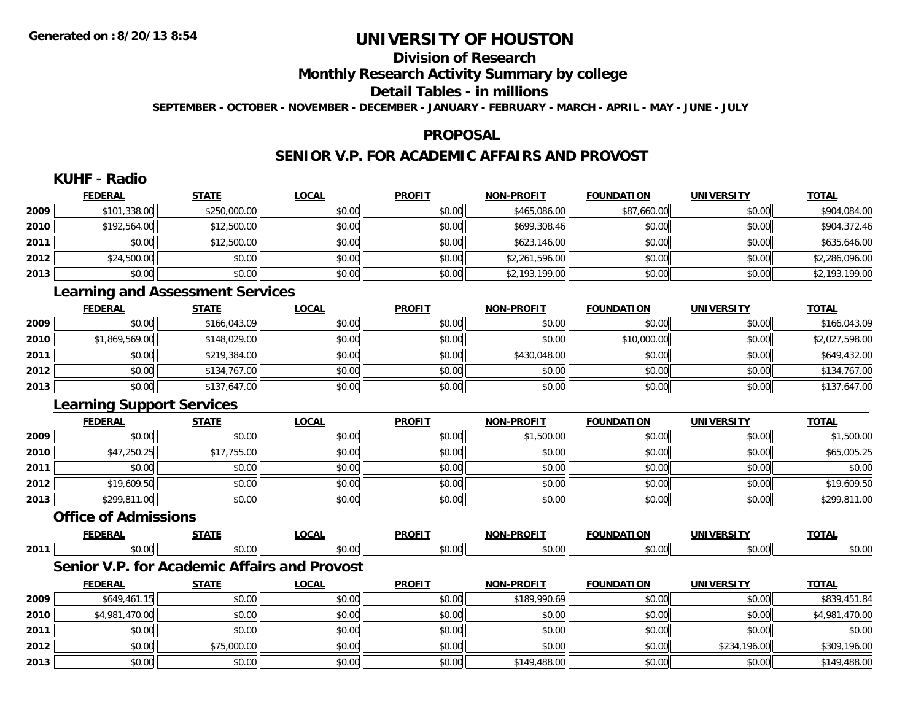**2013**

# **UNIVERSITY OF HOUSTON**

## **Division of Research**

### **Monthly Research Activity Summary by college**

#### **Detail Tables - in millions**

**SEPTEMBER - OCTOBER - NOVEMBER - DECEMBER - JANUARY - FEBRUARY - MARCH - APRIL - MAY - JUNE - JULY**

#### **PROPOSAL**

### **SENIOR V.P. FOR ACADEMIC AFFAIRS AND PROVOST**

|      | <b>KUHF - Radio</b>              |                                         |                                              |               |                   |                   |                   |                |
|------|----------------------------------|-----------------------------------------|----------------------------------------------|---------------|-------------------|-------------------|-------------------|----------------|
|      | <b>FEDERAL</b>                   | <b>STATE</b>                            | <b>LOCAL</b>                                 | <b>PROFIT</b> | NON-PROFIT        | <b>FOUNDATION</b> | <b>UNIVERSITY</b> | <b>TOTAL</b>   |
| 2009 | \$101,338.00                     | \$250,000.00                            | \$0.00                                       | \$0.00        | \$465,086.00      | \$87,660.00       | \$0.00            | \$904,084.00   |
| 2010 | \$192,564.00                     | \$12,500.00                             | \$0.00                                       | \$0.00        | \$699,308.46      | \$0.00            | \$0.00            | \$904,372.46   |
| 2011 | \$0.00                           | \$12,500.00                             | \$0.00                                       | \$0.00        | \$623,146.00      | \$0.00            | \$0.00            | \$635,646.00   |
| 2012 | \$24,500.00                      | \$0.00                                  | \$0.00                                       | \$0.00        | \$2,261,596.00    | \$0.00            | \$0.00            | \$2,286,096.00 |
| 2013 | \$0.00                           | \$0.00                                  | \$0.00                                       | \$0.00        | \$2,193,199.00    | \$0.00            | \$0.00            | \$2,193,199.00 |
|      |                                  | <b>Learning and Assessment Services</b> |                                              |               |                   |                   |                   |                |
|      | <b>FEDERAL</b>                   | <b>STATE</b>                            | <b>LOCAL</b>                                 | <b>PROFIT</b> | <b>NON-PROFIT</b> | <b>FOUNDATION</b> | <b>UNIVERSITY</b> | <b>TOTAL</b>   |
| 2009 | \$0.00                           | \$166,043.09                            | \$0.00                                       | \$0.00        | \$0.00            | \$0.00            | \$0.00            | \$166,043.09   |
| 2010 | \$1,869,569.00                   | \$148,029.00                            | \$0.00                                       | \$0.00        | \$0.00            | \$10,000.00       | \$0.00            | \$2,027,598.00 |
| 2011 | \$0.00                           | \$219,384.00                            | \$0.00                                       | \$0.00        | \$430,048.00      | \$0.00            | \$0.00            | \$649,432.00   |
| 2012 | \$0.00                           | \$134,767.00                            | \$0.00                                       | \$0.00        | \$0.00            | \$0.00            | \$0.00            | \$134,767.00   |
| 2013 | \$0.00                           | \$137,647.00                            | \$0.00                                       | \$0.00        | \$0.00            | \$0.00            | \$0.00            | \$137,647.00   |
|      | <b>Learning Support Services</b> |                                         |                                              |               |                   |                   |                   |                |
|      | <b>FEDERAL</b>                   | <b>STATE</b>                            | <b>LOCAL</b>                                 | <b>PROFIT</b> | NON-PROFIT        | <b>FOUNDATION</b> | <b>UNIVERSITY</b> | <b>TOTAL</b>   |
| 2009 | \$0.00                           | \$0.00                                  | \$0.00                                       | \$0.00        | \$1,500.00        | \$0.00            | \$0.00            | \$1,500.00     |
| 2010 | \$47,250.25                      | \$17,755.00                             | \$0.00                                       | \$0.00        | \$0.00            | \$0.00            | \$0.00            | \$65,005.25    |
| 2011 | \$0.00                           | \$0.00                                  | \$0.00                                       | \$0.00        | \$0.00            | \$0.00            | \$0.00            | \$0.00         |
| 2012 | \$19,609.50                      | \$0.00                                  | \$0.00                                       | \$0.00        | \$0.00            | \$0.00            | \$0.00            | \$19,609.50    |
| 2013 | \$299,811.00                     | \$0.00                                  | \$0.00                                       | \$0.00        | \$0.00            | \$0.00            | \$0.00            | \$299,811.00   |
|      | <b>Office of Admissions</b>      |                                         |                                              |               |                   |                   |                   |                |
|      | <b>FEDERAL</b>                   | <b>STATE</b>                            | <b>LOCAL</b>                                 | <b>PROFIT</b> | NON-PROFIT        | <b>FOUNDATION</b> | <b>UNIVERSITY</b> | <b>TOTAL</b>   |
| 2011 | \$0.00                           | \$0.00                                  | \$0.00                                       | \$0.00        | \$0.00            | \$0.00            | \$0.00            | \$0.00         |
|      |                                  |                                         | Senior V.P. for Academic Affairs and Provost |               |                   |                   |                   |                |
|      | <b>FEDERAL</b>                   | <b>STATE</b>                            | <b>LOCAL</b>                                 | <b>PROFIT</b> | <b>NON-PROFIT</b> | <b>FOUNDATION</b> | <b>UNIVERSITY</b> | <b>TOTAL</b>   |
| 2009 | \$649,461.15                     | \$0.00                                  | \$0.00                                       | \$0.00        | \$189,990.69      | \$0.00            | \$0.00            | \$839,451.84   |
| 2010 | \$4,981,470.00                   | \$0.00                                  | \$0.00                                       | \$0.00        | \$0.00            | \$0.00            | \$0.00            | \$4,981,470.00 |
| 2011 | \$0.00                           | \$0.00                                  | \$0.00                                       | \$0.00        | \$0.00            | \$0.00            | \$0.00            | \$0.00         |
| 2012 | \$0.00                           | \$75,000.00                             | \$0.00                                       | \$0.00        | \$0.00            | \$0.00            | \$234,196.00      | \$309,196.00   |

3 | \$0.00 \$0.00 \$0.00 \$0.00 \$0.00 \$0.00 \$0.00 \$0.00 \$0.00 \$149,488.00 \$149,488.00 \$0.00 \$0.00 \$149,488.00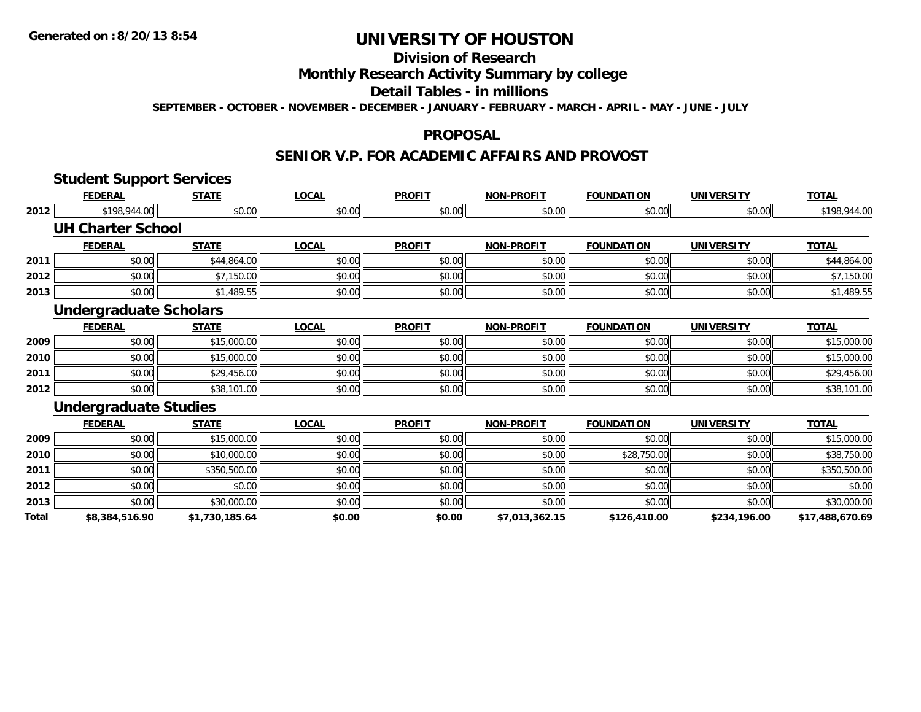#### **Division of Research**

### **Monthly Research Activity Summary by college**

#### **Detail Tables - in millions**

**SEPTEMBER - OCTOBER - NOVEMBER - DECEMBER - JANUARY - FEBRUARY - MARCH - APRIL - MAY - JUNE - JULY**

#### **PROPOSAL**

### **SENIOR V.P. FOR ACADEMIC AFFAIRS AND PROVOST**

|       | <b>Student Support Services</b> |                |              |               |                   |                   |                   |                 |
|-------|---------------------------------|----------------|--------------|---------------|-------------------|-------------------|-------------------|-----------------|
|       | <b>FEDERAL</b>                  | <b>STATE</b>   | <b>LOCAL</b> | <b>PROFIT</b> | <b>NON-PROFIT</b> | <b>FOUNDATION</b> | <b>UNIVERSITY</b> | <b>TOTAL</b>    |
| 2012  | \$198,944.00                    | \$0.00         | \$0.00       | \$0.00        | \$0.00            | \$0.00            | \$0.00            | \$198,944.00    |
|       | <b>UH Charter School</b>        |                |              |               |                   |                   |                   |                 |
|       | <b>FEDERAL</b>                  | <b>STATE</b>   | <b>LOCAL</b> | <b>PROFIT</b> | <b>NON-PROFIT</b> | <b>FOUNDATION</b> | <b>UNIVERSITY</b> | <b>TOTAL</b>    |
| 2011  | \$0.00                          | \$44,864.00    | \$0.00       | \$0.00        | \$0.00            | \$0.00            | \$0.00            | \$44,864.00     |
| 2012  | \$0.00                          | \$7,150.00     | \$0.00       | \$0.00        | \$0.00            | \$0.00            | \$0.00            | \$7,150.00      |
| 2013  | \$0.00                          | \$1,489.55     | \$0.00       | \$0.00        | \$0.00            | \$0.00            | \$0.00            | \$1,489.55      |
|       | <b>Undergraduate Scholars</b>   |                |              |               |                   |                   |                   |                 |
|       | <b>FEDERAL</b>                  | <b>STATE</b>   | <b>LOCAL</b> | <b>PROFIT</b> | <b>NON-PROFIT</b> | <b>FOUNDATION</b> | <b>UNIVERSITY</b> | <b>TOTAL</b>    |
| 2009  | \$0.00                          | \$15,000.00    | \$0.00       | \$0.00        | \$0.00            | \$0.00            | \$0.00            | \$15,000.00     |
| 2010  | \$0.00                          | \$15,000.00    | \$0.00       | \$0.00        | \$0.00            | \$0.00            | \$0.00            | \$15,000.00     |
| 2011  | \$0.00                          | \$29,456.00    | \$0.00       | \$0.00        | \$0.00            | \$0.00            | \$0.00            | \$29,456.00     |
| 2012  | \$0.00                          | \$38,101.00    | \$0.00       | \$0.00        | \$0.00            | \$0.00            | \$0.00            | \$38,101.00     |
|       | <b>Undergraduate Studies</b>    |                |              |               |                   |                   |                   |                 |
|       | <b>FEDERAL</b>                  | <b>STATE</b>   | <b>LOCAL</b> | <b>PROFIT</b> | <b>NON-PROFIT</b> | <b>FOUNDATION</b> | <b>UNIVERSITY</b> | <b>TOTAL</b>    |
| 2009  | \$0.00                          | \$15,000.00    | \$0.00       | \$0.00        | \$0.00            | \$0.00            | \$0.00            | \$15,000.00     |
| 2010  | \$0.00                          | \$10,000.00    | \$0.00       | \$0.00        | \$0.00            | \$28,750.00       | \$0.00            | \$38,750.00     |
| 2011  | \$0.00                          | \$350,500.00   | \$0.00       | \$0.00        | \$0.00            | \$0.00            | \$0.00            | \$350,500.00    |
| 2012  | \$0.00                          | \$0.00         | \$0.00       | \$0.00        | \$0.00            | \$0.00            | \$0.00            | \$0.00          |
| 2013  | \$0.00                          | \$30,000.00    | \$0.00       | \$0.00        | \$0.00            | \$0.00            | \$0.00            | \$30,000.00     |
| Total | \$8,384,516.90                  | \$1,730,185.64 | \$0.00       | \$0.00        | \$7,013,362.15    | \$126,410.00      | \$234,196.00      | \$17,488,670.69 |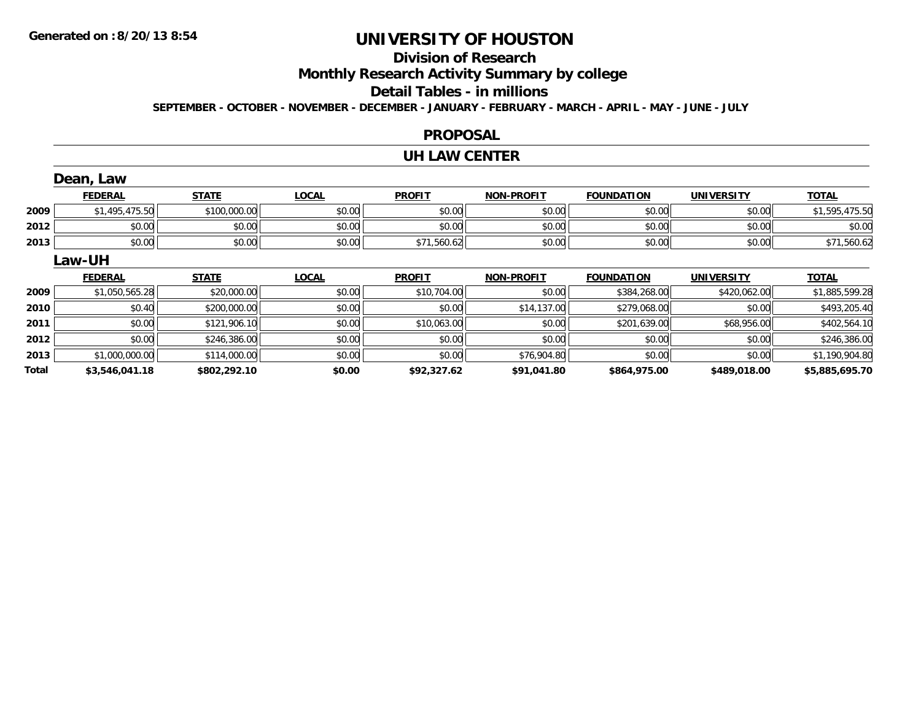## **Division of Research**

**Monthly Research Activity Summary by college**

#### **Detail Tables - in millions**

**SEPTEMBER - OCTOBER - NOVEMBER - DECEMBER - JANUARY - FEBRUARY - MARCH - APRIL - MAY - JUNE - JULY**

### **PROPOSAL**

#### **UH LAW CENTER**

|       | Dean, Law      |              |              |               |                   |                   |                   |                |
|-------|----------------|--------------|--------------|---------------|-------------------|-------------------|-------------------|----------------|
|       | <b>FEDERAL</b> | <b>STATE</b> | <b>LOCAL</b> | <b>PROFIT</b> | <b>NON-PROFIT</b> | <b>FOUNDATION</b> | <b>UNIVERSITY</b> | <b>TOTAL</b>   |
| 2009  | \$1,495,475.50 | \$100,000.00 | \$0.00       | \$0.00        | \$0.00            | \$0.00            | \$0.00            | \$1,595,475.50 |
| 2012  | \$0.00         | \$0.00       | \$0.00       | \$0.00        | \$0.00            | \$0.00            | \$0.00            | \$0.00         |
| 2013  | \$0.00         | \$0.00       | \$0.00       | \$71,560.62   | \$0.00            | \$0.00            | \$0.00            | \$71,560.62    |
|       | Law-UH         |              |              |               |                   |                   |                   |                |
|       | <b>FEDERAL</b> | <b>STATE</b> | <b>LOCAL</b> | <b>PROFIT</b> | <b>NON-PROFIT</b> | <b>FOUNDATION</b> | UNIVERSITY        | <b>TOTAL</b>   |
| 2009  | \$1,050,565.28 | \$20,000.00  | \$0.00       | \$10,704.00   | \$0.00            | \$384,268.00      | \$420,062.00      | \$1,885,599.28 |
| 2010  | \$0.40         | \$200,000.00 | \$0.00       | \$0.00        | \$14,137.00       | \$279,068.00      | \$0.00            | \$493,205.40   |
| 2011  | \$0.00         | \$121,906.10 | \$0.00       | \$10,063.00   | \$0.00            | \$201,639.00      | \$68,956.00       | \$402,564.10   |
| 2012  | \$0.00         | \$246,386.00 | \$0.00       | \$0.00        | \$0.00            | \$0.00            | \$0.00            | \$246,386.00   |
| 2013  | \$1,000,000.00 | \$114,000.00 | \$0.00       | \$0.00        | \$76,904.80       | \$0.00            | \$0.00            | \$1,190,904.80 |
| Total | \$3,546,041.18 | \$802,292.10 | \$0.00       | \$92,327.62   | \$91,041.80       | \$864,975.00      | \$489,018.00      | \$5,885,695.70 |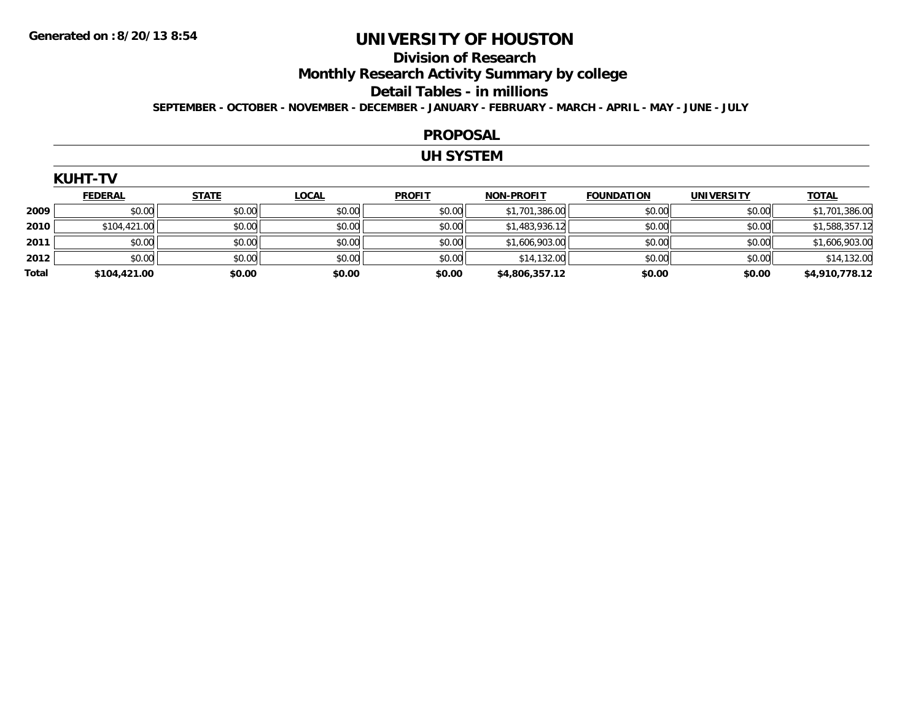#### **Division of Research**

**Monthly Research Activity Summary by college**

#### **Detail Tables - in millions**

**SEPTEMBER - OCTOBER - NOVEMBER - DECEMBER - JANUARY - FEBRUARY - MARCH - APRIL - MAY - JUNE - JULY**

#### **PROPOSAL**

### **UH SYSTEM**

| <b>KUHT</b> |
|-------------|
|-------------|

|       | <b>FEDERAL</b> | <b>STATE</b> | <b>LOCAL</b> | <b>PROFIT</b> | <b>NON-PROFIT</b> | <b>FOUNDATION</b> | <b>UNIVERSITY</b> | <b>TOTAL</b>   |
|-------|----------------|--------------|--------------|---------------|-------------------|-------------------|-------------------|----------------|
| 2009  | \$0.00         | \$0.00       | \$0.00       | \$0.00        | \$1,701,386.00    | \$0.00            | \$0.00            | \$1,701,386.00 |
| 2010  | \$104,421.00   | \$0.00       | \$0.00       | \$0.00        | \$1,483,936.12    | \$0.00            | \$0.00            | \$1,588,357.12 |
| 2011  | \$0.00         | \$0.00       | \$0.00       | \$0.00        | \$1,606,903.00    | \$0.00            | \$0.00            | \$1,606,903.00 |
| 2012  | \$0.00         | \$0.00       | \$0.00       | \$0.00        | \$14,132.00       | \$0.00            | \$0.00            | \$14,132.00    |
| Total | \$104,421.00   | \$0.00       | \$0.00       | \$0.00        | \$4,806,357.12    | \$0.00            | \$0.00            | \$4,910,778.12 |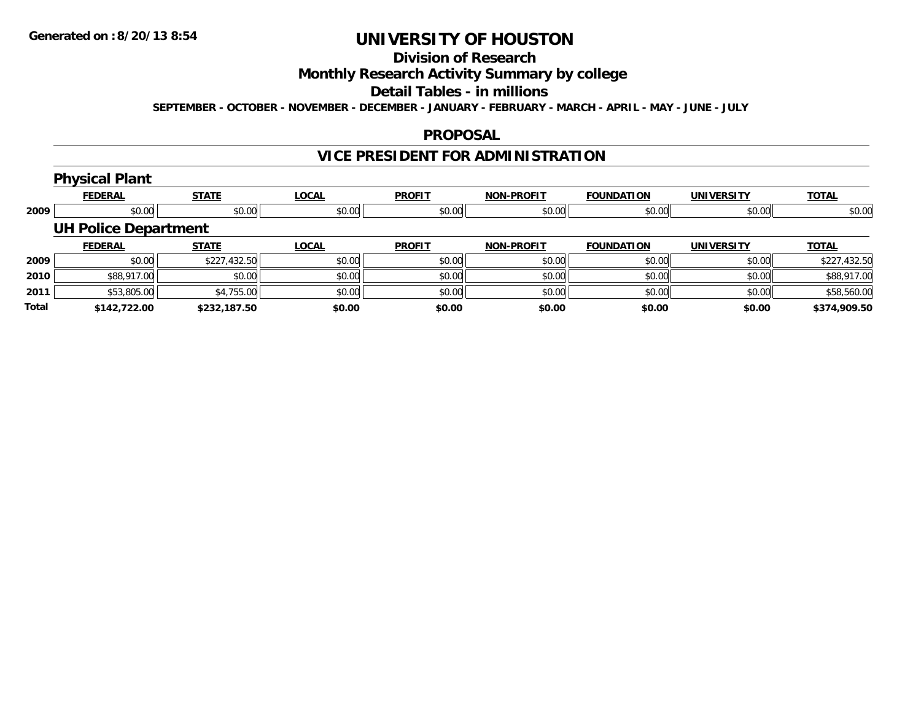# **Division of Research**

### **Monthly Research Activity Summary by college**

#### **Detail Tables - in millions**

**SEPTEMBER - OCTOBER - NOVEMBER - DECEMBER - JANUARY - FEBRUARY - MARCH - APRIL - MAY - JUNE - JULY**

### **PROPOSAL**

## **VICE PRESIDENT FOR ADMINISTRATION**

## **Physical Plant**

|       | <b>FEDERAL</b>              | <b>STATE</b> | LOCAL  | <b>PROFIT</b> | <b>NON-PROFIT</b> | <b>FOUNDATION</b> | <b>UNIVERSITY</b> | <b>TOTAL</b> |
|-------|-----------------------------|--------------|--------|---------------|-------------------|-------------------|-------------------|--------------|
| 2009  | \$0.00                      | \$0.00       | \$0.00 | \$0.00        | \$0.00            | \$0.00            | \$0.00            | \$0.00       |
|       | <b>UH Police Department</b> |              |        |               |                   |                   |                   |              |
|       | <b>FEDERAL</b>              | <b>STATE</b> | LOCAL  | <b>PROFIT</b> | <b>NON-PROFIT</b> | <b>FOUNDATION</b> | <b>UNIVERSITY</b> | <b>TOTAL</b> |
| 2009  | \$0.00                      | \$227,432.50 | \$0.00 | \$0.00        | \$0.00            | \$0.00            | \$0.00            | \$227,432.50 |
| 2010  | \$88,917.00                 | \$0.00       | \$0.00 | \$0.00        | \$0.00            | \$0.00            | \$0.00            | \$88,917.00  |
| 2011  | \$53,805.00                 | \$4,755.00   | \$0.00 | \$0.00        | \$0.00            | \$0.00            | \$0.00            | \$58,560.00  |
| Total | \$142,722.00                | \$232,187.50 | \$0.00 | \$0.00        | \$0.00            | \$0.00            | \$0.00            | \$374,909.50 |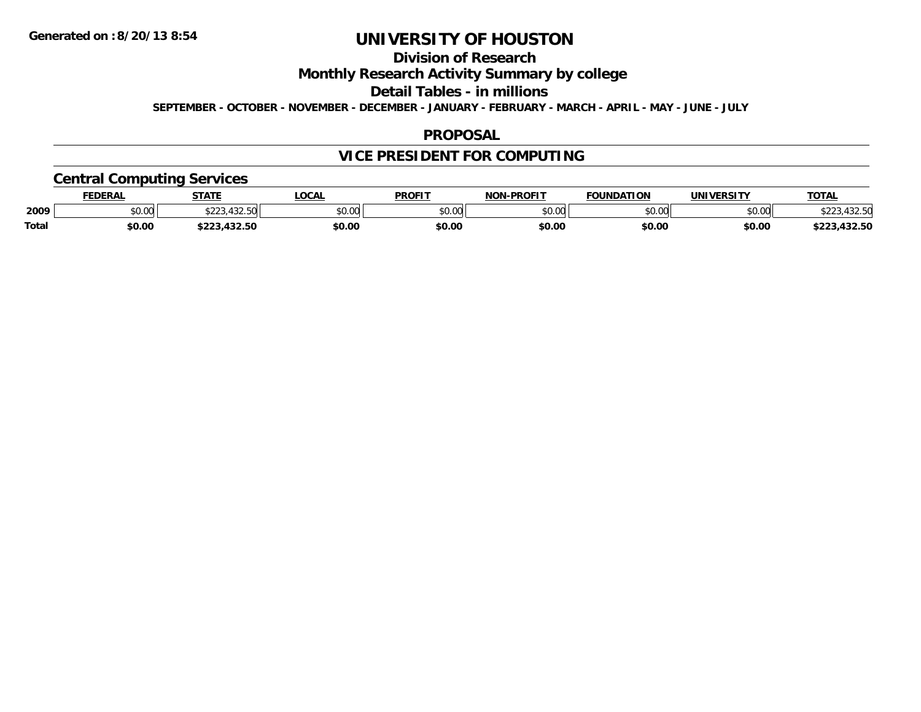## **Division of Research**

**Monthly Research Activity Summary by college**

**Detail Tables - in millions**

**SEPTEMBER - OCTOBER - NOVEMBER - DECEMBER - JANUARY - FEBRUARY - MARCH - APRIL - MAY - JUNE - JULY**

### **PROPOSAL**

## **VICE PRESIDENT FOR COMPUTING**

## **Central Computing Services**

|              | DERAI  | <b>STATE</b>       | <b>OCAL</b> | <b>PROFIT</b> | -PROFIT<br><b>NON</b> | <b>FOUNDATION</b> | 'JNIV.<br><b>JEDCIT</b> | TOTA.  |
|--------------|--------|--------------------|-------------|---------------|-----------------------|-------------------|-------------------------|--------|
| 2009         | \$0.00 | $\sqrt{2}$<br>ሐ へへ | \$0.00      | 0000<br>JU.UU | $\sim$ 00<br>pu.uu    | 0000<br>w.w       | \$0.00                  |        |
| <b>Total</b> | \$0.00 |                    | \$0.00      | \$0.00        | \$0.00                | \$0.00            | \$0.00                  | $\sim$ |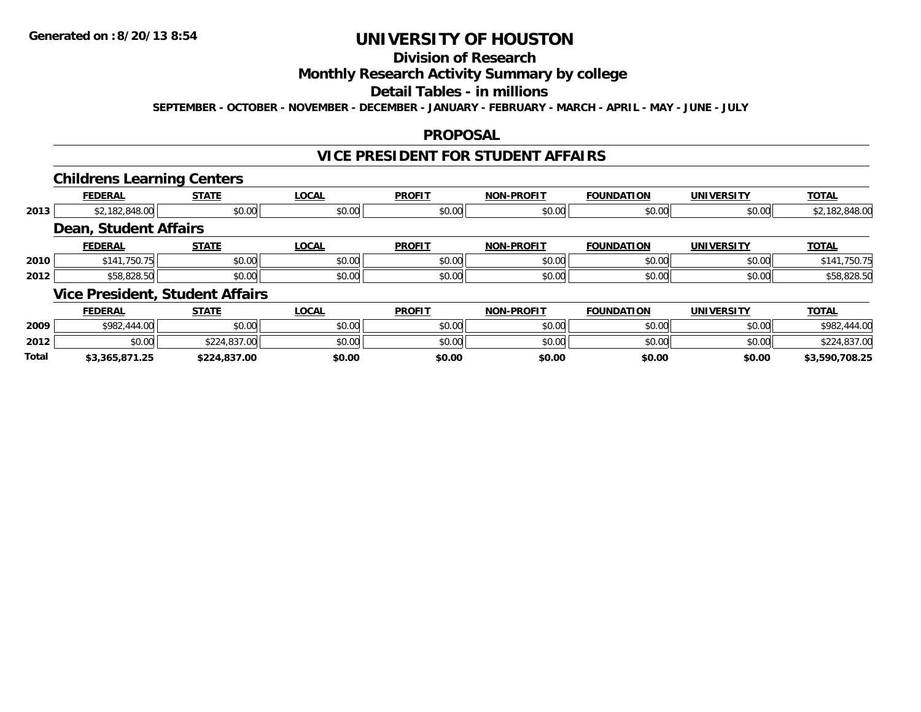# **Division of Research**

### **Monthly Research Activity Summary by college**

#### **Detail Tables - in millions**

**SEPTEMBER - OCTOBER - NOVEMBER - DECEMBER - JANUARY - FEBRUARY - MARCH - APRIL - MAY - JUNE - JULY**

### **PROPOSAL**

### **VICE PRESIDENT FOR STUDENT AFFAIRS**

### **Childrens Learning Centers**

|      |                       | --                                     |              |               |                   |                   |                   |                |
|------|-----------------------|----------------------------------------|--------------|---------------|-------------------|-------------------|-------------------|----------------|
|      | <b>FEDERAL</b>        | <b>STATE</b>                           | <b>LOCAL</b> | <b>PROFIT</b> | <b>NON-PROFIT</b> | <b>FOUNDATION</b> | <b>UNIVERSITY</b> | <b>TOTAL</b>   |
| 2013 | \$2,182,848.00        | \$0.00                                 | \$0.00       | \$0.00        | \$0.00            | \$0.00            | \$0.00            | \$2,182,848.00 |
|      | Dean, Student Affairs |                                        |              |               |                   |                   |                   |                |
|      | <b>FEDERAL</b>        | <b>STATE</b>                           | <b>LOCAL</b> | <b>PROFIT</b> | <b>NON-PROFIT</b> | <b>FOUNDATION</b> | <b>UNIVERSITY</b> | <b>TOTAL</b>   |
| 2010 | \$141,750.75          | \$0.00                                 | \$0.00       | \$0.00        | \$0.00            | \$0.00            | \$0.00            | \$141,750.75   |
| 2012 | \$58,828.50           | \$0.00                                 | \$0.00       | \$0.00        | \$0.00            | \$0.00            | \$0.00            | \$58,828.50    |
|      |                       | <b>Vice President, Student Affairs</b> |              |               |                   |                   |                   |                |
|      | <b>FEDERAL</b>        | <b>STATE</b>                           | LOCAL        | <b>PROFIT</b> | <b>NON-PROFIT</b> | <b>FOUNDATION</b> | <b>UNIVERSITY</b> | <b>TOTAL</b>   |

|              | . LVLIVAL      | <u>JIMIL</u> | LVVNL  | .      | ו ושנו דיושון | ויחשונט ו | <u>UNIVLIVJI I I</u> | 10175           |
|--------------|----------------|--------------|--------|--------|---------------|-----------|----------------------|-----------------|
| 2009         | \$982,444.00   | \$0.00       | \$0.00 | \$0.00 | \$0.00        | \$0.00    | \$0.00               | \$982<br>444.00 |
| 2012         | \$0.00         | \$224,837.00 | \$0.00 | \$0.00 | \$0.00        | \$0.00    | \$0.00               | \$224,837.00    |
| <b>Total</b> | \$3,365,871.25 | \$224,837.00 | \$0.00 | \$0.00 | \$0.00        | \$0.00    | \$0.00               | \$3,590,708.25  |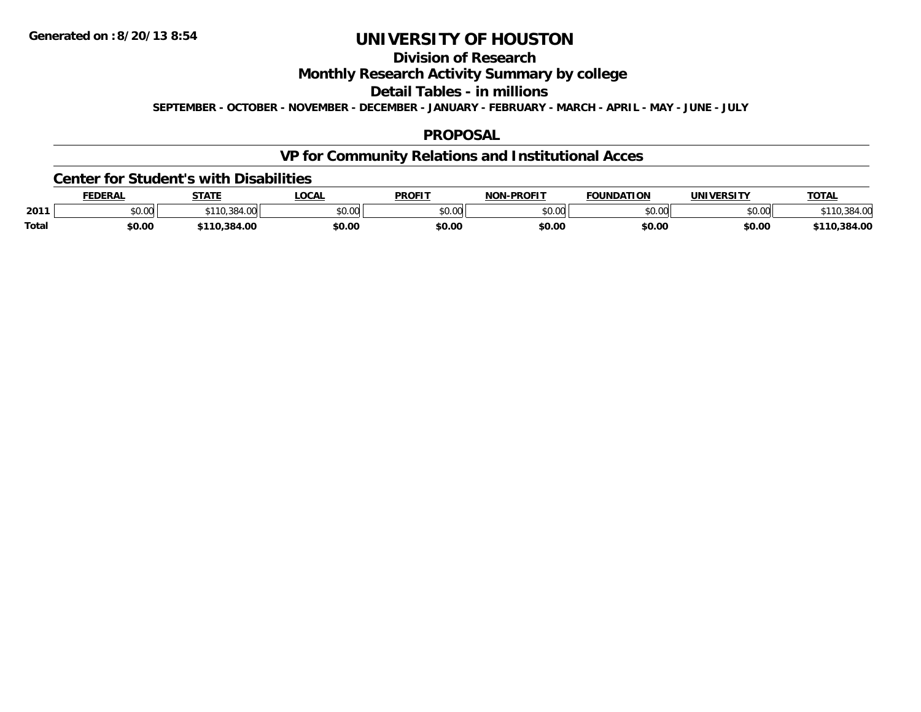## **Division of Research**

**Monthly Research Activity Summary by college**

**Detail Tables - in millions**

**SEPTEMBER - OCTOBER - NOVEMBER - DECEMBER - JANUARY - FEBRUARY - MARCH - APRIL - MAY - JUNE - JULY**

### **PROPOSAL**

## **VP for Community Relations and Institutional Acces**

#### **Center for Student's with Disabilities**

|       | <b>FEDERAL</b> | <b>CTATE</b><br>5 I A I | <b>LOCA</b>   | <b>PROFIT</b> | <b>-PROFIT</b><br>חרות | <b>FOUNDATION</b> | <b>IINIVEDSITV</b> | <b>TOTAL</b>     |
|-------|----------------|-------------------------|---------------|---------------|------------------------|-------------------|--------------------|------------------|
| 2011  | \$0.00         | 04.VV                   | nn nn<br>ט.טע | \$0.00        | nn nn<br>pu.uu         | ሶስ ሰሰ<br>JU.UU    | \$0.00             |                  |
| Total | \$0.00         | 110.384.00              | \$0.00        | \$0.00        | \$0.00                 | \$0.00            | \$0.00             | .384.00<br>\$110 |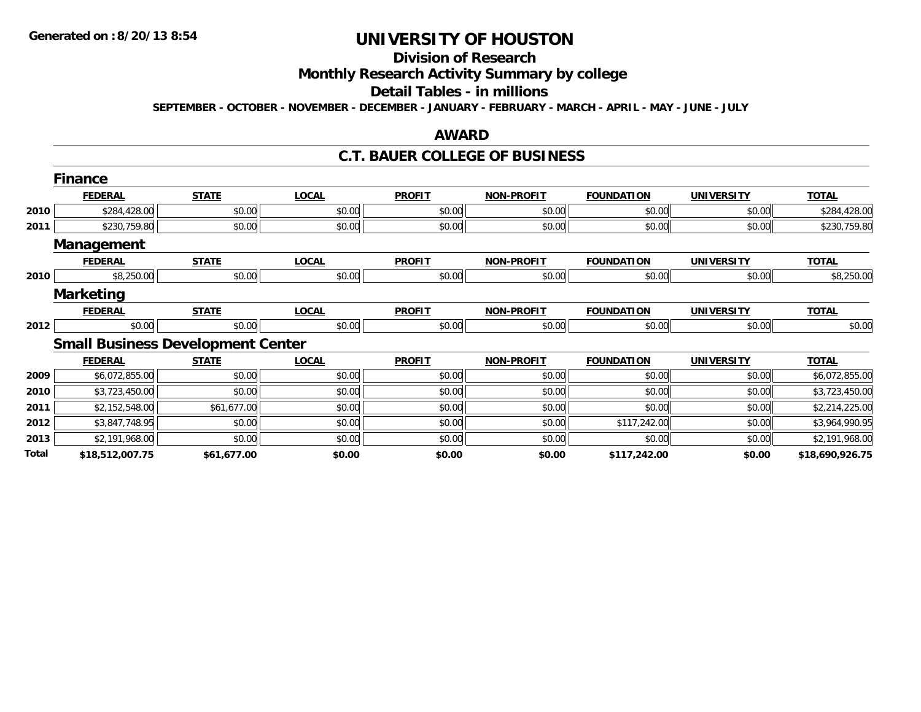# **Division of Research**

**Monthly Research Activity Summary by college**

#### **Detail Tables - in millions**

**SEPTEMBER - OCTOBER - NOVEMBER - DECEMBER - JANUARY - FEBRUARY - MARCH - APRIL - MAY - JUNE - JULY**

### **AWARD**

#### **C.T. BAUER COLLEGE OF BUSINESS**

|       | <b>Finance</b>                           |              |              |               |                   |                   |                   |                 |
|-------|------------------------------------------|--------------|--------------|---------------|-------------------|-------------------|-------------------|-----------------|
|       | <b>FEDERAL</b>                           | <b>STATE</b> | <b>LOCAL</b> | <b>PROFIT</b> | <b>NON-PROFIT</b> | <b>FOUNDATION</b> | <b>UNIVERSITY</b> | <b>TOTAL</b>    |
| 2010  | \$284,428.00                             | \$0.00       | \$0.00       | \$0.00        | \$0.00            | \$0.00            | \$0.00            | \$284,428.00    |
| 2011  | \$230,759.80                             | \$0.00       | \$0.00       | \$0.00        | \$0.00            | \$0.00            | \$0.00            | \$230,759.80    |
|       | Management                               |              |              |               |                   |                   |                   |                 |
|       | <b>FEDERAL</b>                           | <b>STATE</b> | <b>LOCAL</b> | <b>PROFIT</b> | <b>NON-PROFIT</b> | <b>FOUNDATION</b> | <b>UNIVERSITY</b> | <b>TOTAL</b>    |
| 2010  | \$8,250.00                               | \$0.00       | \$0.00       | \$0.00        | \$0.00            | \$0.00            | \$0.00            | \$8,250.00      |
|       | <b>Marketing</b>                         |              |              |               |                   |                   |                   |                 |
|       | <b>FEDERAL</b>                           | <b>STATE</b> | <b>LOCAL</b> | <b>PROFIT</b> | <b>NON-PROFIT</b> | <b>FOUNDATION</b> | <b>UNIVERSITY</b> | <b>TOTAL</b>    |
| 2012  | \$0.00                                   | \$0.00       | \$0.00       | \$0.00        | \$0.00            | \$0.00            | \$0.00            | \$0.00          |
|       | <b>Small Business Development Center</b> |              |              |               |                   |                   |                   |                 |
|       | <b>FEDERAL</b>                           | <b>STATE</b> | <b>LOCAL</b> | <b>PROFIT</b> | <b>NON-PROFIT</b> | <b>FOUNDATION</b> | <b>UNIVERSITY</b> | <b>TOTAL</b>    |
| 2009  | \$6,072,855.00                           | \$0.00       | \$0.00       | \$0.00        | \$0.00            | \$0.00            | \$0.00            | \$6,072,855.00  |
| 2010  | \$3,723,450.00                           | \$0.00       | \$0.00       | \$0.00        | \$0.00            | \$0.00            | \$0.00            | \$3,723,450.00  |
| 2011  | \$2,152,548.00                           | \$61,677.00  | \$0.00       | \$0.00        | \$0.00            | \$0.00            | \$0.00            | \$2,214,225.00  |
| 2012  | \$3,847,748.95                           | \$0.00       | \$0.00       | \$0.00        | \$0.00            | \$117,242.00      | \$0.00            | \$3,964,990.95  |
| 2013  | \$2,191,968.00                           | \$0.00       | \$0.00       | \$0.00        | \$0.00            | \$0.00            | \$0.00            | \$2,191,968.00  |
| Total | \$18,512,007.75                          | \$61,677.00  | \$0.00       | \$0.00        | \$0.00            | \$117,242.00      | \$0.00            | \$18,690,926.75 |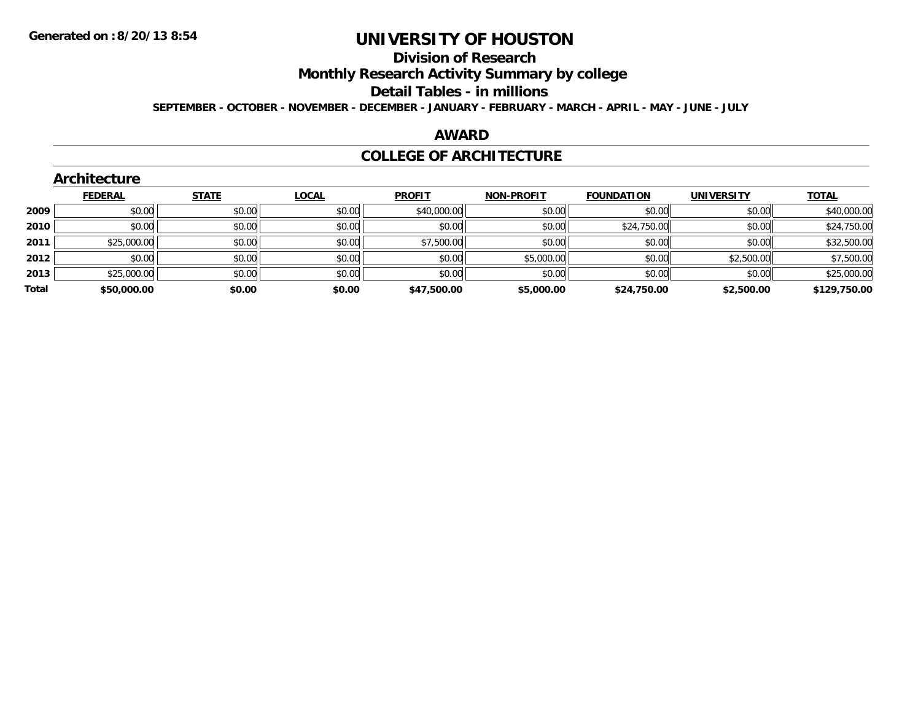# **Division of Research**

**Monthly Research Activity Summary by college**

#### **Detail Tables - in millions**

**SEPTEMBER - OCTOBER - NOVEMBER - DECEMBER - JANUARY - FEBRUARY - MARCH - APRIL - MAY - JUNE - JULY**

## **AWARD**

### **COLLEGE OF ARCHITECTURE**

|       | ALCHILCOLUI C  |              |              |               |                   |                   |                   |              |
|-------|----------------|--------------|--------------|---------------|-------------------|-------------------|-------------------|--------------|
|       | <b>FEDERAL</b> | <b>STATE</b> | <b>LOCAL</b> | <b>PROFIT</b> | <b>NON-PROFIT</b> | <b>FOUNDATION</b> | <b>UNIVERSITY</b> | <b>TOTAL</b> |
| 2009  | \$0.00         | \$0.00       | \$0.00       | \$40,000.00   | \$0.00            | \$0.00            | \$0.00            | \$40,000.00  |
| 2010  | \$0.00         | \$0.00       | \$0.00       | \$0.00        | \$0.00            | \$24,750.00       | \$0.00            | \$24,750.00  |
| 2011  | \$25,000.00    | \$0.00       | \$0.00       | \$7,500.00    | \$0.00            | \$0.00            | \$0.00            | \$32,500.00  |
| 2012  | \$0.00         | \$0.00       | \$0.00       | \$0.00        | \$5,000.00        | \$0.00            | \$2,500.00        | \$7,500.00   |
| 2013  | \$25,000.00    | \$0.00       | \$0.00       | \$0.00        | \$0.00            | \$0.00            | \$0.00            | \$25,000.00  |
| Total | \$50,000.00    | \$0.00       | \$0.00       | \$47,500.00   | \$5,000.00        | \$24,750.00       | \$2,500.00        | \$129,750.00 |
|       |                |              |              |               |                   |                   |                   |              |

#### **Architecture**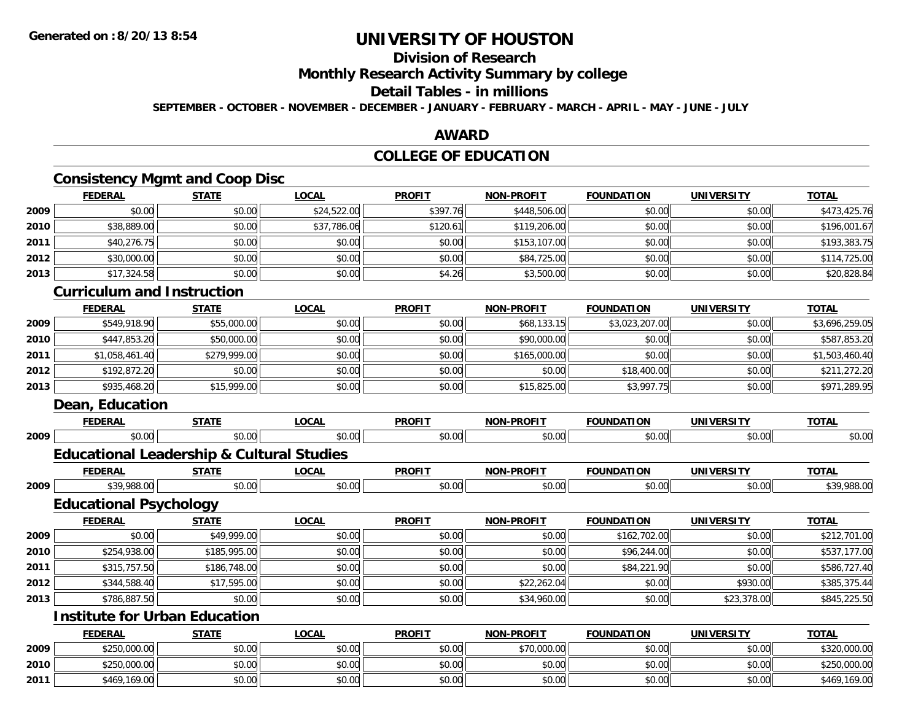# **Division of Research**

**Monthly Research Activity Summary by college**

## **Detail Tables - in millions**

**SEPTEMBER - OCTOBER - NOVEMBER - DECEMBER - JANUARY - FEBRUARY - MARCH - APRIL - MAY - JUNE - JULY**

## **AWARD**

## **COLLEGE OF EDUCATION**

## **Consistency Mgmt and Coop Disc**

|      | <b>FEDERAL</b> | <b>STATE</b> | <u>LOCAL</u> | <b>PROFIT</b> | <b>NON-PROFIT</b> | <b>FOUNDATION</b> | <b>UNIVERSITY</b> | <b>TOTAL</b> |
|------|----------------|--------------|--------------|---------------|-------------------|-------------------|-------------------|--------------|
| 2009 | \$0.00         | \$0.00       | \$24,522.00  | \$397.76      | \$448,506.00      | \$0.00            | \$0.00            | \$473,425.76 |
| 2010 | \$38,889.00    | \$0.00       | \$37,786.06  | \$120.61      | \$119,206.00      | \$0.00            | \$0.00            | \$196,001.67 |
| 2011 | \$40,276.75    | \$0.00       | \$0.00       | \$0.00        | \$153,107.00      | \$0.00            | \$0.00            | \$193,383.75 |
| 2012 | \$30,000.00    | \$0.00       | \$0.00       | \$0.00        | \$84,725.00       | \$0.00            | \$0.00            | \$114,725.00 |
| 2013 | \$17,324.58    | \$0.00       | \$0.00       | \$4.26        | \$3,500.00        | \$0.00            | \$0.00            | \$20,828.84  |

### **Curriculum and Instruction**

|      | <b>FEDERAL</b> | <b>STATE</b> | <b>LOCAL</b> | <b>PROFIT</b> | <b>NON-PROFIT</b> | <b>FOUNDATION</b> | <b>UNIVERSITY</b> | <b>TOTAL</b>   |
|------|----------------|--------------|--------------|---------------|-------------------|-------------------|-------------------|----------------|
| 2009 | \$549,918.90   | \$55,000.00  | \$0.00       | \$0.00        | \$68,133.15       | \$3,023,207.00    | \$0.00            | \$3,696,259.05 |
| 2010 | \$447,853,20   | \$50,000.00  | \$0.00       | \$0.00        | \$90,000.00       | \$0.00            | \$0.00            | \$587,853.20   |
| 2011 | \$1,058,461.40 | \$279,999.00 | \$0.00       | \$0.00        | \$165,000.00      | \$0.00            | \$0.00            | \$1,503,460.40 |
| 2012 | \$192,872.20   | \$0.00       | \$0.00       | \$0.00        | \$0.00            | \$18,400.00       | \$0.00            | \$211,272.20   |
| 2013 | \$935,468.20   | \$15,999.00  | \$0.00       | \$0.00        | \$15,825.00       | \$3,997.75        | \$0.00            | \$971,289.95   |

## **Dean, Education**

**2010**

**2011**

|      | <b>FEDERAL</b>                                       | <b>STATE</b> | <b>LOCAL</b> | <b>PROFIT</b> | <b>NON-PROFIT</b> | <b>FOUNDATION</b> | <b>UNIVERSITY</b> | <b>TOTAL</b> |
|------|------------------------------------------------------|--------------|--------------|---------------|-------------------|-------------------|-------------------|--------------|
| 2009 | \$0.00                                               | \$0.00       | \$0.00       | \$0.00        | \$0.00            | \$0.00            | \$0.00            | \$0.00       |
|      | <b>Educational Leadership &amp; Cultural Studies</b> |              |              |               |                   |                   |                   |              |
|      | <b>FEDERAL</b>                                       | <b>STATE</b> | <b>LOCAL</b> | <b>PROFIT</b> | <b>NON-PROFIT</b> | <b>FOUNDATION</b> | <b>UNIVERSITY</b> | <b>TOTAL</b> |
| 2009 | \$39,988.00                                          | \$0.00       | \$0.00       | \$0.00        | \$0.00            | \$0.00            | \$0.00            | \$39,988.00  |
|      | <b>Educational Psychology</b>                        |              |              |               |                   |                   |                   |              |
|      | <b>FEDERAL</b>                                       | <b>STATE</b> | <b>LOCAL</b> | <b>PROFIT</b> | <b>NON-PROFIT</b> | <b>FOUNDATION</b> | <b>UNIVERSITY</b> | <b>TOTAL</b> |
| 2009 | \$0.00                                               | \$49,999.00  | \$0.00       | \$0.00        | \$0.00            | \$162,702.00      | \$0.00            | \$212,701.00 |
| 2010 | \$254,938.00                                         | \$185,995.00 | \$0.00       | \$0.00        | \$0.00            | \$96,244.00       | \$0.00            | \$537,177.00 |
| 2011 | \$315,757.50                                         | \$186,748.00 | \$0.00       | \$0.00        | \$0.00            | \$84,221.90       | \$0.00            | \$586,727.40 |
| 2012 | \$344,588.40                                         | \$17,595.00  | \$0.00       | \$0.00        | \$22,262.04       | \$0.00            | \$930.00          | \$385,375.44 |
| 2013 | \$786,887.50                                         | \$0.00       | \$0.00       | \$0.00        | \$34,960.00       | \$0.00            | \$23,378.00       | \$845,225.50 |
|      | <b>Institute for Urban Education</b>                 |              |              |               |                   |                   |                   |              |
|      | <b>FEDERAL</b>                                       | <b>STATE</b> | <b>LOCAL</b> | <b>PROFIT</b> | <b>NON-PROFIT</b> | <b>FOUNDATION</b> | <b>UNIVERSITY</b> | <b>TOTAL</b> |
| 2009 | \$250,000.00                                         | \$0.00       | \$0.00       | \$0.00        | \$70,000.00       | \$0.00            | \$0.00            | \$320,000.00 |

0 \$250,000.00 \$0.00 \$0.00 \$0.00 \$0.00 \$0.00 \$0.00 \$0.00 \$0.00 \$0.00 \$0.00 \$0.00 \$0.00 \$0.00 \$250,000.00

1 \$469,169.00 \$0.00 \$0.00 \$0.00 \$0.00 \$0.00 \$0.00 \$0.00 \$0.00 \$0.00 \$0.00 \$0.00 \$0.00 \$0.00 \$469,169.00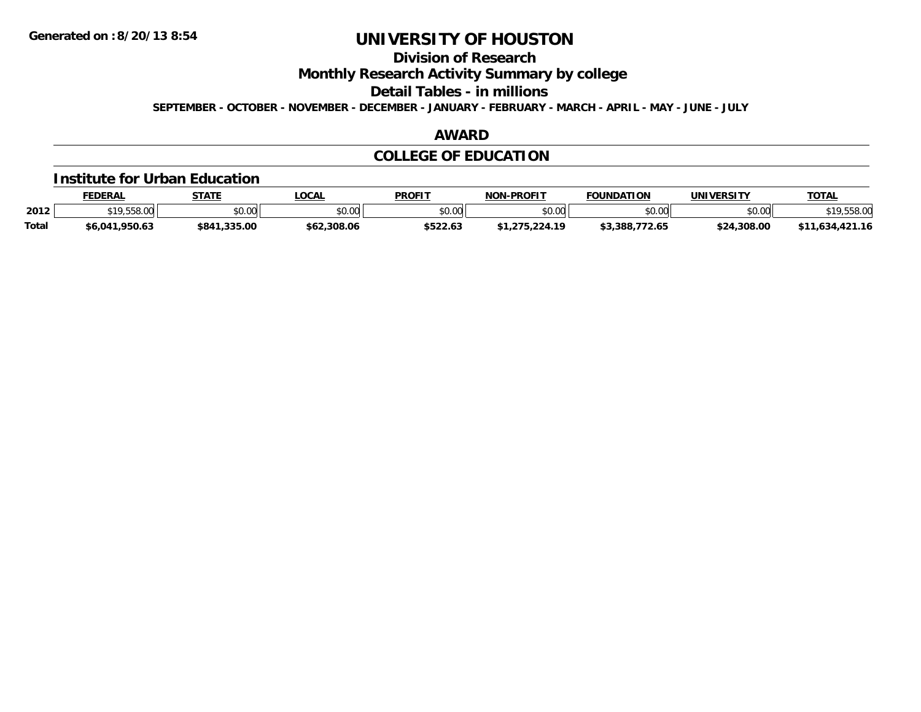**Division of Research**

**Monthly Research Activity Summary by college**

**Detail Tables - in millions**

**SEPTEMBER - OCTOBER - NOVEMBER - DECEMBER - JANUARY - FEBRUARY - MARCH - APRIL - MAY - JUNE - JULY**

## **AWARD**

## **COLLEGE OF EDUCATION**

#### **Institute for Urban Education**

|              | <b>FEDERAL</b> | <b>STATE</b> | <b>_OCAL</b>           | <b>PROFIT</b> | <b>NON-PROFIT</b> | <b>FOUNDATION</b> | UNIVERSITY  | <b>TOTA</b> |
|--------------|----------------|--------------|------------------------|---------------|-------------------|-------------------|-------------|-------------|
| 2012         | 0.10500        | \$0.00       | $\sim$ $\sim$<br>JU.UU | \$0.00        | en nn<br>ง∪.∪บ    | \$0.00            | \$0.00      | \$19,558.00 |
| <b>Total</b> | \$6,041,950.63 | \$841,335.00 | \$62,308.06            | \$522.63      | .275.224.19       | \$3.388.772.65    | \$24,308.00 | .634.421.16 |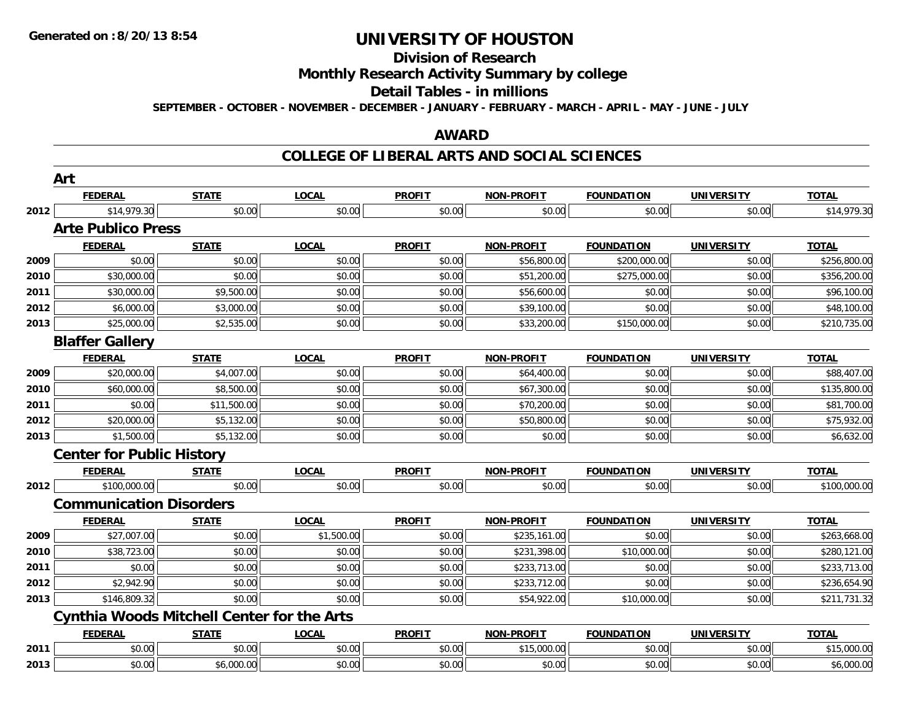# **Division of Research**

**Monthly Research Activity Summary by college**

#### **Detail Tables - in millions**

**SEPTEMBER - OCTOBER - NOVEMBER - DECEMBER - JANUARY - FEBRUARY - MARCH - APRIL - MAY - JUNE - JULY**

### **AWARD**

#### **COLLEGE OF LIBERAL ARTS AND SOCIAL SCIENCES**

|      | Art                              |                                                   |              |               |                   |                   |                   |              |
|------|----------------------------------|---------------------------------------------------|--------------|---------------|-------------------|-------------------|-------------------|--------------|
|      | <b>FEDERAL</b>                   | <b>STATE</b>                                      | <b>LOCAL</b> | <b>PROFIT</b> | NON-PROFIT        | <b>FOUNDATION</b> | <b>UNIVERSITY</b> | <b>TOTAL</b> |
| 2012 | \$14,979.30                      | \$0.00                                            | \$0.00       | \$0.00        | \$0.00            | \$0.00            | \$0.00            | \$14,979.30  |
|      | <b>Arte Publico Press</b>        |                                                   |              |               |                   |                   |                   |              |
|      | <b>FEDERAL</b>                   | <b>STATE</b>                                      | <b>LOCAL</b> | <b>PROFIT</b> | NON-PROFIT        | <b>FOUNDATION</b> | <b>UNIVERSITY</b> | <b>TOTAL</b> |
| 2009 | \$0.00                           | \$0.00                                            | \$0.00       | \$0.00        | \$56,800.00       | \$200,000.00      | \$0.00            | \$256,800.00 |
| 2010 | \$30,000.00                      | \$0.00                                            | \$0.00       | \$0.00        | \$51,200.00       | \$275,000.00      | \$0.00            | \$356,200.00 |
| 2011 | \$30,000.00                      | \$9,500.00                                        | \$0.00       | \$0.00        | \$56,600.00       | \$0.00            | \$0.00            | \$96,100.00  |
| 2012 | \$6,000.00                       | \$3,000.00                                        | \$0.00       | \$0.00        | \$39,100.00       | \$0.00            | \$0.00            | \$48,100.00  |
| 2013 | \$25,000.00                      | \$2,535.00                                        | \$0.00       | \$0.00        | \$33,200.00       | \$150,000.00      | \$0.00            | \$210,735.00 |
|      | <b>Blaffer Gallery</b>           |                                                   |              |               |                   |                   |                   |              |
|      | <b>FEDERAL</b>                   | <b>STATE</b>                                      | <b>LOCAL</b> | <b>PROFIT</b> | <b>NON-PROFIT</b> | <b>FOUNDATION</b> | <b>UNIVERSITY</b> | <b>TOTAL</b> |
| 2009 | \$20,000.00                      | \$4,007.00                                        | \$0.00       | \$0.00        | \$64,400.00       | \$0.00            | \$0.00            | \$88,407.00  |
| 2010 | \$60,000.00                      | \$8,500.00                                        | \$0.00       | \$0.00        | \$67,300.00       | \$0.00            | \$0.00            | \$135,800.00 |
| 2011 | \$0.00                           | \$11,500.00                                       | \$0.00       | \$0.00        | \$70,200.00       | \$0.00            | \$0.00            | \$81,700.00  |
| 2012 | \$20,000.00                      | \$5,132.00                                        | \$0.00       | \$0.00        | \$50,800.00       | \$0.00            | \$0.00            | \$75,932.00  |
| 2013 | \$1,500.00                       | \$5,132.00                                        | \$0.00       | \$0.00        | \$0.00            | \$0.00            | \$0.00            | \$6,632.00   |
|      | <b>Center for Public History</b> |                                                   |              |               |                   |                   |                   |              |
|      | <b>FEDERAL</b>                   | <b>STATE</b>                                      | <b>LOCAL</b> | <b>PROFIT</b> | <b>NON-PROFIT</b> | <b>FOUNDATION</b> | <b>UNIVERSITY</b> | <b>TOTAL</b> |
| 2012 | \$100,000.00                     | \$0.00                                            | \$0.00       | \$0.00        | \$0.00            | \$0.00            | \$0.00            | \$100,000.00 |
|      | <b>Communication Disorders</b>   |                                                   |              |               |                   |                   |                   |              |
|      | <b>FEDERAL</b>                   | <b>STATE</b>                                      | <b>LOCAL</b> | <b>PROFIT</b> | NON-PROFIT        | <b>FOUNDATION</b> | <b>UNIVERSITY</b> | <b>TOTAL</b> |
| 2009 | \$27,007.00                      | \$0.00                                            | \$1,500.00   | \$0.00        | \$235,161.00      | \$0.00            | \$0.00            | \$263,668.00 |
| 2010 | \$38,723.00                      | \$0.00                                            | \$0.00       | \$0.00        | \$231,398.00      | \$10,000.00       | \$0.00            | \$280,121.00 |
| 2011 | \$0.00                           | \$0.00                                            | \$0.00       | \$0.00        | \$233,713.00      | \$0.00            | \$0.00            | \$233,713.00 |
| 2012 | \$2,942.90                       | \$0.00                                            | \$0.00       | \$0.00        | \$233,712.00      | \$0.00            | \$0.00            | \$236,654.90 |
| 2013 | \$146,809.32                     | \$0.00                                            | \$0.00       | \$0.00        | \$54,922.00       | \$10,000.00       | \$0.00            | \$211,731.32 |
|      |                                  | <b>Cynthia Woods Mitchell Center for the Arts</b> |              |               |                   |                   |                   |              |
|      | <b>FEDERAL</b>                   | <b>STATE</b>                                      | <b>LOCAL</b> | <b>PROFIT</b> | <b>NON-PROFIT</b> | <b>FOUNDATION</b> | <b>UNIVERSITY</b> | <b>TOTAL</b> |
| 2011 | \$0.00                           | \$0.00                                            | \$0.00       | \$0.00        | \$15,000.00       | \$0.00            | \$0.00            | \$15,000.00  |
| 2013 | \$0.00                           | \$6,000.00                                        | \$0.00       | \$0.00        | \$0.00            | \$0.00            | \$0.00            | \$6,000.00   |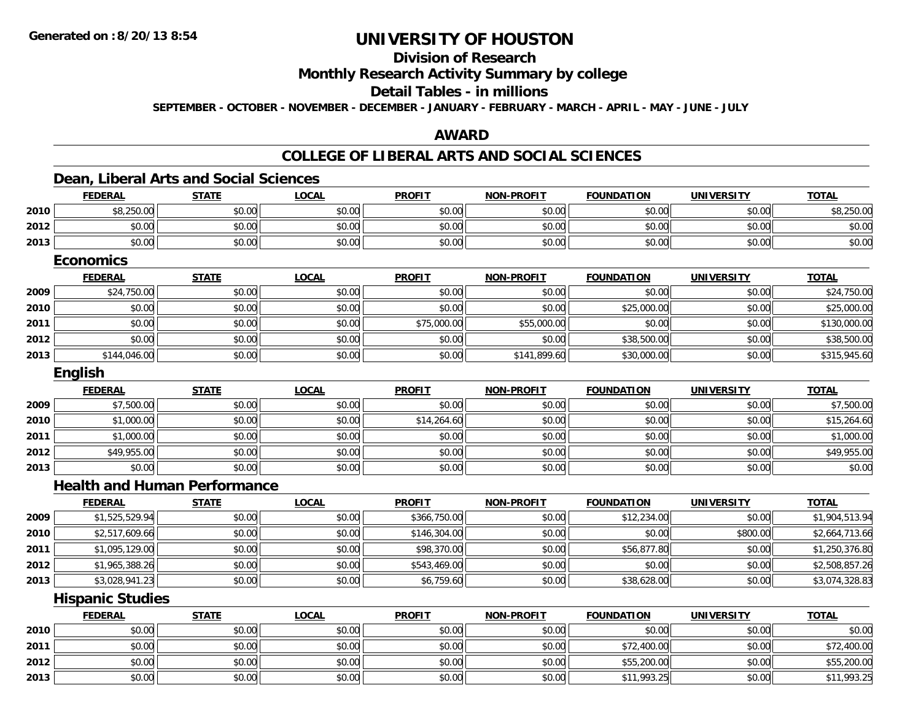# **Division of Research**

**Monthly Research Activity Summary by college**

#### **Detail Tables - in millions**

**SEPTEMBER - OCTOBER - NOVEMBER - DECEMBER - JANUARY - FEBRUARY - MARCH - APRIL - MAY - JUNE - JULY**

## **AWARD**

### **COLLEGE OF LIBERAL ARTS AND SOCIAL SCIENCES**

## **Dean, Liberal Arts and Social Sciences**

|      | <b>FEDERAL</b>          | <b>STATE</b>                        | <b>LOCAL</b> | <b>PROFIT</b> | <b>NON-PROFIT</b> | <b>FOUNDATION</b> | <b>UNIVERSITY</b> | <b>TOTAL</b>   |
|------|-------------------------|-------------------------------------|--------------|---------------|-------------------|-------------------|-------------------|----------------|
| 2010 | \$8,250.00              | \$0.00                              | \$0.00       | \$0.00        | \$0.00            | \$0.00            | \$0.00            | \$8,250.00     |
| 2012 | \$0.00                  | \$0.00                              | \$0.00       | \$0.00        | \$0.00            | \$0.00            | \$0.00            | \$0.00         |
| 2013 | \$0.00                  | \$0.00                              | \$0.00       | \$0.00        | \$0.00            | \$0.00            | \$0.00            | \$0.00         |
|      | <b>Economics</b>        |                                     |              |               |                   |                   |                   |                |
|      | <b>FEDERAL</b>          | <b>STATE</b>                        | <b>LOCAL</b> | <b>PROFIT</b> | <b>NON-PROFIT</b> | <b>FOUNDATION</b> | <b>UNIVERSITY</b> | <b>TOTAL</b>   |
| 2009 | \$24,750.00             | \$0.00                              | \$0.00       | \$0.00        | \$0.00            | \$0.00            | \$0.00            | \$24,750.00    |
| 2010 | \$0.00                  | \$0.00                              | \$0.00       | \$0.00        | \$0.00            | \$25,000.00       | \$0.00            | \$25,000.00    |
| 2011 | \$0.00                  | \$0.00                              | \$0.00       | \$75,000.00   | \$55,000.00       | \$0.00            | \$0.00            | \$130,000.00   |
| 2012 | \$0.00                  | \$0.00                              | \$0.00       | \$0.00        | \$0.00            | \$38,500.00       | \$0.00            | \$38,500.00    |
| 2013 | \$144,046.00            | \$0.00                              | \$0.00       | \$0.00        | \$141,899.60      | \$30,000.00       | \$0.00            | \$315,945.60   |
|      | English                 |                                     |              |               |                   |                   |                   |                |
|      | <b>FEDERAL</b>          | <b>STATE</b>                        | <b>LOCAL</b> | <b>PROFIT</b> | <b>NON-PROFIT</b> | <b>FOUNDATION</b> | <b>UNIVERSITY</b> | <b>TOTAL</b>   |
| 2009 | \$7,500.00              | \$0.00                              | \$0.00       | \$0.00        | \$0.00            | \$0.00            | \$0.00            | \$7,500.00     |
| 2010 | \$1,000.00              | \$0.00                              | \$0.00       | \$14,264.60   | \$0.00            | \$0.00            | \$0.00            | \$15,264.60    |
| 2011 | \$1,000.00              | \$0.00                              | \$0.00       | \$0.00        | \$0.00            | \$0.00            | \$0.00            | \$1,000.00     |
| 2012 | \$49,955.00             | \$0.00                              | \$0.00       | \$0.00        | \$0.00            | \$0.00            | \$0.00            | \$49,955.00    |
| 2013 | \$0.00                  | \$0.00                              | \$0.00       | \$0.00        | \$0.00            | \$0.00            | \$0.00            | \$0.00         |
|      |                         | <b>Health and Human Performance</b> |              |               |                   |                   |                   |                |
|      | <b>FEDERAL</b>          | <b>STATE</b>                        | <b>LOCAL</b> | <b>PROFIT</b> | <b>NON-PROFIT</b> | <b>FOUNDATION</b> | <b>UNIVERSITY</b> | <b>TOTAL</b>   |
| 2009 | \$1,525,529.94          | \$0.00                              | \$0.00       | \$366,750.00  | \$0.00            | \$12,234.00       | \$0.00            | \$1,904,513.94 |
| 2010 | \$2,517,609.66          | \$0.00                              | \$0.00       | \$146,304.00  | \$0.00            | \$0.00            | \$800.00          | \$2,664,713.66 |
| 2011 | \$1,095,129.00          | \$0.00                              | \$0.00       | \$98,370.00   | \$0.00            | \$56,877.80       | \$0.00            | \$1,250,376.80 |
| 2012 | \$1,965,388.26          | \$0.00                              | \$0.00       | \$543,469.00  | \$0.00            | \$0.00            | \$0.00            | \$2,508,857.26 |
| 2013 | \$3,028,941.23          | \$0.00                              | \$0.00       | \$6,759.60    | \$0.00            | \$38,628.00       | \$0.00            | \$3,074,328.83 |
|      | <b>Hispanic Studies</b> |                                     |              |               |                   |                   |                   |                |

|      | <b>FEDERAL</b> | <b>STATE</b> | <b>LOCAL</b> | <b>PROFIT</b> | <b>NON-PROFIT</b> | <b>FOUNDATION</b> | <b>UNIVERSITY</b> | <b>TOTAL</b> |
|------|----------------|--------------|--------------|---------------|-------------------|-------------------|-------------------|--------------|
| 2010 | \$0.00         | \$0.00       | \$0.00       | \$0.00        | \$0.00            | \$0.00            | \$0.00            | \$0.00       |
| 2011 | \$0.00         | \$0.00       | \$0.00       | \$0.00        | \$0.00            | \$72,400.00       | \$0.00            | \$72,400.00  |
| 2012 | \$0.00         | \$0.00       | \$0.00       | \$0.00        | \$0.00            | \$55,200.00       | \$0.00            | \$55,200.00  |
| 2013 | \$0.00         | \$0.00       | \$0.00       | \$0.00        | \$0.00            | \$11,993.25       | \$0.00            | \$11,993.25  |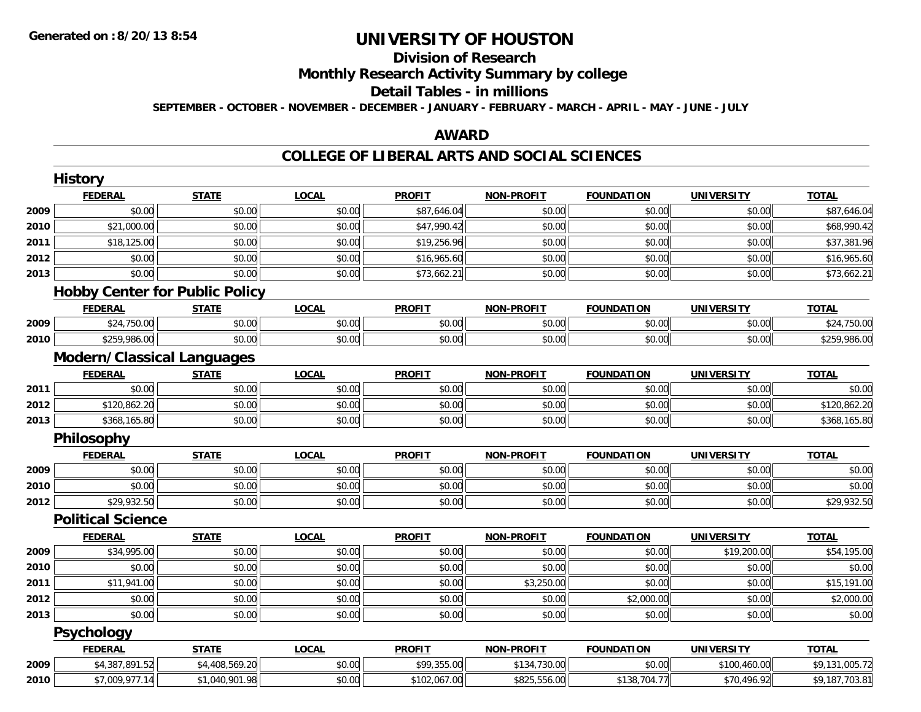# **Division of Research**

**Monthly Research Activity Summary by college**

#### **Detail Tables - in millions**

**SEPTEMBER - OCTOBER - NOVEMBER - DECEMBER - JANUARY - FEBRUARY - MARCH - APRIL - MAY - JUNE - JULY**

## **AWARD**

### **COLLEGE OF LIBERAL ARTS AND SOCIAL SCIENCES**

|      | <b>FEDERAL</b>                        | <b>STATE</b>   | <b>LOCAL</b> | <b>PROFIT</b> | <b>NON-PROFIT</b> | <b>FOUNDATION</b> | <b>UNIVERSITY</b> | <b>TOTAL</b>   |
|------|---------------------------------------|----------------|--------------|---------------|-------------------|-------------------|-------------------|----------------|
| 2009 | \$0.00                                | \$0.00         | \$0.00       | \$87,646.04   | \$0.00            | \$0.00            | \$0.00            | \$87,646.04    |
| 2010 | \$21,000.00                           | \$0.00         | \$0.00       | \$47,990.42   | \$0.00            | \$0.00            | \$0.00            | \$68,990.42    |
| 2011 | \$18,125.00                           | \$0.00         | \$0.00       | \$19,256.96   | \$0.00            | \$0.00            | \$0.00            | \$37,381.96    |
| 2012 | \$0.00                                | \$0.00         | \$0.00       | \$16,965.60   | \$0.00            | \$0.00            | \$0.00            | \$16,965.60    |
| 2013 | \$0.00                                | \$0.00         | \$0.00       | \$73,662.21   | \$0.00            | \$0.00            | \$0.00            | \$73,662.21    |
|      | <b>Hobby Center for Public Policy</b> |                |              |               |                   |                   |                   |                |
|      | <b>FEDERAL</b>                        | <b>STATE</b>   | <b>LOCAL</b> | <b>PROFIT</b> | <b>NON-PROFIT</b> | <b>FOUNDATION</b> | <b>UNIVERSITY</b> | <b>TOTAL</b>   |
| 2009 | \$24,750.00                           | \$0.00         | \$0.00       | \$0.00        | \$0.00            | \$0.00            | \$0.00            | \$24,750.00    |
| 2010 | \$259,986.00                          | \$0.00         | \$0.00       | \$0.00        | \$0.00            | \$0.00            | \$0.00            | \$259,986.00   |
|      | <b>Modern/Classical Languages</b>     |                |              |               |                   |                   |                   |                |
|      | <b>FEDERAL</b>                        | <b>STATE</b>   | <b>LOCAL</b> | <b>PROFIT</b> | <b>NON-PROFIT</b> | <b>FOUNDATION</b> | <b>UNIVERSITY</b> | <b>TOTAL</b>   |
| 2011 | \$0.00                                | \$0.00         | \$0.00       | \$0.00        | \$0.00            | \$0.00            | \$0.00            | \$0.00         |
| 2012 | \$120,862.20                          | \$0.00         | \$0.00       | \$0.00        | \$0.00            | \$0.00            | \$0.00            | \$120,862.20   |
| 2013 | \$368,165.80                          | \$0.00         | \$0.00       | \$0.00        | \$0.00            | \$0.00            | \$0.00            | \$368,165.80   |
|      | Philosophy                            |                |              |               |                   |                   |                   |                |
|      | <b>FEDERAL</b>                        | <b>STATE</b>   | <b>LOCAL</b> | <b>PROFIT</b> | <b>NON-PROFIT</b> | <b>FOUNDATION</b> | <b>UNIVERSITY</b> | <b>TOTAL</b>   |
| 2009 | \$0.00                                | \$0.00         | \$0.00       | \$0.00        | \$0.00            | \$0.00            | \$0.00            | \$0.00         |
| 2010 | \$0.00                                | \$0.00         | \$0.00       | \$0.00        | \$0.00            | \$0.00            | \$0.00            | \$0.00         |
| 2012 | \$29,932.50                           | \$0.00         | \$0.00       | \$0.00        | \$0.00            | \$0.00            | \$0.00            | \$29,932.50    |
|      | <b>Political Science</b>              |                |              |               |                   |                   |                   |                |
|      | <b>FEDERAL</b>                        | <b>STATE</b>   | <b>LOCAL</b> | <b>PROFIT</b> | <b>NON-PROFIT</b> | <b>FOUNDATION</b> | <b>UNIVERSITY</b> | <b>TOTAL</b>   |
| 2009 | \$34,995.00                           | \$0.00         | \$0.00       | \$0.00        | \$0.00            | \$0.00            | \$19,200.00       | \$54,195.00    |
| 2010 | \$0.00                                | \$0.00         | \$0.00       | \$0.00        | \$0.00            | \$0.00            | \$0.00            | \$0.00         |
| 2011 | \$11,941.00                           | \$0.00         | \$0.00       | \$0.00        | \$3,250.00        | \$0.00            | \$0.00            | \$15,191.00    |
| 2012 | \$0.00                                | \$0.00         | \$0.00       | \$0.00        | \$0.00            | \$2,000.00        | \$0.00            | \$2,000.00     |
| 2013 | \$0.00                                | \$0.00         | \$0.00       | \$0.00        | \$0.00            | \$0.00            | \$0.00            | \$0.00         |
|      | <b>Psychology</b>                     |                |              |               |                   |                   |                   |                |
|      | <b>FEDERAL</b>                        | <b>STATE</b>   | <b>LOCAL</b> | <b>PROFIT</b> | <b>NON-PROFIT</b> | <b>FOUNDATION</b> | <b>UNIVERSITY</b> | <b>TOTAL</b>   |
| 2009 | \$4,387,891.52                        | \$4,408,569.20 | \$0.00       | \$99,355.00   | \$134,730.00      | \$0.00            | \$100,460.00      | \$9,131,005.72 |
| 2010 | \$7,009,977.14                        | \$1,040,901.98 | \$0.00       | \$102,067.00  | \$825,556.00      | \$138,704.77      | \$70,496.92       | \$9,187,703.81 |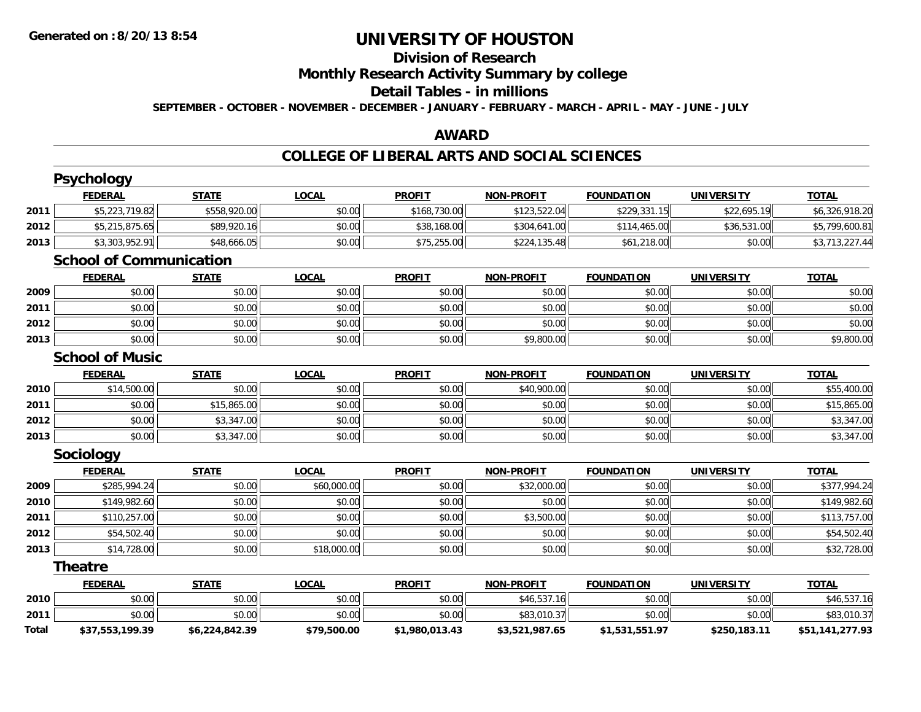# **Division of Research**

**Monthly Research Activity Summary by college**

#### **Detail Tables - in millions**

**SEPTEMBER - OCTOBER - NOVEMBER - DECEMBER - JANUARY - FEBRUARY - MARCH - APRIL - MAY - JUNE - JULY**

## **AWARD**

## **COLLEGE OF LIBERAL ARTS AND SOCIAL SCIENCES**

|       | <b>Psychology</b>              |                |              |                |                   |                   |                   |                 |
|-------|--------------------------------|----------------|--------------|----------------|-------------------|-------------------|-------------------|-----------------|
|       | <b>FEDERAL</b>                 | <b>STATE</b>   | <b>LOCAL</b> | <b>PROFIT</b>  | <b>NON-PROFIT</b> | <b>FOUNDATION</b> | <b>UNIVERSITY</b> | <b>TOTAL</b>    |
| 2011  | \$5,223,719.82                 | \$558,920.00   | \$0.00       | \$168,730.00   | \$123,522.04      | \$229,331.15      | \$22,695.19       | \$6,326,918.20  |
| 2012  | \$5,215,875.65                 | \$89,920.16    | \$0.00       | \$38,168.00    | \$304,641.00      | \$114,465.00      | \$36,531.00       | \$5,799,600.81  |
| 2013  | \$3,303,952.91                 | \$48,666.05    | \$0.00       | \$75,255.00    | \$224,135.48      | \$61,218.00       | \$0.00            | \$3,713,227.44  |
|       | <b>School of Communication</b> |                |              |                |                   |                   |                   |                 |
|       | <b>FEDERAL</b>                 | <b>STATE</b>   | <b>LOCAL</b> | <b>PROFIT</b>  | <b>NON-PROFIT</b> | <b>FOUNDATION</b> | <b>UNIVERSITY</b> | <b>TOTAL</b>    |
| 2009  | \$0.00                         | \$0.00         | \$0.00       | \$0.00         | \$0.00            | \$0.00            | \$0.00            | \$0.00          |
| 2011  | \$0.00                         | \$0.00         | \$0.00       | \$0.00         | \$0.00            | \$0.00            | \$0.00            | \$0.00          |
| 2012  | \$0.00                         | \$0.00         | \$0.00       | \$0.00         | \$0.00            | \$0.00            | \$0.00            | \$0.00          |
| 2013  | \$0.00                         | \$0.00         | \$0.00       | \$0.00         | \$9,800.00        | \$0.00            | \$0.00            | \$9,800.00      |
|       | <b>School of Music</b>         |                |              |                |                   |                   |                   |                 |
|       | <b>FEDERAL</b>                 | <b>STATE</b>   | <b>LOCAL</b> | <b>PROFIT</b>  | <b>NON-PROFIT</b> | <b>FOUNDATION</b> | <b>UNIVERSITY</b> | <b>TOTAL</b>    |
| 2010  | \$14,500.00                    | \$0.00         | \$0.00       | \$0.00         | \$40,900.00       | \$0.00            | \$0.00            | \$55,400.00     |
| 2011  | \$0.00                         | \$15,865.00    | \$0.00       | \$0.00         | \$0.00            | \$0.00            | \$0.00            | \$15,865.00     |
| 2012  | \$0.00                         | \$3,347.00     | \$0.00       | \$0.00         | \$0.00            | \$0.00            | \$0.00            | \$3,347.00      |
| 2013  | \$0.00                         | \$3,347.00     | \$0.00       | \$0.00         | \$0.00            | \$0.00            | \$0.00            | \$3,347.00      |
|       | Sociology                      |                |              |                |                   |                   |                   |                 |
|       | <b>FEDERAL</b>                 | <b>STATE</b>   | <b>LOCAL</b> | <b>PROFIT</b>  | <b>NON-PROFIT</b> | <b>FOUNDATION</b> | <b>UNIVERSITY</b> | <b>TOTAL</b>    |
| 2009  | \$285,994.24                   | \$0.00         | \$60,000.00  | \$0.00         | \$32,000.00       | \$0.00            | \$0.00            | \$377,994.24    |
| 2010  | \$149,982.60                   | \$0.00         | \$0.00       | \$0.00         | \$0.00            | \$0.00            | \$0.00            | \$149,982.60    |
| 2011  | \$110,257.00                   | \$0.00         | \$0.00       | \$0.00         | \$3,500.00        | \$0.00            | \$0.00            | \$113,757.00    |
| 2012  | \$54,502.40                    | \$0.00         | \$0.00       | \$0.00         | \$0.00            | \$0.00            | \$0.00            | \$54,502.40     |
| 2013  | \$14,728.00                    | \$0.00         | \$18,000.00  | \$0.00         | \$0.00            | \$0.00            | \$0.00            | \$32,728.00     |
|       | <b>Theatre</b>                 |                |              |                |                   |                   |                   |                 |
|       | <b>FEDERAL</b>                 | <b>STATE</b>   | <b>LOCAL</b> | <b>PROFIT</b>  | <b>NON-PROFIT</b> | <b>FOUNDATION</b> | <b>UNIVERSITY</b> | <b>TOTAL</b>    |
| 2010  | \$0.00                         | \$0.00         | \$0.00       | \$0.00         | \$46,537.16       | \$0.00            | \$0.00            | \$46,537.16     |
| 2011  | \$0.00                         | \$0.00         | \$0.00       | \$0.00         | \$83,010.37       | \$0.00            | \$0.00            | \$83,010.37     |
| Total | \$37,553,199.39                | \$6,224,842.39 | \$79,500.00  | \$1,980,013.43 | \$3,521,987.65    | \$1,531,551.97    | \$250,183.11      | \$51,141,277.93 |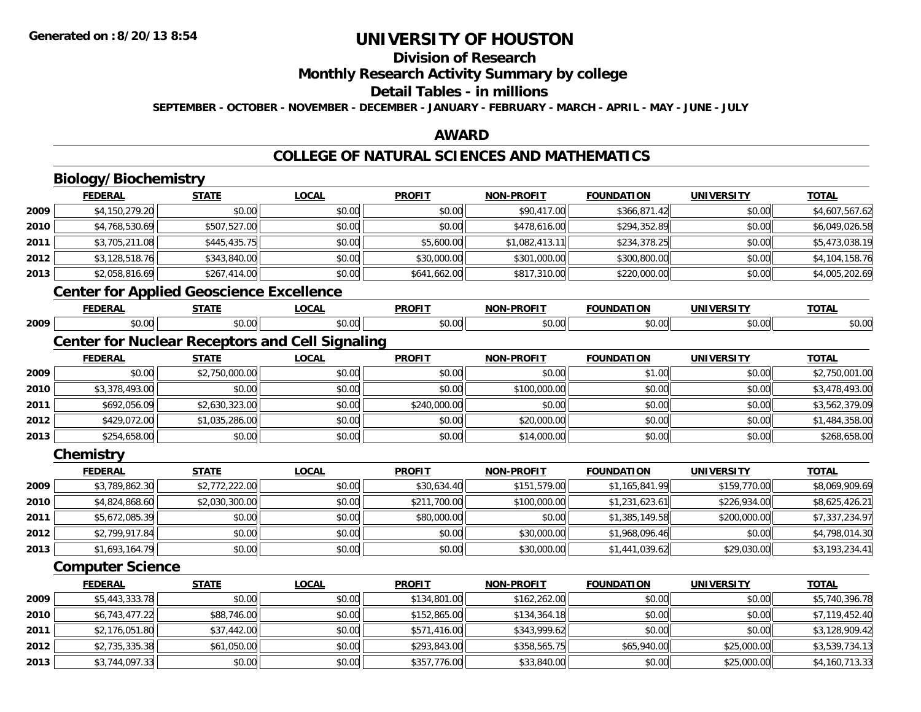## **Division of Research**

**Monthly Research Activity Summary by college**

# **Detail Tables - in millions**

**SEPTEMBER - OCTOBER - NOVEMBER - DECEMBER - JANUARY - FEBRUARY - MARCH - APRIL - MAY - JUNE - JULY**

## **AWARD**

# **COLLEGE OF NATURAL SCIENCES AND MATHEMATICS**

# **Biology/Biochemistry**

**2012**

**2013**

|      | <b>FEDERAL</b>                                  | <b>STATE</b>   | <b>LOCAL</b>                                           | <b>PROFIT</b> | <b>NON-PROFIT</b> | <b>FOUNDATION</b> | <b>UNIVERSITY</b> | <b>TOTAL</b>   |
|------|-------------------------------------------------|----------------|--------------------------------------------------------|---------------|-------------------|-------------------|-------------------|----------------|
| 2009 | \$4,150,279.20                                  | \$0.00         | \$0.00                                                 | \$0.00        | \$90,417.00       | \$366,871.42      | \$0.00            | \$4,607,567.62 |
| 2010 | \$4,768,530.69                                  | \$507,527.00   | \$0.00                                                 | \$0.00        | \$478,616.00      | \$294,352.89      | \$0.00            | \$6,049,026.58 |
| 2011 | \$3,705,211.08                                  | \$445,435.75   | \$0.00                                                 | \$5,600.00    | \$1,082,413.11    | \$234,378.25      | \$0.00            | \$5,473,038.19 |
| 2012 | \$3,128,518.76                                  | \$343,840.00   | \$0.00                                                 | \$30,000.00   | \$301,000.00      | \$300,800.00      | \$0.00            | \$4,104,158.76 |
| 2013 | \$2,058,816.69                                  | \$267,414.00   | \$0.00                                                 | \$641,662.00  | \$817,310.00      | \$220,000.00      | \$0.00            | \$4,005,202.69 |
|      | <b>Center for Applied Geoscience Excellence</b> |                |                                                        |               |                   |                   |                   |                |
|      | <b>FEDERAL</b>                                  | <b>STATE</b>   | <b>LOCAL</b>                                           | <b>PROFIT</b> | <b>NON-PROFIT</b> | <b>FOUNDATION</b> | <b>UNIVERSITY</b> | <b>TOTAL</b>   |
| 2009 | \$0.00                                          | \$0.00         | \$0.00                                                 | \$0.00        | \$0.00            | \$0.00            | \$0.00            | \$0.00         |
|      |                                                 |                | <b>Center for Nuclear Receptors and Cell Signaling</b> |               |                   |                   |                   |                |
|      | <b>FEDERAL</b>                                  | <b>STATE</b>   | <b>LOCAL</b>                                           | <b>PROFIT</b> | <b>NON-PROFIT</b> | <b>FOUNDATION</b> | <b>UNIVERSITY</b> | <b>TOTAL</b>   |
| 2009 | \$0.00                                          | \$2,750,000.00 | \$0.00                                                 | \$0.00        | \$0.00            | \$1.00            | \$0.00            | \$2,750,001.00 |
| 2010 | \$3,378,493.00                                  | \$0.00         | \$0.00                                                 | \$0.00        | \$100,000.00      | \$0.00            | \$0.00            | \$3,478,493.00 |
| 2011 | \$692,056.09                                    | \$2,630,323.00 | \$0.00                                                 | \$240,000.00  | \$0.00            | \$0.00            | \$0.00            | \$3,562,379.09 |
| 2012 | \$429,072.00                                    | \$1,035,286.00 | \$0.00                                                 | \$0.00        | \$20,000.00       | \$0.00            | \$0.00            | \$1,484,358.00 |
| 2013 | \$254,658.00                                    | \$0.00         | \$0.00                                                 | \$0.00        | \$14,000.00       | \$0.00            | \$0.00            | \$268,658.00   |
|      | Chemistry                                       |                |                                                        |               |                   |                   |                   |                |
|      | <b>FEDERAL</b>                                  | <b>STATE</b>   | <b>LOCAL</b>                                           | <b>PROFIT</b> | <b>NON-PROFIT</b> | <b>FOUNDATION</b> | <b>UNIVERSITY</b> | <b>TOTAL</b>   |
| 2009 | \$3,789,862.30                                  | \$2,772,222.00 | \$0.00                                                 | \$30,634.40   | \$151,579.00      | \$1,165,841.99    | \$159,770.00      | \$8,069,909.69 |
| 2010 | \$4,824,868.60                                  | \$2,030,300.00 | \$0.00                                                 | \$211,700.00  | \$100,000.00      | \$1,231,623.61    | \$226,934.00      | \$8,625,426.21 |
| 2011 | \$5,672,085.39                                  | \$0.00         | \$0.00                                                 | \$80,000.00   | \$0.00            | \$1,385,149.58    | \$200,000.00      | \$7,337,234.97 |
| 2012 | \$2,799,917.84                                  | \$0.00         | \$0.00                                                 | \$0.00        | \$30,000.00       | \$1,968,096.46    | \$0.00            | \$4,798,014.30 |
| 2013 | \$1,693,164.79                                  | \$0.00         | \$0.00                                                 | \$0.00        | \$30,000.00       | \$1,441,039.62    | \$29,030.00       | \$3,193,234.41 |
|      | <b>Computer Science</b>                         |                |                                                        |               |                   |                   |                   |                |
|      | <b>FEDERAL</b>                                  | <b>STATE</b>   | <b>LOCAL</b>                                           | <b>PROFIT</b> | <b>NON-PROFIT</b> | <b>FOUNDATION</b> | <b>UNIVERSITY</b> | <b>TOTAL</b>   |
| 2009 | \$5,443,333.78                                  | \$0.00         | \$0.00                                                 | \$134,801.00  | \$162,262.00      | \$0.00            | \$0.00            | \$5,740,396.78 |
| 2010 | \$6,743,477.22                                  | \$88,746.00    | \$0.00                                                 | \$152,865.00  | \$134,364.18      | \$0.00            | \$0.00            | \$7,119,452.40 |
| 2011 | \$2,176,051.80                                  | \$37,442.00    | \$0.00                                                 | \$571,416.00  | \$343,999.62      | \$0.00            | \$0.00            | \$3,128,909.42 |

\$2,735,335.38 \$61,050.00 \$0.00 \$293,843.00 \$358,565.75 \$65,940.00 \$25,000.00 \$3,539,734.13

\$3,744,097.33 \$0.00 \$0.00 \$357,776.00 \$33,840.00 \$0.00 \$25,000.00 \$4,160,713.33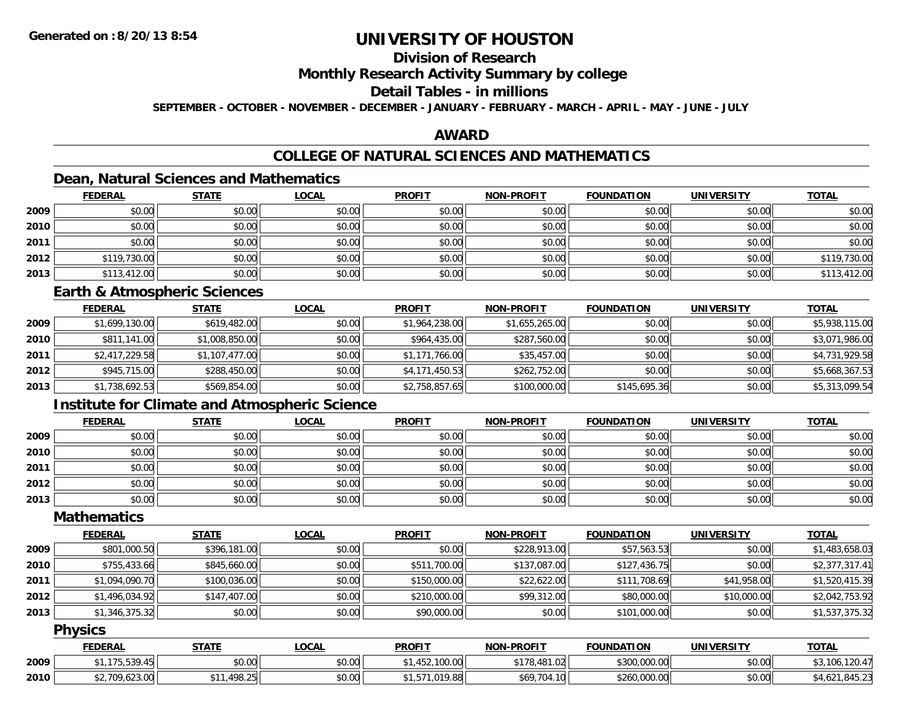# **Division of Research**

## **Monthly Research Activity Summary by college**

## **Detail Tables - in millions**

**SEPTEMBER - OCTOBER - NOVEMBER - DECEMBER - JANUARY - FEBRUARY - MARCH - APRIL - MAY - JUNE - JULY**

## **AWARD**

# **COLLEGE OF NATURAL SCIENCES AND MATHEMATICS**

## **Dean, Natural Sciences and Mathematics**

|      | <b>FEDERAL</b> | <b>STATE</b> | <u>LOCAL</u> | <b>PROFIT</b> | <b>NON-PROFIT</b> | <b>FOUNDATION</b> | <b>UNIVERSITY</b> | <b>TOTAL</b> |
|------|----------------|--------------|--------------|---------------|-------------------|-------------------|-------------------|--------------|
| 2009 | \$0.00         | \$0.00       | \$0.00       | \$0.00        | \$0.00            | \$0.00            | \$0.00            | \$0.00       |
| 2010 | \$0.00         | \$0.00       | \$0.00       | \$0.00        | \$0.00            | \$0.00            | \$0.00            | \$0.00       |
| 2011 | \$0.00         | \$0.00       | \$0.00       | \$0.00        | \$0.00            | \$0.00            | \$0.00            | \$0.00       |
| 2012 | \$119,730.00   | \$0.00       | \$0.00       | \$0.00        | \$0.00            | \$0.00            | \$0.00            | \$119,730.00 |
| 2013 | \$113,412.00   | \$0.00       | \$0.00       | \$0.00        | \$0.00            | \$0.00            | \$0.00            | \$113,412.00 |

### **Earth & Atmospheric Sciences**

|      | <b>FEDERAL</b> | <b>STATE</b>   | <b>LOCAL</b> | <b>PROFIT</b>  | <b>NON-PROFIT</b> | <b>FOUNDATION</b> | <b>UNIVERSITY</b> | <b>TOTAL</b>   |
|------|----------------|----------------|--------------|----------------|-------------------|-------------------|-------------------|----------------|
| 2009 | \$1,699,130.00 | \$619,482.00   | \$0.00       | \$1,964,238.00 | \$1,655,265.00    | \$0.00            | \$0.00            | \$5,938,115.00 |
| 2010 | \$811,141.00   | \$1,008,850.00 | \$0.00       | \$964,435.00   | \$287,560.00      | \$0.00            | \$0.00            | \$3,071,986.00 |
| 2011 | \$2,417,229.58 | \$1,107,477.00 | \$0.00       | \$1,171,766.00 | \$35,457.00       | \$0.00            | \$0.00            | \$4,731,929.58 |
| 2012 | \$945,715.00   | \$288,450.00   | \$0.00       | \$4,171,450.53 | \$262,752.00      | \$0.00            | \$0.00            | \$5,668,367.53 |
| 2013 | \$1,738,692.53 | \$569,854.00   | \$0.00       | \$2,758,857.65 | \$100,000.00      | \$145,695.36      | \$0.00            | \$5,313,099.54 |

## **Institute for Climate and Atmospheric Science**

|      | <b>FEDERAL</b> | <b>STATE</b> | <b>LOCAL</b> | <b>PROFIT</b> | <b>NON-PROFIT</b> | <b>FOUNDATION</b> | <b>UNIVERSITY</b> | <b>TOTAL</b> |
|------|----------------|--------------|--------------|---------------|-------------------|-------------------|-------------------|--------------|
| 2009 | \$0.00         | \$0.00       | \$0.00       | \$0.00        | \$0.00            | \$0.00            | \$0.00            | \$0.00       |
| 2010 | \$0.00         | \$0.00       | \$0.00       | \$0.00        | \$0.00            | \$0.00            | \$0.00            | \$0.00       |
| 2011 | \$0.00         | \$0.00       | \$0.00       | \$0.00        | \$0.00            | \$0.00            | \$0.00            | \$0.00       |
| 2012 | \$0.00         | \$0.00       | \$0.00       | \$0.00        | \$0.00            | \$0.00            | \$0.00            | \$0.00       |
| 2013 | \$0.00         | \$0.00       | \$0.00       | \$0.00        | \$0.00            | \$0.00            | \$0.00            | \$0.00       |

## **Mathematics**

|      | <b>FEDERAL</b> | <b>STATE</b> | <b>LOCAL</b> | <b>PROFIT</b> | <b>NON-PROFIT</b> | <b>FOUNDATION</b> | <b>UNIVERSITY</b> | <b>TOTAL</b>   |
|------|----------------|--------------|--------------|---------------|-------------------|-------------------|-------------------|----------------|
| 2009 | \$801,000.50   | \$396,181.00 | \$0.00       | \$0.00        | \$228,913.00      | \$57,563.53       | \$0.00            | \$1,483,658.03 |
| 2010 | \$755,433.66   | \$845,660.00 | \$0.00       | \$511,700.00  | \$137,087.00      | \$127,436.75      | \$0.00            | \$2,377,317.41 |
| 2011 | \$1,094,090.70 | \$100,036.00 | \$0.00       | \$150,000.00  | \$22,622.00       | \$111,708.69      | \$41,958.00       | \$1,520,415.39 |
| 2012 | \$1,496,034.92 | \$147,407.00 | \$0.00       | \$210,000.00  | \$99,312.00       | \$80,000.00       | \$10,000.00       | \$2,042,753.92 |
| 2013 | \$1,346,375.32 | \$0.00       | \$0.00       | \$90,000.00   | \$0.00            | \$101,000.00      | \$0.00            | \$1,537,375.32 |

## **Physics**

|      | <b>FEDERAL</b>               | STATE                       | _OCAL  | <b>PROFIT</b>            | <b>NON-PROFIT</b>       | <b>FOUNDATION</b>            | UNIVERSITY | <b>TOTAL</b>                |
|------|------------------------------|-----------------------------|--------|--------------------------|-------------------------|------------------------------|------------|-----------------------------|
| 2009 | $F^{\wedge}$                 | 0000<br>JU.UU               | \$0.00 | 1.10000<br>JU.UU         | $+1-$<br>178.481<br>.02 | \$300,000.00                 | \$0.00     | 120<br>106<br>,,,,<br>. د ب |
| 2010 | 10000<br>\$2,700<br>7.023.UU | 198.25<br>AAA<br>- 7 J.L.J. | \$0.00 | 01000<br>9.00<br>$\cdot$ | \$69,704.10<br>. .      | <b>CO OOO OOO</b><br>LUUU.UU | \$0.00     | ┱、 <i>រ . ∠</i>             |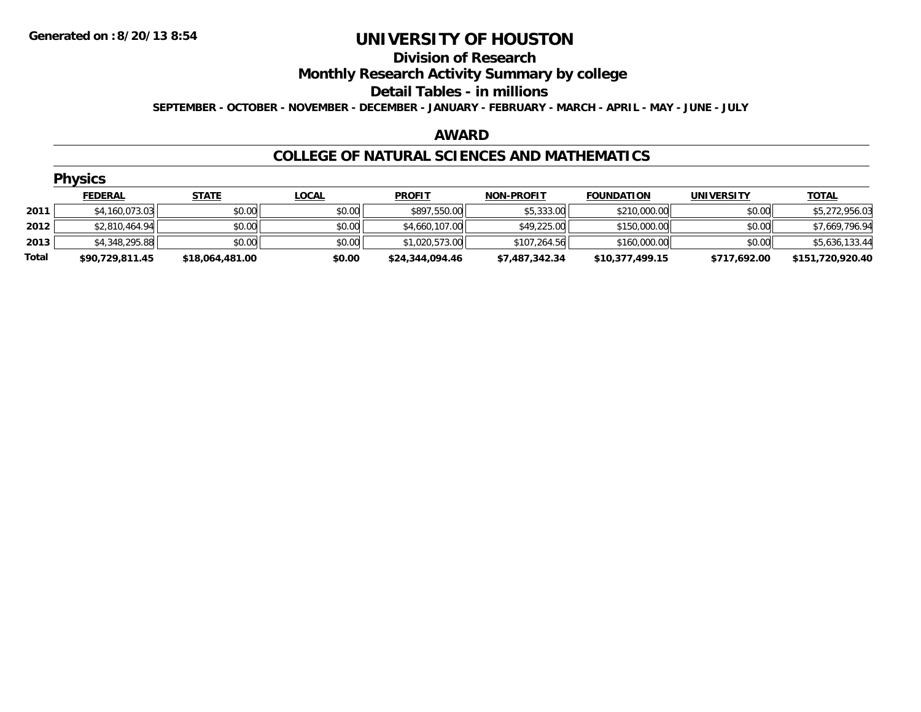#### **Division of Research**

**Monthly Research Activity Summary by college**

#### **Detail Tables - in millions**

**SEPTEMBER - OCTOBER - NOVEMBER - DECEMBER - JANUARY - FEBRUARY - MARCH - APRIL - MAY - JUNE - JULY**

#### **AWARD**

### **COLLEGE OF NATURAL SCIENCES AND MATHEMATICS**

|       | <b>Physics</b>  |                 |              |                 |                   |                   |                   |                  |  |  |  |  |
|-------|-----------------|-----------------|--------------|-----------------|-------------------|-------------------|-------------------|------------------|--|--|--|--|
|       | <b>FEDERAL</b>  | <b>STATE</b>    | <b>LOCAL</b> | <b>PROFIT</b>   | <b>NON-PROFIT</b> | <b>FOUNDATION</b> | <b>UNIVERSITY</b> | <u>TOTAL</u>     |  |  |  |  |
| 2011  | \$4,160,073.03  | \$0.00          | \$0.00       | \$897,550.00    | \$5,333.00        | \$210,000.00      | \$0.00            | \$5,272,956.03   |  |  |  |  |
| 2012  | \$2,810,464.94  | \$0.00          | \$0.00       | \$4,660,107.00  | \$49,225.00       | \$150,000.00      | \$0.00            | \$7,669,796.94   |  |  |  |  |
| 2013  | \$4,348,295.88  | \$0.00          | \$0.00       | \$1,020,573.00  | \$107,264.56      | \$160,000.00      | \$0.00            | \$5,636,133.44   |  |  |  |  |
| Total | \$90,729,811.45 | \$18,064,481.00 | \$0.00       | \$24,344,094.46 | \$7,487,342.34    | \$10,377,499.15   | \$717,692.00      | \$151,720,920.40 |  |  |  |  |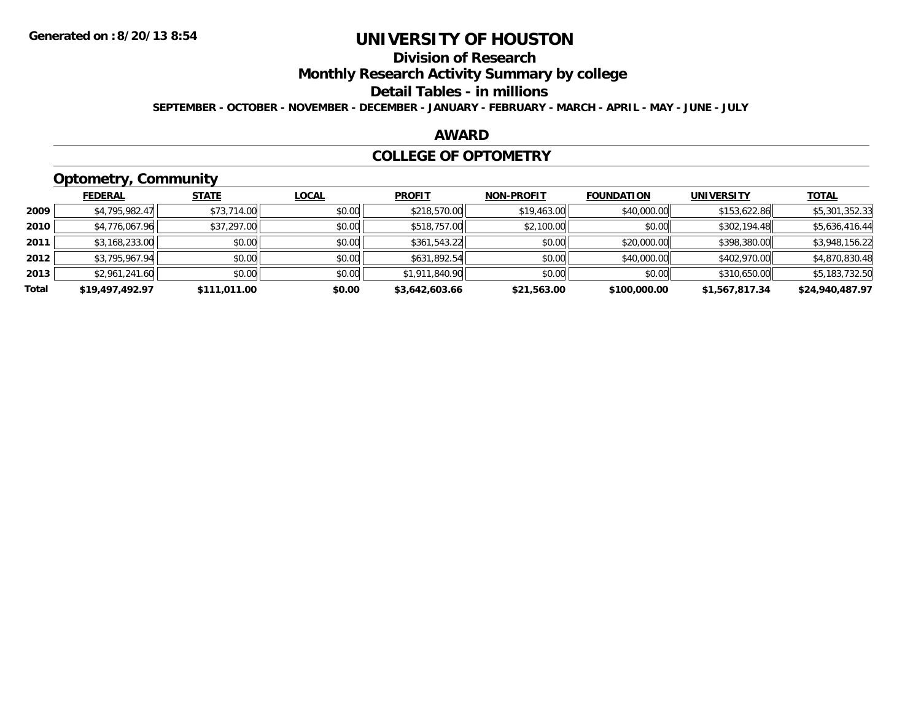# **Division of Research**

**Monthly Research Activity Summary by college**

#### **Detail Tables - in millions**

**SEPTEMBER - OCTOBER - NOVEMBER - DECEMBER - JANUARY - FEBRUARY - MARCH - APRIL - MAY - JUNE - JULY**

## **AWARD**

### **COLLEGE OF OPTOMETRY**

# **Optometry, Community**

|       | .               |              |              |                |                   |                   |                   |                 |
|-------|-----------------|--------------|--------------|----------------|-------------------|-------------------|-------------------|-----------------|
|       | <b>FEDERAL</b>  | <b>STATE</b> | <b>LOCAL</b> | <b>PROFIT</b>  | <b>NON-PROFIT</b> | <b>FOUNDATION</b> | <b>UNIVERSITY</b> | <b>TOTAL</b>    |
| 2009  | \$4,795,982.47  | \$73,714.00  | \$0.00       | \$218,570.00   | \$19,463.00       | \$40,000.00       | \$153,622.86      | \$5,301,352.33  |
| 2010  | \$4,776,067.96  | \$37,297.00  | \$0.00       | \$518,757.00   | \$2,100.00        | \$0.00            | \$302,194.48      | \$5,636,416.44  |
| 2011  | \$3,168,233.00  | \$0.00       | \$0.00       | \$361,543.22   | \$0.00            | \$20,000.00       | \$398,380.00      | \$3,948,156.22  |
| 2012  | \$3,795,967.94  | \$0.00       | \$0.00       | \$631,892.54   | \$0.00            | \$40,000.00       | \$402,970.00      | \$4,870,830.48  |
| 2013  | \$2,961,241.60  | \$0.00       | \$0.00       | \$1,911,840.90 | \$0.00            | \$0.00            | \$310,650.00      | \$5,183,732.50  |
| Total | \$19,497,492.97 | \$111.011.00 | \$0.00       | \$3,642,603.66 | \$21,563.00       | \$100,000.00      | \$1,567,817.34    | \$24,940,487.97 |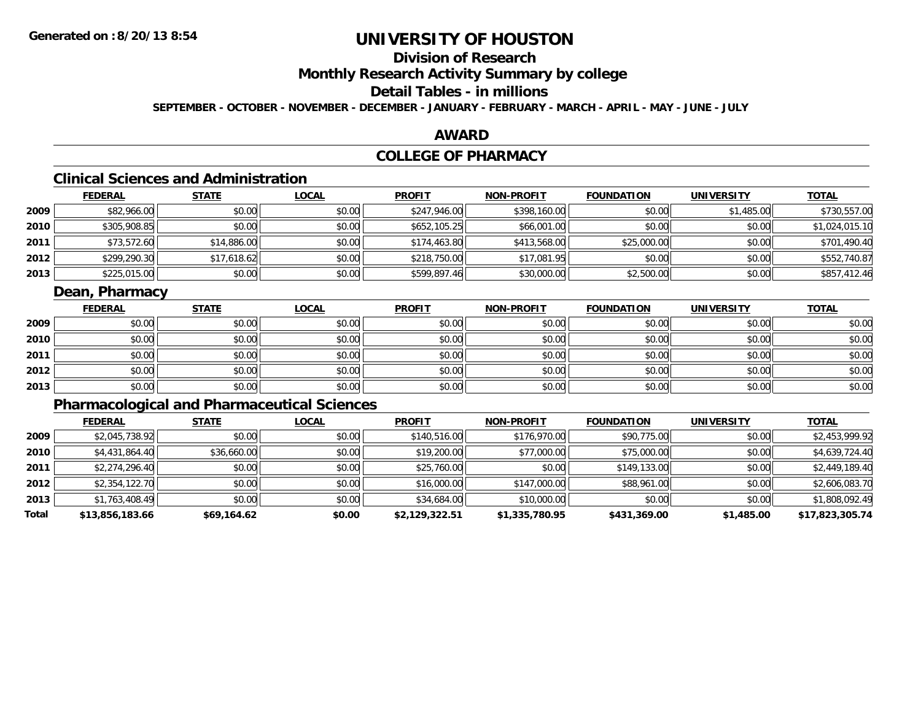# **Division of Research**

**Monthly Research Activity Summary by college**

# **Detail Tables - in millions**

**SEPTEMBER - OCTOBER - NOVEMBER - DECEMBER - JANUARY - FEBRUARY - MARCH - APRIL - MAY - JUNE - JULY**

## **AWARD**

# **COLLEGE OF PHARMACY**

# **Clinical Sciences and Administration**

|      | <b>FEDERAL</b> | <b>STATE</b> | <b>LOCAL</b> | <b>PROFIT</b> | <b>NON-PROFIT</b> | <b>FOUNDATION</b> | <b>UNIVERSITY</b> | <u>TOTAL</u>   |
|------|----------------|--------------|--------------|---------------|-------------------|-------------------|-------------------|----------------|
| 2009 | \$82,966.00    | \$0.00       | \$0.00       | \$247,946.00  | \$398,160.00      | \$0.00            | \$1,485.00        | \$730,557.00   |
| 2010 | \$305,908.85   | \$0.00       | \$0.00       | \$652,105.25  | \$66,001.00       | \$0.00            | \$0.00            | \$1,024,015.10 |
| 2011 | \$73,572.60    | \$14,886.00  | \$0.00       | \$174,463.80  | \$413,568.00      | \$25,000.00       | \$0.00            | \$701,490.40   |
| 2012 | \$299,290.30   | \$17,618.62  | \$0.00       | \$218,750.00  | \$17,081.95       | \$0.00            | \$0.00            | \$552,740.87   |
| 2013 | \$225,015.00   | \$0.00       | \$0.00       | \$599,897.46  | \$30,000.00       | \$2,500.00        | \$0.00            | \$857,412.46   |

## **Dean, Pharmacy**

|      | <u>FEDERAL</u> | <u>STATE</u> | <u>LOCAL</u> | <b>PROFIT</b> | <b>NON-PROFIT</b> | <b>FOUNDATION</b> | <b>UNIVERSITY</b> | <b>TOTAL</b> |
|------|----------------|--------------|--------------|---------------|-------------------|-------------------|-------------------|--------------|
| 2009 | \$0.00         | \$0.00       | \$0.00       | \$0.00        | \$0.00            | \$0.00            | \$0.00            | \$0.00       |
| 2010 | \$0.00         | \$0.00       | \$0.00       | \$0.00        | \$0.00            | \$0.00            | \$0.00            | \$0.00       |
| 2011 | \$0.00         | \$0.00       | \$0.00       | \$0.00        | \$0.00            | \$0.00            | \$0.00            | \$0.00       |
| 2012 | \$0.00         | \$0.00       | \$0.00       | \$0.00        | \$0.00            | \$0.00            | \$0.00            | \$0.00       |
| 2013 | \$0.00         | \$0.00       | \$0.00       | \$0.00        | \$0.00            | \$0.00            | \$0.00            | \$0.00       |

# **Pharmacological and Pharmaceutical Sciences**

|       | <b>FEDERAL</b>  | <b>STATE</b> | <b>LOCAL</b> | <b>PROFIT</b>  | <b>NON-PROFIT</b> | <b>FOUNDATION</b> | <b>UNIVERSITY</b> | <u>TOTAL</u>    |
|-------|-----------------|--------------|--------------|----------------|-------------------|-------------------|-------------------|-----------------|
| 2009  | \$2,045,738.92  | \$0.00       | \$0.00       | \$140,516.00   | \$176,970.00      | \$90,775.00       | \$0.00            | \$2,453,999.92  |
| 2010  | \$4,431,864.40  | \$36,660.00  | \$0.00       | \$19,200.00    | \$77,000.00       | \$75,000.00       | \$0.00            | \$4,639,724.40  |
| 2011  | \$2,274,296.40  | \$0.00       | \$0.00       | \$25,760.00    | \$0.00            | \$149,133.00      | \$0.00            | \$2,449,189.40  |
| 2012  | \$2,354,122.70  | \$0.00       | \$0.00       | \$16,000.00    | \$147,000.00      | \$88,961.00       | \$0.00            | \$2,606,083.70  |
| 2013  | \$1,763,408.49  | \$0.00       | \$0.00       | \$34,684.00    | \$10,000.00       | \$0.00            | \$0.00            | \$1,808,092.49  |
| Total | \$13,856,183.66 | \$69,164.62  | \$0.00       | \$2,129,322.51 | \$1,335,780.95    | \$431,369.00      | \$1,485.00        | \$17,823,305.74 |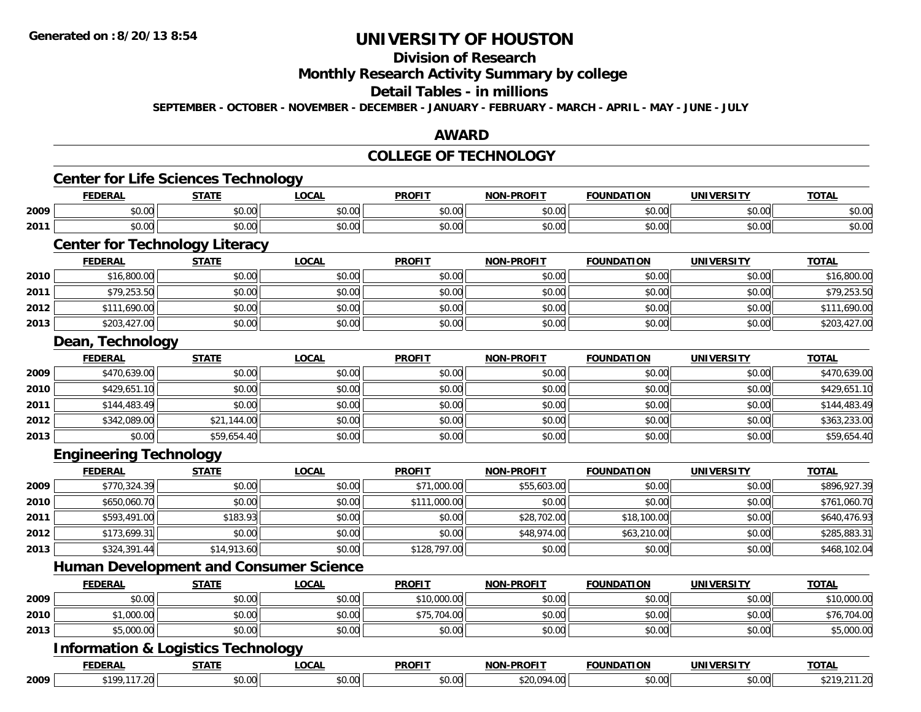#### **Division of Research**

**Monthly Research Activity Summary by college**

#### **Detail Tables - in millions**

**SEPTEMBER - OCTOBER - NOVEMBER - DECEMBER - JANUARY - FEBRUARY - MARCH - APRIL - MAY - JUNE - JULY**

## **AWARD**

### **COLLEGE OF TECHNOLOGY**

|      | <b>FEDERAL</b>                                | <b>STATE</b> | <b>LOCAL</b>                                  | <b>PROFIT</b> | <b>NON-PROFIT</b> | <b>FOUNDATION</b> | <b>UNIVERSITY</b> | <b>TOTAL</b> |
|------|-----------------------------------------------|--------------|-----------------------------------------------|---------------|-------------------|-------------------|-------------------|--------------|
| 2009 | \$0.00                                        | \$0.00       | \$0.00                                        | \$0.00        | \$0.00            | \$0.00            | \$0.00            | \$0.00       |
| 2011 | \$0.00                                        | \$0.00       | \$0.00                                        | \$0.00        | \$0.00            | \$0.00            | \$0.00            | \$0.00       |
|      | <b>Center for Technology Literacy</b>         |              |                                               |               |                   |                   |                   |              |
|      | <b>FEDERAL</b>                                | <b>STATE</b> | <b>LOCAL</b>                                  | <b>PROFIT</b> | <b>NON-PROFIT</b> | <b>FOUNDATION</b> | <b>UNIVERSITY</b> | <b>TOTAL</b> |
| 2010 | \$16,800.00                                   | \$0.00       | \$0.00                                        | \$0.00        | \$0.00            | \$0.00            | \$0.00            | \$16,800.00  |
| 2011 | \$79,253.50                                   | \$0.00       | \$0.00                                        | \$0.00        | \$0.00            | \$0.00            | \$0.00            | \$79,253.50  |
| 2012 | \$111,690.00                                  | \$0.00       | \$0.00                                        | \$0.00        | \$0.00            | \$0.00            | \$0.00            | \$111,690.00 |
| 2013 | \$203,427.00                                  | \$0.00       | \$0.00                                        | \$0.00        | \$0.00            | \$0.00            | \$0.00            | \$203,427.00 |
|      | Dean, Technology                              |              |                                               |               |                   |                   |                   |              |
|      | <b>FEDERAL</b>                                | <b>STATE</b> | <b>LOCAL</b>                                  | <b>PROFIT</b> | <b>NON-PROFIT</b> | <b>FOUNDATION</b> | <b>UNIVERSITY</b> | <b>TOTAL</b> |
| 2009 | \$470,639.00                                  | \$0.00       | \$0.00                                        | \$0.00        | \$0.00            | \$0.00            | \$0.00            | \$470,639.00 |
| 2010 | \$429,651.10                                  | \$0.00       | \$0.00                                        | \$0.00        | \$0.00            | \$0.00            | \$0.00            | \$429,651.10 |
| 2011 | \$144,483.49                                  | \$0.00       | \$0.00                                        | \$0.00        | \$0.00            | \$0.00            | \$0.00            | \$144,483.49 |
| 2012 | \$342,089.00                                  | \$21,144.00  | \$0.00                                        | \$0.00        | \$0.00            | \$0.00            | \$0.00            | \$363,233.00 |
| 2013 | \$0.00                                        | \$59,654.40  | \$0.00                                        | \$0.00        | \$0.00            | \$0.00            | \$0.00            | \$59,654.40  |
|      | <b>Engineering Technology</b>                 |              |                                               |               |                   |                   |                   |              |
|      | <b>FEDERAL</b>                                | <b>STATE</b> | <b>LOCAL</b>                                  | <b>PROFIT</b> | <b>NON-PROFIT</b> | <b>FOUNDATION</b> | <b>UNIVERSITY</b> | <b>TOTAL</b> |
| 2009 | \$770,324.39                                  | \$0.00       | \$0.00                                        | \$71,000.00   | \$55,603.00       | \$0.00            | \$0.00            | \$896,927.39 |
| 2010 | \$650,060.70                                  | \$0.00       | \$0.00                                        | \$111,000.00  | \$0.00            | \$0.00            | \$0.00            | \$761,060.70 |
| 2011 | \$593,491.00                                  | \$183.93     | \$0.00                                        | \$0.00        | \$28,702.00       | \$18,100.00       | \$0.00            | \$640,476.93 |
| 2012 | \$173,699.31                                  | \$0.00       | \$0.00                                        | \$0.00        | \$48,974.00       | \$63,210.00       | \$0.00            | \$285,883.31 |
| 2013 | \$324,391.44                                  | \$14,913.60  | \$0.00                                        | \$128,797.00  | \$0.00            | \$0.00            | \$0.00            | \$468,102.04 |
|      |                                               |              | <b>Human Development and Consumer Science</b> |               |                   |                   |                   |              |
|      | <b>FEDERAL</b>                                | <b>STATE</b> | <b>LOCAL</b>                                  | <b>PROFIT</b> | <b>NON-PROFIT</b> | <b>FOUNDATION</b> | <b>UNIVERSITY</b> | <b>TOTAL</b> |
| 2009 | \$0.00                                        | \$0.00       | \$0.00                                        | \$10,000.00   | \$0.00            | \$0.00            | \$0.00            | \$10,000.00  |
| 2010 | \$1,000.00                                    | \$0.00       | \$0.00                                        | \$75,704.00   | \$0.00            | \$0.00            | \$0.00            | \$76,704.00  |
| 2013 | \$5,000.00                                    | \$0.00       | \$0.00                                        | \$0.00        | \$0.00            | \$0.00            | \$0.00            | \$5,000.00   |
|      | <b>Information &amp; Logistics Technology</b> |              |                                               |               |                   |                   |                   |              |
|      | <b>FEDERAL</b>                                | <b>STATE</b> | <b>LOCAL</b>                                  | <b>PROFIT</b> | <b>NON-PROFIT</b> | <b>FOUNDATION</b> | <b>UNIVERSITY</b> | <b>TOTAL</b> |
| 2009 | \$199,117.20                                  | \$0.00       | \$0.00                                        | \$0.00        | \$20,094.00       | \$0.00            | \$0.00            | \$219,211.20 |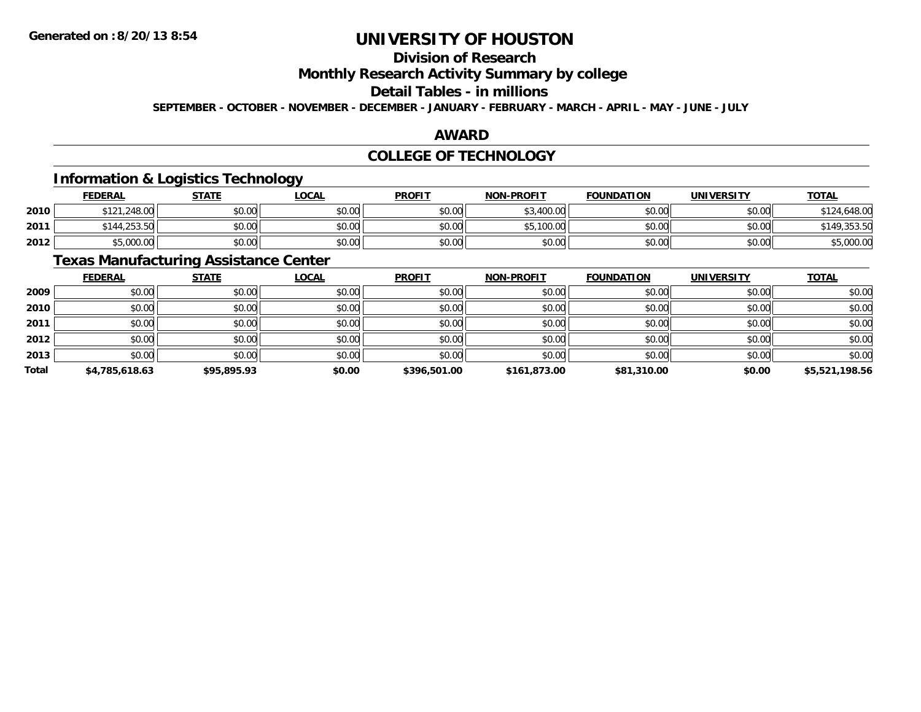# **Division of Research**

**Monthly Research Activity Summary by college**

# **Detail Tables - in millions**

**SEPTEMBER - OCTOBER - NOVEMBER - DECEMBER - JANUARY - FEBRUARY - MARCH - APRIL - MAY - JUNE - JULY**

## **AWARD**

## **COLLEGE OF TECHNOLOGY**

## **Information & Logistics Technology**

|      | <u>FEDERAL</u> | <b>STATE</b> | <b>_OCAL</b>             | <b>PROFIT</b> | <b>NON-PROFIT</b> | <b>FOUNDATION</b> | UNIVERSITY | <b>TOTAL</b>        |
|------|----------------|--------------|--------------------------|---------------|-------------------|-------------------|------------|---------------------|
| 2010 | \$121,248.00   | \$0.00       | $\circ$ $\circ$<br>DU.UU | \$0.00        | 400.00<br>ሖ       | \$0.00            | \$0.00     | 0.648.00<br>$^{24}$ |
| 2011 | \$144,253.50   | \$0.00       | \$0.00                   | \$0.00        | .100.00<br>ΨF.    | \$0.00            | \$0.00     |                     |
| 2012 | \$5,000.00     | \$0.00       | \$0.00                   | \$0.00        | \$0.00            | \$0.00            | \$0.00     | \$5,000.00          |

# **Texas Manufacturing Assistance Center**

|       | <b>FEDERAL</b> | <b>STATE</b> | <b>LOCAL</b> | <b>PROFIT</b> | <b>NON-PROFIT</b> | <b>FOUNDATION</b> | <b>UNIVERSITY</b> | <b>TOTAL</b>   |
|-------|----------------|--------------|--------------|---------------|-------------------|-------------------|-------------------|----------------|
| 2009  | \$0.00         | \$0.00       | \$0.00       | \$0.00        | \$0.00            | \$0.00            | \$0.00            | \$0.00         |
| 2010  | \$0.00         | \$0.00       | \$0.00       | \$0.00        | \$0.00            | \$0.00            | \$0.00            | \$0.00         |
| 2011  | \$0.00         | \$0.00       | \$0.00       | \$0.00        | \$0.00            | \$0.00            | \$0.00            | \$0.00         |
| 2012  | \$0.00         | \$0.00       | \$0.00       | \$0.00        | \$0.00            | \$0.00            | \$0.00            | \$0.00         |
| 2013  | \$0.00         | \$0.00       | \$0.00       | \$0.00        | \$0.00            | \$0.00            | \$0.00            | \$0.00         |
| Total | \$4,785,618.63 | \$95,895.93  | \$0.00       | \$396,501.00  | \$161,873.00      | \$81,310.00       | \$0.00            | \$5,521,198.56 |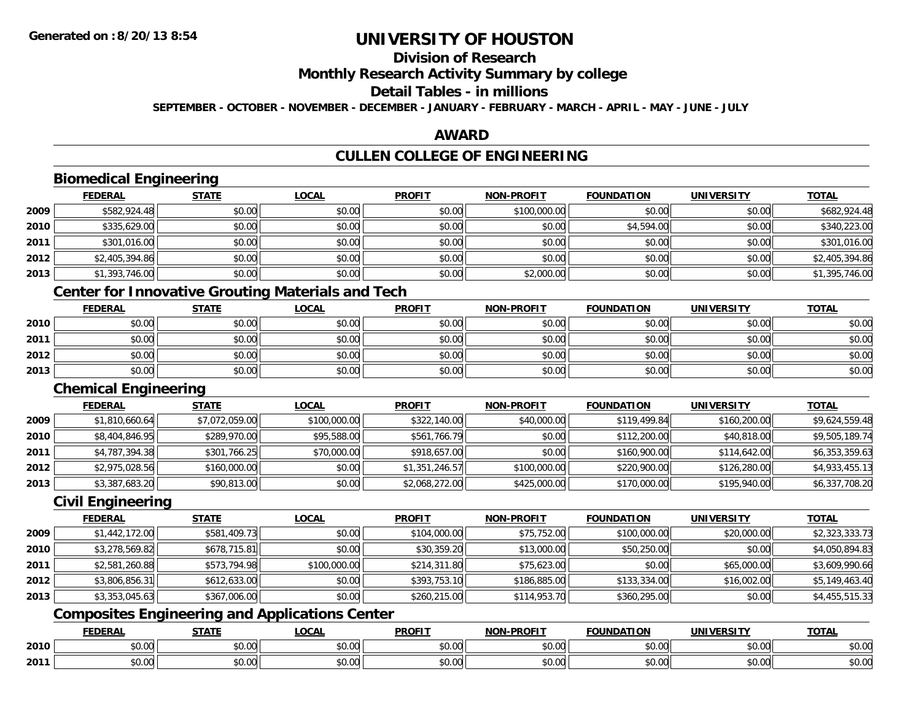**2010**

**2011**

# **UNIVERSITY OF HOUSTON**

# **Division of Research**

**Monthly Research Activity Summary by college**

#### **Detail Tables - in millions**

**SEPTEMBER - OCTOBER - NOVEMBER - DECEMBER - JANUARY - FEBRUARY - MARCH - APRIL - MAY - JUNE - JULY**

## **AWARD**

# **CULLEN COLLEGE OF ENGINEERING**

|      | <b>FEDERAL</b>              | <b>STATE</b>                                             | <b>LOCAL</b> | <b>PROFIT</b>  | <b>NON-PROFIT</b> | <b>FOUNDATION</b> | <b>UNIVERSITY</b> | <b>TOTAL</b>   |
|------|-----------------------------|----------------------------------------------------------|--------------|----------------|-------------------|-------------------|-------------------|----------------|
| 2009 | \$582,924.48                | \$0.00                                                   | \$0.00       | \$0.00         | \$100,000.00      | \$0.00            | \$0.00            | \$682,924.48   |
| 2010 | \$335,629.00                | \$0.00                                                   | \$0.00       | \$0.00         | \$0.00            | \$4,594.00        | \$0.00            | \$340,223.00   |
| 2011 | \$301,016.00                | \$0.00                                                   | \$0.00       | \$0.00         | \$0.00            | \$0.00            | \$0.00            | \$301,016.00   |
| 2012 | \$2,405,394.86              | \$0.00                                                   | \$0.00       | \$0.00         | \$0.00            | \$0.00            | \$0.00            | \$2,405,394.86 |
| 2013 | \$1,393,746.00              | \$0.00                                                   | \$0.00       | \$0.00         | \$2,000.00        | \$0.00            | \$0.00            | \$1,395,746.00 |
|      |                             | <b>Center for Innovative Grouting Materials and Tech</b> |              |                |                   |                   |                   |                |
|      | <b>FEDERAL</b>              | <b>STATE</b>                                             | <b>LOCAL</b> | <b>PROFIT</b>  | <b>NON-PROFIT</b> | <b>FOUNDATION</b> | <b>UNIVERSITY</b> | <b>TOTAL</b>   |
| 2010 | \$0.00                      | \$0.00                                                   | \$0.00       | \$0.00         | \$0.00            | \$0.00            | \$0.00            | \$0.00         |
| 2011 | \$0.00                      | \$0.00                                                   | \$0.00       | \$0.00         | \$0.00            | \$0.00            | \$0.00            | \$0.00         |
| 2012 | \$0.00                      | \$0.00                                                   | \$0.00       | \$0.00         | \$0.00            | \$0.00            | \$0.00            | \$0.00         |
| 2013 | \$0.00                      | \$0.00                                                   | \$0.00       | \$0.00         | \$0.00            | \$0.00            | \$0.00            | \$0.00         |
|      | <b>Chemical Engineering</b> |                                                          |              |                |                   |                   |                   |                |
|      | <b>FEDERAL</b>              | <b>STATE</b>                                             | <b>LOCAL</b> | <b>PROFIT</b>  | <b>NON-PROFIT</b> | <b>FOUNDATION</b> | <b>UNIVERSITY</b> | <b>TOTAL</b>   |
| 2009 | \$1,810,660.64              | \$7,072,059.00                                           | \$100,000.00 | \$322,140.00   | \$40,000.00       | \$119,499.84      | \$160,200.00      | \$9,624,559.48 |
| 2010 | \$8,404,846.95              | \$289,970.00                                             | \$95,588.00  | \$561,766.79   | \$0.00            | \$112,200.00      | \$40,818.00       | \$9,505,189.74 |
| 2011 | \$4,787,394.38              | \$301,766.25                                             | \$70,000.00  | \$918,657.00   | \$0.00            | \$160,900.00      | \$114,642.00      | \$6,353,359.63 |
| 2012 | \$2,975,028.56              | \$160,000.00                                             | \$0.00       | \$1,351,246.57 | \$100,000.00      | \$220,900.00      | \$126,280.00      | \$4,933,455.13 |
| 2013 | \$3,387,683.20              | \$90,813.00                                              | \$0.00       | \$2,068,272.00 | \$425,000.00      | \$170,000.00      | \$195,940.00      | \$6,337,708.20 |
|      | <b>Civil Engineering</b>    |                                                          |              |                |                   |                   |                   |                |
|      | <b>FEDERAL</b>              | <b>STATE</b>                                             | <b>LOCAL</b> | <b>PROFIT</b>  | <b>NON-PROFIT</b> | <b>FOUNDATION</b> | <b>UNIVERSITY</b> | <b>TOTAL</b>   |
| 2009 | \$1,442,172.00              | \$581,409.73                                             | \$0.00       | \$104,000.00   | \$75,752.00       | \$100,000.00      | \$20,000.00       | \$2,323,333.73 |
| 2010 | \$3,278,569.82              | \$678,715.81                                             | \$0.00       | \$30,359.20    | \$13,000.00       | \$50,250.00       | \$0.00            | \$4,050,894.83 |
| 2011 | \$2,581,260.88              | \$573,794.98                                             | \$100,000.00 | \$214,311.80   | \$75,623.00       | \$0.00            | \$65,000.00       | \$3,609,990.66 |
| 2012 | \$3,806,856.31              | \$612,633.00                                             | \$0.00       | \$393,753.10   | \$186,885.00      | \$133,334.00      | \$16,002.00       | \$5,149,463.40 |
| 2013 | \$3,353,045.63              | \$367,006.00                                             | \$0.00       | \$260,215.00   | \$114,953.70      | \$360,295.00      | \$0.00            | \$4,455,515.33 |
|      |                             | <b>Composites Engineering and Applications Center</b>    |              |                |                   |                   |                   |                |
|      | <b>FEDERAL</b>              | <b>STATE</b>                                             | <b>LOCAL</b> | <b>PROFIT</b>  | <b>NON-PROFIT</b> | <b>FOUNDATION</b> | <b>UNIVERSITY</b> | <b>TOTAL</b>   |

0 \$0.00 \$0.00 \$0.00 \$0.00 \$0.00 \$0.00 \$0.00 \$0.00 \$0.00 \$0.00 \$0.00 \$0.00 \$0.00 \$0.00 \$0.00 \$0.00 \$0.00 \$0.00

\$0.00 \$0.00 \$0.00 \$0.00 \$0.00 \$0.00 \$0.00 \$0.00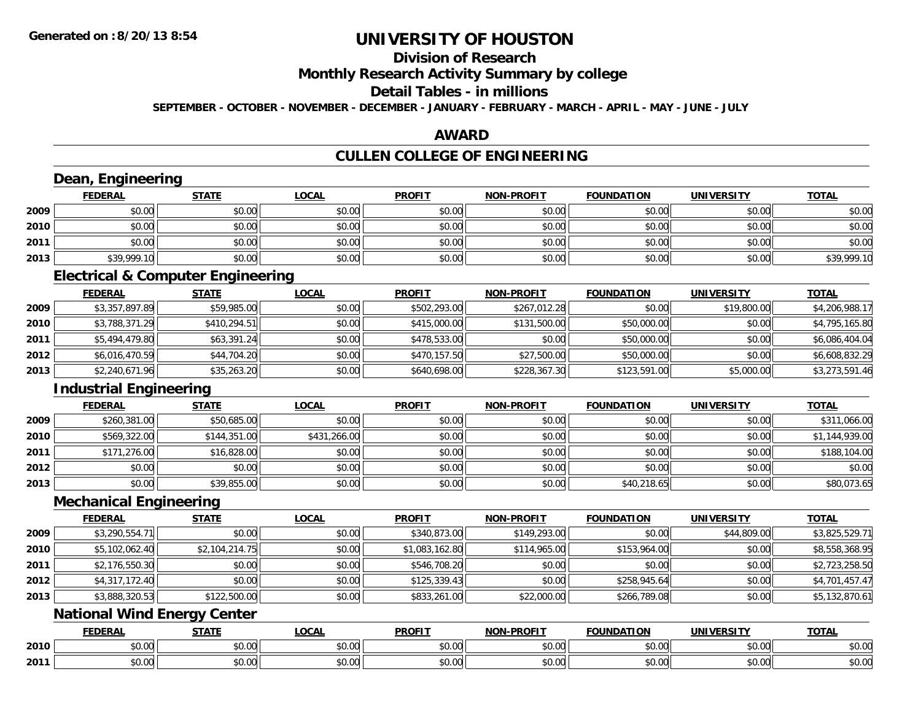# **Division of Research**

**Monthly Research Activity Summary by college**

#### **Detail Tables - in millions**

**SEPTEMBER - OCTOBER - NOVEMBER - DECEMBER - JANUARY - FEBRUARY - MARCH - APRIL - MAY - JUNE - JULY**

### **AWARD**

# **CULLEN COLLEGE OF ENGINEERING**

|      | Dean, Engineering                            |                |              |                |                   |                   |                   |                |
|------|----------------------------------------------|----------------|--------------|----------------|-------------------|-------------------|-------------------|----------------|
|      | <b>FEDERAL</b>                               | <b>STATE</b>   | <b>LOCAL</b> | <b>PROFIT</b>  | <b>NON-PROFIT</b> | <b>FOUNDATION</b> | <b>UNIVERSITY</b> | <b>TOTAL</b>   |
| 2009 | \$0.00                                       | \$0.00         | \$0.00       | \$0.00         | \$0.00            | \$0.00            | \$0.00            | \$0.00         |
| 2010 | \$0.00                                       | \$0.00         | \$0.00       | \$0.00         | \$0.00            | \$0.00            | \$0.00            | \$0.00         |
| 2011 | \$0.00                                       | \$0.00         | \$0.00       | \$0.00         | \$0.00            | \$0.00            | \$0.00            | \$0.00         |
| 2013 | \$39,999.10                                  | \$0.00         | \$0.00       | \$0.00         | \$0.00            | \$0.00            | \$0.00            | \$39,999.10    |
|      | <b>Electrical &amp; Computer Engineering</b> |                |              |                |                   |                   |                   |                |
|      | <b>FEDERAL</b>                               | <b>STATE</b>   | <b>LOCAL</b> | <b>PROFIT</b>  | <b>NON-PROFIT</b> | <b>FOUNDATION</b> | <b>UNIVERSITY</b> | <b>TOTAL</b>   |
| 2009 | \$3,357,897.89                               | \$59,985.00    | \$0.00       | \$502,293.00   | \$267,012.28      | \$0.00            | \$19,800.00       | \$4,206,988.17 |
| 2010 | \$3,788,371.29                               | \$410,294.51   | \$0.00       | \$415,000.00   | \$131,500.00      | \$50,000.00       | \$0.00            | \$4,795,165.80 |
| 2011 | \$5,494,479.80                               | \$63,391.24    | \$0.00       | \$478,533.00   | \$0.00            | \$50,000.00       | \$0.00            | \$6,086,404.04 |
| 2012 | \$6,016,470.59                               | \$44,704.20    | \$0.00       | \$470,157.50   | \$27,500.00       | \$50,000.00       | \$0.00            | \$6,608,832.29 |
| 2013 | \$2,240,671.96                               | \$35,263.20    | \$0.00       | \$640,698.00   | \$228,367.30      | \$123,591.00      | \$5,000.00        | \$3,273,591.46 |
|      | <b>Industrial Engineering</b>                |                |              |                |                   |                   |                   |                |
|      | <b>FEDERAL</b>                               | <b>STATE</b>   | <b>LOCAL</b> | <b>PROFIT</b>  | <b>NON-PROFIT</b> | <b>FOUNDATION</b> | <b>UNIVERSITY</b> | <b>TOTAL</b>   |
| 2009 | \$260,381.00                                 | \$50,685.00    | \$0.00       | \$0.00         | \$0.00            | \$0.00            | \$0.00            | \$311,066.00   |
| 2010 | \$569,322.00                                 | \$144,351.00   | \$431,266.00 | \$0.00         | \$0.00            | \$0.00            | \$0.00            | \$1,144,939.00 |
| 2011 | \$171,276.00                                 | \$16,828.00    | \$0.00       | \$0.00         | \$0.00            | \$0.00            | \$0.00            | \$188,104.00   |
| 2012 | \$0.00                                       | \$0.00         | \$0.00       | \$0.00         | \$0.00            | \$0.00            | \$0.00            | \$0.00         |
| 2013 | \$0.00                                       | \$39,855.00    | \$0.00       | \$0.00         | \$0.00            | \$40,218.65       | \$0.00            | \$80,073.65    |
|      | <b>Mechanical Engineering</b>                |                |              |                |                   |                   |                   |                |
|      | <b>FEDERAL</b>                               | <b>STATE</b>   | <b>LOCAL</b> | <b>PROFIT</b>  | <b>NON-PROFIT</b> | <b>FOUNDATION</b> | <b>UNIVERSITY</b> | <b>TOTAL</b>   |
| 2009 | \$3,290,554.71                               | \$0.00         | \$0.00       | \$340,873.00   | \$149,293.00      | \$0.00            | \$44,809.00       | \$3,825,529.71 |
| 2010 | \$5,102,062.40                               | \$2,104,214.75 | \$0.00       | \$1,083,162.80 | \$114,965.00      | \$153,964.00      | \$0.00            | \$8,558,368.95 |
| 2011 | \$2,176,550.30                               | \$0.00         | \$0.00       | \$546,708.20   | \$0.00            | \$0.00            | \$0.00            | \$2,723,258.50 |
| 2012 | \$4,317,172.40                               | \$0.00         | \$0.00       | \$125,339.43   | \$0.00            | \$258,945.64      | \$0.00            | \$4,701,457.47 |
| 2013 | \$3,888,320.53                               | \$122,500.00   | \$0.00       | \$833,261.00   | \$22,000.00       | \$266,789.08      | \$0.00            | \$5,132,870.61 |
|      | <b>National Wind Energy Center</b>           |                |              |                |                   |                   |                   |                |
|      | <b>FEDERAL</b>                               | <b>STATE</b>   | <b>LOCAL</b> | <b>PROFIT</b>  | <b>NON-PROFIT</b> | <b>FOUNDATION</b> | <b>UNIVERSITY</b> | <b>TOTAL</b>   |
| 2010 | \$0.00                                       | \$0.00         | \$0.00       | \$0.00         | \$0.00            | \$0.00            | \$0.00            | \$0.00         |
| 2011 | \$0.00                                       | \$0.00         | \$0.00       | \$0.00         | \$0.00            | \$0.00            | \$0.00            | \$0.00         |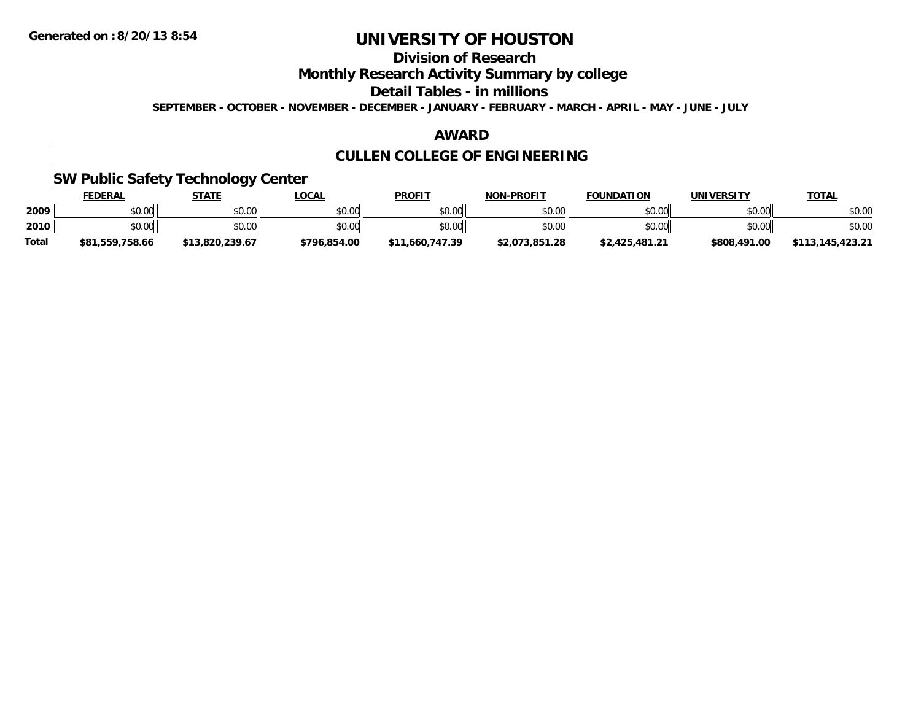# **Division of Research**

**Monthly Research Activity Summary by college**

**Detail Tables - in millions**

**SEPTEMBER - OCTOBER - NOVEMBER - DECEMBER - JANUARY - FEBRUARY - MARCH - APRIL - MAY - JUNE - JULY**

## **AWARD**

# **CULLEN COLLEGE OF ENGINEERING**

## **SW Public Safety Technology Center**

|              | <b>FEDERAL</b>  | <b>STATE</b>    | <u>LOCAL</u> | <b>PROFIT</b>   | <b>NON-PROFIT</b> | <b>FOUNDATION</b> | UNIVERSITY   | <u>TOTAL</u>     |
|--------------|-----------------|-----------------|--------------|-----------------|-------------------|-------------------|--------------|------------------|
| 2009         | \$0.00          | \$0.00          | \$0.00       | \$0.00          | \$0.00            | \$0.00            | \$0.00       | \$0.00           |
| 2010         | \$0.00          | \$0.00          | \$0.00       | \$0.00          | \$0.00            | \$0.00            | \$0.00       | \$0.00           |
| <b>Total</b> | \$81,559,758.66 | \$13,820,239.67 | \$796,854.00 | \$11,660,747.39 | \$2,073,851.28    | \$2,425,481.21    | \$808,491.00 | \$113.145.423.21 |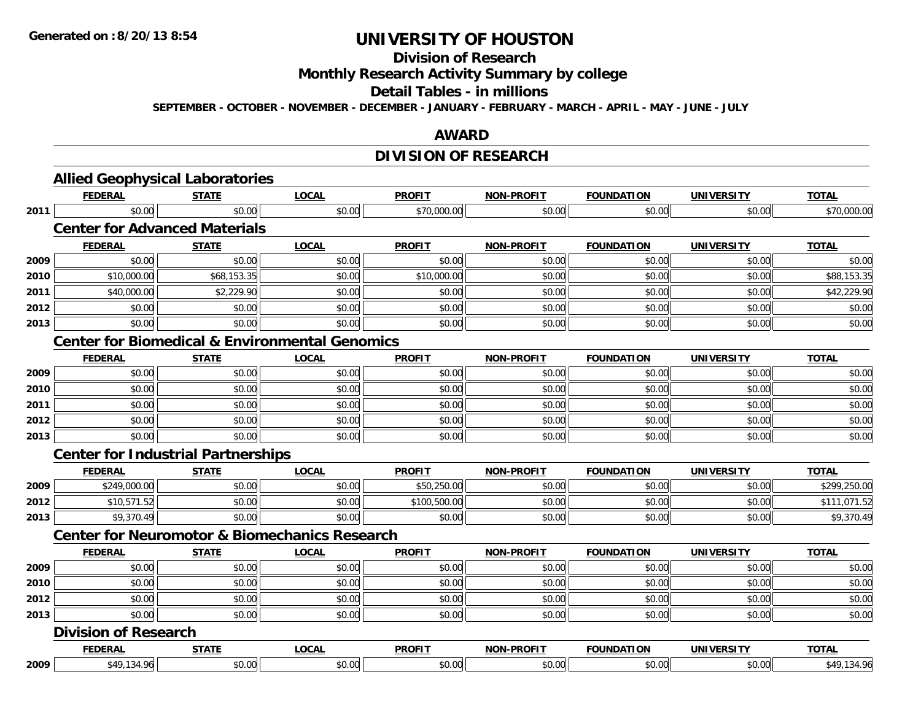# **Division of Research**

**Monthly Research Activity Summary by college**

#### **Detail Tables - in millions**

**SEPTEMBER - OCTOBER - NOVEMBER - DECEMBER - JANUARY - FEBRUARY - MARCH - APRIL - MAY - JUNE - JULY**

## **AWARD**

# **DIVISION OF RESEARCH**

|      | <b>FEDERAL</b>                                            | <b>STATE</b> | <b>LOCAL</b> | <b>PROFIT</b> | <b>NON-PROFIT</b> | <b>FOUNDATION</b> | <b>UNIVERSITY</b> | <b>TOTAL</b> |  |  |  |
|------|-----------------------------------------------------------|--------------|--------------|---------------|-------------------|-------------------|-------------------|--------------|--|--|--|
| 2011 | \$0.00                                                    | \$0.00       | \$0.00       | \$70,000.00   | \$0.00            | \$0.00            | \$0.00            | \$70,000.00  |  |  |  |
|      | <b>Center for Advanced Materials</b>                      |              |              |               |                   |                   |                   |              |  |  |  |
|      | <b>FEDERAL</b>                                            | <b>STATE</b> | <b>LOCAL</b> | <b>PROFIT</b> | <b>NON-PROFIT</b> | <b>FOUNDATION</b> | <b>UNIVERSITY</b> | <b>TOTAL</b> |  |  |  |
| 2009 | \$0.00                                                    | \$0.00       | \$0.00       | \$0.00        | \$0.00            | \$0.00            | \$0.00            | \$0.00       |  |  |  |
| 2010 | \$10,000.00                                               | \$68,153.35  | \$0.00       | \$10,000.00   | \$0.00            | \$0.00            | \$0.00            | \$88,153.35  |  |  |  |
| 2011 | \$40,000.00                                               | \$2,229.90   | \$0.00       | \$0.00        | \$0.00            | \$0.00            | \$0.00            | \$42,229.90  |  |  |  |
| 2012 | \$0.00                                                    | \$0.00       | \$0.00       | \$0.00        | \$0.00            | \$0.00            | \$0.00            | \$0.00       |  |  |  |
| 2013 | \$0.00                                                    | \$0.00       | \$0.00       | \$0.00        | \$0.00            | \$0.00            | \$0.00            | \$0.00       |  |  |  |
|      | <b>Center for Biomedical &amp; Environmental Genomics</b> |              |              |               |                   |                   |                   |              |  |  |  |
|      | <b>FEDERAL</b>                                            | <b>STATE</b> | <b>LOCAL</b> | <b>PROFIT</b> | <b>NON-PROFIT</b> | <b>FOUNDATION</b> | <b>UNIVERSITY</b> | <b>TOTAL</b> |  |  |  |
| 2009 | \$0.00                                                    | \$0.00       | \$0.00       | \$0.00        | \$0.00            | \$0.00            | \$0.00            | \$0.00       |  |  |  |
| 2010 | \$0.00                                                    | \$0.00       | \$0.00       | \$0.00        | \$0.00            | \$0.00            | \$0.00            | \$0.00       |  |  |  |
| 2011 | \$0.00                                                    | \$0.00       | \$0.00       | \$0.00        | \$0.00            | \$0.00            | \$0.00            | \$0.00       |  |  |  |
| 2012 | \$0.00                                                    | \$0.00       | \$0.00       | \$0.00        | \$0.00            | \$0.00            | \$0.00            | \$0.00       |  |  |  |
| 2013 | \$0.00                                                    | \$0.00       | \$0.00       | \$0.00        | \$0.00            | \$0.00            | \$0.00            | \$0.00       |  |  |  |
|      | <b>Center for Industrial Partnerships</b>                 |              |              |               |                   |                   |                   |              |  |  |  |
|      | <b>FEDERAL</b>                                            | <b>STATE</b> | <b>LOCAL</b> | <b>PROFIT</b> | <b>NON-PROFIT</b> | <b>FOUNDATION</b> | <b>UNIVERSITY</b> | <b>TOTAL</b> |  |  |  |
| 2009 | \$249,000.00                                              | \$0.00       | \$0.00       | \$50,250.00   | \$0.00            | \$0.00            | \$0.00            | \$299,250.00 |  |  |  |
| 2012 | \$10,571.52                                               | \$0.00       | \$0.00       | \$100,500.00  | \$0.00            | \$0.00            | \$0.00            | \$111,071.52 |  |  |  |
| 2013 | \$9,370.49                                                | \$0.00       | \$0.00       | \$0.00        | \$0.00            | \$0.00            | \$0.00            | \$9,370.49   |  |  |  |
|      | <b>Center for Neuromotor &amp; Biomechanics Research</b>  |              |              |               |                   |                   |                   |              |  |  |  |
|      | <b>FEDERAL</b>                                            | <b>STATE</b> | <b>LOCAL</b> | <b>PROFIT</b> | NON-PROFIT        | <b>FOUNDATION</b> | <b>UNIVERSITY</b> | <b>TOTAL</b> |  |  |  |
| 2009 | \$0.00                                                    | \$0.00       | \$0.00       | \$0.00        | \$0.00            | \$0.00            | \$0.00            | \$0.00       |  |  |  |
| 2010 | \$0.00                                                    | \$0.00       | \$0.00       | \$0.00        | \$0.00            | \$0.00            | \$0.00            | \$0.00       |  |  |  |
| 2012 | \$0.00                                                    | \$0.00       | \$0.00       | \$0.00        | \$0.00            | \$0.00            | \$0.00            | \$0.00       |  |  |  |
| 2013 | \$0.00                                                    | \$0.00       | \$0.00       | \$0.00        | \$0.00            | \$0.00            | \$0.00            | \$0.00       |  |  |  |
|      | <b>Division of Research</b>                               |              |              |               |                   |                   |                   |              |  |  |  |
|      | <b>FEDERAL</b>                                            | <b>STATE</b> | <b>LOCAL</b> | <b>PROFIT</b> | <b>NON-PROFIT</b> | <b>FOUNDATION</b> | <b>UNIVERSITY</b> | <b>TOTAL</b> |  |  |  |
| 2009 | \$49,134.96                                               | \$0.00       | \$0.00       | \$0.00        | \$0.00            | \$0.00            | \$0.00            | \$49,134.96  |  |  |  |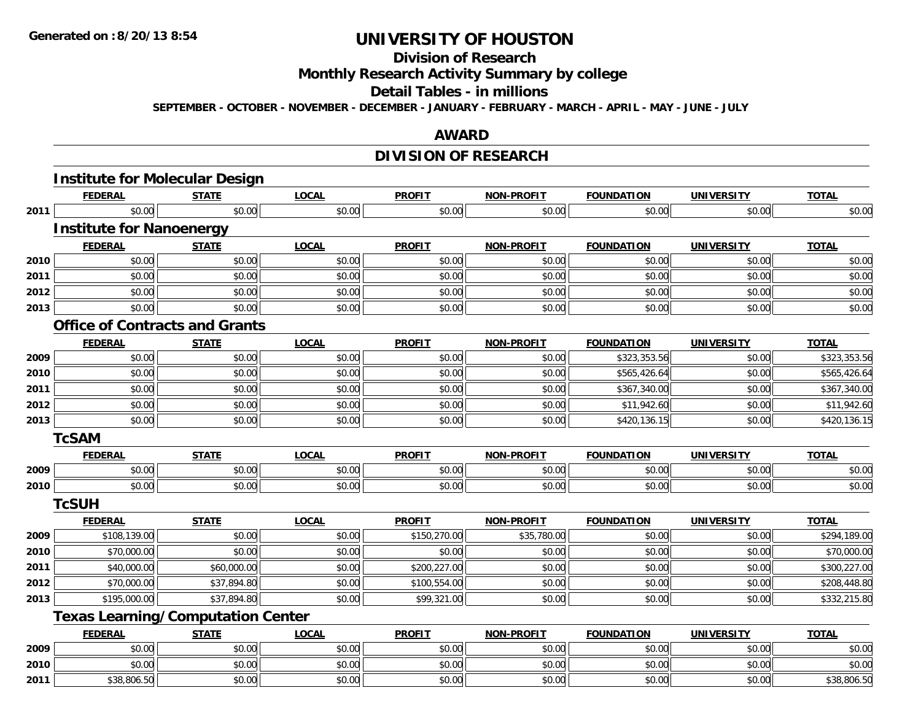# **Division of Research**

**Monthly Research Activity Summary by college**

#### **Detail Tables - in millions**

**SEPTEMBER - OCTOBER - NOVEMBER - DECEMBER - JANUARY - FEBRUARY - MARCH - APRIL - MAY - JUNE - JULY**

## **AWARD**

# **DIVISION OF RESEARCH**

|      | <b>Institute for Molecular Design</b>    |              |              |               |                   |                   |                   |              |
|------|------------------------------------------|--------------|--------------|---------------|-------------------|-------------------|-------------------|--------------|
|      | <b>FEDERAL</b>                           | <b>STATE</b> | <b>LOCAL</b> | <b>PROFIT</b> | <b>NON-PROFIT</b> | <b>FOUNDATION</b> | <b>UNIVERSITY</b> | <b>TOTAL</b> |
| 2011 | \$0.00                                   | \$0.00       | \$0.00       | \$0.00        | \$0.00            | \$0.00            | \$0.00            | \$0.00       |
|      | <b>Institute for Nanoenergy</b>          |              |              |               |                   |                   |                   |              |
|      | <b>FEDERAL</b>                           | <b>STATE</b> | <b>LOCAL</b> | <b>PROFIT</b> | <b>NON-PROFIT</b> | <b>FOUNDATION</b> | <b>UNIVERSITY</b> | <b>TOTAL</b> |
| 2010 | \$0.00                                   | \$0.00       | \$0.00       | \$0.00        | \$0.00            | \$0.00            | \$0.00            | \$0.00       |
| 2011 | \$0.00                                   | \$0.00       | \$0.00       | \$0.00        | \$0.00            | \$0.00            | \$0.00            | \$0.00       |
| 2012 | \$0.00                                   | \$0.00       | \$0.00       | \$0.00        | \$0.00            | \$0.00            | \$0.00            | \$0.00       |
| 2013 | \$0.00                                   | \$0.00       | \$0.00       | \$0.00        | \$0.00            | \$0.00            | \$0.00            | \$0.00       |
|      | <b>Office of Contracts and Grants</b>    |              |              |               |                   |                   |                   |              |
|      | <b>FEDERAL</b>                           | <b>STATE</b> | <b>LOCAL</b> | <b>PROFIT</b> | <b>NON-PROFIT</b> | <b>FOUNDATION</b> | <b>UNIVERSITY</b> | <b>TOTAL</b> |
| 2009 | \$0.00                                   | \$0.00       | \$0.00       | \$0.00        | \$0.00            | \$323,353.56      | \$0.00            | \$323,353.56 |
| 2010 | \$0.00                                   | \$0.00       | \$0.00       | \$0.00        | \$0.00            | \$565,426.64      | \$0.00            | \$565,426.64 |
| 2011 | \$0.00                                   | \$0.00       | \$0.00       | \$0.00        | \$0.00            | \$367,340.00      | \$0.00            | \$367,340.00 |
| 2012 | \$0.00                                   | \$0.00       | \$0.00       | \$0.00        | \$0.00            | \$11,942.60       | \$0.00            | \$11,942.60  |
| 2013 | \$0.00                                   | \$0.00       | \$0.00       | \$0.00        | \$0.00            | \$420,136.15      | \$0.00            | \$420,136.15 |
|      | <b>TcSAM</b>                             |              |              |               |                   |                   |                   |              |
|      | <b>FEDERAL</b>                           | <b>STATE</b> | <b>LOCAL</b> | <b>PROFIT</b> | <b>NON-PROFIT</b> | <b>FOUNDATION</b> | <b>UNIVERSITY</b> | <b>TOTAL</b> |
| 2009 | \$0.00                                   | \$0.00       | \$0.00       | \$0.00        | \$0.00            | \$0.00            | \$0.00            | \$0.00       |
| 2010 | \$0.00                                   | \$0.00       | \$0.00       | \$0.00        | \$0.00            | \$0.00            | \$0.00            | \$0.00       |
|      | <b>TcSUH</b>                             |              |              |               |                   |                   |                   |              |
|      | <b>FEDERAL</b>                           | <b>STATE</b> | <b>LOCAL</b> | <b>PROFIT</b> | <b>NON-PROFIT</b> | <b>FOUNDATION</b> | <b>UNIVERSITY</b> | <b>TOTAL</b> |
| 2009 | \$108,139.00                             | \$0.00       | \$0.00       | \$150,270.00  | \$35,780.00       | \$0.00            | \$0.00            | \$294,189.00 |
| 2010 | \$70,000.00                              | \$0.00       | \$0.00       | \$0.00        | \$0.00            | \$0.00            | \$0.00            | \$70,000.00  |
| 2011 | \$40,000.00                              | \$60,000.00  | \$0.00       | \$200,227.00  | \$0.00            | \$0.00            | \$0.00            | \$300,227.00 |
| 2012 | \$70,000.00                              | \$37,894.80  | \$0.00       | \$100,554.00  | \$0.00            | \$0.00            | \$0.00            | \$208,448.80 |
| 2013 | \$195,000.00                             | \$37,894.80  | \$0.00       | \$99,321.00   | \$0.00            | \$0.00            | \$0.00            | \$332,215.80 |
|      | <b>Texas Learning/Computation Center</b> |              |              |               |                   |                   |                   |              |
|      | <b>FEDERAL</b>                           | <b>STATE</b> | <b>LOCAL</b> | <b>PROFIT</b> | <b>NON-PROFIT</b> | <b>FOUNDATION</b> | <b>UNIVERSITY</b> | <b>TOTAL</b> |
| 2009 | \$0.00                                   | \$0.00       | \$0.00       | \$0.00        | \$0.00            | \$0.00            | \$0.00            | \$0.00       |
| 2010 | \$0.00                                   | \$0.00       | \$0.00       | \$0.00        | \$0.00            | \$0.00            | \$0.00            | \$0.00       |
| 2011 | \$38,806.50                              | \$0.00       | \$0.00       | \$0.00        | \$0.00            | \$0.00            | \$0.00            | \$38,806.50  |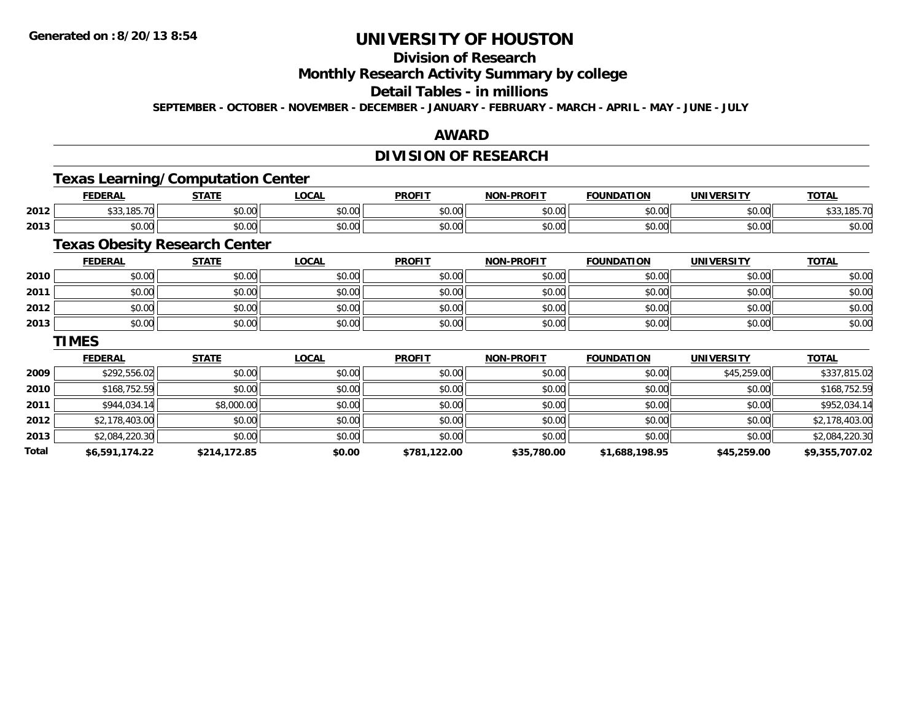# **Division of Research**

**Monthly Research Activity Summary by college**

## **Detail Tables - in millions**

**SEPTEMBER - OCTOBER - NOVEMBER - DECEMBER - JANUARY - FEBRUARY - MARCH - APRIL - MAY - JUNE - JULY**

## **AWARD**

## **DIVISION OF RESEARCH**

## **Texas Learning/Computation Center**

|      | <b>FEDERAL</b>                           | <b>STATE</b>                     | <b>_OCAI</b>  | <b>PROFIT</b> | <b>N-PROFIT</b><br><b>MAN</b> | <b>FOUNDATION</b> | UNIVERSITY    | TOTA.                                    |
|------|------------------------------------------|----------------------------------|---------------|---------------|-------------------------------|-------------------|---------------|------------------------------------------|
| 2012 | 205.70<br>$\sim$ $\sim$<br>ں ب<br>.      | $\sim$<br>$\sim$ $\sim$<br>vv.vv | 0.00<br>vv.vv | \$0.00        | \$0.00                        | 0000<br>JU.UU     | m up<br>pu.uu | $\cdots$<br>$\sim$ $\sim$<br>\$33,185.70 |
| 2013 | $\uparrow$ $\uparrow$<br>$\sim$<br>DU.UU | <b>↑∩</b><br>PU.UU               | 0000<br>PO.OO | \$0.00        | \$0.00                        | 0000<br>JU.UU     | m up<br>JU.UU | \$0.00                                   |

## **Texas Obesity Research Center**

|      | <u>FEDERAL</u> | <b>STATE</b> | <u>LOCAL</u> | <b>PROFIT</b> | <b>NON-PROFIT</b> | <b>FOUNDATION</b> | <b>UNIVERSITY</b> | <b>TOTAL</b> |
|------|----------------|--------------|--------------|---------------|-------------------|-------------------|-------------------|--------------|
| 2010 | \$0.00         | \$0.00       | \$0.00       | \$0.00        | \$0.00            | \$0.00            | \$0.00            | \$0.00       |
| 2011 | \$0.00         | \$0.00       | \$0.00       | \$0.00        | \$0.00            | \$0.00            | \$0.00            | \$0.00       |
| 2012 | \$0.00         | \$0.00       | \$0.00       | \$0.00        | \$0.00            | \$0.00            | \$0.00            | \$0.00       |
| 2013 | \$0.00         | \$0.00       | \$0.00       | \$0.00        | \$0.00            | \$0.00            | \$0.00            | \$0.00       |

#### **TIMES**

|       | <b>FEDERAL</b> | <b>STATE</b> | <u>LOCAL</u> | <b>PROFIT</b> | <b>NON-PROFIT</b> | <b>FOUNDATION</b> | <b>UNIVERSITY</b> | <b>TOTAL</b>   |
|-------|----------------|--------------|--------------|---------------|-------------------|-------------------|-------------------|----------------|
| 2009  | \$292,556.02   | \$0.00       | \$0.00       | \$0.00        | \$0.00            | \$0.00            | \$45,259.00       | \$337,815.02   |
| 2010  | \$168,752.59   | \$0.00       | \$0.00       | \$0.00        | \$0.00            | \$0.00            | \$0.00            | \$168,752.59   |
| 2011  | \$944,034.14   | \$8,000.00   | \$0.00       | \$0.00        | \$0.00            | \$0.00            | \$0.00            | \$952,034.14   |
| 2012  | \$2,178,403.00 | \$0.00       | \$0.00       | \$0.00        | \$0.00            | \$0.00            | \$0.00            | \$2,178,403.00 |
| 2013  | \$2,084,220.30 | \$0.00       | \$0.00       | \$0.00        | \$0.00            | \$0.00            | \$0.00            | \$2,084,220.30 |
| Total | \$6,591,174.22 | \$214,172.85 | \$0.00       | \$781,122.00  | \$35,780.00       | \$1,688,198.95    | \$45,259.00       | \$9,355,707.02 |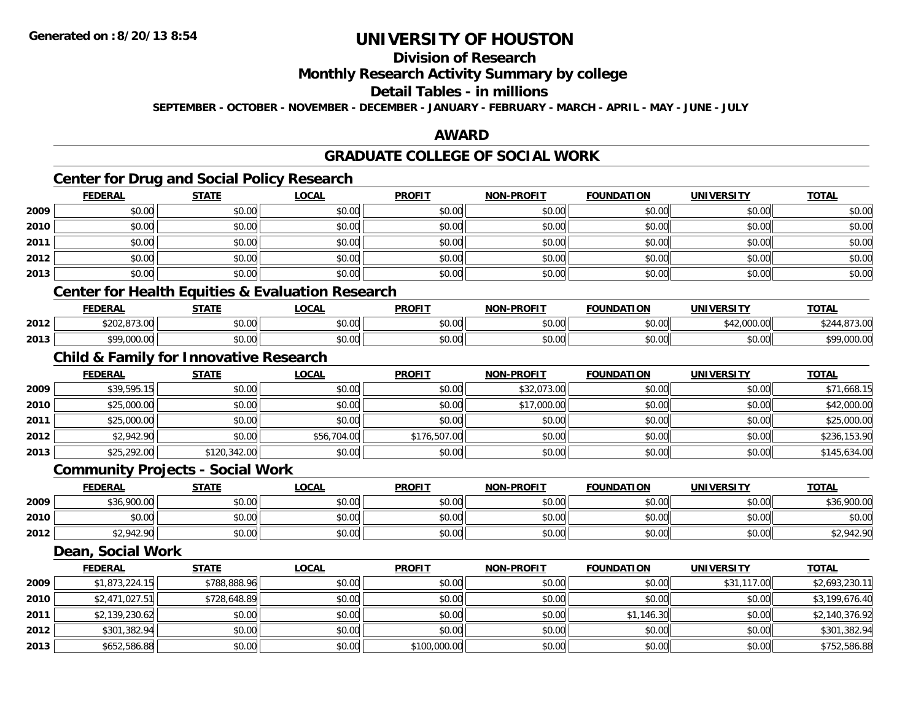# **Division of Research**

## **Monthly Research Activity Summary by college**

#### **Detail Tables - in millions**

**SEPTEMBER - OCTOBER - NOVEMBER - DECEMBER - JANUARY - FEBRUARY - MARCH - APRIL - MAY - JUNE - JULY**

## **AWARD**

# **GRADUATE COLLEGE OF SOCIAL WORK**

# **Center for Drug and Social Policy Research**

|      | <b>FEDERAL</b>                                                                                                                                       | <b>STATE</b> | <b>LOCAL</b> | <b>PROFIT</b> | <b>NON-PROFIT</b> | <b>FOUNDATION</b> | <b>UNIVERSITY</b> | <b>TOTAL</b> |
|------|------------------------------------------------------------------------------------------------------------------------------------------------------|--------------|--------------|---------------|-------------------|-------------------|-------------------|--------------|
| 2009 | \$0.00                                                                                                                                               | \$0.00       | \$0.00       | \$0.00        | \$0.00            | \$0.00            | \$0.00            | \$0.00       |
| 2010 | \$0.00                                                                                                                                               | \$0.00       | \$0.00       | \$0.00        | \$0.00            | \$0.00            | \$0.00            | \$0.00       |
| 2011 | \$0.00                                                                                                                                               | \$0.00       | \$0.00       | \$0.00        | \$0.00            | \$0.00            | \$0.00            | \$0.00       |
| 2012 | \$0.00                                                                                                                                               | \$0.00       | \$0.00       | \$0.00        | \$0.00            | \$0.00            | \$0.00            | \$0.00       |
| 2013 | \$0.00                                                                                                                                               | \$0.00       | \$0.00       | \$0.00        | \$0.00            | \$0.00            | \$0.00            | \$0.00       |
|      | <b>Contract Contract Contract</b><br>the contract of the contract of the contract of the contract of the contract of the contract of the contract of |              |              |               |                   |                   |                   |              |

### **Center for Health Equities & Evaluation Research**

|      | ------<br>- 88                   | <b>CTATE</b>       | <b>OCAL</b>   | <b>PROFIT</b> | <b>DDOEIT</b><br><b>MON</b>             | <b>FOUNDATION</b>  | <b>IINIVEDSIT</b>       | <b>TOTA</b> |
|------|----------------------------------|--------------------|---------------|---------------|-----------------------------------------|--------------------|-------------------------|-------------|
| 2012 | $\sim$ $\sim$ $\sim$<br>$\cdots$ | $\sim$ 00<br>JU.UU | 0.00<br>າບ.ບບ | \$0.00        | $\uparrow$ $\wedge$ $\uparrow$<br>pv.uu | $\sim$ $\sim$<br>  | .<br>$\sim$ $\sim$<br>. |             |
| 2013 | 0.00<br>$\sim$ 000.0             | $\sim$ 00<br>pu.uu | \$0.00        | \$0.00        | ስ ለሰ<br>pu.uu                           | $\sim$ 00<br>vu.uu | $\sim$ 00<br>JU.UU      | uuu.u       |

## **Child & Family for Innovative Research**

|      | <b>FEDERAL</b> | <b>STATE</b> | <u>LOCAL</u> | <b>PROFIT</b> | <b>NON-PROFIT</b> | <b>FOUNDATION</b> | <b>UNIVERSITY</b> | <b>TOTAL</b> |
|------|----------------|--------------|--------------|---------------|-------------------|-------------------|-------------------|--------------|
| 2009 | \$39,595.15    | \$0.00       | \$0.00       | \$0.00        | \$32,073.00       | \$0.00            | \$0.00            | \$71,668.15  |
| 2010 | \$25,000.00    | \$0.00       | \$0.00       | \$0.00        | \$17,000.00       | \$0.00            | \$0.00            | \$42,000.00  |
| 2011 | \$25,000.00    | \$0.00       | \$0.00       | \$0.00        | \$0.00            | \$0.00            | \$0.00            | \$25,000.00  |
| 2012 | \$2,942.90     | \$0.00       | \$56,704.00  | \$176,507.00  | \$0.00            | \$0.00            | \$0.00            | \$236,153.90 |
| 2013 | \$25,292.00    | \$120,342.00 | \$0.00       | \$0.00        | \$0.00            | \$0.00            | \$0.00            | \$145,634.00 |

### **Community Projects - Social Work**

|      | <b>FEDERAL</b>         | <b>STATE</b> | <b>LOCAL</b>                                       | <b>PROFIT</b> | <b>NON-PROFIT</b> | <b>FOUNDATION</b> | <b>UNIVERSITY</b> | <u>TOTAL</u>        |
|------|------------------------|--------------|----------------------------------------------------|---------------|-------------------|-------------------|-------------------|---------------------|
| 2009 | \$36,900.00            | \$0.00       | $\mathfrak{c}\cap\mathfrak{a}\cap$<br><b>DU.UG</b> | \$0.00        | \$0.00            | \$0.00            | \$0.00            | \$36,900.00         |
| 2010 | $\sim$ $\sim$<br>vu.uu | \$0.00       | \$0.00                                             | \$0.00        | \$0.00            | \$0.00            | \$0.00            | \$0.00              |
| 2012 | 0.0100<br>\$2,942.90   | \$0.00       | \$0.00                                             | \$0.00        | \$0.00            | \$0.00            | \$0.00            | OAD ON<br>\$2,942.S |

#### **Dean, Social Work**

|      | <b>FEDERAL</b> | <b>STATE</b> | <b>LOCAL</b> | <b>PROFIT</b> | <b>NON-PROFIT</b> | <b>FOUNDATION</b> | UNIVERSITY  | <b>TOTAL</b>   |
|------|----------------|--------------|--------------|---------------|-------------------|-------------------|-------------|----------------|
| 2009 | \$1,873,224.15 | \$788,888.96 | \$0.00       | \$0.00        | \$0.00            | \$0.00            | \$31,117.00 | \$2,693,230.11 |
| 2010 | \$2,471,027.51 | \$728,648.89 | \$0.00       | \$0.00        | \$0.00            | \$0.00            | \$0.00      | \$3,199,676.40 |
| 2011 | \$2,139,230.62 | \$0.00       | \$0.00       | \$0.00        | \$0.00            | \$1,146.30        | \$0.00      | \$2,140,376.92 |
| 2012 | \$301,382.94   | \$0.00       | \$0.00       | \$0.00        | \$0.00            | \$0.00            | \$0.00      | \$301,382.94   |
| 2013 | \$652,586.88   | \$0.00       | \$0.00       | \$100,000.00  | \$0.00            | \$0.00            | \$0.00      | \$752,586.88   |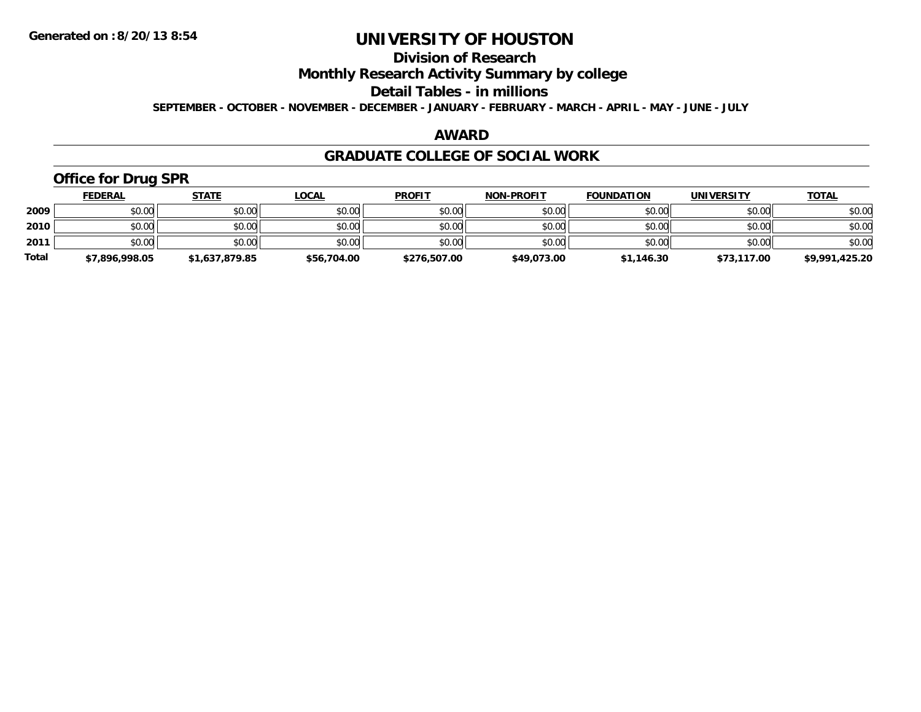# **Division of Research**

**Monthly Research Activity Summary by college**

**Detail Tables - in millions**

**SEPTEMBER - OCTOBER - NOVEMBER - DECEMBER - JANUARY - FEBRUARY - MARCH - APRIL - MAY - JUNE - JULY**

## **AWARD**

### **GRADUATE COLLEGE OF SOCIAL WORK**

# **Office for Drug SPR**

|              | <b>FEDERAL</b> | <b>STATE</b>   | <u>LOCAL</u> | <b>PROFIT</b> | <b>NON-PROFIT</b> | <b>FOUNDATION</b> | <b>UNIVERSITY</b> | <b>TOTAL</b>   |
|--------------|----------------|----------------|--------------|---------------|-------------------|-------------------|-------------------|----------------|
| 2009         | \$0.00         | \$0.00         | \$0.00       | \$0.00        | \$0.00            | \$0.00            | \$0.00            | \$0.00         |
| 2010         | \$0.00         | \$0.00         | \$0.00       | \$0.00        | \$0.00            | \$0.00            | \$0.00            | \$0.00         |
| 2011         | \$0.00         | \$0.00         | \$0.00       | \$0.00        | \$0.00            | \$0.00            | \$0.00            | \$0.00         |
| <b>Total</b> | \$7,896,998.05 | \$1,637,879.85 | \$56,704.00  | \$276,507.00  | \$49,073.00       | \$1,146.30        | \$73,117.00       | \$9,991,425.20 |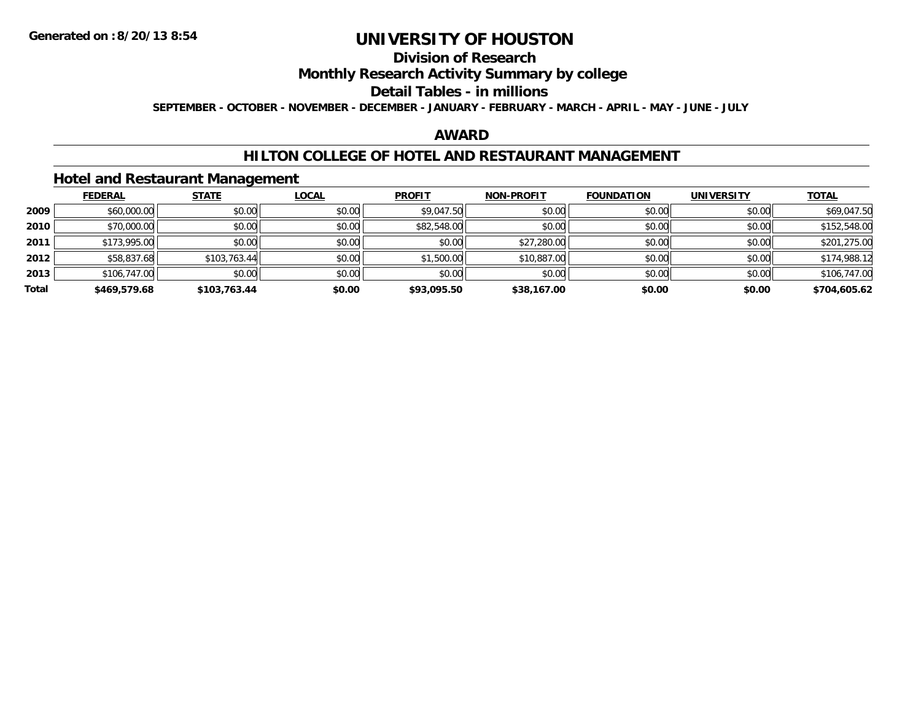# **Division of Research**

## **Monthly Research Activity Summary by college**

#### **Detail Tables - in millions**

**SEPTEMBER - OCTOBER - NOVEMBER - DECEMBER - JANUARY - FEBRUARY - MARCH - APRIL - MAY - JUNE - JULY**

## **AWARD**

## **HILTON COLLEGE OF HOTEL AND RESTAURANT MANAGEMENT**

### **Hotel and Restaurant Management**

|       | <b>FEDERAL</b> | <b>STATE</b> | <u>LOCAL</u> | <b>PROFIT</b> | <b>NON-PROFIT</b> | <b>FOUNDATION</b> | <b>UNIVERSITY</b> | <b>TOTAL</b> |
|-------|----------------|--------------|--------------|---------------|-------------------|-------------------|-------------------|--------------|
| 2009  | \$60,000.00    | \$0.00       | \$0.00       | \$9,047.50    | \$0.00            | \$0.00            | \$0.00            | \$69,047.50  |
| 2010  | \$70,000.00    | \$0.00       | \$0.00       | \$82,548.00   | \$0.00            | \$0.00            | \$0.00            | \$152,548.00 |
| 2011  | \$173,995.00   | \$0.00       | \$0.00       | \$0.00        | \$27,280.00       | \$0.00            | \$0.00            | \$201,275.00 |
| 2012  | \$58,837.68    | \$103,763.44 | \$0.00       | \$1,500.00    | \$10,887.00       | \$0.00            | \$0.00            | \$174,988.12 |
| 2013  | \$106,747.00   | \$0.00       | \$0.00       | \$0.00        | \$0.00            | \$0.00            | \$0.00            | \$106,747.00 |
| Total | \$469,579.68   | \$103,763.44 | \$0.00       | \$93,095.50   | \$38,167.00       | \$0.00            | \$0.00            | \$704,605.62 |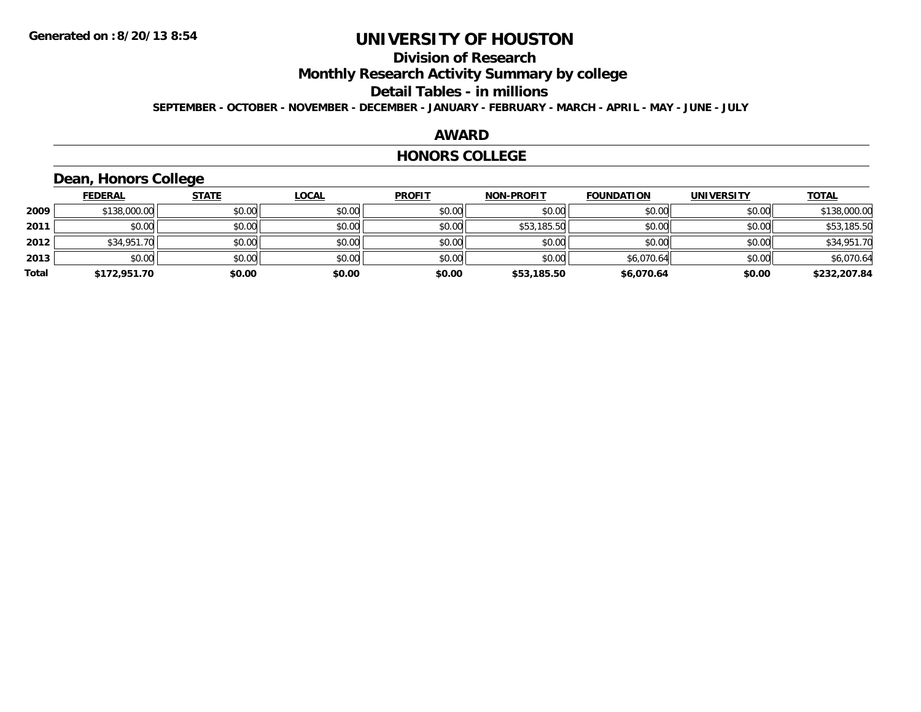# **Division of Research**

**Monthly Research Activity Summary by college**

**Detail Tables - in millions**

**SEPTEMBER - OCTOBER - NOVEMBER - DECEMBER - JANUARY - FEBRUARY - MARCH - APRIL - MAY - JUNE - JULY**

## **AWARD**

#### **HONORS COLLEGE**

# **Dean, Honors College**

|       | <b>FEDERAL</b> | <b>STATE</b> | <u>LOCAL</u> | <b>PROFIT</b> | <b>NON-PROFIT</b> | <b>FOUNDATION</b> | <b>UNIVERSITY</b> | <b>TOTAL</b> |
|-------|----------------|--------------|--------------|---------------|-------------------|-------------------|-------------------|--------------|
| 2009  | \$138,000.00   | \$0.00       | \$0.00       | \$0.00        | \$0.00            | \$0.00            | \$0.00            | \$138,000.00 |
| 2011  | \$0.00         | \$0.00       | \$0.00       | \$0.00        | \$53,185.50       | \$0.00            | \$0.00            | \$53,185.50  |
| 2012  | \$34,951.70    | \$0.00       | \$0.00       | \$0.00        | \$0.00            | \$0.00            | \$0.00            | \$34,951.70  |
| 2013  | \$0.00         | \$0.00       | \$0.00       | \$0.00        | \$0.00            | \$6,070.64        | \$0.00            | \$6,070.64   |
| Total | \$172,951.70   | \$0.00       | \$0.00       | \$0.00        | \$53,185.50       | \$6,070.64        | \$0.00            | \$232,207.84 |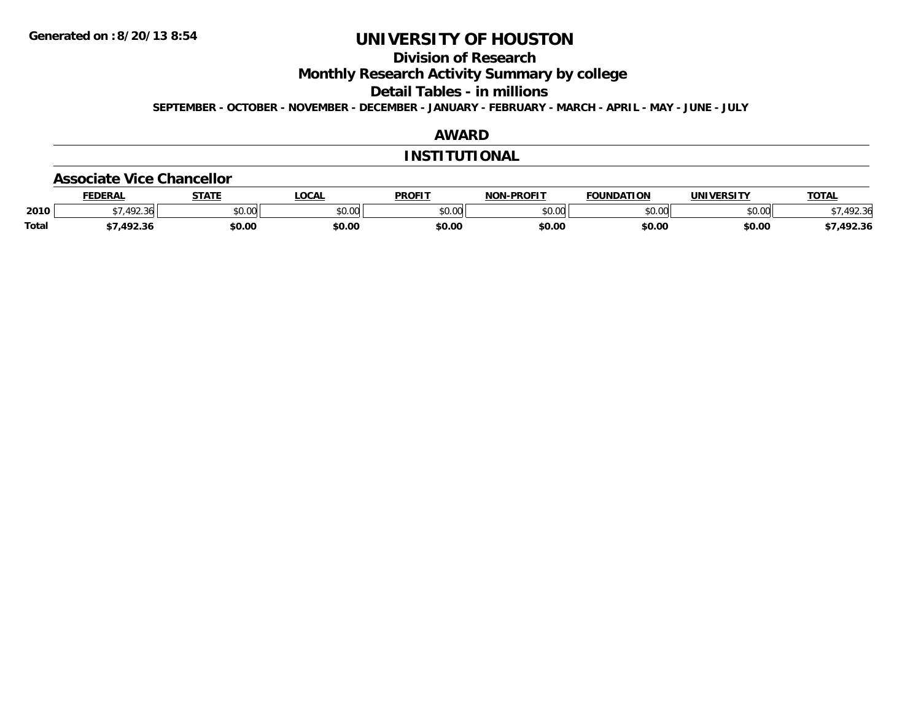# **Division of Research**

**Monthly Research Activity Summary by college**

**Detail Tables - in millions**

**SEPTEMBER - OCTOBER - NOVEMBER - DECEMBER - JANUARY - FEBRUARY - MARCH - APRIL - MAY - JUNE - JULY**

## **AWARD**

#### **INSTITUTIONAL**

#### **Associate Vice Chancellor**

|              | <b>FEDERAL</b> | <b>STATE</b> | <b>OCAL</b> | <b>PROFIT</b> | <b>NON-PROFIT</b> | <b>FOUNDATION</b>    | <b>UNIVERSITY</b>     | <b>TOTAL</b> |
|--------------|----------------|--------------|-------------|---------------|-------------------|----------------------|-----------------------|--------------|
| 2010         | 192.36<br>⊿ ്  | \$0.00       | vv.vv       | \$0.00        | 0000<br>PU.UU     | \$0.00<br><u>، ب</u> | <b>co</b> on<br>ง∪.∪บ | 492.36       |
| <b>Total</b> | 1022<br>92.30  | \$0.00       | \$0.00      | \$0.00        | \$0.00            | \$0.00               | \$0.00                | 492.36       |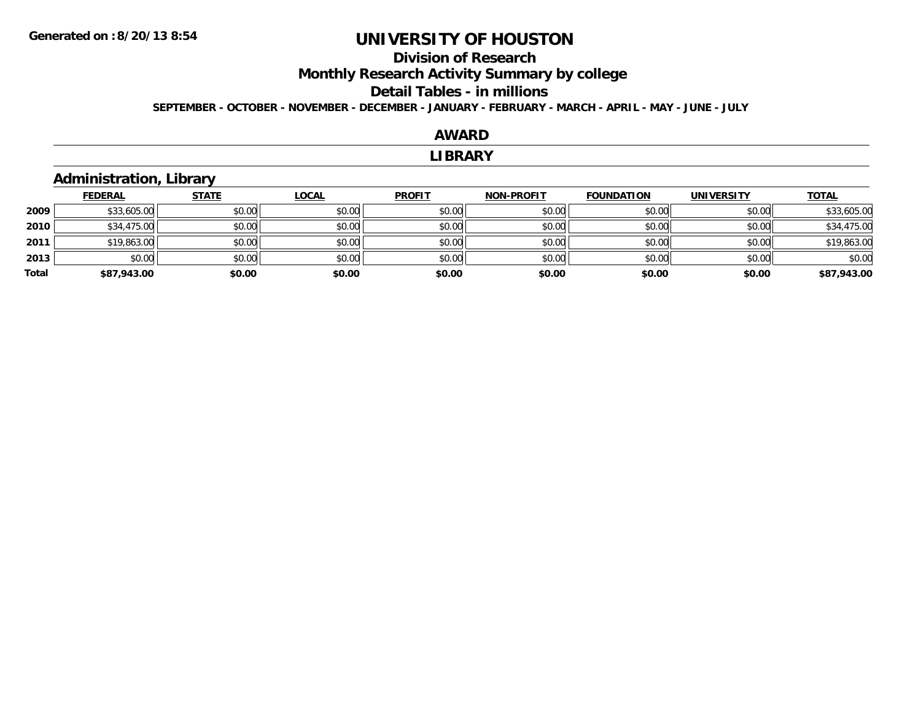# **Division of ResearchMonthly Research Activity Summary by college Detail Tables - in millions**

**SEPTEMBER - OCTOBER - NOVEMBER - DECEMBER - JANUARY - FEBRUARY - MARCH - APRIL - MAY - JUNE - JULY**

### **AWARD**

#### **LIBRARY**

## **Administration, Library**

|       | <b>FEDERAL</b> | <b>STATE</b> | <u>LOCAL</u> | <b>PROFIT</b> | <b>NON-PROFIT</b> | <b>FOUNDATION</b> | <b>UNIVERSITY</b> | <b>TOTAL</b> |
|-------|----------------|--------------|--------------|---------------|-------------------|-------------------|-------------------|--------------|
| 2009  | \$33,605.00    | \$0.00       | \$0.00       | \$0.00        | \$0.00            | \$0.00            | \$0.00            | \$33,605.00  |
| 2010  | \$34,475.00    | \$0.00       | \$0.00       | \$0.00        | \$0.00            | \$0.00            | \$0.00            | \$34,475.00  |
| 2011  | \$19,863.00    | \$0.00       | \$0.00       | \$0.00        | \$0.00            | \$0.00            | \$0.00            | \$19,863.00  |
| 2013  | \$0.00         | \$0.00       | \$0.00       | \$0.00        | \$0.00            | \$0.00            | \$0.00            | \$0.00       |
| Total | \$87,943.00    | \$0.00       | \$0.00       | \$0.00        | \$0.00            | \$0.00            | \$0.00            | \$87,943.00  |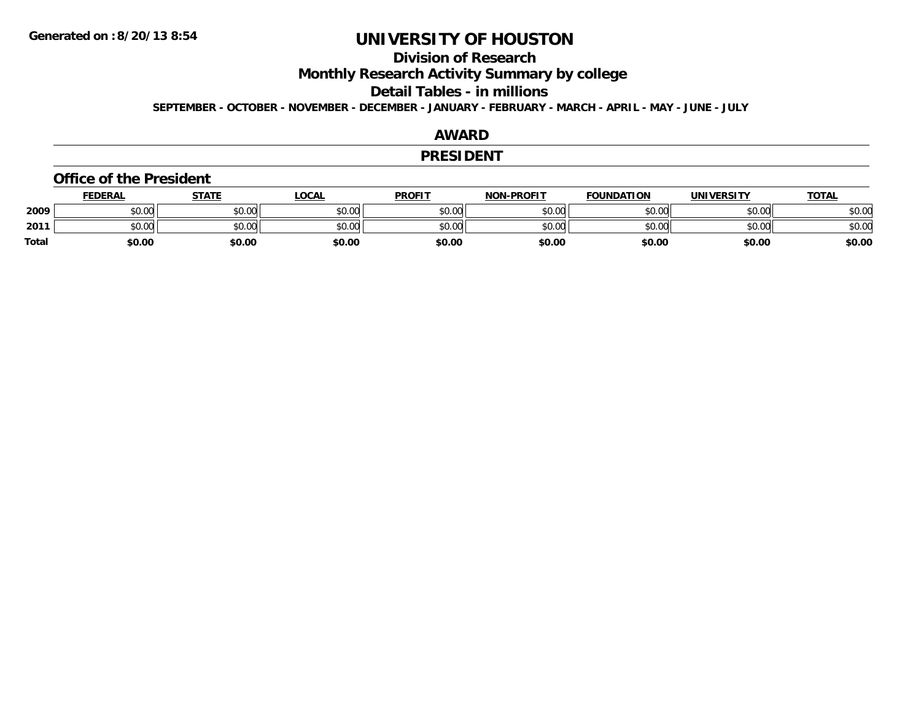## **Division of Research**

**Monthly Research Activity Summary by college**

**Detail Tables - in millions**

**SEPTEMBER - OCTOBER - NOVEMBER - DECEMBER - JANUARY - FEBRUARY - MARCH - APRIL - MAY - JUNE - JULY**

## **AWARD**

#### **PRESIDENT**

#### **Office of the President**

|              | <b>FEDERAL</b> | STATE  | <u>LOCAL</u> | <b>PROFIT</b> | <b>NON-PROFIT</b> | <b>FOUNDATION</b> | <b>UNIVERSITY</b> | <b>TOTAL</b> |
|--------------|----------------|--------|--------------|---------------|-------------------|-------------------|-------------------|--------------|
| 2009         | \$0.00         | \$0.00 | \$0.00       | \$0.00        | \$0.00            | \$0.00            | \$0.00            | \$0.00       |
| 2011         | \$0.00         | \$0.00 | \$0.00       | \$0.00        | \$0.00            | \$0.00            | \$0.00            | \$0.00       |
| <b>Total</b> | \$0.00         | \$0.00 | \$0.00       | \$0.00        | \$0.00            | \$0.00            | \$0.00            | \$0.00       |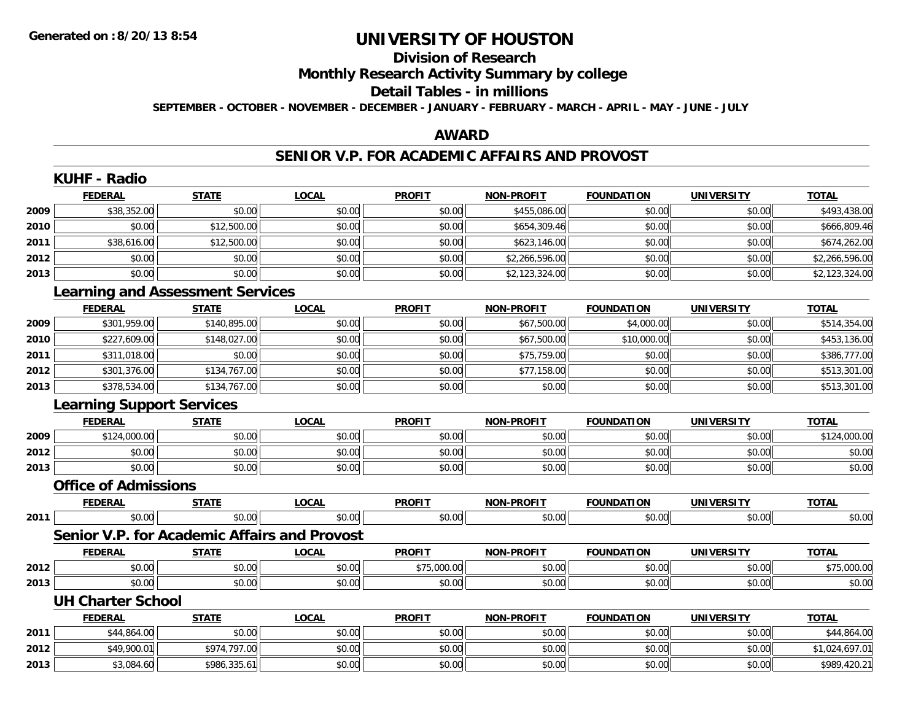# **Division of Research**

**Monthly Research Activity Summary by college**

#### **Detail Tables - in millions**

**SEPTEMBER - OCTOBER - NOVEMBER - DECEMBER - JANUARY - FEBRUARY - MARCH - APRIL - MAY - JUNE - JULY**

## **AWARD**

### **SENIOR V.P. FOR ACADEMIC AFFAIRS AND PROVOST**

|      | <b>KUHF - Radio</b>                     |              |                                                     |               |                   |                   |                   |                |
|------|-----------------------------------------|--------------|-----------------------------------------------------|---------------|-------------------|-------------------|-------------------|----------------|
|      | <b>FEDERAL</b>                          | <b>STATE</b> | <b>LOCAL</b>                                        | <b>PROFIT</b> | <b>NON-PROFIT</b> | <b>FOUNDATION</b> | <b>UNIVERSITY</b> | <b>TOTAL</b>   |
| 2009 | \$38,352.00                             | \$0.00       | \$0.00                                              | \$0.00        | \$455,086.00      | \$0.00            | \$0.00            | \$493,438.00   |
| 2010 | \$0.00                                  | \$12,500.00  | \$0.00                                              | \$0.00        | \$654,309.46      | \$0.00            | \$0.00            | \$666,809.46   |
| 2011 | \$38,616.00                             | \$12,500.00  | \$0.00                                              | \$0.00        | \$623,146.00      | \$0.00            | \$0.00            | \$674,262.00   |
| 2012 | \$0.00                                  | \$0.00       | \$0.00                                              | \$0.00        | \$2,266,596.00    | \$0.00            | \$0.00            | \$2,266,596.00 |
| 2013 | \$0.00                                  | \$0.00       | \$0.00                                              | \$0.00        | \$2,123,324.00    | \$0.00            | \$0.00            | \$2,123,324.00 |
|      | <b>Learning and Assessment Services</b> |              |                                                     |               |                   |                   |                   |                |
|      | <b>FEDERAL</b>                          | <b>STATE</b> | <b>LOCAL</b>                                        | <b>PROFIT</b> | <b>NON-PROFIT</b> | <b>FOUNDATION</b> | <b>UNIVERSITY</b> | <b>TOTAL</b>   |
| 2009 | \$301,959.00                            | \$140,895.00 | \$0.00                                              | \$0.00        | \$67,500.00       | \$4,000.00        | \$0.00            | \$514,354.00   |
| 2010 | \$227,609.00                            | \$148,027.00 | \$0.00                                              | \$0.00        | \$67,500.00       | \$10,000.00       | \$0.00            | \$453,136.00   |
| 2011 | \$311,018.00                            | \$0.00       | \$0.00                                              | \$0.00        | \$75,759.00       | \$0.00            | \$0.00            | \$386,777.00   |
| 2012 | \$301,376.00                            | \$134,767.00 | \$0.00                                              | \$0.00        | \$77,158.00       | \$0.00            | \$0.00            | \$513,301.00   |
| 2013 | \$378,534.00                            | \$134,767.00 | \$0.00                                              | \$0.00        | \$0.00            | \$0.00            | \$0.00            | \$513,301.00   |
|      | <b>Learning Support Services</b>        |              |                                                     |               |                   |                   |                   |                |
|      | <b>FEDERAL</b>                          | <b>STATE</b> | <b>LOCAL</b>                                        | <b>PROFIT</b> | <b>NON-PROFIT</b> | <b>FOUNDATION</b> | <b>UNIVERSITY</b> | <b>TOTAL</b>   |
| 2009 | \$124,000.00                            | \$0.00       | \$0.00                                              | \$0.00        | \$0.00            | \$0.00            | \$0.00            | \$124,000.00   |
| 2012 | \$0.00                                  | \$0.00       | \$0.00                                              | \$0.00        | \$0.00            | \$0.00            | \$0.00            | \$0.00         |
| 2013 | \$0.00                                  | \$0.00       | \$0.00                                              | \$0.00        | \$0.00            | \$0.00            | \$0.00            | \$0.00         |
|      | <b>Office of Admissions</b>             |              |                                                     |               |                   |                   |                   |                |
|      | <b>FEDERAL</b>                          | <b>STATE</b> | <b>LOCAL</b>                                        | <b>PROFIT</b> | <b>NON-PROFIT</b> | <b>FOUNDATION</b> | <b>UNIVERSITY</b> | <b>TOTAL</b>   |
| 2011 | \$0.00                                  | \$0.00       | \$0.00                                              | \$0.00        | \$0.00            | \$0.00            | \$0.00            | \$0.00         |
|      |                                         |              | <b>Senior V.P. for Academic Affairs and Provost</b> |               |                   |                   |                   |                |
|      | <b>FEDERAL</b>                          | <b>STATE</b> | <b>LOCAL</b>                                        | <b>PROFIT</b> | <b>NON-PROFIT</b> | <b>FOUNDATION</b> | <b>UNIVERSITY</b> | <b>TOTAL</b>   |
| 2012 | \$0.00                                  | \$0.00       | \$0.00                                              | \$75,000.00   | \$0.00            | \$0.00            | \$0.00            | \$75,000.00    |
| 2013 | \$0.00                                  | \$0.00       | \$0.00                                              | \$0.00        | \$0.00            | \$0.00            | \$0.00            | \$0.00         |
|      | <b>UH Charter School</b>                |              |                                                     |               |                   |                   |                   |                |
|      | <b>FEDERAL</b>                          | <b>STATE</b> | <b>LOCAL</b>                                        | <b>PROFIT</b> | NON-PROFIT        | <b>FOUNDATION</b> | <b>UNIVERSITY</b> | <b>TOTAL</b>   |
| 2011 | \$44,864.00                             | \$0.00       | \$0.00                                              | \$0.00        | \$0.00            | \$0.00            | \$0.00            | \$44,864.00    |
| 2012 | \$49,900.01                             | \$974,797.00 | \$0.00                                              | \$0.00        | \$0.00            | \$0.00            | \$0.00            | \$1,024,697.01 |
| 2013 | \$3,084.60                              | \$986,335.61 | \$0.00                                              | \$0.00        | \$0.00            | \$0.00            | \$0.00            | \$989,420.21   |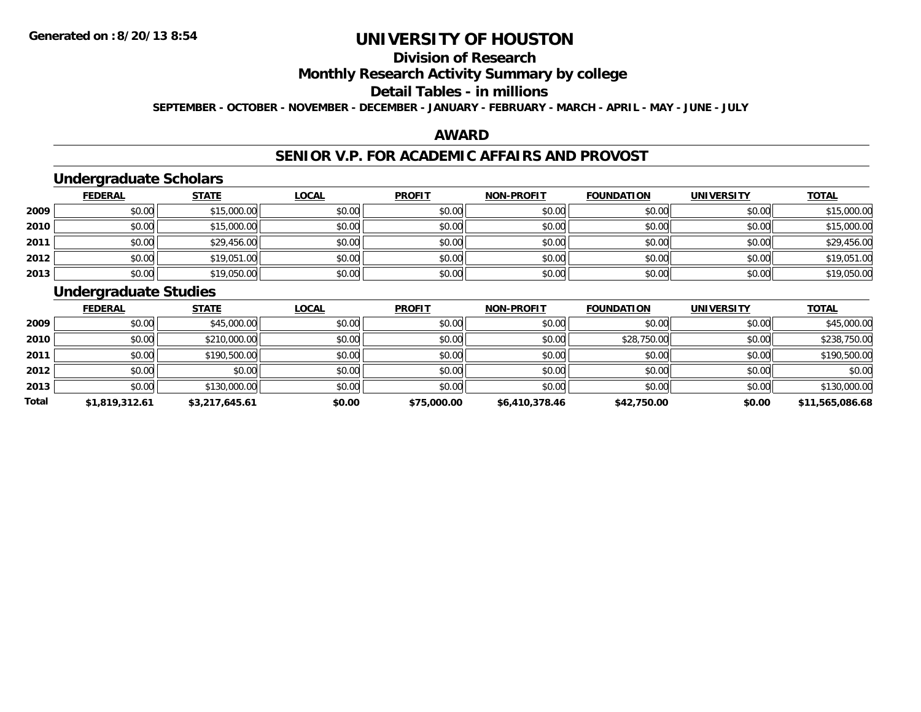# **Division of Research**

**Monthly Research Activity Summary by college**

#### **Detail Tables - in millions**

**SEPTEMBER - OCTOBER - NOVEMBER - DECEMBER - JANUARY - FEBRUARY - MARCH - APRIL - MAY - JUNE - JULY**

## **AWARD**

## **SENIOR V.P. FOR ACADEMIC AFFAIRS AND PROVOST**

## **Undergraduate Scholars**

|      | <b>FEDERAL</b> | <b>STATE</b> | <u>LOCAL</u> | <b>PROFIT</b> | <b>NON-PROFIT</b> | <b>FOUNDATION</b> | <b>UNIVERSITY</b> | <b>TOTAL</b> |
|------|----------------|--------------|--------------|---------------|-------------------|-------------------|-------------------|--------------|
| 2009 | \$0.00         | \$15,000.00  | \$0.00       | \$0.00        | \$0.00            | \$0.00            | \$0.00            | \$15,000.00  |
| 2010 | \$0.00         | \$15,000.00  | \$0.00       | \$0.00        | \$0.00            | \$0.00            | \$0.00            | \$15,000.00  |
| 2011 | \$0.00         | \$29,456.00  | \$0.00       | \$0.00        | \$0.00            | \$0.00            | \$0.00            | \$29,456.00  |
| 2012 | \$0.00         | \$19,051.00  | \$0.00       | \$0.00        | \$0.00            | \$0.00            | \$0.00            | \$19,051.00  |
| 2013 | \$0.00         | \$19,050.00  | \$0.00       | \$0.00        | \$0.00            | \$0.00            | \$0.00            | \$19,050.00  |

## **Undergraduate Studies**

|       | <b>FEDERAL</b> | <b>STATE</b>   | <b>LOCAL</b> | <b>PROFIT</b> | <b>NON-PROFIT</b> | <b>FOUNDATION</b> | <b>UNIVERSITY</b> | <b>TOTAL</b>    |
|-------|----------------|----------------|--------------|---------------|-------------------|-------------------|-------------------|-----------------|
| 2009  | \$0.00         | \$45,000.00    | \$0.00       | \$0.00        | \$0.00            | \$0.00            | \$0.00            | \$45,000.00     |
| 2010  | \$0.00         | \$210,000.00   | \$0.00       | \$0.00        | \$0.00            | \$28,750.00       | \$0.00            | \$238,750.00    |
| 2011  | \$0.00         | \$190,500.00   | \$0.00       | \$0.00        | \$0.00            | \$0.00            | \$0.00            | \$190,500.00    |
| 2012  | \$0.00         | \$0.00         | \$0.00       | \$0.00        | \$0.00            | \$0.00            | \$0.00            | \$0.00          |
| 2013  | \$0.00         | \$130,000.00   | \$0.00       | \$0.00        | \$0.00            | \$0.00            | \$0.00            | \$130,000.00    |
| Total | \$1,819,312.61 | \$3,217,645.61 | \$0.00       | \$75,000.00   | \$6,410,378.46    | \$42,750.00       | \$0.00            | \$11,565,086.68 |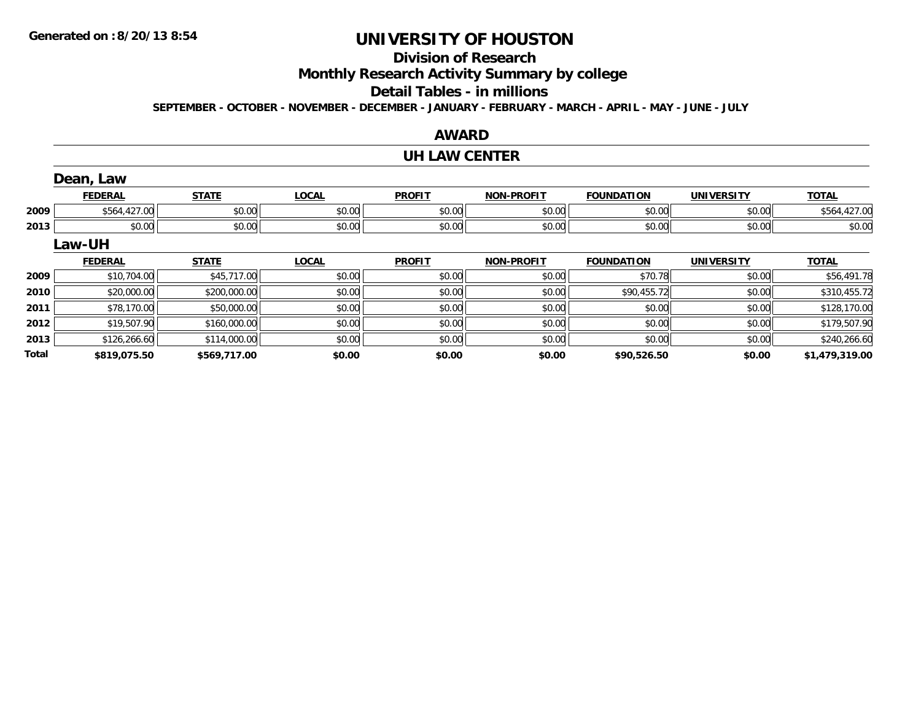**2013**

**Total**

# **UNIVERSITY OF HOUSTON**

# **Division of Research**

**Monthly Research Activity Summary by college**

#### **Detail Tables - in millions**

**SEPTEMBER - OCTOBER - NOVEMBER - DECEMBER - JANUARY - FEBRUARY - MARCH - APRIL - MAY - JUNE - JULY**

# **AWARD**

#### **UH LAW CENTER**

|      | Dean, Law      |              |              |               |                   |                   |                   |              |
|------|----------------|--------------|--------------|---------------|-------------------|-------------------|-------------------|--------------|
|      | <b>FEDERAL</b> | <b>STATE</b> | <b>LOCAL</b> | <b>PROFIT</b> | <b>NON-PROFIT</b> | <b>FOUNDATION</b> | <b>UNIVERSITY</b> | <b>TOTAL</b> |
| 2009 | \$564,427.00   | \$0.00       | \$0.00       | \$0.00        | \$0.00            | \$0.00            | \$0.00            | \$564,427.00 |
| 2013 | \$0.00         | \$0.00       | \$0.00       | \$0.00        | \$0.00            | \$0.00            | \$0.00            | \$0.00       |
|      | <b>Law-UH</b>  |              |              |               |                   |                   |                   |              |
|      |                |              |              |               |                   |                   |                   |              |
|      | <b>FEDERAL</b> | <b>STATE</b> | <b>LOCAL</b> | <b>PROFIT</b> | <b>NON-PROFIT</b> | <b>FOUNDATION</b> | <b>UNIVERSITY</b> | <b>TOTAL</b> |
| 2009 | \$10,704.00    | \$45,717.00  | \$0.00       | \$0.00        | \$0.00            | \$70.78           | \$0.00            | \$56,491.78  |
| 2010 | \$20,000.00    | \$200,000.00 | \$0.00       | \$0.00        | \$0.00            | \$90,455.72       | \$0.00            | \$310,455.72 |
| 2011 | \$78,170.00    | \$50,000.00  | \$0.00       | \$0.00        | \$0.00            | \$0.00            | \$0.00            | \$128,170.00 |

\$126,266.60 \$114,000.00 \$0.00 \$0.00 \$0.00 \$0.00 \$0.00 \$240,266.60

**\$819,075.50 \$569,717.00 \$0.00 \$0.00 \$0.00 \$90,526.50 \$0.00 \$1,479,319.00**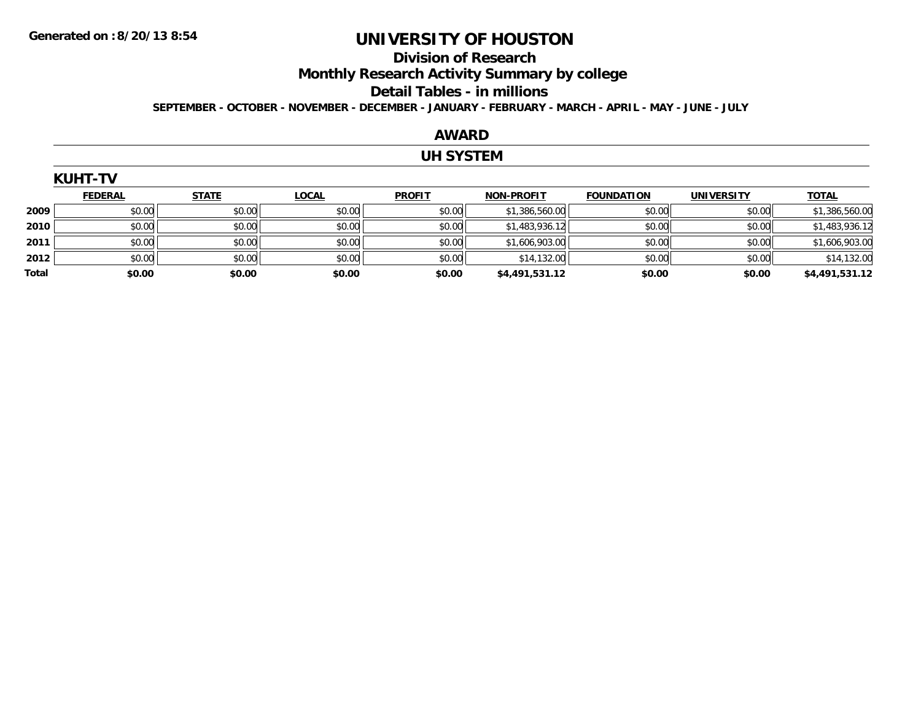# **Division of Research**

**Monthly Research Activity Summary by college**

#### **Detail Tables - in millions**

**SEPTEMBER - OCTOBER - NOVEMBER - DECEMBER - JANUARY - FEBRUARY - MARCH - APRIL - MAY - JUNE - JULY**

## **AWARD**

### **UH SYSTEM**

|       | <b>KUHT-TV</b> |              |              |               |                   |                   |                   |                |  |  |  |  |
|-------|----------------|--------------|--------------|---------------|-------------------|-------------------|-------------------|----------------|--|--|--|--|
|       | <b>FEDERAL</b> | <b>STATE</b> | <b>LOCAL</b> | <b>PROFIT</b> | <b>NON-PROFIT</b> | <b>FOUNDATION</b> | <b>UNIVERSITY</b> | <b>TOTAL</b>   |  |  |  |  |
| 2009  | \$0.00         | \$0.00       | \$0.00       | \$0.00        | \$1,386,560.00    | \$0.00            | \$0.00            | \$1,386,560.00 |  |  |  |  |
| 2010  | \$0.00         | \$0.00       | \$0.00       | \$0.00        | \$1,483,936.12    | \$0.00            | \$0.00            | \$1,483,936.12 |  |  |  |  |
| 2011  | \$0.00         | \$0.00       | \$0.00       | \$0.00        | \$1,606,903.00    | \$0.00            | \$0.00            | \$1,606,903.00 |  |  |  |  |
| 2012  | \$0.00         | \$0.00       | \$0.00       | \$0.00        | \$14,132.00       | \$0.00            | \$0.00            | \$14,132.00    |  |  |  |  |
| Total | \$0.00         | \$0.00       | \$0.00       | \$0.00        | \$4,491,531.12    | \$0.00            | \$0.00            | \$4,491,531.12 |  |  |  |  |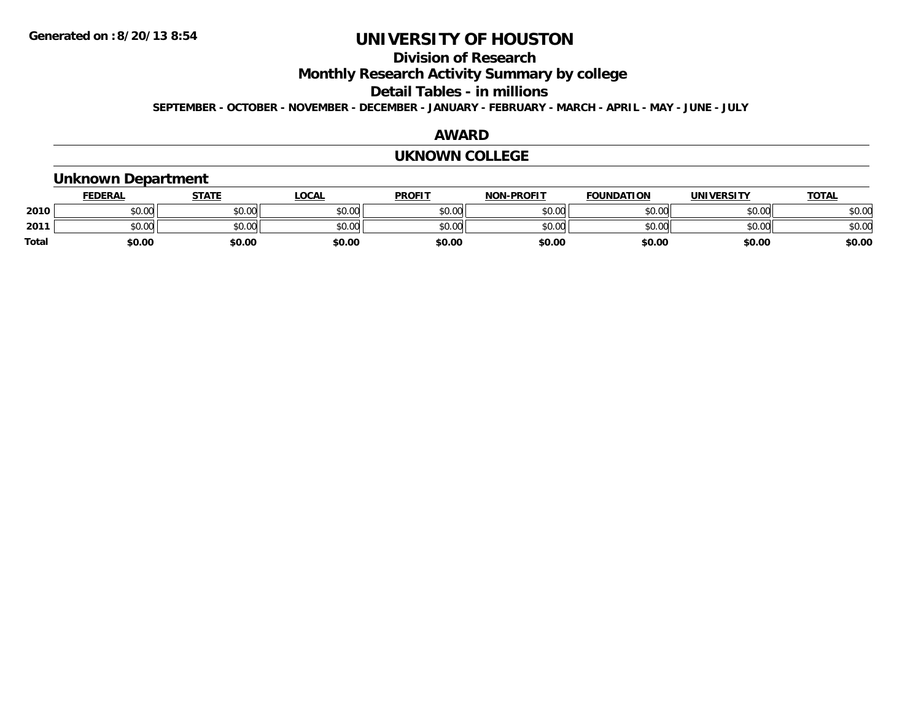# **Division of Research**

**Monthly Research Activity Summary by college**

**Detail Tables - in millions**

**SEPTEMBER - OCTOBER - NOVEMBER - DECEMBER - JANUARY - FEBRUARY - MARCH - APRIL - MAY - JUNE - JULY**

#### **AWARD**

#### **UKNOWN COLLEGE**

## **Unknown Department**

|              | <b>FEDERAL</b> | <b>STATE</b> | LOCAL  | <b>PROFIT</b> | <b>NON-PROFIT</b> | <b>FOUNDATION</b> | UNIVERSITY | <b>TOTAL</b> |
|--------------|----------------|--------------|--------|---------------|-------------------|-------------------|------------|--------------|
| 2010         | \$0.00         | \$0.00       | \$0.00 | \$0.00        | \$0.00            | \$0.00            | \$0.00     | \$0.00       |
| 2011         | \$0.00         | \$0.00       | \$0.00 | \$0.00        | \$0.00            | \$0.00            | \$0.00     | \$0.00       |
| <b>Total</b> | \$0.00         | \$0.00       | \$0.00 | \$0.00        | \$0.00            | \$0.00            | \$0.00     | \$0.00       |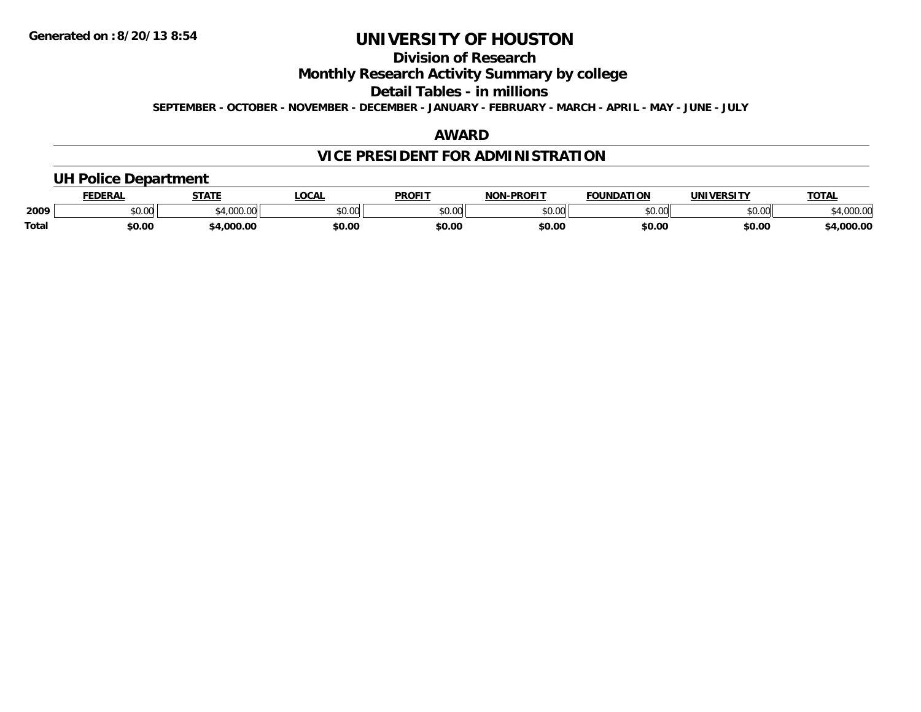# **Division of Research**

**Monthly Research Activity Summary by college**

**Detail Tables - in millions**

**SEPTEMBER - OCTOBER - NOVEMBER - DECEMBER - JANUARY - FEBRUARY - MARCH - APRIL - MAY - JUNE - JULY**

## **AWARD**

# **VICE PRESIDENT FOR ADMINISTRATION**

## **UH Police Department**

|       | <b>FEDERAL</b> | <b>STATE</b>                | <b>LOCAL</b>  | <b>PROFIT</b> | -PROFIT<br>חחו | <b>FOUNDATION</b> | UNIVERSITY | <b>TOTA</b>      |
|-------|----------------|-----------------------------|---------------|---------------|----------------|-------------------|------------|------------------|
| 2009  | ሶስ ሰሰ<br>vv.vv | $^{\ast}$ 1.000.00<br>uuu.u | 0.00<br>PU.UU | 0000<br>JU.UU | 0000<br>ט.טע   | \$0.00            | \$0.00     | מח החו<br>UUU.UU |
| Total | \$0.00         | .000.00                     | \$0.00        | \$0.00        | \$0.00         | \$0.00            | \$0.00     | ,000.00          |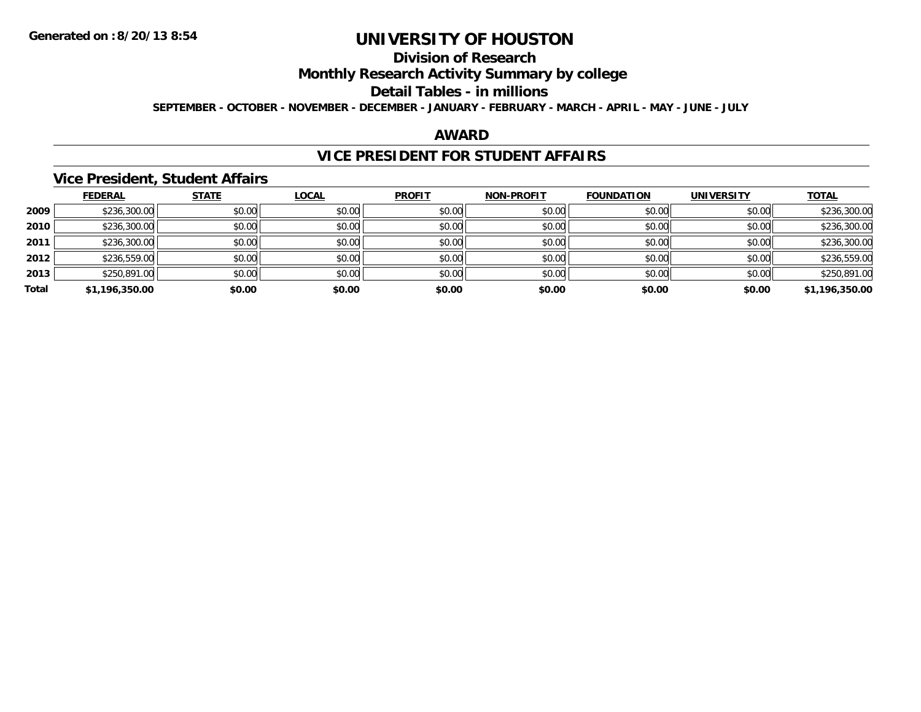# **Division of Research**

**Monthly Research Activity Summary by college**

**Detail Tables - in millions**

**SEPTEMBER - OCTOBER - NOVEMBER - DECEMBER - JANUARY - FEBRUARY - MARCH - APRIL - MAY - JUNE - JULY**

## **AWARD**

## **VICE PRESIDENT FOR STUDENT AFFAIRS**

### **Vice President, Student Affairs**

|       | <b>FEDERAL</b> | <b>STATE</b> | <b>LOCAL</b> | <b>PROFIT</b> | <b>NON-PROFIT</b> | <b>FOUNDATION</b> | <b>UNIVERSITY</b> | <b>TOTAL</b>   |
|-------|----------------|--------------|--------------|---------------|-------------------|-------------------|-------------------|----------------|
| 2009  | \$236,300.00   | \$0.00       | \$0.00       | \$0.00        | \$0.00            | \$0.00            | \$0.00            | \$236,300.00   |
| 2010  | \$236,300.00   | \$0.00       | \$0.00       | \$0.00        | \$0.00            | \$0.00            | \$0.00            | \$236,300.00   |
| 2011  | \$236,300.00   | \$0.00       | \$0.00       | \$0.00        | \$0.00            | \$0.00            | \$0.00            | \$236,300.00   |
| 2012  | \$236,559.00   | \$0.00       | \$0.00       | \$0.00        | \$0.00            | \$0.00            | \$0.00            | \$236,559.00   |
| 2013  | \$250,891.00   | \$0.00       | \$0.00       | \$0.00        | \$0.00            | \$0.00            | \$0.00            | \$250,891.00   |
| Total | \$1,196,350.00 | \$0.00       | \$0.00       | \$0.00        | \$0.00            | \$0.00            | \$0.00            | \$1,196,350.00 |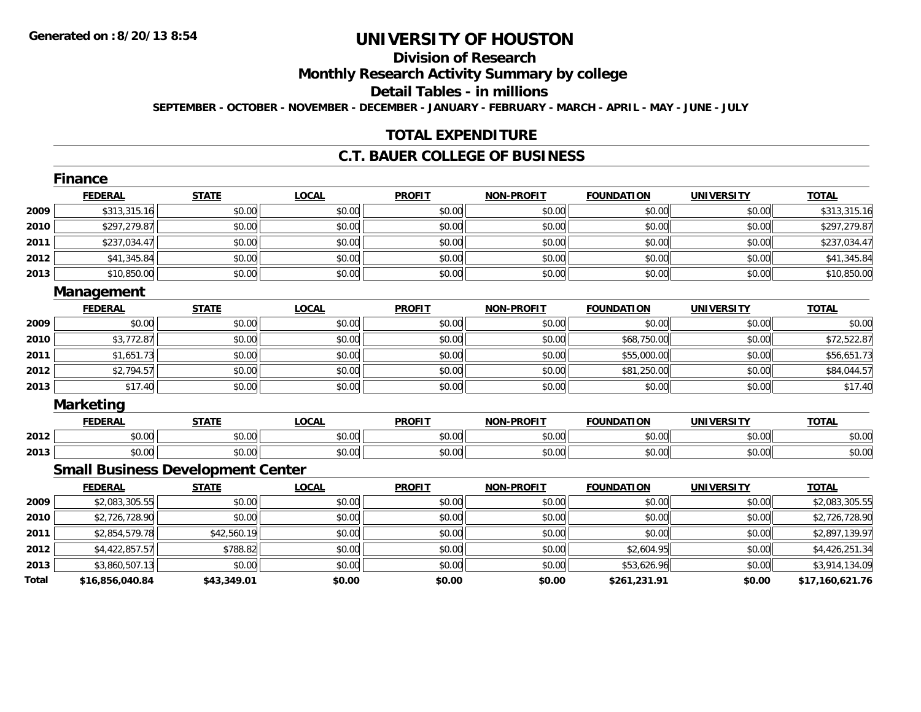# **Division of Research**

**Monthly Research Activity Summary by college**

**Detail Tables - in millions**

**SEPTEMBER - OCTOBER - NOVEMBER - DECEMBER - JANUARY - FEBRUARY - MARCH - APRIL - MAY - JUNE - JULY**

## **TOTAL EXPENDITURE**

## **C.T. BAUER COLLEGE OF BUSINESS**

|       | Finance                                  |              |              |               |                   |                   |                   |                 |
|-------|------------------------------------------|--------------|--------------|---------------|-------------------|-------------------|-------------------|-----------------|
|       | <b>FEDERAL</b>                           | <b>STATE</b> | <b>LOCAL</b> | <b>PROFIT</b> | <b>NON-PROFIT</b> | <b>FOUNDATION</b> | <b>UNIVERSITY</b> | <b>TOTAL</b>    |
| 2009  | \$313,315.16                             | \$0.00       | \$0.00       | \$0.00        | \$0.00            | \$0.00            | \$0.00            | \$313,315.16    |
| 2010  | \$297,279.87                             | \$0.00       | \$0.00       | \$0.00        | \$0.00            | \$0.00            | \$0.00            | \$297,279.87    |
| 2011  | \$237,034.47                             | \$0.00       | \$0.00       | \$0.00        | \$0.00            | \$0.00            | \$0.00            | \$237,034.47    |
| 2012  | \$41,345.84                              | \$0.00       | \$0.00       | \$0.00        | \$0.00            | \$0.00            | \$0.00            | \$41,345.84     |
| 2013  | \$10,850.00                              | \$0.00       | \$0.00       | \$0.00        | \$0.00            | \$0.00            | \$0.00            | \$10,850.00     |
|       | Management                               |              |              |               |                   |                   |                   |                 |
|       | <b>FEDERAL</b>                           | <b>STATE</b> | <b>LOCAL</b> | <b>PROFIT</b> | <b>NON-PROFIT</b> | <b>FOUNDATION</b> | <b>UNIVERSITY</b> | <b>TOTAL</b>    |
| 2009  | \$0.00                                   | \$0.00       | \$0.00       | \$0.00        | \$0.00            | \$0.00            | \$0.00            | \$0.00          |
| 2010  | \$3,772.87                               | \$0.00       | \$0.00       | \$0.00        | \$0.00            | \$68,750.00       | \$0.00            | \$72,522.87     |
| 2011  | \$1,651.73                               | \$0.00       | \$0.00       | \$0.00        | \$0.00            | \$55,000.00       | \$0.00            | \$56,651.73     |
| 2012  | \$2,794.57                               | \$0.00       | \$0.00       | \$0.00        | \$0.00            | \$81,250.00       | \$0.00            | \$84,044.57     |
| 2013  | \$17.40                                  | \$0.00       | \$0.00       | \$0.00        | \$0.00            | \$0.00            | \$0.00            | \$17.40         |
|       | <b>Marketing</b>                         |              |              |               |                   |                   |                   |                 |
|       | <b>FEDERAL</b>                           | <b>STATE</b> | <b>LOCAL</b> | <b>PROFIT</b> | <b>NON-PROFIT</b> | <b>FOUNDATION</b> | <b>UNIVERSITY</b> | <b>TOTAL</b>    |
| 2012  | \$0.00                                   | \$0.00       | \$0.00       | \$0.00        | \$0.00            | \$0.00            | \$0.00            | \$0.00          |
| 2013  | \$0.00                                   | \$0.00       | \$0.00       | \$0.00        | \$0.00            | \$0.00            | \$0.00            | \$0.00          |
|       | <b>Small Business Development Center</b> |              |              |               |                   |                   |                   |                 |
|       | <b>FEDERAL</b>                           | <b>STATE</b> | <b>LOCAL</b> | <b>PROFIT</b> | <b>NON-PROFIT</b> | <b>FOUNDATION</b> | <b>UNIVERSITY</b> | <b>TOTAL</b>    |
| 2009  | \$2,083,305.55                           | \$0.00       | \$0.00       | \$0.00        | \$0.00            | \$0.00            | \$0.00            | \$2,083,305.55  |
| 2010  | \$2,726,728.90                           | \$0.00       | \$0.00       | \$0.00        | \$0.00            | \$0.00            | \$0.00            | \$2,726,728.90  |
| 2011  | \$2,854,579.78                           | \$42,560.19  | \$0.00       | \$0.00        | \$0.00            | \$0.00            | \$0.00            | \$2,897,139.97  |
| 2012  | \$4,422,857.57                           | \$788.82     | \$0.00       | \$0.00        | \$0.00            | \$2,604.95        | \$0.00            | \$4,426,251.34  |
| 2013  | \$3,860,507.13                           | \$0.00       | \$0.00       | \$0.00        | \$0.00            | \$53,626.96       | \$0.00            | \$3,914,134.09  |
| Total | \$16,856,040.84                          | \$43,349.01  | \$0.00       | \$0.00        | \$0.00            | \$261,231.91      | \$0.00            | \$17,160,621.76 |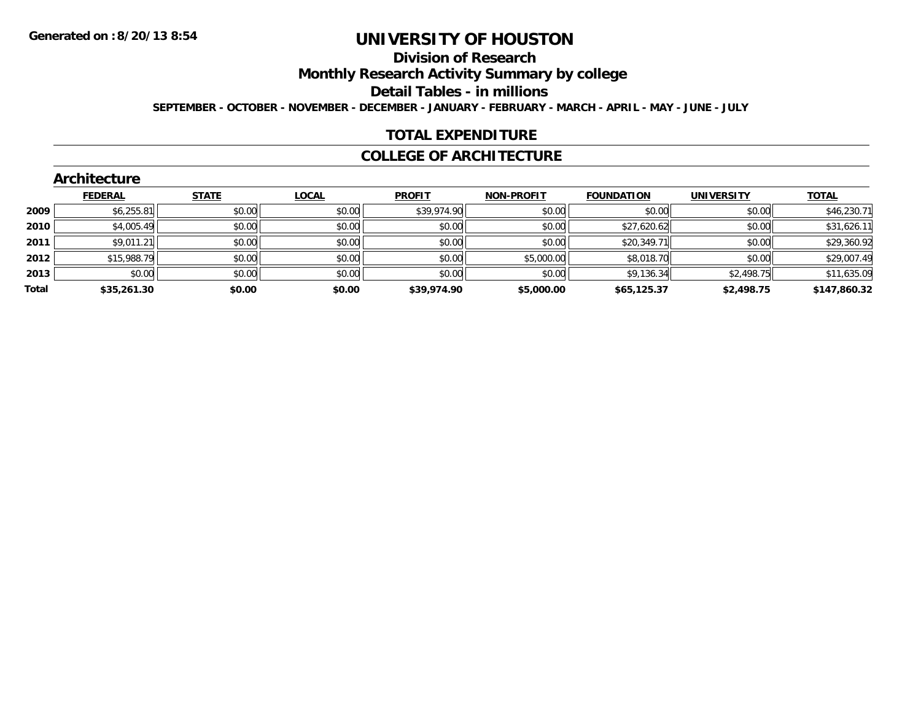# **Division of Research**

**Monthly Research Activity Summary by college**

**Detail Tables - in millions**

**SEPTEMBER - OCTOBER - NOVEMBER - DECEMBER - JANUARY - FEBRUARY - MARCH - APRIL - MAY - JUNE - JULY**

## **TOTAL EXPENDITURE**

### **COLLEGE OF ARCHITECTURE**

|       | ALCHILECTULE   |              |        |               |                   |                   |                   |              |
|-------|----------------|--------------|--------|---------------|-------------------|-------------------|-------------------|--------------|
|       | <b>FEDERAL</b> | <b>STATE</b> | LOCAL  | <b>PROFIT</b> | <b>NON-PROFIT</b> | <b>FOUNDATION</b> | <b>UNIVERSITY</b> | <b>TOTAL</b> |
| 2009  | \$6,255.81     | \$0.00       | \$0.00 | \$39,974.90   | \$0.00            | \$0.00            | \$0.00            | \$46,230.71  |
| 2010  | \$4,005.49     | \$0.00       | \$0.00 | \$0.00        | \$0.00            | \$27,620.62       | \$0.00            | \$31,626.11  |
| 2011  | \$9,011.21     | \$0.00       | \$0.00 | \$0.00        | \$0.00            | \$20,349.71       | \$0.00            | \$29,360.92  |
| 2012  | \$15,988.79    | \$0.00       | \$0.00 | \$0.00        | \$5,000.00        | \$8,018.70        | \$0.00            | \$29,007.49  |
| 2013  | \$0.00         | \$0.00       | \$0.00 | \$0.00        | \$0.00            | \$9,136.34        | \$2,498.75        | \$11,635.09  |
| Total | \$35,261.30    | \$0.00       | \$0.00 | \$39,974.90   | \$5,000.00        | \$65,125.37       | \$2,498.75        | \$147,860.32 |
|       |                |              |        |               |                   |                   |                   |              |

#### **Architecture**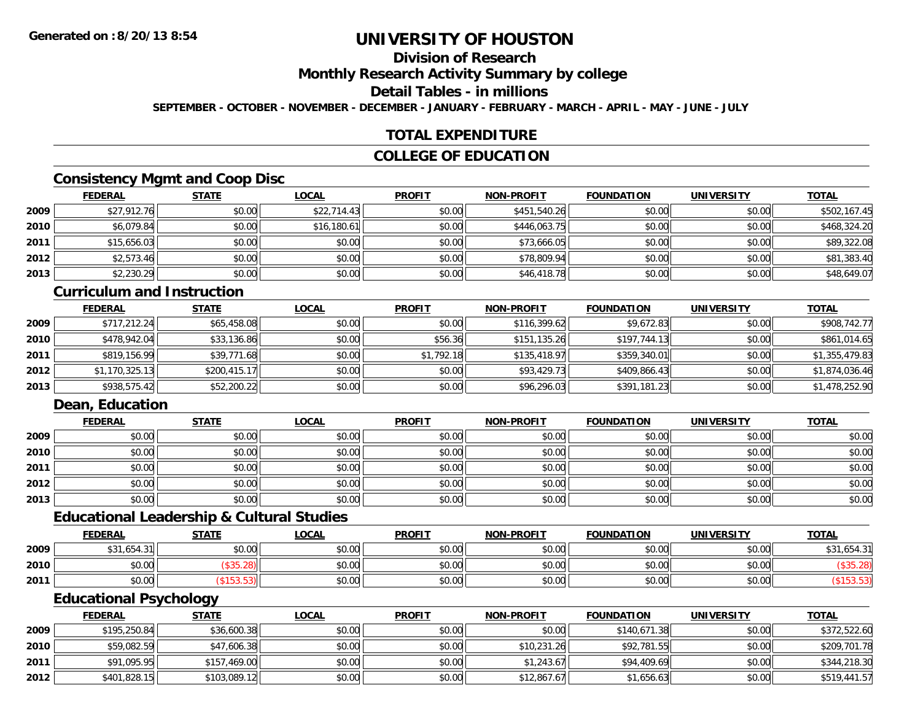# **Division of Research**

**Monthly Research Activity Summary by college**

**Detail Tables - in millions**

**SEPTEMBER - OCTOBER - NOVEMBER - DECEMBER - JANUARY - FEBRUARY - MARCH - APRIL - MAY - JUNE - JULY**

### **TOTAL EXPENDITURE**

#### **COLLEGE OF EDUCATION**

## **Consistency Mgmt and Coop Disc**

|      | <b>FEDERAL</b> | <b>STATE</b> | <u>LOCAL</u> | <b>PROFIT</b> | <b>NON-PROFIT</b> | <b>FOUNDATION</b> | <b>UNIVERSITY</b> | <b>TOTAL</b> |
|------|----------------|--------------|--------------|---------------|-------------------|-------------------|-------------------|--------------|
| 2009 | \$27,912.76    | \$0.00       | \$22,714.43  | \$0.00        | \$451,540.26      | \$0.00            | \$0.00            | \$502,167.45 |
| 2010 | \$6,079.84     | \$0.00       | \$16,180.61  | \$0.00        | \$446,063.75      | \$0.00            | \$0.00            | \$468,324.20 |
| 2011 | \$15,656.03    | \$0.00       | \$0.00       | \$0.00        | \$73,666.05       | \$0.00            | \$0.00            | \$89,322.08  |
| 2012 | \$2,573.46     | \$0.00       | \$0.00       | \$0.00        | \$78,809.94       | \$0.00            | \$0.00            | \$81,383.40  |
| 2013 | \$2,230.29     | \$0.00       | \$0.00       | \$0.00        | \$46,418.78       | \$0.00            | \$0.00            | \$48,649.07  |

### **Curriculum and Instruction**

|      | <b>FEDERAL</b> | <b>STATE</b> | <u>LOCAL</u> | <b>PROFIT</b> | <b>NON-PROFIT</b> | <b>FOUNDATION</b> | <b>UNIVERSITY</b> | <b>TOTAL</b>   |
|------|----------------|--------------|--------------|---------------|-------------------|-------------------|-------------------|----------------|
| 2009 | \$717,212.24   | \$65,458.08  | \$0.00       | \$0.00        | \$116,399.62      | \$9,672.83        | \$0.00            | \$908,742.77   |
| 2010 | \$478,942.04   | \$33,136.86  | \$0.00       | \$56.36       | \$151,135.26      | \$197,744.13      | \$0.00            | \$861,014.65   |
| 2011 | \$819,156.99   | \$39,771.68  | \$0.00       | \$1,792.18    | \$135,418.97      | \$359,340.01      | \$0.00            | \$1,355,479.83 |
| 2012 | \$1,170,325.13 | \$200,415.17 | \$0.00       | \$0.00        | \$93,429.73       | \$409,866.43      | \$0.00            | \$1,874,036.46 |
| 2013 | \$938,575.42   | \$52,200.22  | \$0.00       | \$0.00        | \$96,296.03       | \$391,181.23      | \$0.00            | \$1,478,252.90 |

## **Dean, Education**

|      | <b>FEDERAL</b> | <b>STATE</b> | <u>LOCAL</u> | <b>PROFIT</b> | <b>NON-PROFIT</b> | <b>FOUNDATION</b> | <b>UNIVERSITY</b> | <b>TOTAL</b> |
|------|----------------|--------------|--------------|---------------|-------------------|-------------------|-------------------|--------------|
| 2009 | \$0.00         | \$0.00       | \$0.00       | \$0.00        | \$0.00            | \$0.00            | \$0.00            | \$0.00       |
| 2010 | \$0.00         | \$0.00       | \$0.00       | \$0.00        | \$0.00            | \$0.00            | \$0.00            | \$0.00       |
| 2011 | \$0.00         | \$0.00       | \$0.00       | \$0.00        | \$0.00            | \$0.00            | \$0.00            | \$0.00       |
| 2012 | \$0.00         | \$0.00       | \$0.00       | \$0.00        | \$0.00            | \$0.00            | \$0.00            | \$0.00       |
| 2013 | \$0.00         | \$0.00       | \$0.00       | \$0.00        | \$0.00            | \$0.00            | \$0.00            | \$0.00       |

#### **Educational Leadership & Cultural Studies**

|      | <b>FEDERAL</b> | <b>STATE</b> | <u>LOCAL</u> | <b>PROFIT</b> | <b>NON-PROFIT</b> | <b>FOUNDATION</b> | <b>UNIVERSITY</b> | <u>TOTAL</u> |
|------|----------------|--------------|--------------|---------------|-------------------|-------------------|-------------------|--------------|
| 2009 | \$31,654.31    | \$0.00       | \$0.00       | \$0.00        | \$0.00            | \$0.00            | \$0.00            | \$31,654.31  |
| 2010 | \$0.00         | JJJ.ZU       | \$0.00       | \$0.00        | \$0.00            | \$0.00            | \$0.00            |              |
| 2011 | \$0.00         |              | \$0.00       | \$0.00        | \$0.00            | \$0.00            | \$0.00            |              |

#### **Educational Psychology**

|      | <b>FEDERAL</b> | <b>STATE</b> | <u>LOCAL</u> | <b>PROFIT</b> | <b>NON-PROFIT</b> | <b>FOUNDATION</b> | UNIVERSITY | <b>TOTAL</b> |
|------|----------------|--------------|--------------|---------------|-------------------|-------------------|------------|--------------|
| 2009 | \$195,250.84   | \$36,600.38  | \$0.00       | \$0.00        | \$0.00            | \$140,671.38      | \$0.00     | \$372,522.60 |
| 2010 | \$59,082.59    | \$47,606.38  | \$0.00       | \$0.00        | \$10,231.26       | \$92,781.55       | \$0.00     | \$209,701.78 |
| 2011 | \$91,095.95    | \$157,469.00 | \$0.00       | \$0.00        | \$1,243.67        | \$94,409.69       | \$0.00     | \$344,218.30 |
| 2012 | \$401,828.15   | \$103,089.12 | \$0.00       | \$0.00        | \$12,867.67       | \$1,656.63        | \$0.00     | \$519,441.57 |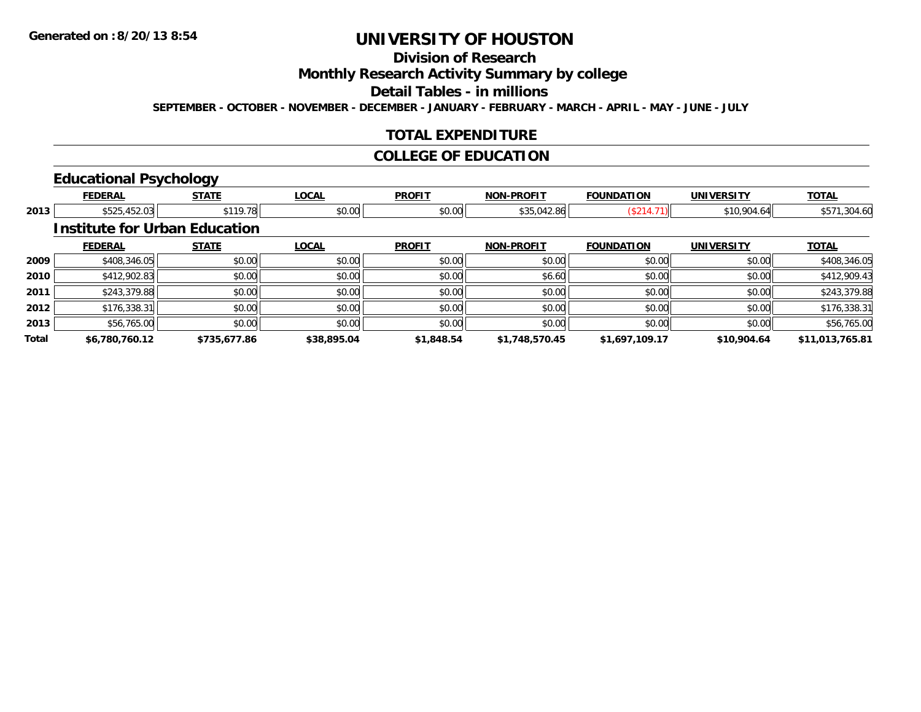# **Division of Research**

**Monthly Research Activity Summary by college**

**Detail Tables - in millions**

**SEPTEMBER - OCTOBER - NOVEMBER - DECEMBER - JANUARY - FEBRUARY - MARCH - APRIL - MAY - JUNE - JULY**

## **TOTAL EXPENDITURE**

## **COLLEGE OF EDUCATION**

# **Educational Psychology**

|       | <b>FEDERAL</b>                       | <b>STATE</b> | <b>LOCAL</b> | <b>PROFIT</b> | <b>NON-PROFIT</b> | <b>FOUNDATION</b> | <b>UNIVERSITY</b> | <b>TOTAL</b>    |
|-------|--------------------------------------|--------------|--------------|---------------|-------------------|-------------------|-------------------|-----------------|
| 2013  | \$525,452.03                         | \$119.78     | \$0.00       | \$0.00        | \$35,042.86       | (\$214.71)        | \$10,904.64       | \$571,304.60    |
|       | <b>Institute for Urban Education</b> |              |              |               |                   |                   |                   |                 |
|       | <b>FEDERAL</b>                       | <b>STATE</b> | <b>LOCAL</b> | <b>PROFIT</b> | <b>NON-PROFIT</b> | <b>FOUNDATION</b> | <b>UNIVERSITY</b> | <b>TOTAL</b>    |
| 2009  | \$408,346.05                         | \$0.00       | \$0.00       | \$0.00        | \$0.00            | \$0.00            | \$0.00            | \$408,346.05    |
| 2010  | \$412,902.83                         | \$0.00       | \$0.00       | \$0.00        | \$6.60            | \$0.00            | \$0.00            | \$412,909.43    |
| 2011  | \$243,379.88                         | \$0.00       | \$0.00       | \$0.00        | \$0.00            | \$0.00            | \$0.00            | \$243,379.88    |
| 2012  | \$176,338.31                         | \$0.00       | \$0.00       | \$0.00        | \$0.00            | \$0.00            | \$0.00            | \$176,338.31    |
| 2013  | \$56,765.00                          | \$0.00       | \$0.00       | \$0.00        | \$0.00            | \$0.00            | \$0.00            | \$56,765.00     |
| Total | \$6,780,760.12                       | \$735,677.86 | \$38,895.04  | \$1,848.54    | \$1,748,570.45    | \$1,697,109.17    | \$10,904.64       | \$11,013,765.81 |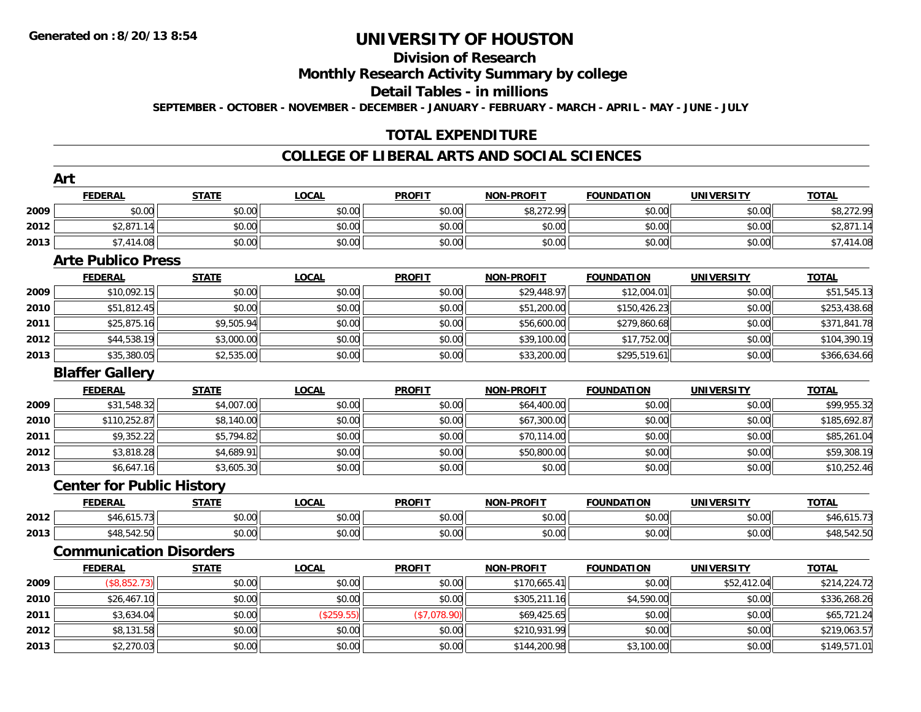# **Division of Research**

**Monthly Research Activity Summary by college**

**Detail Tables - in millions**

**SEPTEMBER - OCTOBER - NOVEMBER - DECEMBER - JANUARY - FEBRUARY - MARCH - APRIL - MAY - JUNE - JULY**

## **TOTAL EXPENDITURE**

#### **COLLEGE OF LIBERAL ARTS AND SOCIAL SCIENCES**

|      | Art                              |              |              |               |                   |                   |                   |              |
|------|----------------------------------|--------------|--------------|---------------|-------------------|-------------------|-------------------|--------------|
|      | <b>FEDERAL</b>                   | <b>STATE</b> | <b>LOCAL</b> | <b>PROFIT</b> | <b>NON-PROFIT</b> | <b>FOUNDATION</b> | <b>UNIVERSITY</b> | <b>TOTAL</b> |
| 2009 | \$0.00                           | \$0.00       | \$0.00       | \$0.00        | \$8,272.99        | \$0.00            | \$0.00            | \$8,272.99   |
| 2012 | \$2,871.14                       | \$0.00       | \$0.00       | \$0.00        | \$0.00            | \$0.00            | \$0.00            | \$2,871.14   |
| 2013 | \$7,414.08                       | \$0.00       | \$0.00       | \$0.00        | \$0.00            | \$0.00            | \$0.00            | \$7,414.08   |
|      | <b>Arte Publico Press</b>        |              |              |               |                   |                   |                   |              |
|      | <b>FEDERAL</b>                   | <b>STATE</b> | <b>LOCAL</b> | <b>PROFIT</b> | <b>NON-PROFIT</b> | <b>FOUNDATION</b> | <b>UNIVERSITY</b> | <b>TOTAL</b> |
| 2009 | \$10,092.15                      | \$0.00       | \$0.00       | \$0.00        | \$29,448.97       | \$12,004.01       | \$0.00            | \$51,545.13  |
| 2010 | \$51,812.45                      | \$0.00       | \$0.00       | \$0.00        | \$51,200.00       | \$150,426.23      | \$0.00            | \$253,438.68 |
| 2011 | \$25,875.16                      | \$9,505.94   | \$0.00       | \$0.00        | \$56,600.00       | \$279,860.68      | \$0.00            | \$371,841.78 |
| 2012 | \$44,538.19                      | \$3,000.00   | \$0.00       | \$0.00        | \$39,100.00       | \$17,752.00       | \$0.00            | \$104,390.19 |
| 2013 | \$35,380.05                      | \$2,535.00   | \$0.00       | \$0.00        | \$33,200.00       | \$295,519.61      | \$0.00            | \$366,634.66 |
|      | <b>Blaffer Gallery</b>           |              |              |               |                   |                   |                   |              |
|      | <b>FEDERAL</b>                   | <b>STATE</b> | <b>LOCAL</b> | <b>PROFIT</b> | <b>NON-PROFIT</b> | <b>FOUNDATION</b> | <b>UNIVERSITY</b> | <b>TOTAL</b> |
| 2009 | \$31,548.32                      | \$4,007.00   | \$0.00       | \$0.00        | \$64,400.00       | \$0.00            | \$0.00            | \$99,955.32  |
| 2010 | \$110,252.87                     | \$8,140.00   | \$0.00       | \$0.00        | \$67,300.00       | \$0.00            | \$0.00            | \$185,692.87 |
| 2011 | \$9,352.22                       | \$5,794.82   | \$0.00       | \$0.00        | \$70,114.00       | \$0.00            | \$0.00            | \$85,261.04  |
| 2012 | \$3,818.28                       | \$4,689.91   | \$0.00       | \$0.00        | \$50,800.00       | \$0.00            | \$0.00            | \$59,308.19  |
| 2013 | \$6,647.16                       | \$3,605.30   | \$0.00       | \$0.00        | \$0.00            | \$0.00            | \$0.00            | \$10,252.46  |
|      | <b>Center for Public History</b> |              |              |               |                   |                   |                   |              |
|      | <b>FEDERAL</b>                   | <b>STATE</b> | <b>LOCAL</b> | <b>PROFIT</b> | <b>NON-PROFIT</b> | <b>FOUNDATION</b> | <b>UNIVERSITY</b> | <b>TOTAL</b> |
| 2012 | \$46,615.73                      | \$0.00       | \$0.00       | \$0.00        | \$0.00            | \$0.00            | \$0.00            | \$46,615.73  |
| 2013 | \$48,542.50                      | \$0.00       | \$0.00       | \$0.00        | \$0.00            | \$0.00            | \$0.00            | \$48,542.50  |
|      | <b>Communication Disorders</b>   |              |              |               |                   |                   |                   |              |
|      | <b>FEDERAL</b>                   | <b>STATE</b> | <b>LOCAL</b> | <b>PROFIT</b> | <b>NON-PROFIT</b> | <b>FOUNDATION</b> | <b>UNIVERSITY</b> | <b>TOTAL</b> |
| 2009 | (\$8,852.73)                     | \$0.00       | \$0.00       | \$0.00        | \$170,665.41      | \$0.00            | \$52,412.04       | \$214,224.72 |
| 2010 | \$26,467.10                      | \$0.00       | \$0.00       | \$0.00        | \$305,211.16      | \$4,590.00        | \$0.00            | \$336,268.26 |
| 2011 | \$3,634.04                       | \$0.00       | (\$259.55)   | (\$7,078.90)  | \$69,425.65       | \$0.00            | \$0.00            | \$65,721.24  |
| 2012 | \$8,131.58                       | \$0.00       | \$0.00       | \$0.00        | \$210,931.99      | \$0.00            | \$0.00            | \$219,063.57 |
| 2013 | \$2,270.03                       | \$0.00       | \$0.00       | \$0.00        | \$144,200.98      | \$3,100.00        | \$0.00            | \$149,571.01 |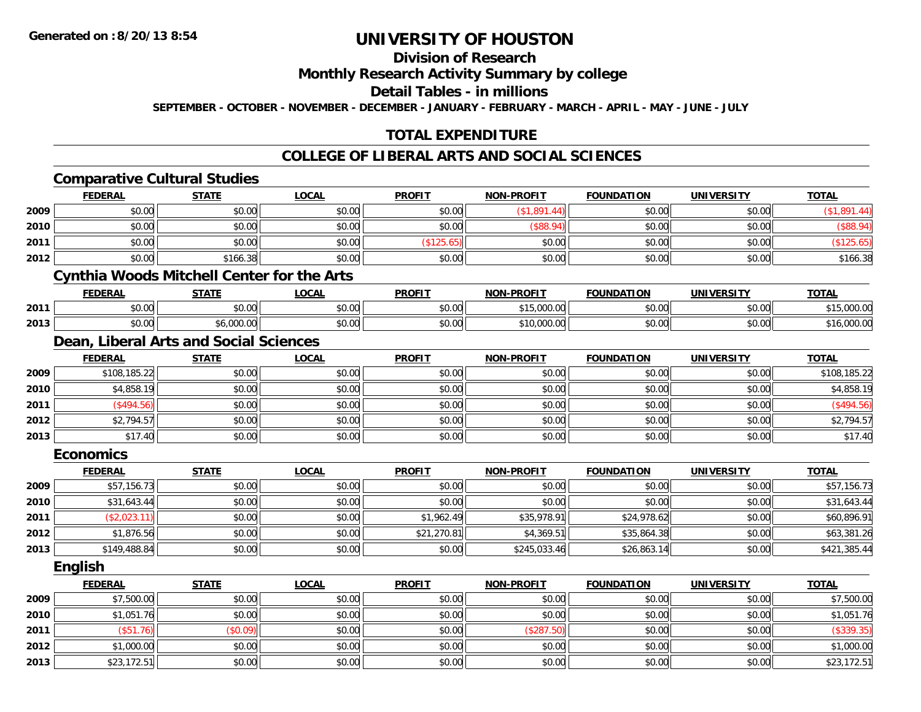# **Division of Research**

**Monthly Research Activity Summary by college**

**Detail Tables - in millions**

**SEPTEMBER - OCTOBER - NOVEMBER - DECEMBER - JANUARY - FEBRUARY - MARCH - APRIL - MAY - JUNE - JULY**

# **TOTAL EXPENDITURE**

#### **COLLEGE OF LIBERAL ARTS AND SOCIAL SCIENCES**

|      |                  | <b>Comparative Cultural Studies</b>               |              |               |                   |                   |                   |              |
|------|------------------|---------------------------------------------------|--------------|---------------|-------------------|-------------------|-------------------|--------------|
|      | <b>FEDERAL</b>   | <b>STATE</b>                                      | <b>LOCAL</b> | <b>PROFIT</b> | <b>NON-PROFIT</b> | <b>FOUNDATION</b> | <b>UNIVERSITY</b> | <b>TOTAL</b> |
| 2009 | \$0.00           | \$0.00                                            | \$0.00       | \$0.00        | (\$1,891.44)      | \$0.00            | \$0.00            | (\$1,891.44) |
| 2010 | \$0.00           | \$0.00                                            | \$0.00       | \$0.00        | (\$88.94)         | \$0.00            | \$0.00            | (\$88.94)    |
| 2011 | \$0.00           | \$0.00                                            | \$0.00       | (\$125.65)    | \$0.00            | \$0.00            | \$0.00            | (\$125.65)   |
| 2012 | \$0.00           | \$166.38                                          | \$0.00       | \$0.00        | \$0.00            | \$0.00            | \$0.00            | \$166.38     |
|      |                  | <b>Cynthia Woods Mitchell Center for the Arts</b> |              |               |                   |                   |                   |              |
|      | <b>FEDERAL</b>   | <b>STATE</b>                                      | <b>LOCAL</b> | <b>PROFIT</b> | <b>NON-PROFIT</b> | <b>FOUNDATION</b> | <b>UNIVERSITY</b> | <b>TOTAL</b> |
| 2011 | \$0.00           | \$0.00                                            | \$0.00       | \$0.00        | \$15,000.00       | \$0.00            | \$0.00            | \$15,000.00  |
| 2013 | \$0.00           | \$6,000.00                                        | \$0.00       | \$0.00        | \$10,000.00       | \$0.00            | \$0.00            | \$16,000.00  |
|      |                  | Dean, Liberal Arts and Social Sciences            |              |               |                   |                   |                   |              |
|      | <b>FEDERAL</b>   | <b>STATE</b>                                      | <b>LOCAL</b> | <b>PROFIT</b> | <b>NON-PROFIT</b> | <b>FOUNDATION</b> | <b>UNIVERSITY</b> | <b>TOTAL</b> |
| 2009 | \$108,185.22     | \$0.00                                            | \$0.00       | \$0.00        | \$0.00            | \$0.00            | \$0.00            | \$108,185.22 |
| 2010 | \$4,858.19       | \$0.00                                            | \$0.00       | \$0.00        | \$0.00            | \$0.00            | \$0.00            | \$4,858.19   |
| 2011 | (\$494.56)       | \$0.00                                            | \$0.00       | \$0.00        | \$0.00            | \$0.00            | \$0.00            | (\$494.56)   |
| 2012 | \$2,794.57       | \$0.00                                            | \$0.00       | \$0.00        | \$0.00            | \$0.00            | \$0.00            | \$2,794.57   |
| 2013 | \$17.40          | \$0.00                                            | \$0.00       | \$0.00        | \$0.00            | \$0.00            | \$0.00            | \$17.40      |
|      | <b>Economics</b> |                                                   |              |               |                   |                   |                   |              |
|      | <b>FEDERAL</b>   | <b>STATE</b>                                      | <b>LOCAL</b> | <b>PROFIT</b> | NON-PROFIT        | <b>FOUNDATION</b> | <b>UNIVERSITY</b> | <b>TOTAL</b> |
| 2009 | \$57,156.73      | \$0.00                                            | \$0.00       | \$0.00        | \$0.00            | \$0.00            | \$0.00            | \$57,156.73  |
| 2010 | \$31,643.44      | \$0.00                                            | \$0.00       | \$0.00        | \$0.00            | \$0.00            | \$0.00            | \$31,643.44  |
| 2011 | (\$2,023.11)     | \$0.00                                            | \$0.00       | \$1,962.49    | \$35,978.91       | \$24,978.62       | \$0.00            | \$60,896.91  |
| 2012 | \$1,876.56       | \$0.00                                            | \$0.00       | \$21,270.81   | \$4,369.51        | \$35,864.38       | \$0.00            | \$63,381.26  |
| 2013 | \$149,488.84     | \$0.00                                            | \$0.00       | \$0.00        | \$245,033.46      | \$26,863.14       | \$0.00            | \$421,385.44 |
|      | <b>English</b>   |                                                   |              |               |                   |                   |                   |              |
|      | <b>FEDERAL</b>   | <b>STATE</b>                                      | <b>LOCAL</b> | <b>PROFIT</b> | <b>NON-PROFIT</b> | <b>FOUNDATION</b> | <b>UNIVERSITY</b> | <b>TOTAL</b> |
| 2009 | \$7,500.00       | \$0.00                                            | \$0.00       | \$0.00        | \$0.00            | \$0.00            | \$0.00            | \$7,500.00   |
| 2010 | \$1,051.76       | \$0.00                                            | \$0.00       | \$0.00        | \$0.00            | \$0.00            | \$0.00            | \$1,051.76   |
| 2011 | (\$51.76)        | (\$0.09)                                          | \$0.00       | \$0.00        | (\$287.50)        | \$0.00            | \$0.00            | (\$339.35)   |
| 2012 | \$1,000.00       | \$0.00                                            | \$0.00       | \$0.00        | \$0.00            | \$0.00            | \$0.00            | \$1,000.00   |
| 2013 | \$23,172.51      | \$0.00                                            | \$0.00       | \$0.00        | \$0.00            | \$0.00            | \$0.00            | \$23,172.51  |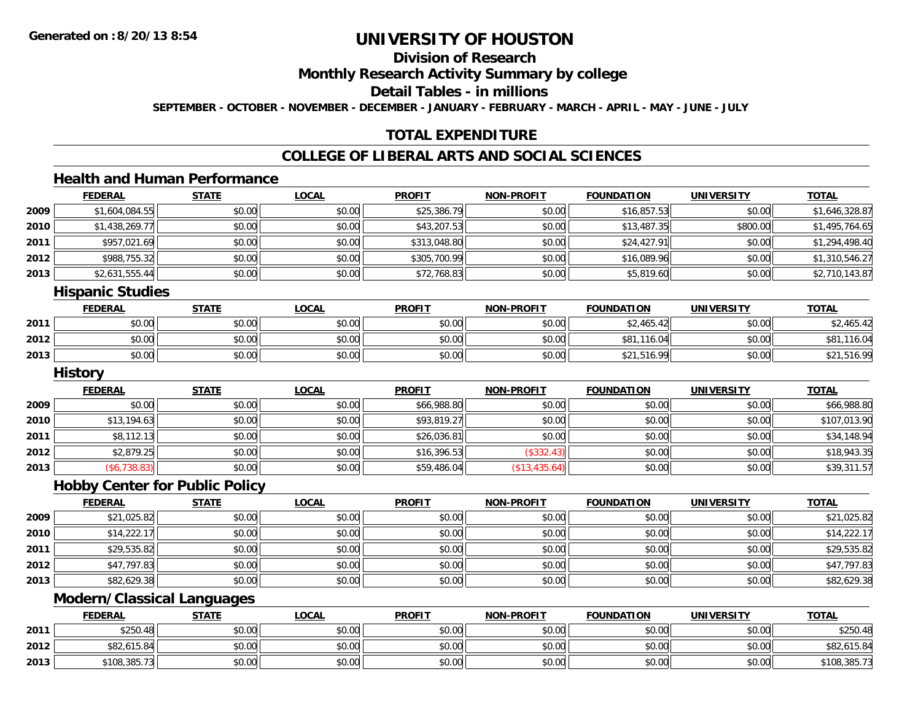# **Division of Research**

**Monthly Research Activity Summary by college**

**Detail Tables - in millions**

**SEPTEMBER - OCTOBER - NOVEMBER - DECEMBER - JANUARY - FEBRUARY - MARCH - APRIL - MAY - JUNE - JULY**

# **TOTAL EXPENDITURE**

## **COLLEGE OF LIBERAL ARTS AND SOCIAL SCIENCES**

## **Health and Human Performance**

|      | <b>FEDERAL</b> | <b>STATE</b> | <u>LOCAL</u> | <b>PROFIT</b> | <b>NON-PROFIT</b> | <b>FOUNDATION</b> | <b>UNIVERSITY</b> | <b>TOTAL</b>   |
|------|----------------|--------------|--------------|---------------|-------------------|-------------------|-------------------|----------------|
| 2009 | \$1,604,084.55 | \$0.00       | \$0.00       | \$25,386.79   | \$0.00            | \$16,857.53       | \$0.00            | \$1,646,328.87 |
| 2010 | \$1,438,269.77 | \$0.00       | \$0.00       | \$43,207.53   | \$0.00            | \$13,487.35       | \$800.00          | \$1,495,764.65 |
| 2011 | \$957,021.69   | \$0.00       | \$0.00       | \$313,048.80  | \$0.00            | \$24,427.91       | \$0.00            | \$1,294,498.40 |
| 2012 | \$988,755.32   | \$0.00       | \$0.00       | \$305,700.99  | \$0.00            | \$16,089.96       | \$0.00            | \$1,310,546.27 |
| 2013 | \$2,631,555.44 | \$0.00       | \$0.00       | \$72,768.83   | \$0.00            | \$5,819.60        | \$0.00            | \$2,710,143.87 |
|      | $  -$<br>.     |              |              |               |                   |                   |                   |                |

#### **Hispanic Studies**

|      | <b>FEDERAL</b> | <b>STATE</b> | <u>LOCAL</u>         | <b>PROFIT</b> | <b>NON-PROFIT</b> | <b>FOUNDATION</b> | <b>UNIVERSITY</b> | <u>TOTAL</u>                        |
|------|----------------|--------------|----------------------|---------------|-------------------|-------------------|-------------------|-------------------------------------|
| 2011 | \$0.00         | \$0.00       | 0000<br><b>DU.UU</b> | \$0.00        | \$0.00            | 2.465<br>4,       | \$0.00            | $\uparrow$<br><sup>∕</sup> 2,400.4≁ |
| 2012 | \$0.00         | \$0.00       | \$0.00               | \$0.00        | \$0.00            | \$81,116.04       | \$0.00            | \$81<br>.16.04                      |
| 2013 | \$0.00         | \$0.00       | \$0.00               | \$0.00        | \$0.00            | \$21,516.99       | \$0.00            | $↓$ ∠1,516.9 <sup>∩</sup>           |

#### **History**

|      | <b>FEDERAL</b> | STATE  | <u>LOCAL</u> | <b>PROFIT</b> | <b>NON-PROFIT</b> | <b>FOUNDATION</b> | <b>UNIVERSITY</b> | <b>TOTAL</b> |
|------|----------------|--------|--------------|---------------|-------------------|-------------------|-------------------|--------------|
| 2009 | \$0.00         | \$0.00 | \$0.00       | \$66,988.80   | \$0.00            | \$0.00            | \$0.00            | \$66,988.80  |
| 2010 | \$13,194.63    | \$0.00 | \$0.00       | \$93,819.27   | \$0.00            | \$0.00            | \$0.00            | \$107,013.90 |
| 2011 | \$8,112.13     | \$0.00 | \$0.00       | \$26,036.81   | \$0.00            | \$0.00            | \$0.00            | \$34,148.94  |
| 2012 | \$2,879.25     | \$0.00 | \$0.00       | \$16,396.53   | (\$332.43)        | \$0.00            | \$0.00            | \$18,943.35  |
| 2013 | (\$6,738.83)   | \$0.00 | \$0.00       | \$59,486.04   | (\$13,435.64)     | \$0.00            | \$0.00            | \$39,311.57  |

#### **Hobby Center for Public Policy**

|      | <u>FEDERAL</u> | <b>STATE</b> | <b>LOCAL</b> | <b>PROFIT</b> | <b>NON-PROFIT</b> | <b>FOUNDATION</b> | <b>UNIVERSITY</b> | <b>TOTAL</b> |
|------|----------------|--------------|--------------|---------------|-------------------|-------------------|-------------------|--------------|
| 2009 | \$21,025.82    | \$0.00       | \$0.00       | \$0.00        | \$0.00            | \$0.00            | \$0.00            | \$21,025.82  |
| 2010 | \$14,222.17    | \$0.00       | \$0.00       | \$0.00        | \$0.00            | \$0.00            | \$0.00            | \$14,222.17  |
| 2011 | \$29,535.82    | \$0.00       | \$0.00       | \$0.00        | \$0.00            | \$0.00            | \$0.00            | \$29,535.82  |
| 2012 | \$47,797.83    | \$0.00       | \$0.00       | \$0.00        | \$0.00            | \$0.00            | \$0.00            | \$47,797.83  |
| 2013 | \$82,629.38    | \$0.00       | \$0.00       | \$0.00        | \$0.00            | \$0.00            | \$0.00            | \$82,629.38  |

<u> 1980 - Johann Barbara, martxa alemaniar amerikan basar da da a shekara 1980 - Andrew Maria Barbara, mash</u>

## **Modern/Classical Languages**

|      | <b>FEDERAL</b> | <b>STATE</b> | <u>LOCAL</u> | <b>PROFIT</b> | <b>NON-PROFIT</b> | <b>FOUNDATION</b> | UNIVERSITY | <b>TOTAL</b> |
|------|----------------|--------------|--------------|---------------|-------------------|-------------------|------------|--------------|
| 2011 | \$250.48       | \$0.00       | \$0.00       | \$0.00        | \$0.00            | \$0.00            | \$0.00     | \$250.48     |
| 2012 | \$82,615.84    | \$0.00       | \$0.00       | \$0.00        | \$0.00            | \$0.00            | \$0.00     | \$82,615.84  |
| 2013 | \$108,385.73   | \$0.00       | \$0.00       | \$0.00        | \$0.00            | \$0.00            | \$0.00     | \$108,385.73 |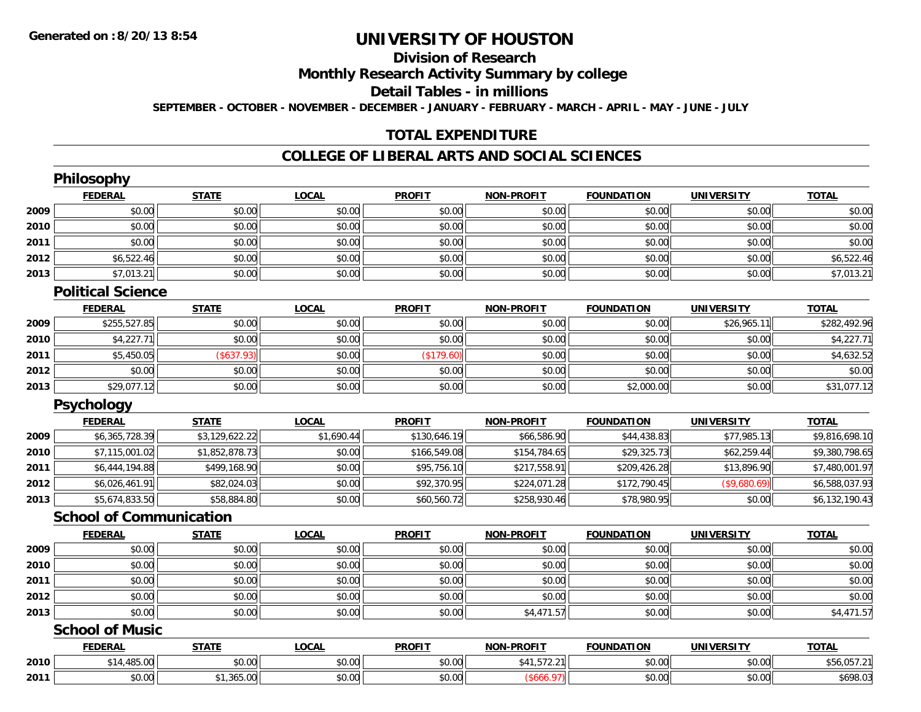# **Division of Research**

**Monthly Research Activity Summary by college**

**Detail Tables - in millions**

**SEPTEMBER - OCTOBER - NOVEMBER - DECEMBER - JANUARY - FEBRUARY - MARCH - APRIL - MAY - JUNE - JULY**

## **TOTAL EXPENDITURE**

#### **COLLEGE OF LIBERAL ARTS AND SOCIAL SCIENCES**

|      | Philosophy                     |                |              |               |                   |                   |                   |                |
|------|--------------------------------|----------------|--------------|---------------|-------------------|-------------------|-------------------|----------------|
|      | <b>FEDERAL</b>                 | <b>STATE</b>   | <b>LOCAL</b> | <b>PROFIT</b> | <b>NON-PROFIT</b> | <b>FOUNDATION</b> | <b>UNIVERSITY</b> | <b>TOTAL</b>   |
| 2009 | \$0.00                         | \$0.00         | \$0.00       | \$0.00        | \$0.00            | \$0.00            | \$0.00            | \$0.00         |
| 2010 | \$0.00                         | \$0.00         | \$0.00       | \$0.00        | \$0.00            | \$0.00            | \$0.00            | \$0.00         |
| 2011 | \$0.00                         | \$0.00         | \$0.00       | \$0.00        | \$0.00            | \$0.00            | \$0.00            | \$0.00         |
| 2012 | \$6,522.46                     | \$0.00         | \$0.00       | \$0.00        | \$0.00            | \$0.00            | \$0.00            | \$6,522.46     |
| 2013 | \$7,013.21                     | \$0.00         | \$0.00       | \$0.00        | \$0.00            | \$0.00            | \$0.00            | \$7,013.21     |
|      | <b>Political Science</b>       |                |              |               |                   |                   |                   |                |
|      | <b>FEDERAL</b>                 | <b>STATE</b>   | <b>LOCAL</b> | <b>PROFIT</b> | <b>NON-PROFIT</b> | <b>FOUNDATION</b> | <b>UNIVERSITY</b> | <b>TOTAL</b>   |
| 2009 | \$255,527.85                   | \$0.00         | \$0.00       | \$0.00        | \$0.00            | \$0.00            | \$26,965.11       | \$282,492.96   |
| 2010 | \$4,227.71                     | \$0.00         | \$0.00       | \$0.00        | \$0.00            | \$0.00            | \$0.00            | \$4,227.71     |
| 2011 | \$5,450.05                     | (\$637.93)     | \$0.00       | (\$179.60)    | \$0.00            | \$0.00            | \$0.00            | \$4,632.52     |
| 2012 | \$0.00                         | \$0.00         | \$0.00       | \$0.00        | \$0.00            | \$0.00            | \$0.00            | \$0.00         |
| 2013 | \$29,077.12                    | \$0.00         | \$0.00       | \$0.00        | \$0.00            | \$2,000.00        | \$0.00            | \$31,077.12    |
|      | Psychology                     |                |              |               |                   |                   |                   |                |
|      | <b>FEDERAL</b>                 | <b>STATE</b>   | <b>LOCAL</b> | <b>PROFIT</b> | <b>NON-PROFIT</b> | <b>FOUNDATION</b> | <b>UNIVERSITY</b> | <b>TOTAL</b>   |
| 2009 | \$6,365,728.39                 | \$3,129,622.22 | \$1,690.44   | \$130,646.19  | \$66,586.90       | \$44,438.83       | \$77,985.13       | \$9,816,698.10 |
| 2010 | \$7,115,001.02                 | \$1,852,878.73 | \$0.00       | \$166,549.08  | \$154,784.65      | \$29,325.73       | \$62,259.44       | \$9,380,798.65 |
| 2011 | \$6,444,194.88                 | \$499,168.90   | \$0.00       | \$95,756.10   | \$217,558.91      | \$209,426.28      | \$13,896.90       | \$7,480,001.97 |
| 2012 | \$6,026,461.91                 | \$82,024.03    | \$0.00       | \$92,370.95   | \$224,071.28      | \$172,790.45      | (\$9,680.69)      | \$6,588,037.93 |
| 2013 | \$5,674,833.50                 | \$58,884.80    | \$0.00       | \$60,560.72   | \$258,930.46      | \$78,980.95       | \$0.00            | \$6,132,190.43 |
|      | <b>School of Communication</b> |                |              |               |                   |                   |                   |                |
|      | <b>FEDERAL</b>                 | <b>STATE</b>   | <b>LOCAL</b> | <b>PROFIT</b> | <b>NON-PROFIT</b> | <b>FOUNDATION</b> | <b>UNIVERSITY</b> | <b>TOTAL</b>   |
| 2009 | \$0.00                         | \$0.00         | \$0.00       | \$0.00        | \$0.00            | \$0.00            | \$0.00            | \$0.00         |
| 2010 | \$0.00                         | \$0.00         | \$0.00       | \$0.00        | \$0.00            | \$0.00            | \$0.00            | \$0.00         |
| 2011 | \$0.00                         | \$0.00         | \$0.00       | \$0.00        | \$0.00            | \$0.00            | \$0.00            | \$0.00         |
| 2012 | \$0.00                         | \$0.00         | \$0.00       | \$0.00        | \$0.00            | \$0.00            | \$0.00            | \$0.00         |
| 2013 | \$0.00                         | \$0.00         | \$0.00       | \$0.00        | \$4,471.57        | \$0.00            | \$0.00            | \$4,471.57     |
|      | <b>School of Music</b>         |                |              |               |                   |                   |                   |                |
|      | <b>FEDERAL</b>                 | <b>STATE</b>   | <b>LOCAL</b> | <b>PROFIT</b> | <b>NON-PROFIT</b> | <b>FOUNDATION</b> | <b>UNIVERSITY</b> | <b>TOTAL</b>   |
| 2010 | \$14,485.00                    | \$0.00         | \$0.00       | \$0.00        | \$41,572.21       | \$0.00            | \$0.00            | \$56,057.21    |
| 2011 | \$0.00                         | \$1,365.00     | \$0.00       | \$0.00        | (\$666.97)        | \$0.00            | \$0.00            | \$698.03       |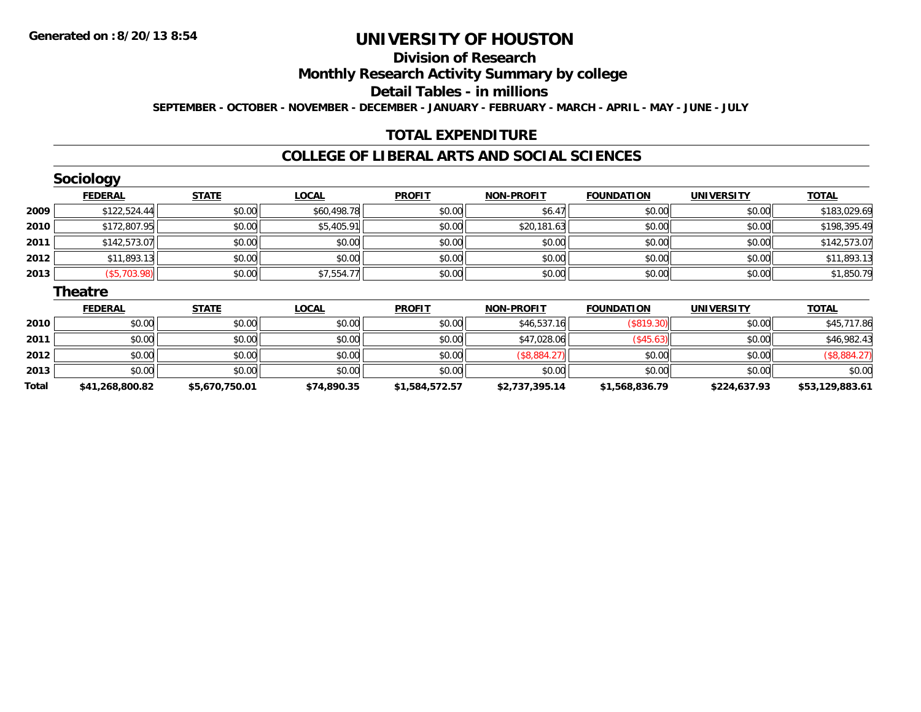**2013**

**Total**

# **UNIVERSITY OF HOUSTON**

# **Division of Research**

**Monthly Research Activity Summary by college**

**Detail Tables - in millions**

**SEPTEMBER - OCTOBER - NOVEMBER - DECEMBER - JANUARY - FEBRUARY - MARCH - APRIL - MAY - JUNE - JULY**

# **TOTAL EXPENDITURE**

#### **COLLEGE OF LIBERAL ARTS AND SOCIAL SCIENCES**

|      | <b>Sociology</b> |              |              |               |                   |                   |                   |              |
|------|------------------|--------------|--------------|---------------|-------------------|-------------------|-------------------|--------------|
|      | <b>FEDERAL</b>   | <b>STATE</b> | <b>LOCAL</b> | <b>PROFIT</b> | <b>NON-PROFIT</b> | <b>FOUNDATION</b> | <b>UNIVERSITY</b> | <b>TOTAL</b> |
| 2009 | \$122,524.44     | \$0.00       | \$60,498.78  | \$0.00        | \$6.47            | \$0.00            | \$0.00            | \$183,029.69 |
| 2010 | \$172,807.95     | \$0.00       | \$5,405.91   | \$0.00        | \$20,181.63       | \$0.00            | \$0.00            | \$198,395.49 |
| 2011 | \$142,573.07     | \$0.00       | \$0.00       | \$0.00        | \$0.00            | \$0.00            | \$0.00            | \$142,573.07 |
| 2012 | \$11,893.13      | \$0.00       | \$0.00       | \$0.00        | \$0.00            | \$0.00            | \$0.00            | \$11,893.13  |
| 2013 | (\$5,703.98)     | \$0.00       | \$7,554.77   | \$0.00        | \$0.00            | \$0.00            | \$0.00            | \$1,850.79   |
|      | <b>Theatre</b>   |              |              |               |                   |                   |                   |              |
|      | <b>FEDERAL</b>   | <b>STATE</b> | <b>LOCAL</b> | <b>PROFIT</b> | <b>NON-PROFIT</b> | <b>FOUNDATION</b> | <b>UNIVERSITY</b> | <b>TOTAL</b> |
| 2010 | \$0.00           | \$0.00       | \$0.00       | \$0.00        | \$46,537.16       | (\$819.30)        | \$0.00            | \$45,717.86  |
| 2011 | \$0.00           | \$0.00       | \$0.00       | \$0.00        | \$47,028.06       | (\$45.63)         | \$0.00            | \$46,982.43  |
| 2012 | \$0.00           | \$0.00       | \$0.00       | \$0.00        | (\$8,884.27)      | \$0.00            | \$0.00            | (\$8,884.27) |

 $\textbf{3} \quad \textbf{\textcolor{blue}{\textbf{50.00}}} \quad \textbf{\textcolor{blue}{\textbf{50.00}}} \quad \textbf{\textcolor{blue}{\textbf{50.00}}} \quad \textbf{\textcolor{blue}{\textbf{50.00}}} \quad \textbf{\textcolor{blue}{\textbf{50.00}}} \quad \textbf{\textcolor{blue}{\textbf{50.00}}} \quad \textbf{\textcolor{blue}{\textbf{50.00}}} \quad \textbf{\textcolor{blue}{\textbf{50.00}}} \quad \textbf{\textcolor{blue}{\textbf{50.00}}} \quad \textbf{\textcolor{blue}{\textbf{50.00}}} \quad \text$ 

**\$41,268,800.82 \$5,670,750.01 \$74,890.35 \$1,584,572.57 \$2,737,395.14 \$1,568,836.79 \$224,637.93 \$53,129,883.61**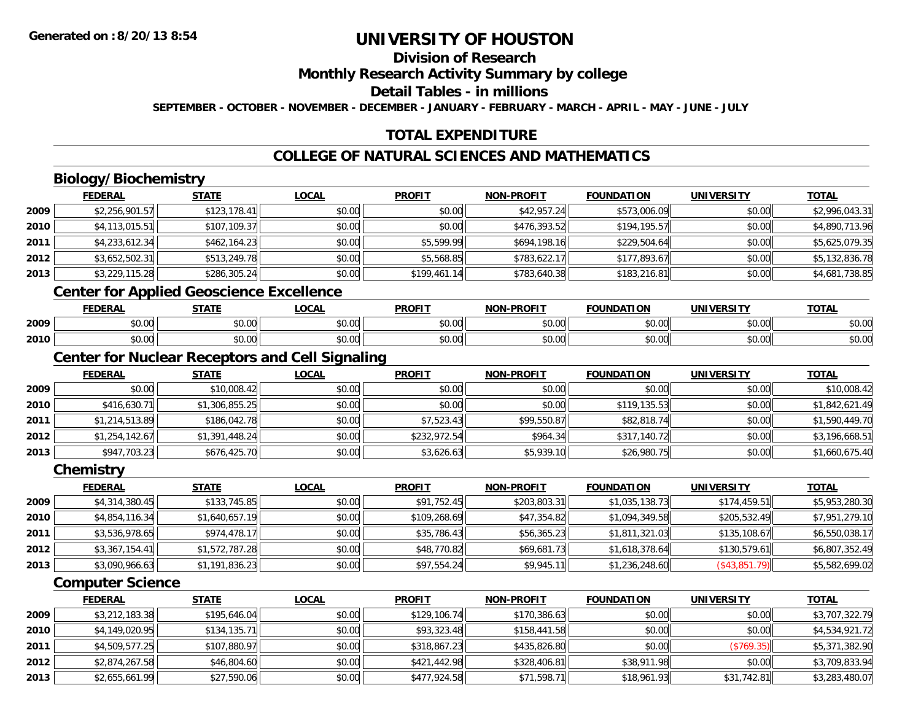# **Division of Research**

**Monthly Research Activity Summary by college**

**Detail Tables - in millions**

**SEPTEMBER - OCTOBER - NOVEMBER - DECEMBER - JANUARY - FEBRUARY - MARCH - APRIL - MAY - JUNE - JULY**

# **TOTAL EXPENDITURE**

## **COLLEGE OF NATURAL SCIENCES AND MATHEMATICS**

# **Biology/Biochemistry**

|        | <b>FEDERAL</b> | <b>STATE</b> | <u>LOCAL</u> | <b>PROFIT</b> | <b>NON-PROFIT</b> | <b>FOUNDATION</b> | <b>UNIVERSITY</b> | <b>TOTAL</b>   |
|--------|----------------|--------------|--------------|---------------|-------------------|-------------------|-------------------|----------------|
| 2009   | \$2,256,901.57 | \$123,178.41 | \$0.00       | \$0.00        | \$42,957.24       | \$573,006.09      | \$0.00            | \$2,996,043.31 |
| ا 2010 | \$4,113,015.51 | \$107,109.37 | \$0.00       | \$0.00        | \$476,393.52      | \$194,195.57      | \$0.00            | \$4,890,713.96 |
| 2011   | \$4,233,612.34 | \$462,164.23 | \$0.00       | \$5,599.99    | \$694,198.16      | \$229,504.64      | \$0.00            | \$5,625,079.35 |
| 2012   | \$3,652,502.31 | \$513,249.78 | \$0.00       | \$5,568.85    | \$783,622.17      | \$177,893.67      | \$0.00            | \$5,132,836.78 |
| 2013   | \$3,229,115.28 | \$286,305.24 | \$0.00       | \$199,461.14  | \$783,640.38      | \$183,216.81      | \$0.00            | \$4,681,738.85 |
|        |                |              |              |               |                   |                   |                   |                |

#### **Center for Applied Geoscience Excellence**

|      | EEDEDAL<br>---- | <b>CTATE</b>       | 001<br>UUMI               | <b>PROFI</b> | -PROFIT<br>NON               | חסו־<br><b>COUNIDAT</b> | JNI\<br><b>TDCITY</b> | <b>TOTAL</b> |
|------|-----------------|--------------------|---------------------------|--------------|------------------------------|-------------------------|-----------------------|--------------|
| 2009 | $\sim$<br>70.U  | 0000<br>vu.vu      | 0.00<br>vu.vu             | vv.vu        | 0000<br>vv.vv                | 0000<br>,u.uu           | 0000<br>JU.UU         | \$0.00       |
| 2010 | ÷Λ.<br>טט.      | $\sim$ 00<br>vu.vu | $\sim$<br>$\sim$<br>JU.UU | JU.UU        | $*$ $\circ$ $\circ$<br>vv.vv | 0000<br>⊸∪.∪u           | \$0.00                | \$0.00       |

## **Center for Nuclear Receptors and Cell Signaling**

|      | <b>FEDERAL</b> | <b>STATE</b>   | <b>LOCAL</b> | <b>PROFIT</b> | <b>NON-PROFIT</b> | <b>FOUNDATION</b> | <b>UNIVERSITY</b> | <b>TOTAL</b>   |
|------|----------------|----------------|--------------|---------------|-------------------|-------------------|-------------------|----------------|
| 2009 | \$0.00         | \$10,008.42    | \$0.00       | \$0.00        | \$0.00            | \$0.00            | \$0.00            | \$10,008.42    |
| 2010 | \$416,630.71   | \$1,306,855.25 | \$0.00       | \$0.00        | \$0.00            | \$119,135.53      | \$0.00            | \$1,842,621.49 |
| 2011 | \$1,214,513.89 | \$186,042.78   | \$0.00       | \$7,523.43    | \$99,550.87       | \$82,818.74       | \$0.00            | \$1,590,449.70 |
| 2012 | \$1,254,142.67 | \$1,391,448.24 | \$0.00       | \$232,972.54  | \$964.34          | \$317,140.72      | \$0.00            | \$3,196,668.51 |
| 2013 | \$947,703.23   | \$676,425.70   | \$0.00       | \$3,626.63    | \$5,939.10        | \$26,980.75       | \$0.00            | \$1,660,675.40 |

#### **Chemistry**

|      | <b>FEDERAL</b> | <b>STATE</b>   | <b>LOCAL</b> | <b>PROFIT</b> | <b>NON-PROFIT</b> | <b>FOUNDATION</b> | <b>UNIVERSITY</b> | <b>TOTAL</b>   |
|------|----------------|----------------|--------------|---------------|-------------------|-------------------|-------------------|----------------|
| 2009 | \$4,314,380.45 | \$133,745.85   | \$0.00       | \$91,752.45   | \$203,803,31      | \$1,035,138.73    | \$174,459.51      | \$5,953,280.30 |
| 2010 | \$4,854,116.34 | \$1,640,657.19 | \$0.00       | \$109,268.69  | \$47,354.82       | \$1,094,349.58    | \$205,532.49      | \$7,951,279.10 |
| 2011 | \$3,536,978.65 | \$974,478.17   | \$0.00       | \$35,786.43   | \$56,365.23       | \$1,811,321.03    | \$135,108.67      | \$6,550,038.17 |
| 2012 | \$3,367,154.41 | \$1,572,787.28 | \$0.00       | \$48,770.82   | \$69,681.73       | \$1,618,378.64    | \$130,579.61      | \$6,807,352.49 |
| 2013 | \$3,090,966.63 | \$1,191,836.23 | \$0.00       | \$97,554.24   | \$9,945.11        | \$1,236,248.60    | (\$43,851.79)     | \$5,582,699.02 |

### **Computer Science**

|      | <b>FEDERAL</b> | <b>STATE</b> | <b>LOCAL</b> | <b>PROFIT</b> | <b>NON-PROFIT</b> | <b>FOUNDATION</b> | <b>UNIVERSITY</b> | <u>TOTAL</u>   |
|------|----------------|--------------|--------------|---------------|-------------------|-------------------|-------------------|----------------|
| 2009 | \$3,212,183.38 | \$195,646.04 | \$0.00       | \$129,106.74  | \$170,386.63      | \$0.00            | \$0.00            | \$3,707,322.79 |
| 2010 | \$4,149,020.95 | \$134,135.71 | \$0.00       | \$93,323.48   | \$158,441.58      | \$0.00            | \$0.00            | \$4,534,921.72 |
| 2011 | \$4,509,577.25 | \$107,880.97 | \$0.00       | \$318,867.23  | \$435,826.80      | \$0.00            | (\$769.35)        | \$5,371,382.90 |
| 2012 | \$2,874,267.58 | \$46,804.60  | \$0.00       | \$421,442.98  | \$328,406.81      | \$38,911.98       | \$0.00            | \$3,709,833.94 |
| 2013 | \$2,655,661.99 | \$27,590.06  | \$0.00       | \$477,924.58  | \$71,598.71       | \$18,961.93       | \$31,742.81       | \$3,283,480.07 |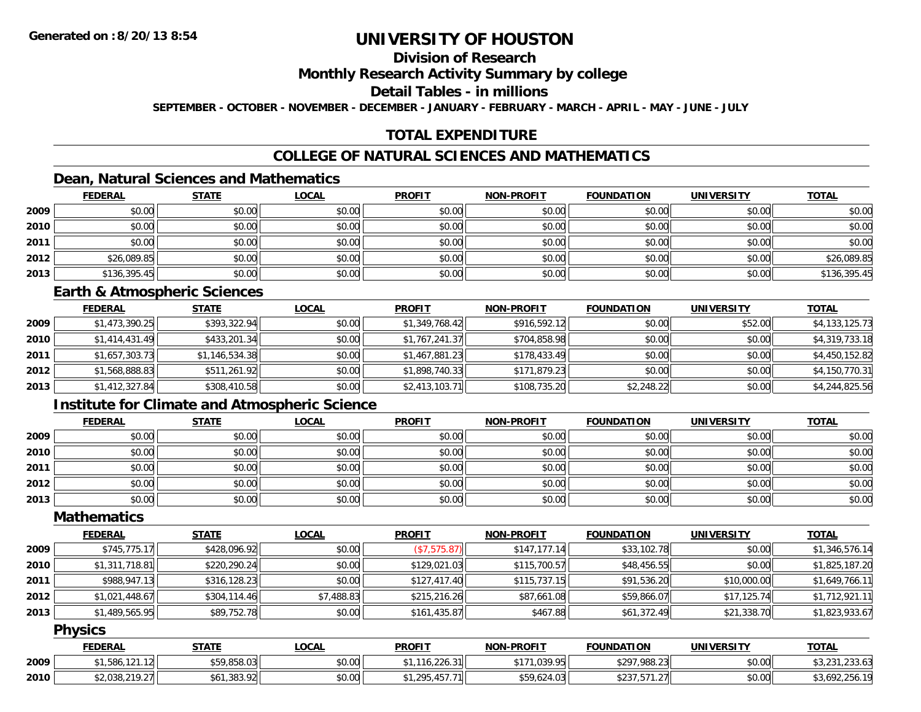# **Division of Research**

#### **Monthly Research Activity Summary by college**

### **Detail Tables - in millions**

**SEPTEMBER - OCTOBER - NOVEMBER - DECEMBER - JANUARY - FEBRUARY - MARCH - APRIL - MAY - JUNE - JULY**

# **TOTAL EXPENDITURE**

# **COLLEGE OF NATURAL SCIENCES AND MATHEMATICS**

# **Dean, Natural Sciences and Mathematics**

|      | <b>FEDERAL</b> | <b>STATE</b> | <b>LOCAL</b> | <b>PROFIT</b> | <b>NON-PROFIT</b> | <b>FOUNDATION</b> | <b>UNIVERSITY</b> | <b>TOTAL</b> |
|------|----------------|--------------|--------------|---------------|-------------------|-------------------|-------------------|--------------|
| 2009 | \$0.00         | \$0.00       | \$0.00       | \$0.00        | \$0.00            | \$0.00            | \$0.00            | \$0.00       |
| 2010 | \$0.00         | \$0.00       | \$0.00       | \$0.00        | \$0.00            | \$0.00            | \$0.00            | \$0.00       |
| 2011 | \$0.00         | \$0.00       | \$0.00       | \$0.00        | \$0.00            | \$0.00            | \$0.00            | \$0.00       |
| 2012 | \$26,089.85    | \$0.00       | \$0.00       | \$0.00        | \$0.00            | \$0.00            | \$0.00            | \$26,089.85  |
| 2013 | \$136,395.45   | \$0.00       | \$0.00       | \$0.00        | \$0.00            | \$0.00            | \$0.00            | \$136,395.45 |

#### **Earth & Atmospheric Sciences**

|      | <b>FEDERAL</b> | <b>STATE</b>   | <b>LOCAL</b> | <b>PROFIT</b>  | <b>NON-PROFIT</b> | <b>FOUNDATION</b> | <b>UNIVERSITY</b> | <b>TOTAL</b>   |
|------|----------------|----------------|--------------|----------------|-------------------|-------------------|-------------------|----------------|
| 2009 | \$1,473,390.25 | \$393,322.94   | \$0.00       | \$1,349,768.42 | \$916,592.12      | \$0.00            | \$52.00           | \$4,133,125.73 |
| 2010 | \$1,414,431.49 | \$433,201.34   | \$0.00       | \$1,767,241.37 | \$704,858.98      | \$0.00            | \$0.00            | \$4,319,733.18 |
| 2011 | \$1,657,303.73 | \$1,146,534.38 | \$0.00       | \$1,467,881.23 | \$178,433.49      | \$0.00            | \$0.00            | \$4,450,152.82 |
| 2012 | \$1,568,888.83 | \$511,261.92   | \$0.00       | \$1,898,740.33 | \$171,879.23      | \$0.00            | \$0.00            | \$4,150,770.31 |
| 2013 | \$1,412,327.84 | \$308,410.58   | \$0.00       | \$2,413,103.71 | \$108,735.20      | \$2,248.22        | \$0.00            | \$4,244,825.56 |

# **Institute for Climate and Atmospheric Science**

|      | <b>FEDERAL</b> | <b>STATE</b> | <b>LOCAL</b> | <b>PROFIT</b> | <b>NON-PROFIT</b> | <b>FOUNDATION</b> | <b>UNIVERSITY</b> | <b>TOTAL</b> |
|------|----------------|--------------|--------------|---------------|-------------------|-------------------|-------------------|--------------|
| 2009 | \$0.00         | \$0.00       | \$0.00       | \$0.00        | \$0.00            | \$0.00            | \$0.00            | \$0.00       |
| 2010 | \$0.00         | \$0.00       | \$0.00       | \$0.00        | \$0.00            | \$0.00            | \$0.00            | \$0.00       |
| 2011 | \$0.00         | \$0.00       | \$0.00       | \$0.00        | \$0.00            | \$0.00            | \$0.00            | \$0.00       |
| 2012 | \$0.00         | \$0.00       | \$0.00       | \$0.00        | \$0.00            | \$0.00            | \$0.00            | \$0.00       |
| 2013 | \$0.00         | \$0.00       | \$0.00       | \$0.00        | \$0.00            | \$0.00            | \$0.00            | \$0.00       |

# **Mathematics**

|      | <b>FEDERAL</b> | <b>STATE</b> | <b>LOCAL</b> | <b>PROFIT</b> | <b>NON-PROFIT</b> | <b>FOUNDATION</b> | <b>UNIVERSITY</b> | <u>TOTAL</u>   |
|------|----------------|--------------|--------------|---------------|-------------------|-------------------|-------------------|----------------|
| 2009 | \$745,775.17   | \$428,096.92 | \$0.00       | (\$7,575.87)  | \$147,177,14      | \$33,102.78       | \$0.00            | \$1,346,576.14 |
| 2010 | \$1,311,718.81 | \$220,290.24 | \$0.00       | \$129,021.03  | \$115,700.57      | \$48,456.55       | \$0.00            | \$1,825,187.20 |
| 2011 | \$988,947.13   | \$316,128.23 | \$0.00       | \$127,417.40  | \$115,737.15      | \$91,536.20       | \$10,000.00       | \$1,649,766.11 |
| 2012 | \$1,021,448.67 | \$304,114.46 | \$7,488.83   | \$215,216.26  | \$87,661.08       | \$59,866.07       | \$17,125.74       | \$1,712,921.11 |
| 2013 | \$1,489,565.95 | \$89,752.78  | \$0.00       | \$161,435.87  | \$467.88          | \$61,372.49       | \$21,338.70       | \$1,823,933.67 |

### **Physics**

|      | <b>FEDERAL</b>                | STATE                       | .OCAL  | <b>PROFIT</b>                           | <b>NON-PROFIT</b>               | <b>FOUNDATION</b>       | <b>UNIVERSITY</b> | <b>TOTAL</b>         |
|------|-------------------------------|-----------------------------|--------|-----------------------------------------|---------------------------------|-------------------------|-------------------|----------------------|
| 2009 | $\overline{A}$<br>I.586.<br>. | $ATO$ $QCD$ $QQ$<br>,858.03 | \$0.00 | $\sim$ $\sim$ $\sim$<br>$\sim$ 4<br>10. | <b>O2O OF</b><br>$A - A$<br>ر ر | \$297,988.23            | \$0.00            | ,,,,,,<br>200.U      |
| 2010 | רכ 10ת פצח י<br>u.ju.z        | .383.92                     | \$0.00 | $1 - 7 - 7$                             | $\sqrt{2}$<br>.<br>-∠0.         | $\sim$<br>ن ے ت<br>. 21 | \$0.00            | - 697. ده<br>92,200. |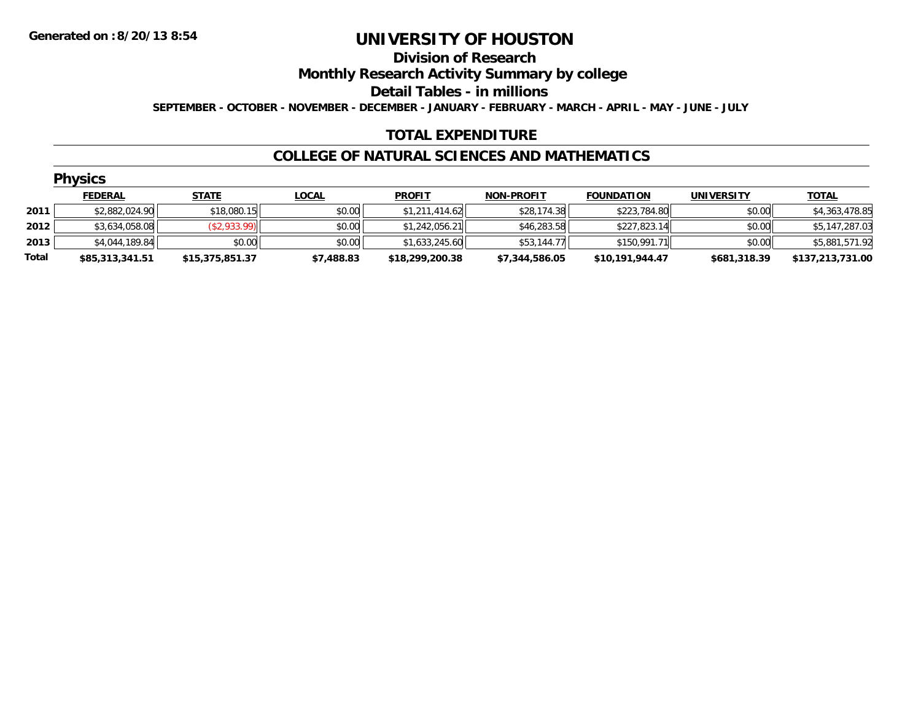# **Division of Research**

**Monthly Research Activity Summary by college**

**Detail Tables - in millions**

**SEPTEMBER - OCTOBER - NOVEMBER - DECEMBER - JANUARY - FEBRUARY - MARCH - APRIL - MAY - JUNE - JULY**

### **TOTAL EXPENDITURE**

#### **COLLEGE OF NATURAL SCIENCES AND MATHEMATICS**

|       | <b>Physics</b>  |                 |              |                 |                   |                   |                   |                  |
|-------|-----------------|-----------------|--------------|-----------------|-------------------|-------------------|-------------------|------------------|
|       | <b>FEDERAL</b>  | <b>STATE</b>    | <b>LOCAL</b> | <b>PROFIT</b>   | <b>NON-PROFIT</b> | <b>FOUNDATION</b> | <b>UNIVERSITY</b> | <u>TOTAL</u>     |
| 2011  | \$2,882,024.90  | \$18,080.15     | \$0.00       | \$1,211,414.62  | \$28,174.38       | \$223,784.80      | \$0.00            | \$4,363,478.85   |
| 2012  | \$3,634,058.08  | (\$2,933.99)    | \$0.00       | \$1,242,056.21  | \$46,283.58       | \$227,823.14      | \$0.00            | \$5,147,287.03   |
| 2013  | \$4,044,189.84  | \$0.00          | \$0.00       | \$1,633,245.60  | \$53,144.77       | \$150,991.71      | \$0.00            | \$5,881,571.92   |
| Total | \$85,313,341.51 | \$15,375,851.37 | \$7,488.83   | \$18,299,200.38 | \$7,344,586.05    | \$10,191,944.47   | \$681,318.39      | \$137,213,731.00 |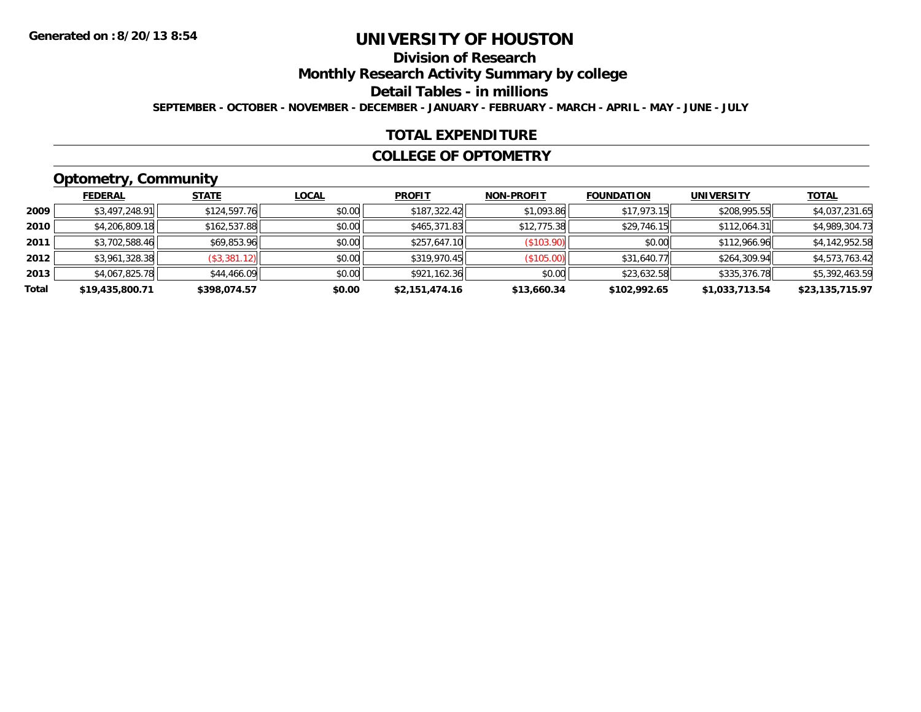# **Division of Research**

**Monthly Research Activity Summary by college**

**Detail Tables - in millions**

**SEPTEMBER - OCTOBER - NOVEMBER - DECEMBER - JANUARY - FEBRUARY - MARCH - APRIL - MAY - JUNE - JULY**

### **TOTAL EXPENDITURE**

#### **COLLEGE OF OPTOMETRY**

# **Optometry, Community**

|       | .               |              |              |                |                   |                   |                   |                 |
|-------|-----------------|--------------|--------------|----------------|-------------------|-------------------|-------------------|-----------------|
|       | <b>FEDERAL</b>  | <b>STATE</b> | <u>LOCAL</u> | <b>PROFIT</b>  | <b>NON-PROFIT</b> | <b>FOUNDATION</b> | <b>UNIVERSITY</b> | <b>TOTAL</b>    |
| 2009  | \$3,497,248.91  | \$124,597.76 | \$0.00       | \$187,322.42   | \$1,093.86        | \$17,973.15       | \$208,995.55      | \$4,037,231.65  |
| 2010  | \$4,206,809.18  | \$162,537.88 | \$0.00       | \$465,371.83   | \$12,775.38       | \$29,746.15       | \$112,064.31      | \$4,989,304.73  |
| 2011  | \$3,702,588.46  | \$69,853.96  | \$0.00       | \$257,647.10   | (\$103.90)        | \$0.00            | \$112,966.96      | \$4,142,952.58  |
| 2012  | \$3,961,328.38  | (\$3,381.12) | \$0.00       | \$319,970.45   | (\$105.00)        | \$31,640.77       | \$264,309.94      | \$4,573,763.42  |
| 2013  | \$4,067,825.78  | \$44,466.09  | \$0.00       | \$921,162.36   | \$0.00            | \$23,632.58       | \$335,376.78      | \$5,392,463.59  |
| Total | \$19,435,800.71 | \$398,074.57 | \$0.00       | \$2,151,474.16 | \$13,660.34       | \$102,992.65      | \$1,033,713.54    | \$23,135,715.97 |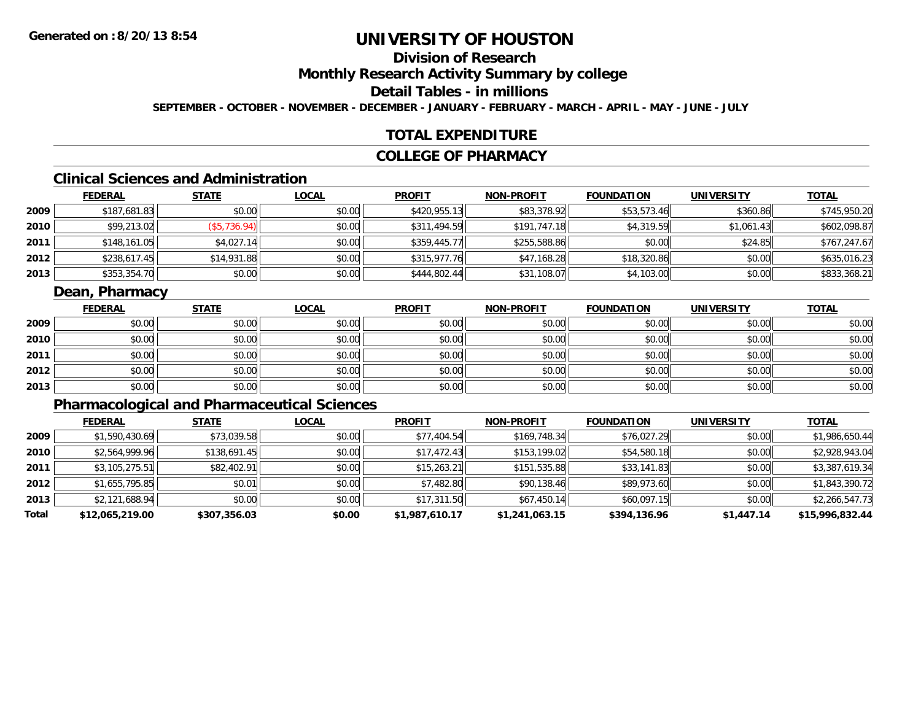# **Division of Research**

**Monthly Research Activity Summary by college**

**Detail Tables - in millions**

**SEPTEMBER - OCTOBER - NOVEMBER - DECEMBER - JANUARY - FEBRUARY - MARCH - APRIL - MAY - JUNE - JULY**

### **TOTAL EXPENDITURE**

#### **COLLEGE OF PHARMACY**

# **Clinical Sciences and Administration**

|      | <b>FEDERAL</b> | <b>STATE</b> | <b>LOCAL</b> | <b>PROFIT</b> | <b>NON-PROFIT</b> | <b>FOUNDATION</b> | <b>UNIVERSITY</b> | <b>TOTAL</b> |
|------|----------------|--------------|--------------|---------------|-------------------|-------------------|-------------------|--------------|
| 2009 | \$187,681.83   | \$0.00       | \$0.00       | \$420,955.13  | \$83,378.92       | \$53,573.46       | \$360.86          | \$745,950.20 |
| 2010 | \$99,213.02    | (\$5,736.94) | \$0.00       | \$311,494.59  | \$191,747.18      | \$4,319.59        | \$1,061.43        | \$602,098.87 |
| 2011 | \$148,161.05   | \$4,027.14   | \$0.00       | \$359,445.77  | \$255,588.86      | \$0.00            | \$24.85           | \$767,247.67 |
| 2012 | \$238,617.45   | \$14,931.88  | \$0.00       | \$315,977.76  | \$47,168.28       | \$18,320.86       | \$0.00            | \$635,016.23 |
| 2013 | \$353,354.70   | \$0.00       | \$0.00       | \$444,802.44  | \$31,108.07       | \$4,103.00        | \$0.00            | \$833,368.21 |

### **Dean, Pharmacy**

|      | <b>FEDERAL</b> | <b>STATE</b> | <u>LOCAL</u> | <b>PROFIT</b> | <b>NON-PROFIT</b> | <b>FOUNDATION</b> | <b>UNIVERSITY</b> | <b>TOTAL</b> |
|------|----------------|--------------|--------------|---------------|-------------------|-------------------|-------------------|--------------|
| 2009 | \$0.00         | \$0.00       | \$0.00       | \$0.00        | \$0.00            | \$0.00            | \$0.00            | \$0.00       |
| 2010 | \$0.00         | \$0.00       | \$0.00       | \$0.00        | \$0.00            | \$0.00            | \$0.00            | \$0.00       |
| 2011 | \$0.00         | \$0.00       | \$0.00       | \$0.00        | \$0.00            | \$0.00            | \$0.00            | \$0.00       |
| 2012 | \$0.00         | \$0.00       | \$0.00       | \$0.00        | \$0.00            | \$0.00            | \$0.00            | \$0.00       |
| 2013 | \$0.00         | \$0.00       | \$0.00       | \$0.00        | \$0.00            | \$0.00            | \$0.00            | \$0.00       |

# **Pharmacological and Pharmaceutical Sciences**

|       | <b>FEDERAL</b>  | <b>STATE</b> | <b>LOCAL</b> | <b>PROFIT</b>  | <b>NON-PROFIT</b> | <b>FOUNDATION</b> | <b>UNIVERSITY</b> | <b>TOTAL</b>    |
|-------|-----------------|--------------|--------------|----------------|-------------------|-------------------|-------------------|-----------------|
| 2009  | \$1,590,430.69  | \$73,039.58  | \$0.00       | \$77,404.54    | \$169,748.34      | \$76,027.29       | \$0.00            | \$1,986,650.44  |
| 2010  | \$2,564,999.96  | \$138,691.45 | \$0.00       | \$17,472.43    | \$153,199.02      | \$54,580.18       | \$0.00            | \$2,928,943.04  |
| 2011  | \$3,105,275.51  | \$82,402.91  | \$0.00       | \$15,263.21    | \$151,535.88      | \$33,141.83       | \$0.00            | \$3,387,619.34  |
| 2012  | \$1,655,795.85  | \$0.01       | \$0.00       | \$7,482.80     | \$90,138.46       | \$89,973.60       | \$0.00            | \$1,843,390.72  |
| 2013  | \$2,121,688.94  | \$0.00       | \$0.00       | \$17,311.50    | \$67,450.14       | \$60,097.15       | \$0.00            | \$2,266,547.73  |
| Total | \$12,065,219.00 | \$307,356.03 | \$0.00       | \$1,987,610.17 | \$1,241,063.15    | \$394,136.96      | \$1,447.14        | \$15,996,832.44 |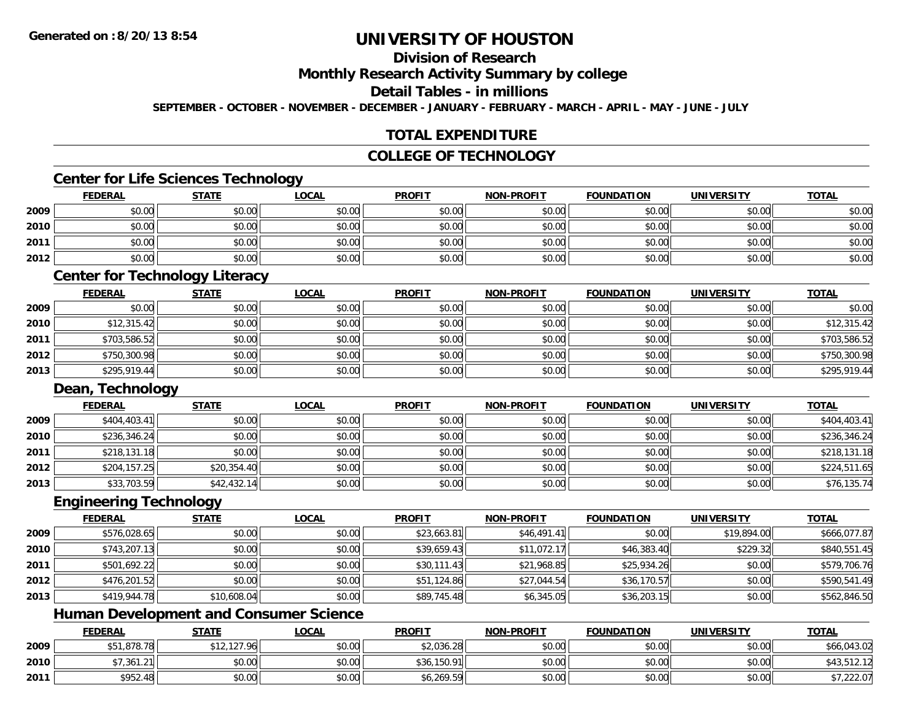# **Division of Research**

**Monthly Research Activity Summary by college**

**Detail Tables - in millions**

**SEPTEMBER - OCTOBER - NOVEMBER - DECEMBER - JANUARY - FEBRUARY - MARCH - APRIL - MAY - JUNE - JULY**

## **TOTAL EXPENDITURE**

## **COLLEGE OF TECHNOLOGY**

### **Center for Life Sciences Technology**

|      | <b>FEDERAL</b> | <b>STATE</b> | <b>LOCAL</b> | <b>PROFIT</b> | <b>NON-PROFIT</b> | <b>FOUNDATION</b> | <b>UNIVERSITY</b> | <b>TOTAL</b> |
|------|----------------|--------------|--------------|---------------|-------------------|-------------------|-------------------|--------------|
| 2009 | \$0.00         | \$0.00       | \$0.00       | \$0.00        | \$0.00            | \$0.00            | \$0.00            | \$0.00       |
| 2010 | \$0.00         | \$0.00       | \$0.00       | \$0.00        | \$0.00            | \$0.00            | \$0.00            | \$0.00       |
| 2011 | \$0.00         | \$0.00       | \$0.00       | \$0.00        | \$0.00            | \$0.00            | \$0.00            | \$0.00       |
| 2012 | \$0.00         | \$0.00       | \$0.00       | \$0.00        | \$0.00            | \$0.00            | \$0.00            | \$0.00       |

### **Center for Technology Literacy**

|      | <b>FEDERAL</b> | <b>STATE</b> | <b>LOCAL</b> | <b>PROFIT</b> | <b>NON-PROFIT</b> | <b>FOUNDATION</b> | <b>UNIVERSITY</b> | <b>TOTAL</b> |
|------|----------------|--------------|--------------|---------------|-------------------|-------------------|-------------------|--------------|
| 2009 | \$0.00         | \$0.00       | \$0.00       | \$0.00        | \$0.00            | \$0.00            | \$0.00            | \$0.00       |
| 2010 | \$12,315.42    | \$0.00       | \$0.00       | \$0.00        | \$0.00            | \$0.00            | \$0.00            | \$12,315.42  |
| 2011 | \$703,586.52   | \$0.00       | \$0.00       | \$0.00        | \$0.00            | \$0.00            | \$0.00            | \$703,586.52 |
| 2012 | \$750,300.98   | \$0.00       | \$0.00       | \$0.00        | \$0.00            | \$0.00            | \$0.00            | \$750,300.98 |
| 2013 | \$295,919.44   | \$0.00       | \$0.00       | \$0.00        | \$0.00            | \$0.00            | \$0.00            | \$295,919.44 |

### **Dean, Technology**

|      | <u>FEDERAL</u> | <b>STATE</b> | <b>LOCAL</b> | <b>PROFIT</b> | <b>NON-PROFIT</b> | <b>FOUNDATION</b> | <b>UNIVERSITY</b> | <b>TOTAL</b> |
|------|----------------|--------------|--------------|---------------|-------------------|-------------------|-------------------|--------------|
| 2009 | \$404,403.41   | \$0.00       | \$0.00       | \$0.00        | \$0.00            | \$0.00            | \$0.00            | \$404,403.41 |
| 2010 | \$236,346.24   | \$0.00       | \$0.00       | \$0.00        | \$0.00            | \$0.00            | \$0.00            | \$236,346.24 |
| 2011 | \$218,131.18   | \$0.00       | \$0.00       | \$0.00        | \$0.00            | \$0.00            | \$0.00            | \$218,131.18 |
| 2012 | \$204,157.25   | \$20,354.40  | \$0.00       | \$0.00        | \$0.00            | \$0.00            | \$0.00            | \$224,511.65 |
| 2013 | \$33,703.59    | \$42,432.14  | \$0.00       | \$0.00        | \$0.00            | \$0.00            | \$0.00            | \$76,135.74  |

#### **Engineering Technology**

|      | <b>FEDERAL</b> | <b>STATE</b> | <u>LOCAL</u> | <b>PROFIT</b> | <b>NON-PROFIT</b> | <b>FOUNDATION</b> | <b>UNIVERSITY</b> | <b>TOTAL</b> |
|------|----------------|--------------|--------------|---------------|-------------------|-------------------|-------------------|--------------|
| 2009 | \$576,028.65   | \$0.00       | \$0.00       | \$23,663.81   | \$46,491.41       | \$0.00            | \$19,894.00       | \$666,077.87 |
| 2010 | \$743,207.13   | \$0.00       | \$0.00       | \$39,659.43   | \$11,072.17       | \$46,383.40       | \$229.32          | \$840,551.45 |
| 2011 | \$501,692.22   | \$0.00       | \$0.00       | \$30,111.43   | \$21,968.85       | \$25,934.26       | \$0.00            | \$579,706.76 |
| 2012 | \$476,201.52   | \$0.00       | \$0.00       | \$51,124.86   | \$27,044.54       | \$36,170.57       | \$0.00            | \$590,541.49 |
| 2013 | \$419,944.78   | \$10,608.04  | \$0.00       | \$89,745.48   | \$6,345.05        | \$36,203.15       | \$0.00            | \$562,846.50 |

# **Human Development and Consumer Science**

|      | <b>FEDERAL</b> | <b>STATE</b>                            | <u>LOCAL</u> | <b>PROFIT</b> | <b>NON-PROFIT</b> | <b>FOUNDATION</b> | <b>UNIVERSITY</b> | <b>TOTAL</b> |
|------|----------------|-----------------------------------------|--------------|---------------|-------------------|-------------------|-------------------|--------------|
| 2009 | ,878.78        | /12,127.96 <sup>1</sup><br>$A^{\prime}$ | \$0.00       | \$2,036.28    | \$0.00            | \$0.00            | \$0.00            | \$66,043.02  |
| 2010 | \$7,361.21     | \$0.00                                  | \$0.00       | \$36,150.91   | \$0.00            | \$0.00            | \$0.00            | \$43,512.12  |
| 2011 | \$952.48       | \$0.00                                  | \$0.00       | \$6,269.59    | \$0.00            | \$0.00            | \$0.00            | \$7,222.07   |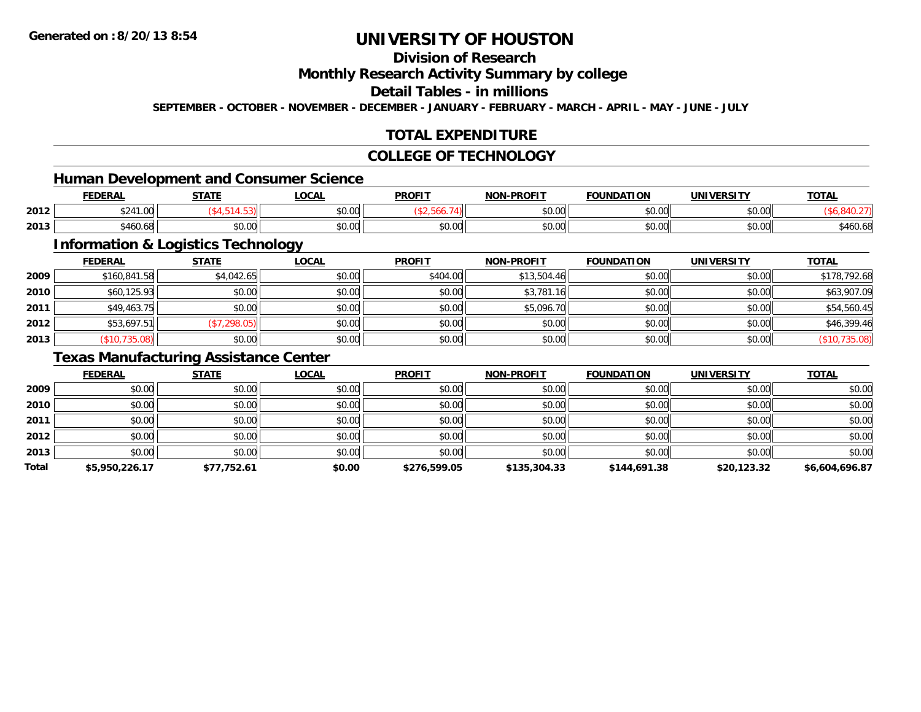# **Division of Research**

**Monthly Research Activity Summary by college**

**Detail Tables - in millions**

**SEPTEMBER - OCTOBER - NOVEMBER - DECEMBER - JANUARY - FEBRUARY - MARCH - APRIL - MAY - JUNE - JULY**

# **TOTAL EXPENDITURE**

#### **COLLEGE OF TECHNOLOGY**

# **Human Development and Consumer Science**

|      | EENEDA<br>LI\ <i>r</i> | <b>CTATE</b>       | $\sim$<br>.UUAI | <b>PROFIT</b>          | -PROFIT<br>NON- | <b>FOUNDATION</b> | <b>UNIVERSITY</b> | <b>TOTAL</b>    |
|------|------------------------|--------------------|-----------------|------------------------|-----------------|-------------------|-------------------|-----------------|
| 2012 | 324 I.UU               |                    | 0.00<br>pu.uu   |                        | 0000<br>PU.UU   | \$0.00            | \$0.00            |                 |
| 2013 | .<br>,460.68           | $\sim$ 00<br>JU.UU | 0.00<br>JU.UU   | $\sim$ $\sim$<br>JU.UU | 0000<br>JU.UU   | \$0.00            | \$0.00            | 5.11<br>ა460.65 |

<u> 1989 - Johann Stoff, deutscher Stoffen und der Stoffen und der Stoffen und der Stoffen und der Stoffen und der</u>

# **Information & Logistics Technology**

|      | <b>FEDERAL</b> | <b>STATE</b> | <u>LOCAL</u> | <b>PROFIT</b> | <b>NON-PROFIT</b> | <b>FOUNDATION</b> | <b>UNIVERSITY</b> | <b>TOTAL</b>  |
|------|----------------|--------------|--------------|---------------|-------------------|-------------------|-------------------|---------------|
| 2009 | \$160,841.58   | \$4,042.65   | \$0.00       | \$404.00      | \$13,504.46       | \$0.00            | \$0.00            | \$178,792.68  |
| 2010 | \$60,125.93    | \$0.00       | \$0.00       | \$0.00        | \$3,781.16        | \$0.00            | \$0.00            | \$63,907.09   |
| 2011 | \$49,463.75    | \$0.00       | \$0.00       | \$0.00        | \$5,096.70        | \$0.00            | \$0.00            | \$54,560.45   |
| 2012 | \$53,697.51    | (\$7,298.05) | \$0.00       | \$0.00        | \$0.00            | \$0.00            | \$0.00            | \$46,399.46   |
| 2013 | (\$10,735.08)  | \$0.00       | \$0.00       | \$0.00        | \$0.00            | \$0.00            | \$0.00            | (\$10,735.08) |

## **Texas Manufacturing Assistance Center**

|       | <b>FEDERAL</b> | <b>STATE</b> | <u>LOCAL</u> | <b>PROFIT</b> | <b>NON-PROFIT</b> | <b>FOUNDATION</b> | <b>UNIVERSITY</b> | <b>TOTAL</b>   |
|-------|----------------|--------------|--------------|---------------|-------------------|-------------------|-------------------|----------------|
| 2009  | \$0.00         | \$0.00       | \$0.00       | \$0.00        | \$0.00            | \$0.00            | \$0.00            | \$0.00         |
| 2010  | \$0.00         | \$0.00       | \$0.00       | \$0.00        | \$0.00            | \$0.00            | \$0.00            | \$0.00         |
| 2011  | \$0.00         | \$0.00       | \$0.00       | \$0.00        | \$0.00            | \$0.00            | \$0.00            | \$0.00         |
| 2012  | \$0.00         | \$0.00       | \$0.00       | \$0.00        | \$0.00            | \$0.00            | \$0.00            | \$0.00         |
| 2013  | \$0.00         | \$0.00       | \$0.00       | \$0.00        | \$0.00            | \$0.00            | \$0.00            | \$0.00         |
| Total | \$5,950,226.17 | \$77,752.61  | \$0.00       | \$276,599.05  | \$135,304.33      | \$144,691.38      | \$20,123.32       | \$6,604,696.87 |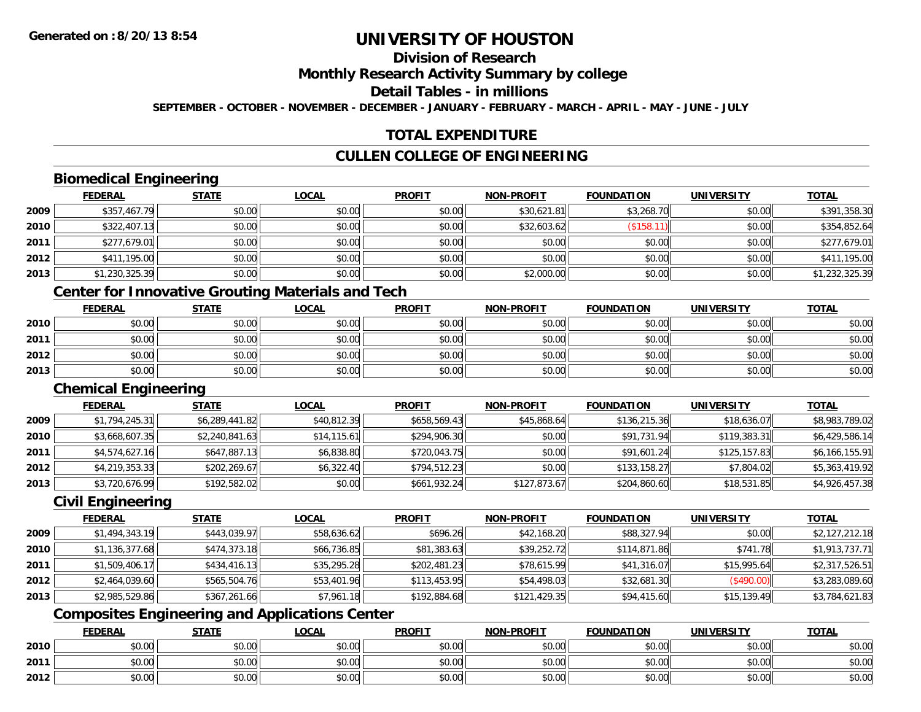# **Division of Research**

**Monthly Research Activity Summary by college**

**Detail Tables - in millions**

**SEPTEMBER - OCTOBER - NOVEMBER - DECEMBER - JANUARY - FEBRUARY - MARCH - APRIL - MAY - JUNE - JULY**

# **TOTAL EXPENDITURE**

## **CULLEN COLLEGE OF ENGINEERING**

## **Biomedical Engineering**

|      | <b>FEDERAL</b> | <b>STATE</b> | <u>LOCAL</u> | <b>PROFIT</b> | <b>NON-PROFIT</b> | <b>FOUNDATION</b> | <b>UNIVERSITY</b> | <b>TOTAL</b>   |
|------|----------------|--------------|--------------|---------------|-------------------|-------------------|-------------------|----------------|
| 2009 | \$357,467.79   | \$0.00       | \$0.00       | \$0.00        | \$30,621.81       | \$3,268.70        | \$0.00            | \$391,358.30   |
| 2010 | \$322,407.13   | \$0.00       | \$0.00       | \$0.00        | \$32,603.62       | \$158.1           | \$0.00            | \$354,852.64   |
| 2011 | \$277,679.01   | \$0.00       | \$0.00       | \$0.00        | \$0.00            | \$0.00            | \$0.00            | \$277,679.01   |
| 2012 | \$411,195.00   | \$0.00       | \$0.00       | \$0.00        | \$0.00            | \$0.00            | \$0.00            | \$411,195.00   |
| 2013 | \$1,230,325.39 | \$0.00       | \$0.00       | \$0.00        | \$2,000.00        | \$0.00            | \$0.00            | \$1,232,325.39 |

# **Center for Innovative Grouting Materials and Tech**

|      | <b>FEDERAL</b> | <b>STATE</b> | <u>LOCAL</u> | <b>PROFIT</b> | <b>NON-PROFIT</b> | <b>FOUNDATION</b> | <b>UNIVERSITY</b> | <b>TOTAL</b> |
|------|----------------|--------------|--------------|---------------|-------------------|-------------------|-------------------|--------------|
| 2010 | \$0.00         | \$0.00       | \$0.00       | \$0.00        | \$0.00            | \$0.00            | \$0.00            | \$0.00       |
| 2011 | \$0.00         | \$0.00       | \$0.00       | \$0.00        | \$0.00            | \$0.00            | \$0.00            | \$0.00       |
| 2012 | \$0.00         | \$0.00       | \$0.00       | \$0.00        | \$0.00            | \$0.00            | \$0.00            | \$0.00       |
| 2013 | \$0.00         | \$0.00       | \$0.00       | \$0.00        | \$0.00            | \$0.00            | \$0.00            | \$0.00       |

#### **Chemical Engineering**

|      | <b>FEDERAL</b> | <b>STATE</b>   | <b>LOCAL</b> | <b>PROFIT</b> | <b>NON-PROFIT</b> | <b>FOUNDATION</b> | <b>UNIVERSITY</b> | <b>TOTAL</b>   |
|------|----------------|----------------|--------------|---------------|-------------------|-------------------|-------------------|----------------|
| 2009 | \$1,794,245.31 | \$6,289,441.82 | \$40,812.39  | \$658,569.43  | \$45,868.64       | \$136,215.36      | \$18,636.07       | \$8,983,789.02 |
| 2010 | \$3,668,607.35 | \$2,240,841.63 | \$14,115.61  | \$294,906.30  | \$0.00            | \$91,731.94       | \$119,383.31      | \$6,429,586.14 |
| 2011 | \$4,574,627.16 | \$647,887.13   | \$6,838.80   | \$720,043.75  | \$0.00            | \$91,601.24       | \$125,157.83      | \$6,166,155.91 |
| 2012 | \$4,219,353.33 | \$202,269.67   | \$6,322.40   | \$794.512.23  | \$0.00            | \$133,158.27      | \$7,804.02        | \$5,363,419.92 |
| 2013 | \$3,720,676.99 | \$192,582.02   | \$0.00       | \$661,932.24  | \$127,873.67      | \$204,860.60      | \$18,531.85       | \$4,926,457.38 |

## **Civil Engineering**

|      | <b>FEDERAL</b> | <b>STATE</b> | <b>LOCAL</b> | <b>PROFIT</b> | <b>NON-PROFIT</b> | <b>FOUNDATION</b> | <b>UNIVERSITY</b> | <b>TOTAL</b>   |
|------|----------------|--------------|--------------|---------------|-------------------|-------------------|-------------------|----------------|
| 2009 | \$1,494,343.19 | \$443,039.97 | \$58,636.62  | \$696.26      | \$42,168.20       | \$88,327.94       | \$0.00            | \$2,127,212.18 |
| 2010 | \$1,136,377.68 | \$474,373.18 | \$66,736.85  | \$81,383.63   | \$39,252.72       | \$114,871.86      | \$741.78          | \$1,913,737.71 |
| 2011 | \$1,509,406.17 | \$434,416.13 | \$35,295.28  | \$202,481.23  | \$78,615.99       | \$41,316.07       | \$15,995.64       | \$2,317,526.51 |
| 2012 | \$2,464,039.60 | \$565,504.76 | \$53,401.96  | \$113,453.95  | \$54,498.03       | \$32,681.30       | (\$490.00)        | \$3,283,089.60 |
| 2013 | \$2,985,529.86 | \$367,261.66 | \$7,961.18   | \$192,884.68  | \$121,429.35      | \$94,415.60       | \$15,139.49       | \$3,784,621.83 |

# **Composites Engineering and Applications Center**

|      | <u>FEDERAL</u> | <b>STATE</b> | <u>LOCAL</u> | <b>PROFIT</b> | <b>NON-PROFIT</b> | <b>FOUNDATION</b> | <b>UNIVERSITY</b> | <b>TOTAL</b> |
|------|----------------|--------------|--------------|---------------|-------------------|-------------------|-------------------|--------------|
| 2010 | \$0.00         | \$0.00       | \$0.00       | \$0.00        | \$0.00            | \$0.00            | \$0.00            | \$0.00       |
| 2011 | \$0.00         | \$0.00       | \$0.00       | \$0.00        | \$0.00            | \$0.00            | \$0.00            | \$0.00       |
| 2012 | \$0.00         | \$0.00       | \$0.00       | \$0.00        | \$0.00            | \$0.00            | \$0.00            | \$0.00       |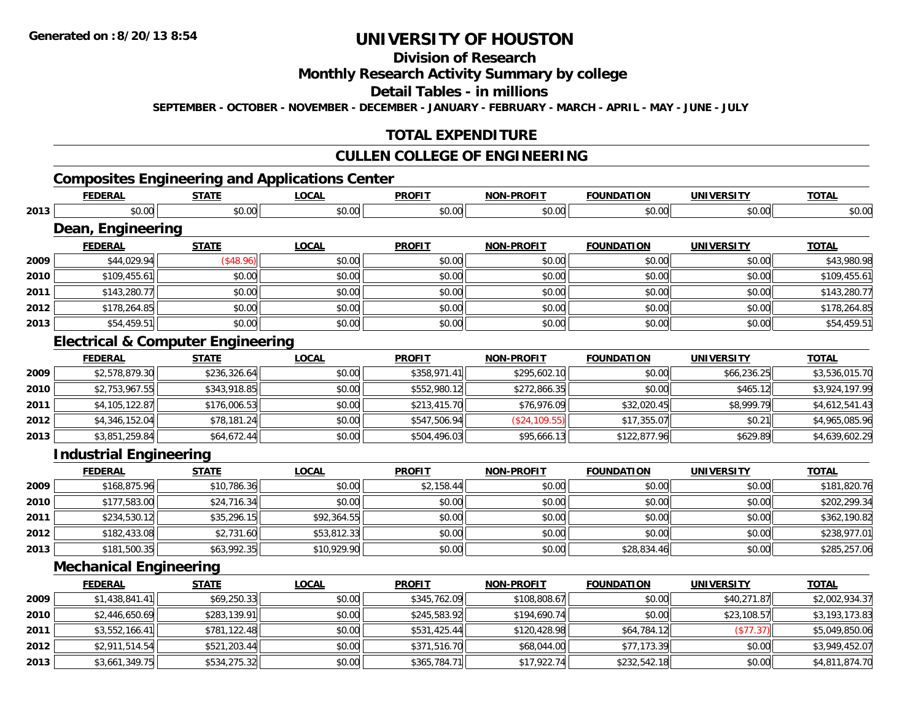**2013**

# **UNIVERSITY OF HOUSTON**

# **Division of Research**

### **Monthly Research Activity Summary by college**

#### **Detail Tables - in millions**

**SEPTEMBER - OCTOBER - NOVEMBER - DECEMBER - JANUARY - FEBRUARY - MARCH - APRIL - MAY - JUNE - JULY**

## **TOTAL EXPENDITURE**

### **CULLEN COLLEGE OF ENGINEERING**

# **Composites Engineering and Applications Center**

|      | <b>FEDERAL</b>                               | <b>STATE</b> | <b>LOCAL</b> | <b>PROFIT</b> | <b>NON-PROFIT</b> | <b>FOUNDATION</b> | <b>UNIVERSITY</b> | <b>TOTAL</b>   |
|------|----------------------------------------------|--------------|--------------|---------------|-------------------|-------------------|-------------------|----------------|
| 2013 | \$0.00                                       | \$0.00       | \$0.00       | \$0.00        | \$0.00            | \$0.00            | \$0.00            | \$0.00         |
|      | Dean, Engineering                            |              |              |               |                   |                   |                   |                |
|      | <b>FEDERAL</b>                               | <b>STATE</b> | <b>LOCAL</b> | <b>PROFIT</b> | <b>NON-PROFIT</b> | <b>FOUNDATION</b> | <b>UNIVERSITY</b> | <b>TOTAL</b>   |
| 2009 | \$44,029.94                                  | (\$48.96)    | \$0.00       | \$0.00        | \$0.00            | \$0.00            | \$0.00            | \$43,980.98    |
| 2010 | \$109,455.61                                 | \$0.00       | \$0.00       | \$0.00        | \$0.00            | \$0.00            | \$0.00            | \$109,455.61   |
| 2011 | \$143,280.77                                 | \$0.00       | \$0.00       | \$0.00        | \$0.00            | \$0.00            | \$0.00            | \$143,280.77   |
| 2012 | \$178,264.85                                 | \$0.00       | \$0.00       | \$0.00        | \$0.00            | \$0.00            | \$0.00            | \$178,264.85   |
| 2013 | \$54,459.51                                  | \$0.00       | \$0.00       | \$0.00        | \$0.00            | \$0.00            | \$0.00            | \$54,459.51    |
|      | <b>Electrical &amp; Computer Engineering</b> |              |              |               |                   |                   |                   |                |
|      | <b>FEDERAL</b>                               | <b>STATE</b> | <b>LOCAL</b> | <b>PROFIT</b> | <b>NON-PROFIT</b> | <b>FOUNDATION</b> | <b>UNIVERSITY</b> | <b>TOTAL</b>   |
| 2009 | \$2,578,879.30                               | \$236,326.64 | \$0.00       | \$358,971.41  | \$295,602.10      | \$0.00            | \$66,236.25       | \$3,536,015.70 |
| 2010 | \$2,753,967.55                               | \$343,918.85 | \$0.00       | \$552,980.12  | \$272,866.35      | \$0.00            | \$465.12          | \$3,924,197.99 |
| 2011 | \$4,105,122.87                               | \$176,006.53 | \$0.00       | \$213,415.70  | \$76,976.09       | \$32,020.45       | \$8,999.79        | \$4,612,541.43 |
| 2012 | \$4,346,152.04                               | \$78,181.24  | \$0.00       | \$547,506.94  | (\$24, 109.55)    | \$17,355.07       | \$0.21            | \$4,965,085.96 |
| 2013 | \$3,851,259.84                               | \$64,672.44  | \$0.00       | \$504,496.03  | \$95,666.13       | \$122,877.96      | \$629.89          | \$4,639,602.29 |
|      | <b>Industrial Engineering</b>                |              |              |               |                   |                   |                   |                |
|      | <b>FEDERAL</b>                               | <b>STATE</b> | <b>LOCAL</b> | <b>PROFIT</b> | <b>NON-PROFIT</b> | <b>FOUNDATION</b> | <b>UNIVERSITY</b> | <b>TOTAL</b>   |
| 2009 | \$168,875.96                                 | \$10,786.36  | \$0.00       | \$2,158.44    | \$0.00            | \$0.00            | \$0.00            | \$181,820.76   |
| 2010 | \$177,583.00                                 | \$24,716.34  | \$0.00       | \$0.00        | \$0.00            | \$0.00            | \$0.00            | \$202,299.34   |
| 2011 | \$234,530.12                                 | \$35,296.15  | \$92,364.55  | \$0.00        | \$0.00            | \$0.00            | \$0.00            | \$362,190.82   |
| 2012 | \$182,433.08                                 | \$2,731.60   | \$53,812.33  | \$0.00        | \$0.00            | \$0.00            | \$0.00            | \$238,977.01   |
| 2013 | \$181,500.35                                 | \$63,992.35  | \$10,929.90  | \$0.00        | \$0.00            | \$28,834.46       | \$0.00            | \$285,257.06   |
|      | <b>Mechanical Engineering</b>                |              |              |               |                   |                   |                   |                |
|      | <b>FEDERAL</b>                               | <b>STATE</b> | <b>LOCAL</b> | <b>PROFIT</b> | <b>NON-PROFIT</b> | <b>FOUNDATION</b> | <b>UNIVERSITY</b> | <b>TOTAL</b>   |
| 2009 | \$1,438,841.41                               | \$69,250.33  | \$0.00       | \$345,762.09  | \$108,808.67      | \$0.00            | \$40,271.87       | \$2,002,934.37 |
| 2010 | \$2,446,650.69                               | \$283,139.91 | \$0.00       | \$245,583.92  | \$194,690.74      | \$0.00            | \$23,108.57       | \$3,193,173.83 |
| 2011 | \$3,552,166.41                               | \$781,122.48 | \$0.00       | \$531,425.44  | \$120,428.98      | \$64,784.12       | (\$77.37)         | \$5,049,850.06 |
| 2012 | \$2,911,514.54                               | \$521,203.44 | \$0.00       | \$371,516.70  | \$68,044.00       | \$77,173.39       | \$0.00            | \$3,949,452.07 |

\$3,661,349.75 \$534,275.32 \$0.00 \$365,784.71 \$17,922.74 \$232,542.18 \$0.00 \$4,811,874.70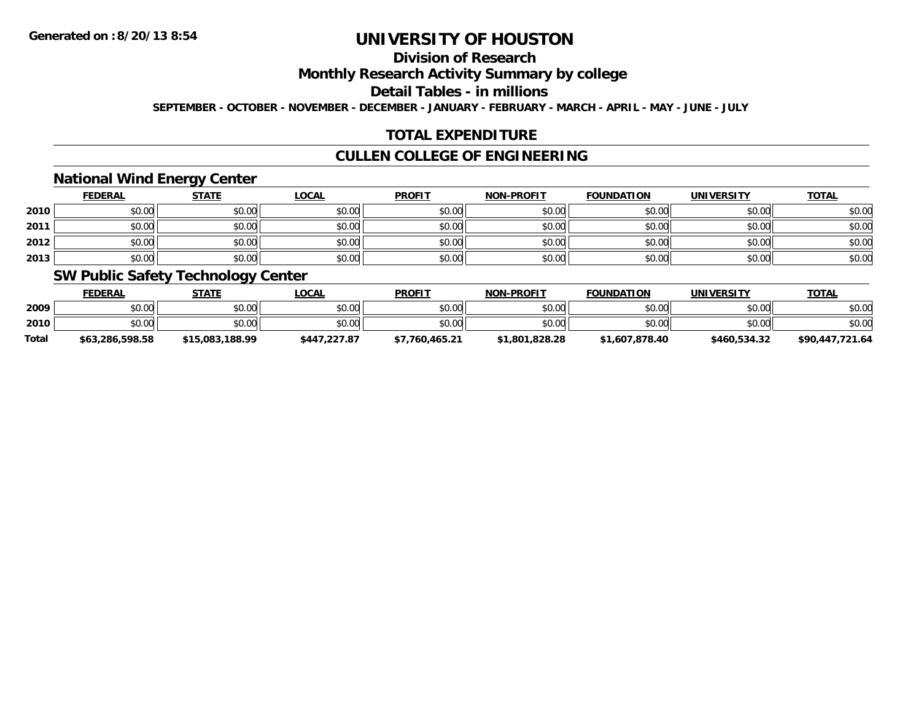# **Division of Research**

**Monthly Research Activity Summary by college**

**Detail Tables - in millions**

**SEPTEMBER - OCTOBER - NOVEMBER - DECEMBER - JANUARY - FEBRUARY - MARCH - APRIL - MAY - JUNE - JULY**

# **TOTAL EXPENDITURE**

## **CULLEN COLLEGE OF ENGINEERING**

### **National Wind Energy Center**

|      | <b>FEDERAL</b> | <b>STATE</b> | <b>LOCAL</b> | <b>PROFIT</b> | <b>NON-PROFIT</b> | <b>FOUNDATION</b> | <b>UNIVERSITY</b> | <b>TOTAL</b> |
|------|----------------|--------------|--------------|---------------|-------------------|-------------------|-------------------|--------------|
| 2010 | \$0.00         | \$0.00       | \$0.00       | \$0.00        | \$0.00            | \$0.00            | \$0.00            | \$0.00       |
| 2011 | \$0.00         | \$0.00       | \$0.00       | \$0.00        | \$0.00            | \$0.00            | \$0.00            | \$0.00       |
| 2012 | \$0.00         | \$0.00       | \$0.00       | \$0.00        | \$0.00            | \$0.00            | \$0.00            | \$0.00       |
| 2013 | \$0.00         | \$0.00       | \$0.00       | \$0.00        | \$0.00            | \$0.00            | \$0.00            | \$0.00       |

### **SW Public Safety Technology Center**

|              | <b>FEDERAL</b>  | STATE           | _OCAL        | <b>PROFIT</b>  | <b>NON-PROFIT</b> | <b>FOUNDATION</b> | UNIVERSITY   | <u>TOTAL</u>    |
|--------------|-----------------|-----------------|--------------|----------------|-------------------|-------------------|--------------|-----------------|
| 2009         | \$0.00          | \$0.00          | \$0.00       | \$0.00         | \$0.00            | \$0.00            | \$0.00       | \$0.00          |
| 2010         | \$0.00          | \$0.00          | \$0.00       | \$0.00         | \$0.00            | \$0.00            | \$0.00       | \$0.00          |
| <b>Total</b> | \$63,286,598.58 | \$15,083,188.99 | \$447,227.87 | \$7.760.465.21 | \$1,801,828.28    | \$1,607,878.40    | \$460,534.32 | \$90,447,721.64 |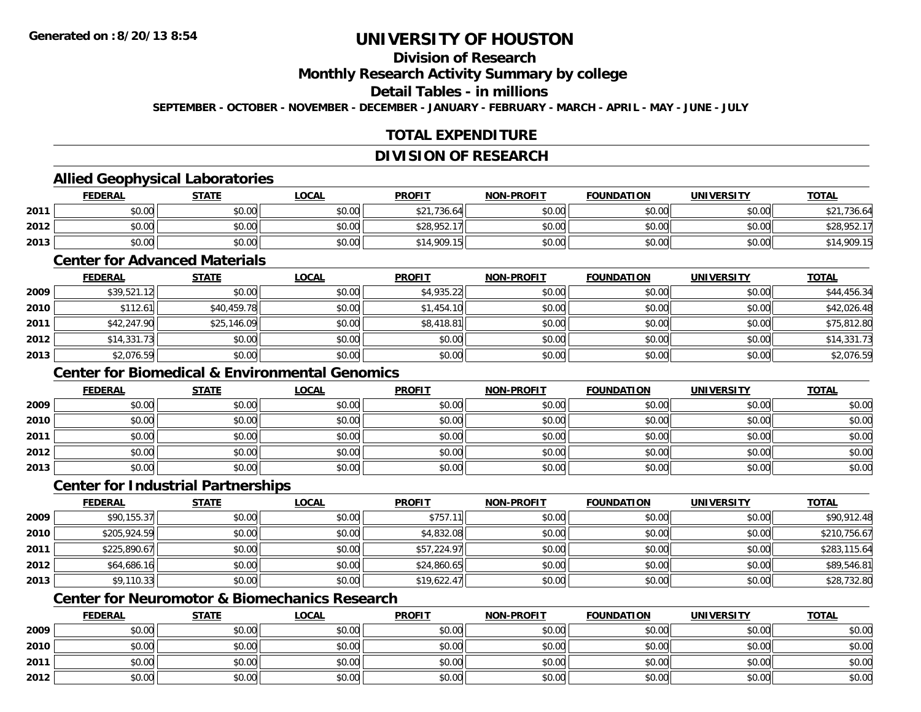# **Division of Research**

**Monthly Research Activity Summary by college**

**Detail Tables - in millions**

**SEPTEMBER - OCTOBER - NOVEMBER - DECEMBER - JANUARY - FEBRUARY - MARCH - APRIL - MAY - JUNE - JULY**

# **TOTAL EXPENDITURE**

#### **DIVISION OF RESEARCH**

## **Allied Geophysical Laboratories**

|      | <b>FEDERAL</b> | <b>STATE</b> | <u>LOCAL</u> | <b>PROFIT</b>    | <b>NON-PROFIT</b> | <b>FOUNDATION</b> | <b>UNIVERSITY</b> | <b>TOTAL</b> |
|------|----------------|--------------|--------------|------------------|-------------------|-------------------|-------------------|--------------|
| 2011 | \$0.00         | \$0.00       | \$0.00       | ,736.64<br>よつ1   | \$0.00            | \$0.00            | \$0.00            | \$21,736.64  |
| 2012 | \$0.00         | \$0.00       | \$0.00       | \$28.952.<br>17. | \$0.00            | \$0.00            | \$0.00            | \$28,952.17  |
| 2013 | \$0.00         | \$0.00       | \$0.00       | 14,909.15        | \$0.00            | \$0.00            | \$0.00            | \$14,909.15  |

#### **Center for Advanced Materials**

|      | <b>FEDERAL</b> | <b>STATE</b> | <b>LOCAL</b> | <b>PROFIT</b> | <b>NON-PROFIT</b> | <b>FOUNDATION</b> | <b>UNIVERSITY</b> | <b>TOTAL</b> |
|------|----------------|--------------|--------------|---------------|-------------------|-------------------|-------------------|--------------|
| 2009 | \$39,521.12    | \$0.00       | \$0.00       | \$4,935.22    | \$0.00            | \$0.00            | \$0.00            | \$44,456.34  |
| 2010 | \$112.61       | \$40,459.78  | \$0.00       | \$1,454.10    | \$0.00            | \$0.00            | \$0.00            | \$42,026.48  |
| 2011 | \$42,247.90    | \$25,146.09  | \$0.00       | \$8,418.81    | \$0.00            | \$0.00            | \$0.00            | \$75,812.80  |
| 2012 | \$14,331.73    | \$0.00       | \$0.00       | \$0.00        | \$0.00            | \$0.00            | \$0.00            | \$14,331.73  |
| 2013 | \$2,076.59     | \$0.00       | \$0.00       | \$0.00        | \$0.00            | \$0.00            | \$0.00            | \$2,076.59   |

# **Center for Biomedical & Environmental Genomics**

|      | <u>FEDERAL</u> | <b>STATE</b> | <u>LOCAL</u> | <b>PROFIT</b> | <b>NON-PROFIT</b> | <b>FOUNDATION</b> | <b>UNIVERSITY</b> | <b>TOTAL</b> |
|------|----------------|--------------|--------------|---------------|-------------------|-------------------|-------------------|--------------|
| 2009 | \$0.00         | \$0.00       | \$0.00       | \$0.00        | \$0.00            | \$0.00            | \$0.00            | \$0.00       |
| 2010 | \$0.00         | \$0.00       | \$0.00       | \$0.00        | \$0.00            | \$0.00            | \$0.00            | \$0.00       |
| 2011 | \$0.00         | \$0.00       | \$0.00       | \$0.00        | \$0.00            | \$0.00            | \$0.00            | \$0.00       |
| 2012 | \$0.00         | \$0.00       | \$0.00       | \$0.00        | \$0.00            | \$0.00            | \$0.00            | \$0.00       |
| 2013 | \$0.00         | \$0.00       | \$0.00       | \$0.00        | \$0.00            | \$0.00            | \$0.00            | \$0.00       |

#### **Center for Industrial Partnerships**

|      | <b>FEDERAL</b> | <b>STATE</b> | <u>LOCAL</u> | <b>PROFIT</b> | <b>NON-PROFIT</b> | <b>FOUNDATION</b> | <b>UNIVERSITY</b> | <b>TOTAL</b> |
|------|----------------|--------------|--------------|---------------|-------------------|-------------------|-------------------|--------------|
| 2009 | \$90,155.37    | \$0.00       | \$0.00       | \$757.        | \$0.00            | \$0.00            | \$0.00            | \$90,912.48  |
| 2010 | \$205,924.59   | \$0.00       | \$0.00       | \$4,832.08    | \$0.00            | \$0.00            | \$0.00            | \$210,756.67 |
| 2011 | \$225,890.67   | \$0.00       | \$0.00       | \$57,224.97   | \$0.00            | \$0.00            | \$0.00            | \$283,115.64 |
| 2012 | \$64,686.16    | \$0.00       | \$0.00       | \$24,860.65   | \$0.00            | \$0.00            | \$0.00            | \$89,546.81  |
| 2013 | \$9,110.33     | \$0.00       | \$0.00       | \$19,622.47   | \$0.00            | \$0.00            | \$0.00            | \$28,732.80  |

# **Center for Neuromotor & Biomechanics Research**

|      | <b>FEDERAL</b> | <b>STATE</b> | <u>LOCAL</u> | <b>PROFIT</b> | <b>NON-PROFIT</b> | <b>FOUNDATION</b> | <b>UNIVERSITY</b> | <b>TOTAL</b> |
|------|----------------|--------------|--------------|---------------|-------------------|-------------------|-------------------|--------------|
| 2009 | \$0.00         | \$0.00       | \$0.00       | \$0.00        | \$0.00            | \$0.00            | \$0.00            | \$0.00       |
| 2010 | \$0.00         | \$0.00       | \$0.00       | \$0.00        | \$0.00            | \$0.00            | \$0.00            | \$0.00       |
| 2011 | \$0.00         | \$0.00       | \$0.00       | \$0.00        | \$0.00            | \$0.00            | \$0.00            | \$0.00       |
| 2012 | \$0.00         | \$0.00       | \$0.00       | \$0.00        | \$0.00            | \$0.00            | \$0.00            | \$0.00       |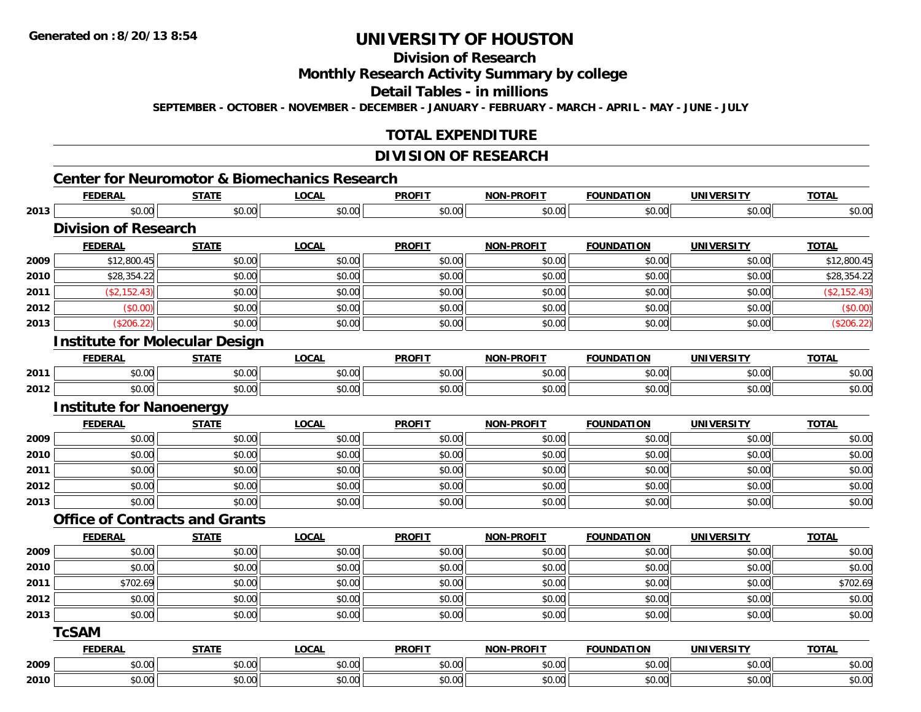# **Division of Research**

**Monthly Research Activity Summary by college**

**Detail Tables - in millions**

**SEPTEMBER - OCTOBER - NOVEMBER - DECEMBER - JANUARY - FEBRUARY - MARCH - APRIL - MAY - JUNE - JULY**

### **TOTAL EXPENDITURE**

#### **DIVISION OF RESEARCH**

|      | <b>FEDERAL</b>                        | <b>STATE</b> | <b>LOCAL</b> | <b>PROFIT</b> | <b>NON-PROFIT</b> | <b>FOUNDATION</b> | <b>UNIVERSITY</b> | <b>TOTAL</b> |
|------|---------------------------------------|--------------|--------------|---------------|-------------------|-------------------|-------------------|--------------|
| 2013 | \$0.00                                | \$0.00       | \$0.00       | \$0.00        | \$0.00            | \$0.00            | \$0.00            | \$0.00       |
|      | <b>Division of Research</b>           |              |              |               |                   |                   |                   |              |
|      | <b>FEDERAL</b>                        | <b>STATE</b> | <b>LOCAL</b> | <b>PROFIT</b> | <b>NON-PROFIT</b> | <b>FOUNDATION</b> | <b>UNIVERSITY</b> | <b>TOTAL</b> |
| 2009 | \$12,800.45                           | \$0.00       | \$0.00       | \$0.00        | \$0.00            | \$0.00            | \$0.00            | \$12,800.45  |
| 2010 | \$28,354.22                           | \$0.00       | \$0.00       | \$0.00        | \$0.00            | \$0.00            | \$0.00            | \$28,354.22  |
| 2011 | (\$2,152.43)                          | \$0.00       | \$0.00       | \$0.00        | \$0.00            | \$0.00            | \$0.00            | (\$2,152.43) |
| 2012 | (\$0.00)                              | \$0.00       | \$0.00       | \$0.00        | \$0.00            | \$0.00            | \$0.00            | (\$0.00)     |
| 2013 | (\$206.22)                            | \$0.00       | \$0.00       | \$0.00        | \$0.00            | \$0.00            | \$0.00            | (\$206.22)   |
|      | <b>Institute for Molecular Design</b> |              |              |               |                   |                   |                   |              |
|      | <b>FEDERAL</b>                        | <b>STATE</b> | <b>LOCAL</b> | <b>PROFIT</b> | <b>NON-PROFIT</b> | <b>FOUNDATION</b> | <b>UNIVERSITY</b> | <b>TOTAL</b> |
| 2011 | \$0.00                                | \$0.00       | \$0.00       | \$0.00        | \$0.00            | \$0.00            | \$0.00            | \$0.00       |
| 2012 | \$0.00                                | \$0.00       | \$0.00       | \$0.00        | \$0.00            | \$0.00            | \$0.00            | \$0.00       |
|      | <b>Institute for Nanoenergy</b>       |              |              |               |                   |                   |                   |              |
|      | <b>FEDERAL</b>                        | <b>STATE</b> | <b>LOCAL</b> | <b>PROFIT</b> | <b>NON-PROFIT</b> | <b>FOUNDATION</b> | <b>UNIVERSITY</b> | <b>TOTAL</b> |
| 2009 | \$0.00                                | \$0.00       | \$0.00       | \$0.00        | \$0.00            | \$0.00            | \$0.00            | \$0.00       |
| 2010 | \$0.00                                | \$0.00       | \$0.00       | \$0.00        | \$0.00            | \$0.00            | \$0.00            | \$0.00       |
| 2011 | \$0.00                                | \$0.00       | \$0.00       | \$0.00        | \$0.00            | \$0.00            | \$0.00            | \$0.00       |
| 2012 | \$0.00                                | \$0.00       | \$0.00       | \$0.00        | \$0.00            | \$0.00            | \$0.00            | \$0.00       |
| 2013 | \$0.00                                | \$0.00       | \$0.00       | \$0.00        | \$0.00            | \$0.00            | \$0.00            | \$0.00       |
|      | <b>Office of Contracts and Grants</b> |              |              |               |                   |                   |                   |              |
|      | <b>FEDERAL</b>                        | <b>STATE</b> | <b>LOCAL</b> | <b>PROFIT</b> | <b>NON-PROFIT</b> | <b>FOUNDATION</b> | <b>UNIVERSITY</b> | <b>TOTAL</b> |
| 2009 | \$0.00                                | \$0.00       | \$0.00       | \$0.00        | \$0.00            | \$0.00            | \$0.00            | \$0.00       |
| 2010 | \$0.00                                | \$0.00       | \$0.00       | \$0.00        | \$0.00            | \$0.00            | \$0.00            | \$0.00       |
| 2011 | \$702.69                              | \$0.00       | \$0.00       | \$0.00        | \$0.00            | \$0.00            | \$0.00            | \$702.69     |
| 2012 | \$0.00                                | \$0.00       | \$0.00       | \$0.00        | \$0.00            | \$0.00            | \$0.00            | \$0.00       |
| 2013 | \$0.00                                | \$0.00       | \$0.00       | \$0.00        | \$0.00            | \$0.00            | \$0.00            | \$0.00       |
|      | <b>TcSAM</b>                          |              |              |               |                   |                   |                   |              |
|      | <b>FEDERAL</b>                        | <b>STATE</b> | <b>LOCAL</b> | <b>PROFIT</b> | <b>NON-PROFIT</b> | <b>FOUNDATION</b> | <b>UNIVERSITY</b> | <b>TOTAL</b> |
| 2009 | \$0.00                                | \$0.00       | \$0.00       | \$0.00        | \$0.00            | \$0.00            | \$0.00            | \$0.00       |
| 2010 | \$0.00                                | \$0.00       | \$0.00       | \$0.00        | \$0.00            | \$0.00            | \$0.00            | \$0.00       |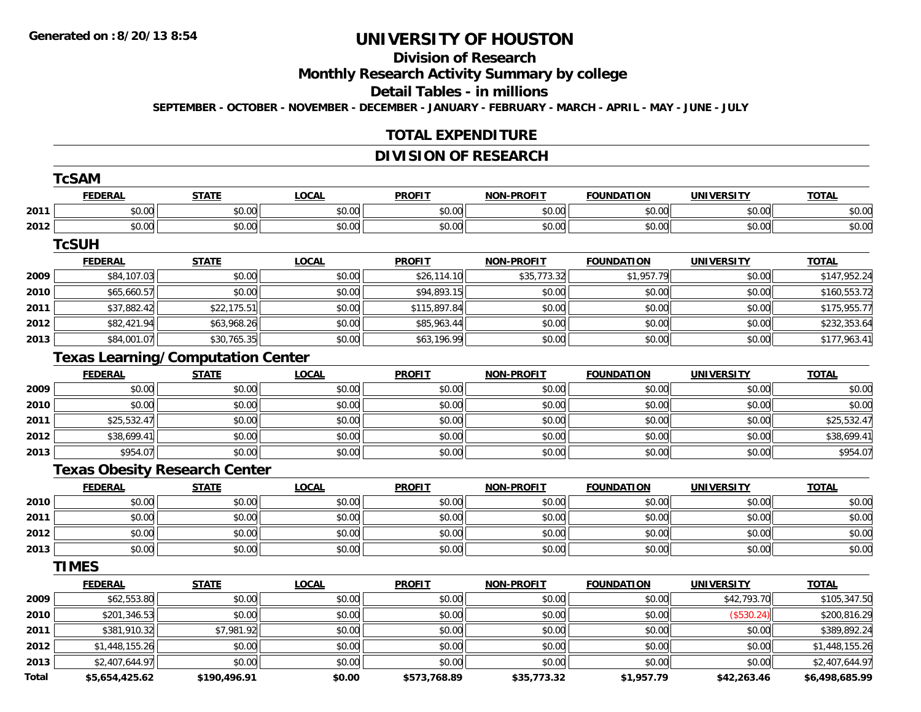# **Division of Research**

**Monthly Research Activity Summary by college**

**Detail Tables - in millions**

**SEPTEMBER - OCTOBER - NOVEMBER - DECEMBER - JANUARY - FEBRUARY - MARCH - APRIL - MAY - JUNE - JULY**

## **TOTAL EXPENDITURE**

## **DIVISION OF RESEARCH**

|       | <b>FEDERAL</b> | <b>STATE</b>                             | <b>LOCAL</b> | <b>PROFIT</b> | <b>NON-PROFIT</b> | <b>FOUNDATION</b> | <b>UNIVERSITY</b> | <b>TOTAL</b>   |
|-------|----------------|------------------------------------------|--------------|---------------|-------------------|-------------------|-------------------|----------------|
| 2011  | \$0.00         | \$0.00                                   | \$0.00       | \$0.00        | \$0.00            | \$0.00            | \$0.00            | \$0.00         |
| 2012  | \$0.00         | \$0.00                                   | \$0.00       | \$0.00        | \$0.00            | \$0.00            | \$0.00            | \$0.00         |
|       | <b>TcSUH</b>   |                                          |              |               |                   |                   |                   |                |
|       | <b>FEDERAL</b> | <b>STATE</b>                             | <b>LOCAL</b> | <b>PROFIT</b> | <b>NON-PROFIT</b> | <b>FOUNDATION</b> | <b>UNIVERSITY</b> | <b>TOTAL</b>   |
| 2009  | \$84,107.03    | \$0.00                                   | \$0.00       | \$26,114.10   | \$35,773.32       | \$1,957.79        | \$0.00            | \$147,952.24   |
| 2010  | \$65,660.57    | \$0.00                                   | \$0.00       | \$94,893.15   | \$0.00            | \$0.00            | \$0.00            | \$160,553.72   |
| 2011  | \$37,882.42    | \$22,175.51                              | \$0.00       | \$115,897.84  | \$0.00            | \$0.00            | \$0.00            | \$175,955.77   |
| 2012  | \$82,421.94    | \$63,968.26                              | \$0.00       | \$85,963.44   | \$0.00            | \$0.00            | \$0.00            | \$232,353.64   |
| 2013  | \$84,001.07    | \$30,765.35                              | \$0.00       | \$63,196.99   | \$0.00            | \$0.00            | \$0.00            | \$177,963.41   |
|       |                | <b>Texas Learning/Computation Center</b> |              |               |                   |                   |                   |                |
|       | <b>FEDERAL</b> | <b>STATE</b>                             | <b>LOCAL</b> | <b>PROFIT</b> | <b>NON-PROFIT</b> | <b>FOUNDATION</b> | <b>UNIVERSITY</b> | <b>TOTAL</b>   |
| 2009  | \$0.00         | \$0.00                                   | \$0.00       | \$0.00        | \$0.00            | \$0.00            | \$0.00            | \$0.00         |
| 2010  | \$0.00         | \$0.00                                   | \$0.00       | \$0.00        | \$0.00            | \$0.00            | \$0.00            | \$0.00         |
| 2011  | \$25,532.47    | \$0.00                                   | \$0.00       | \$0.00        | \$0.00            | \$0.00            | \$0.00            | \$25,532.47    |
| 2012  | \$38,699.41    | \$0.00                                   | \$0.00       | \$0.00        | \$0.00            | \$0.00            | \$0.00            | \$38,699.41    |
| 2013  | \$954.07       | \$0.00                                   | \$0.00       | \$0.00        | \$0.00            | \$0.00            | \$0.00            | \$954.07       |
|       |                | <b>Texas Obesity Research Center</b>     |              |               |                   |                   |                   |                |
|       | <b>FEDERAL</b> | <b>STATE</b>                             | <b>LOCAL</b> | <b>PROFIT</b> | <b>NON-PROFIT</b> | <b>FOUNDATION</b> | <b>UNIVERSITY</b> | <b>TOTAL</b>   |
| 2010  | \$0.00         | \$0.00                                   | \$0.00       | \$0.00        | \$0.00            | \$0.00            | \$0.00            | \$0.00         |
| 2011  | \$0.00         | \$0.00                                   | \$0.00       | \$0.00        | \$0.00            | \$0.00            | \$0.00            | \$0.00         |
| 2012  | \$0.00         | \$0.00                                   | \$0.00       | \$0.00        | \$0.00            | \$0.00            | \$0.00            | \$0.00         |
| 2013  | \$0.00         | \$0.00                                   | \$0.00       | \$0.00        | \$0.00            | \$0.00            | \$0.00            | \$0.00         |
|       | <b>TIMES</b>   |                                          |              |               |                   |                   |                   |                |
|       | <b>FEDERAL</b> | <b>STATE</b>                             | <b>LOCAL</b> | <b>PROFIT</b> | <b>NON-PROFIT</b> | <b>FOUNDATION</b> | <b>UNIVERSITY</b> | <b>TOTAL</b>   |
| 2009  | \$62,553.80    | \$0.00                                   | \$0.00       | \$0.00        | \$0.00            | \$0.00            | \$42,793.70       | \$105,347.50   |
| 2010  | \$201,346.53   | \$0.00                                   | \$0.00       | \$0.00        | \$0.00            | \$0.00            | (\$530.24)        | \$200,816.29   |
| 2011  | \$381,910.32   | \$7,981.92                               | \$0.00       | \$0.00        | \$0.00            | \$0.00            | \$0.00            | \$389,892.24   |
| 2012  | \$1,448,155.26 | \$0.00                                   | \$0.00       | \$0.00        | \$0.00            | \$0.00            | \$0.00            | \$1,448,155.26 |
| 2013  | \$2,407,644.97 | \$0.00                                   | \$0.00       | \$0.00        | \$0.00            | \$0.00            | \$0.00            | \$2,407,644.97 |
| Total | \$5,654,425.62 | \$190,496.91                             | \$0.00       | \$573,768.89  | \$35,773.32       | \$1,957.79        | \$42,263.46       | \$6,498,685.99 |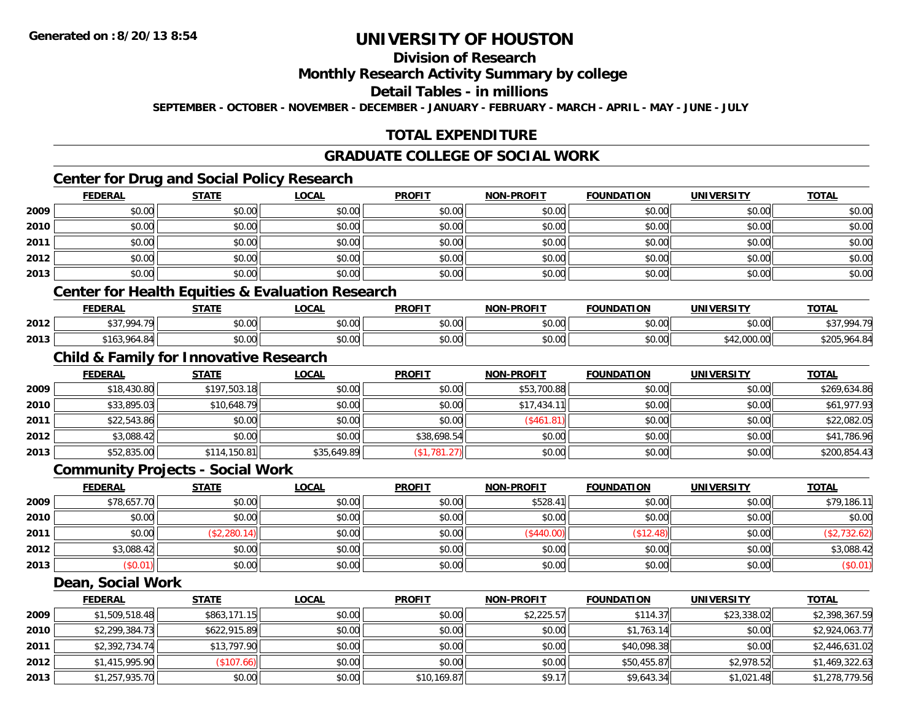# **Division of Research**

#### **Monthly Research Activity Summary by college**

#### **Detail Tables - in millions**

**SEPTEMBER - OCTOBER - NOVEMBER - DECEMBER - JANUARY - FEBRUARY - MARCH - APRIL - MAY - JUNE - JULY**

# **TOTAL EXPENDITURE**

#### **GRADUATE COLLEGE OF SOCIAL WORK**

# **Center for Drug and Social Policy Research**

|      | <b>FEDERAL</b> | <b>STATE</b> | <u>LOCAL</u> | <b>PROFIT</b> | <b>NON-PROFIT</b> | <b>FOUNDATION</b> | <b>UNIVERSITY</b> | <b>TOTAL</b> |
|------|----------------|--------------|--------------|---------------|-------------------|-------------------|-------------------|--------------|
| 2009 | \$0.00         | \$0.00       | \$0.00       | \$0.00        | \$0.00            | \$0.00            | \$0.00            | \$0.00       |
| 2010 | \$0.00         | \$0.00       | \$0.00       | \$0.00        | \$0.00            | \$0.00            | \$0.00            | \$0.00       |
| 2011 | \$0.00         | \$0.00       | \$0.00       | \$0.00        | \$0.00            | \$0.00            | \$0.00            | \$0.00       |
| 2012 | \$0.00         | \$0.00       | \$0.00       | \$0.00        | \$0.00            | \$0.00            | \$0.00            | \$0.00       |
| 2013 | \$0.00         | \$0.00       | \$0.00       | \$0.00        | \$0.00            | \$0.00            | \$0.00            | \$0.00       |

### **Center for Health Equities & Evaluation Research**

|      | <b>FEDERAL</b>                   | <b>CTATE</b><br>,,,,, | 00 <sub>n</sub><br>UUAI             | <b>PROFIT</b>                              | <b>NON-PROFIT</b> | <b>FOUNDATION</b> | UNIVERSITY  | <b>TOTAL</b>   |
|------|----------------------------------|-----------------------|-------------------------------------|--------------------------------------------|-------------------|-------------------|-------------|----------------|
| 2012 | 004 70<br>---                    | nn no<br>DU.UU        | 0.00<br>pu.uu                       | $\sim$ $\sim$<br>JU.UU                     | 40.00<br>PO.OO    | \$0.00            | \$0.00      | <b>427 00/</b> |
| 2013 | $\mathsf{A}$<br>১। ০১<br>.964.84 | \$0.00                | $\theta$ $\theta$ $\theta$<br>pu.uu | $\mathsf{A} \cap \mathsf{A} \cap$<br>JU.UU | \$0.00            | \$0.00            | \$42,000.00 | 0Á<br>$+0.00$  |

## **Child & Family for Innovative Research**

|      | <b>FEDERAL</b> | <b>STATE</b> | <u>LOCAL</u> | <b>PROFIT</b> | <b>NON-PROFIT</b> | <b>FOUNDATION</b> | UNIVERSITY | <b>TOTAL</b> |
|------|----------------|--------------|--------------|---------------|-------------------|-------------------|------------|--------------|
| 2009 | \$18,430.80    | \$197,503.18 | \$0.00       | \$0.00        | \$53,700.88       | \$0.00            | \$0.00     | \$269,634.86 |
| 2010 | \$33,895.03    | \$10,648.79  | \$0.00       | \$0.00        | \$17,434.11       | \$0.00            | \$0.00     | \$61,977.93  |
| 2011 | \$22,543.86    | \$0.00       | \$0.00       | \$0.00        | (\$461.81)        | \$0.00            | \$0.00     | \$22,082.05  |
| 2012 | \$3,088.42     | \$0.00       | \$0.00       | \$38,698.54   | \$0.00            | \$0.00            | \$0.00     | \$41,786.96  |
| 2013 | \$52,835.00    | \$114,150.81 | \$35,649.89  | (\$1,781.27)  | \$0.00            | \$0.00            | \$0.00     | \$200,854.43 |

#### **Community Projects - Social Work**

|      | <b>FEDERAL</b> | <b>STATE</b> | <u>LOCAL</u> | <b>PROFIT</b> | <b>NON-PROFIT</b> | <b>FOUNDATION</b> | <b>UNIVERSITY</b> | <b>TOTAL</b> |
|------|----------------|--------------|--------------|---------------|-------------------|-------------------|-------------------|--------------|
| 2009 | \$78,657.70    | \$0.00       | \$0.00       | \$0.00        | \$528.41          | \$0.00            | \$0.00            | \$79,186.11  |
| 2010 | \$0.00         | \$0.00       | \$0.00       | \$0.00        | \$0.00            | \$0.00            | \$0.00            | \$0.00       |
| 2011 | \$0.00         | (\$2,280.14) | \$0.00       | \$0.00        | (\$440.00)        | \$12.48           | \$0.00            | (\$2,732.62) |
| 2012 | \$3,088.42     | \$0.00       | \$0.00       | \$0.00        | \$0.00            | \$0.00            | \$0.00            | \$3,088.42   |
| 2013 | \$0.01)        | \$0.00       | \$0.00       | \$0.00        | \$0.00            | \$0.00            | \$0.00            | (\$0.01)     |

#### **Dean, Social Work**

|      | <b>FEDERAL</b> | <b>STATE</b> | <u>LOCAL</u> | <b>PROFIT</b> | <b>NON-PROFIT</b> | <b>FOUNDATION</b> | <b>UNIVERSITY</b> | <b>TOTAL</b>   |
|------|----------------|--------------|--------------|---------------|-------------------|-------------------|-------------------|----------------|
| 2009 | \$1,509,518.48 | \$863,171.15 | \$0.00       | \$0.00        | \$2,225.57        | \$114.37          | \$23,338.02       | \$2,398,367.59 |
| 2010 | \$2,299,384.73 | \$622,915.89 | \$0.00       | \$0.00        | \$0.00            | \$1,763.14        | \$0.00            | \$2,924,063.77 |
| 2011 | \$2,392,734.74 | \$13,797.90  | \$0.00       | \$0.00        | \$0.00            | \$40,098.38       | \$0.00            | \$2,446,631.02 |
| 2012 | \$1,415,995.90 | \$107.66     | \$0.00       | \$0.00        | \$0.00            | \$50,455.87       | \$2,978.52        | \$1,469,322.63 |
| 2013 | \$1,257,935.70 | \$0.00       | \$0.00       | \$10,169.87   | \$9.17            | \$9,643.34        | \$1,021.48        | \$1,278,779.56 |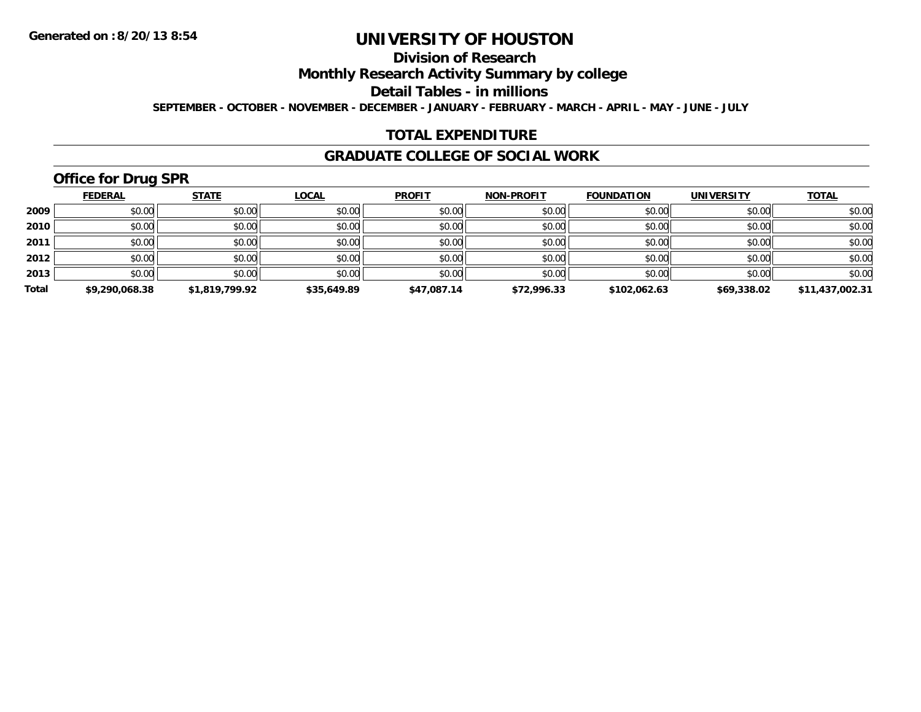# **Division of Research**

**Monthly Research Activity Summary by college**

**Detail Tables - in millions**

**SEPTEMBER - OCTOBER - NOVEMBER - DECEMBER - JANUARY - FEBRUARY - MARCH - APRIL - MAY - JUNE - JULY**

## **TOTAL EXPENDITURE**

#### **GRADUATE COLLEGE OF SOCIAL WORK**

# **Office for Drug SPR**

|       | <b>FEDERAL</b> | <b>STATE</b>   | <u>LOCAL</u> | <b>PROFIT</b> | <b>NON-PROFIT</b> | <b>FOUNDATION</b> | <b>UNIVERSITY</b> | <b>TOTAL</b>    |
|-------|----------------|----------------|--------------|---------------|-------------------|-------------------|-------------------|-----------------|
| 2009  | \$0.00         | \$0.00         | \$0.00       | \$0.00        | \$0.00            | \$0.00            | \$0.00            | \$0.00          |
| 2010  | \$0.00         | \$0.00         | \$0.00       | \$0.00        | \$0.00            | \$0.00            | \$0.00            | \$0.00          |
| 2011  | $$0.00$        | \$0.00         | \$0.00       | \$0.00        | \$0.00            | \$0.00            | \$0.00            | \$0.00          |
| 2012  | \$0.00         | \$0.00         | \$0.00       | \$0.00        | \$0.00            | \$0.00            | \$0.00            | \$0.00          |
| 2013  | \$0.00         | \$0.00         | \$0.00       | \$0.00        | \$0.00            | \$0.00            | \$0.00            | \$0.00          |
| Total | \$9,290,068.38 | \$1,819,799.92 | \$35,649.89  | \$47,087.14   | \$72,996.33       | \$102,062.63      | \$69,338.02       | \$11,437,002.31 |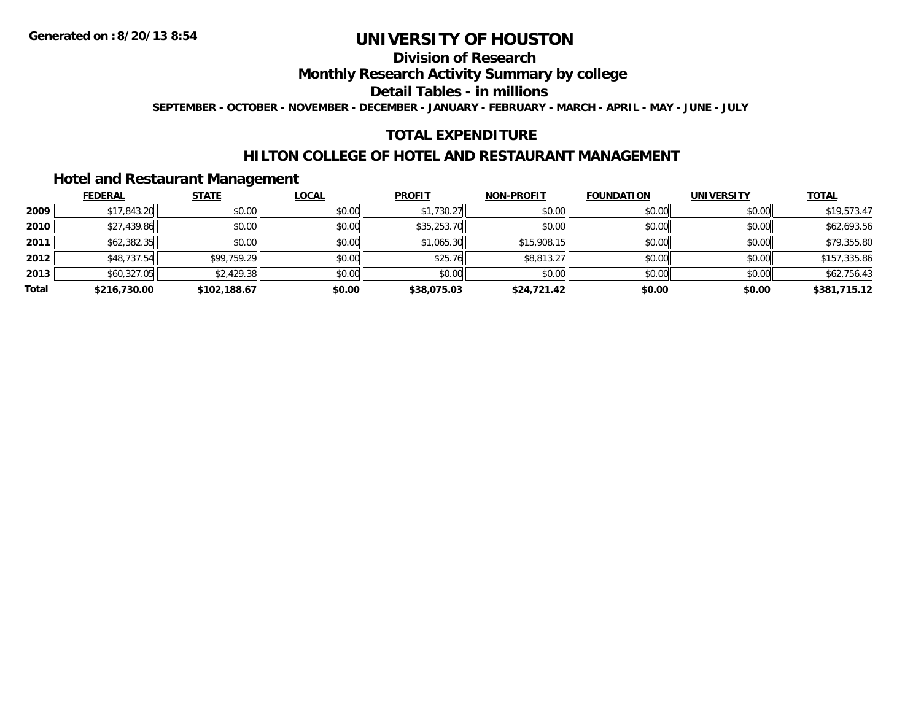### **Division of Research**

**Monthly Research Activity Summary by college**

**Detail Tables - in millions**

**SEPTEMBER - OCTOBER - NOVEMBER - DECEMBER - JANUARY - FEBRUARY - MARCH - APRIL - MAY - JUNE - JULY**

## **TOTAL EXPENDITURE**

### **HILTON COLLEGE OF HOTEL AND RESTAURANT MANAGEMENT**

### **Hotel and Restaurant Management**

|       | <b>FEDERAL</b> | <b>STATE</b> | <b>LOCAL</b> | <b>PROFIT</b> | <b>NON-PROFIT</b> | <b>FOUNDATION</b> | <b>UNIVERSITY</b> | <b>TOTAL</b> |
|-------|----------------|--------------|--------------|---------------|-------------------|-------------------|-------------------|--------------|
| 2009  | \$17,843.20    | \$0.00       | \$0.00       | \$1,730.27    | \$0.00            | \$0.00            | \$0.00            | \$19,573.47  |
| 2010  | \$27,439.86    | \$0.00       | \$0.00       | \$35,253.70   | \$0.00            | \$0.00            | \$0.00            | \$62,693.56  |
| 2011  | \$62,382.35    | \$0.00       | \$0.00       | \$1,065.30    | \$15,908.15       | \$0.00            | \$0.00            | \$79,355.80  |
| 2012  | \$48,737.54    | \$99,759.29  | \$0.00       | \$25.76       | \$8,813.27        | \$0.00            | \$0.00            | \$157,335.86 |
| 2013  | \$60,327.05    | \$2,429.38   | \$0.00       | \$0.00        | \$0.00            | \$0.00            | \$0.00            | \$62,756.43  |
| Total | \$216,730.00   | \$102.188.67 | \$0.00       | \$38,075.03   | \$24,721.42       | \$0.00            | \$0.00            | \$381,715.12 |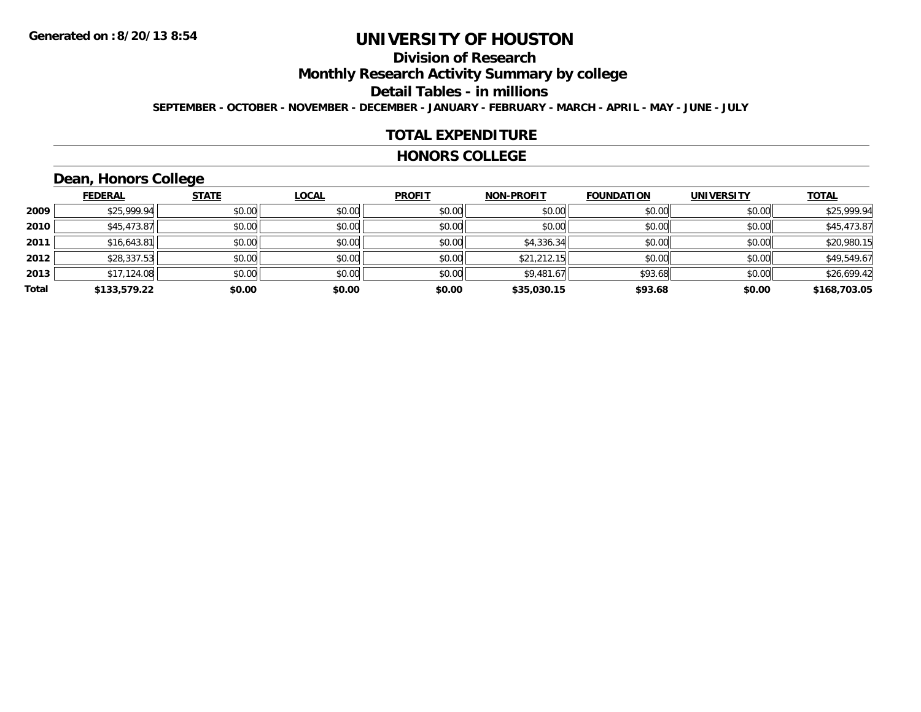# **Division of Research**

**Monthly Research Activity Summary by college**

**Detail Tables - in millions**

**SEPTEMBER - OCTOBER - NOVEMBER - DECEMBER - JANUARY - FEBRUARY - MARCH - APRIL - MAY - JUNE - JULY**

#### **TOTAL EXPENDITURE**

#### **HONORS COLLEGE**

# **Dean, Honors College**

|       | <b>FEDERAL</b> | <b>STATE</b> | <b>LOCAL</b> | <b>PROFIT</b> | <b>NON-PROFIT</b> | <b>FOUNDATION</b> | <b>UNIVERSITY</b> | <b>TOTAL</b> |
|-------|----------------|--------------|--------------|---------------|-------------------|-------------------|-------------------|--------------|
| 2009  | \$25,999.94    | \$0.00       | \$0.00       | \$0.00        | \$0.00            | \$0.00            | \$0.00            | \$25,999.94  |
| 2010  | \$45,473.87    | \$0.00       | \$0.00       | \$0.00        | \$0.00            | \$0.00            | \$0.00            | \$45,473.87  |
| 2011  | \$16,643.81    | \$0.00       | \$0.00       | \$0.00        | \$4,336.34        | \$0.00            | \$0.00            | \$20,980.15  |
| 2012  | \$28,337.53    | \$0.00       | \$0.00       | \$0.00        | \$21,212.15       | \$0.00            | \$0.00            | \$49,549.67  |
| 2013  | \$17,124.08    | \$0.00       | \$0.00       | \$0.00        | \$9,481.67        | \$93.68           | \$0.00            | \$26,699.42  |
| Total | \$133,579.22   | \$0.00       | \$0.00       | \$0.00        | \$35,030.15       | \$93.68           | \$0.00            | \$168,703.05 |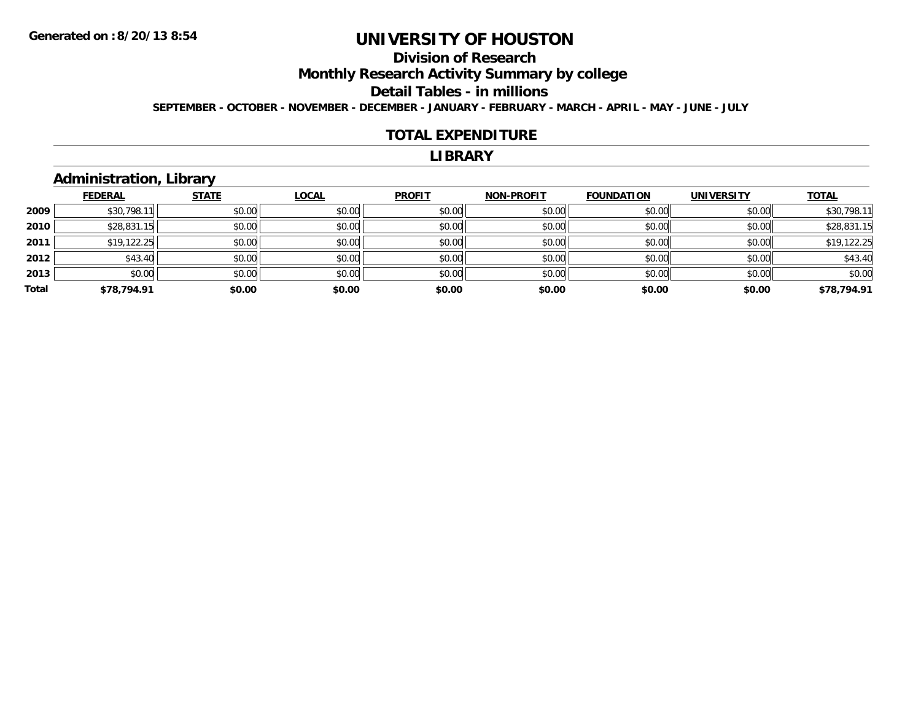# **Division of Research**

**Monthly Research Activity Summary by college**

**Detail Tables - in millions**

**SEPTEMBER - OCTOBER - NOVEMBER - DECEMBER - JANUARY - FEBRUARY - MARCH - APRIL - MAY - JUNE - JULY**

#### **TOTAL EXPENDITURE**

#### **LIBRARY**

### **Administration, Library**

|       | <b>FEDERAL</b> | <b>STATE</b> | <u>LOCAL</u> | <b>PROFIT</b> | <b>NON-PROFIT</b> | <b>FOUNDATION</b> | <b>UNIVERSITY</b> | <b>TOTAL</b> |
|-------|----------------|--------------|--------------|---------------|-------------------|-------------------|-------------------|--------------|
| 2009  | \$30,798.      | \$0.00       | \$0.00       | \$0.00        | \$0.00            | \$0.00            | \$0.00            | \$30,798.11  |
| 2010  | \$28,831.15    | \$0.00       | \$0.00       | \$0.00        | \$0.00            | \$0.00            | \$0.00            | \$28,831.15  |
| 2011  | \$19,122.25    | \$0.00       | \$0.00       | \$0.00        | \$0.00            | \$0.00            | \$0.00            | \$19,122.25  |
| 2012  | \$43.40        | \$0.00       | \$0.00       | \$0.00        | \$0.00            | \$0.00            | \$0.00            | \$43.40      |
| 2013  | \$0.00         | \$0.00       | \$0.00       | \$0.00        | \$0.00            | \$0.00            | \$0.00            | \$0.00       |
| Total | \$78,794.91    | \$0.00       | \$0.00       | \$0.00        | \$0.00            | \$0.00            | \$0.00            | \$78,794.91  |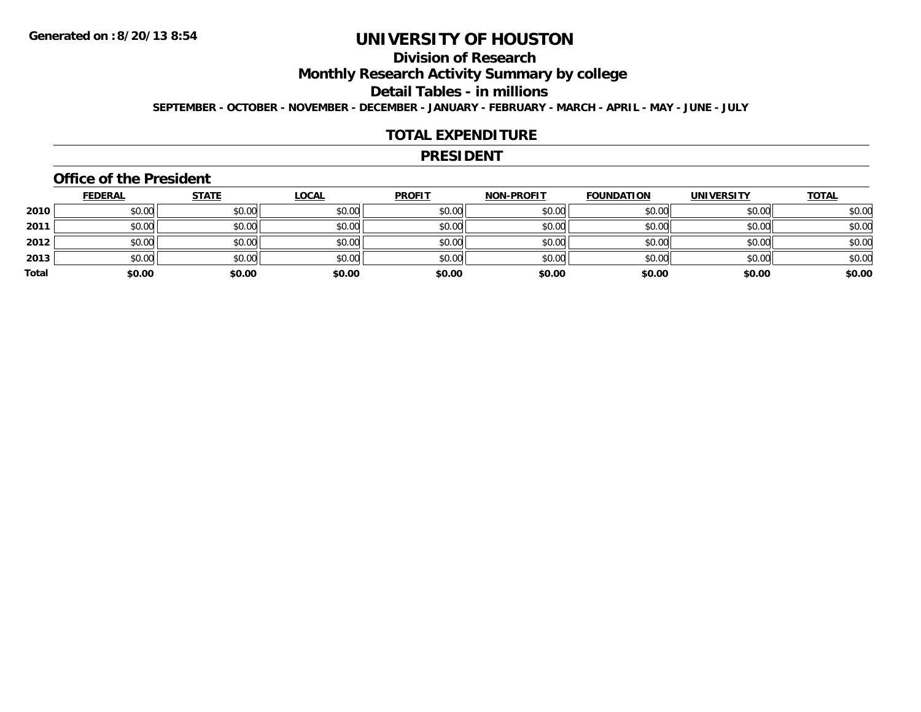# **Division of Research**

**Monthly Research Activity Summary by college**

**Detail Tables - in millions**

**SEPTEMBER - OCTOBER - NOVEMBER - DECEMBER - JANUARY - FEBRUARY - MARCH - APRIL - MAY - JUNE - JULY**

#### **TOTAL EXPENDITURE**

#### **PRESIDENT**

#### **Office of the President**

|       | <u>FEDERAL</u> | <b>STATE</b> | <b>LOCAL</b> | <b>PROFIT</b> | <b>NON-PROFIT</b> | <b>FOUNDATION</b> | <b>UNIVERSITY</b> | <b>TOTAL</b> |
|-------|----------------|--------------|--------------|---------------|-------------------|-------------------|-------------------|--------------|
| 2010  | \$0.00         | \$0.00       | \$0.00       | \$0.00        | \$0.00            | \$0.00            | \$0.00            | \$0.00       |
| 2011  | \$0.00         | \$0.00       | \$0.00       | \$0.00        | \$0.00            | \$0.00            | \$0.00            | \$0.00       |
| 2012  | \$0.00         | \$0.00       | \$0.00       | \$0.00        | \$0.00            | \$0.00            | \$0.00            | \$0.00       |
| 2013  | \$0.00         | \$0.00       | \$0.00       | \$0.00        | \$0.00            | \$0.00            | \$0.00            | \$0.00       |
| Total | \$0.00         | \$0.00       | \$0.00       | \$0.00        | \$0.00            | \$0.00            | \$0.00            | \$0.00       |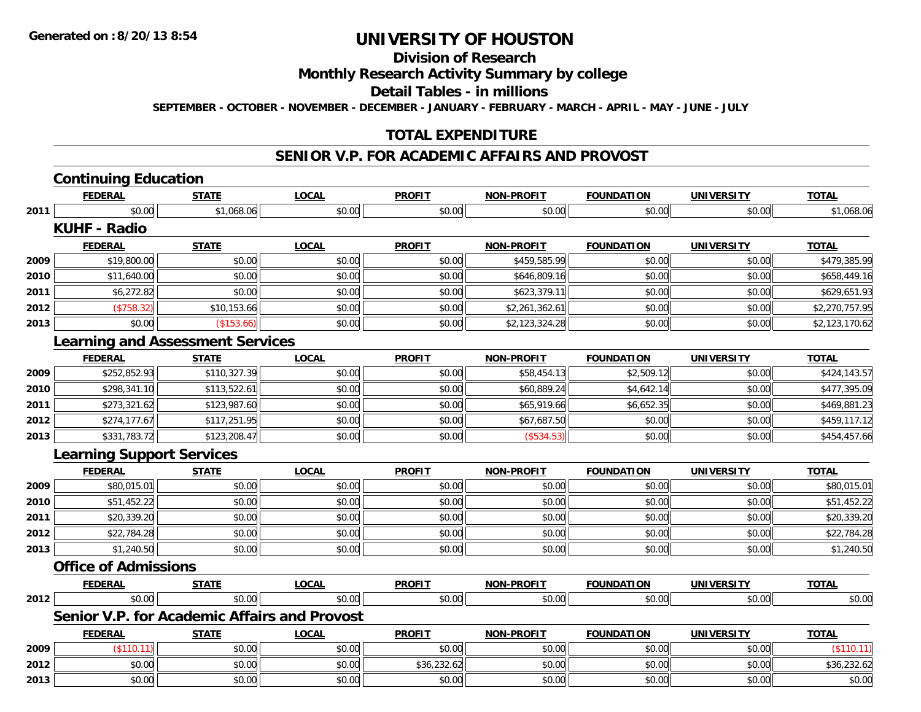# **Division of Research**

# **Monthly Research Activity Summary by college**

**Detail Tables - in millions**

**SEPTEMBER - OCTOBER - NOVEMBER - DECEMBER - JANUARY - FEBRUARY - MARCH - APRIL - MAY - JUNE - JULY**

## **TOTAL EXPENDITURE**

#### **SENIOR V.P. FOR ACADEMIC AFFAIRS AND PROVOST**

|      | <b>Continuing Education</b>                         |              |              |               |                   |                   |                   |                |
|------|-----------------------------------------------------|--------------|--------------|---------------|-------------------|-------------------|-------------------|----------------|
|      | <b>FEDERAL</b>                                      | <b>STATE</b> | <b>LOCAL</b> | <b>PROFIT</b> | NON-PROFIT        | <b>FOUNDATION</b> | <b>UNIVERSITY</b> | <b>TOTAL</b>   |
| 2011 | \$0.00                                              | \$1,068.06   | \$0.00       | \$0.00        | \$0.00            | \$0.00            | \$0.00            | \$1,068.06     |
|      | <b>KUHF - Radio</b>                                 |              |              |               |                   |                   |                   |                |
|      | <b>FEDERAL</b>                                      | <b>STATE</b> | <b>LOCAL</b> | <b>PROFIT</b> | NON-PROFIT        | <b>FOUNDATION</b> | <b>UNIVERSITY</b> | <b>TOTAL</b>   |
| 2009 | \$19,800.00                                         | \$0.00       | \$0.00       | \$0.00        | \$459,585.99      | \$0.00            | \$0.00            | \$479,385.99   |
| 2010 | \$11,640.00                                         | \$0.00       | \$0.00       | \$0.00        | \$646,809.16      | \$0.00            | \$0.00            | \$658,449.16   |
| 2011 | \$6,272.82                                          | \$0.00       | \$0.00       | \$0.00        | \$623,379.11      | \$0.00            | \$0.00            | \$629,651.93   |
| 2012 | (\$758.32)                                          | \$10,153.66  | \$0.00       | \$0.00        | \$2,261,362.61    | \$0.00            | \$0.00            | \$2,270,757.95 |
| 2013 | \$0.00                                              | (\$153.66)   | \$0.00       | \$0.00        | \$2,123,324.28    | \$0.00            | \$0.00            | \$2,123,170.62 |
|      | <b>Learning and Assessment Services</b>             |              |              |               |                   |                   |                   |                |
|      | <b>FEDERAL</b>                                      | <b>STATE</b> | <b>LOCAL</b> | <b>PROFIT</b> | <b>NON-PROFIT</b> | <b>FOUNDATION</b> | <b>UNIVERSITY</b> | <b>TOTAL</b>   |
| 2009 | \$252,852.93                                        | \$110,327.39 | \$0.00       | \$0.00        | \$58,454.13       | \$2,509.12        | \$0.00            | \$424,143.57   |
| 2010 | \$298,341.10                                        | \$113,522.61 | \$0.00       | \$0.00        | \$60,889.24       | \$4,642.14        | \$0.00            | \$477,395.09   |
| 2011 | \$273,321.62                                        | \$123,987.60 | \$0.00       | \$0.00        | \$65,919.66       | \$6,652.35        | \$0.00            | \$469,881.23   |
| 2012 | \$274,177.67                                        | \$117,251.95 | \$0.00       | \$0.00        | \$67,687.50       | \$0.00            | \$0.00            | \$459,117.12   |
| 2013 | \$331,783.72                                        | \$123,208.47 | \$0.00       | \$0.00        | (\$534.53)        | \$0.00            | \$0.00            | \$454,457.66   |
|      | <b>Learning Support Services</b>                    |              |              |               |                   |                   |                   |                |
|      | <b>FEDERAL</b>                                      | <b>STATE</b> | <b>LOCAL</b> | <b>PROFIT</b> | <b>NON-PROFIT</b> | <b>FOUNDATION</b> | <b>UNIVERSITY</b> | <b>TOTAL</b>   |
| 2009 | \$80,015.01                                         | \$0.00       | \$0.00       | \$0.00        | \$0.00            | \$0.00            | \$0.00            | \$80,015.01    |
| 2010 | \$51,452.22                                         | \$0.00       | \$0.00       | \$0.00        | \$0.00            | \$0.00            | \$0.00            | \$51,452.22    |
| 2011 | \$20,339.20                                         | \$0.00       | \$0.00       | \$0.00        | \$0.00            | \$0.00            | \$0.00            | \$20,339.20    |
| 2012 | \$22,784.28                                         | \$0.00       | \$0.00       | \$0.00        | \$0.00            | \$0.00            | \$0.00            | \$22,784.28    |
| 2013 | \$1,240.50                                          | \$0.00       | \$0.00       | \$0.00        | \$0.00            | \$0.00            | \$0.00            | \$1,240.50     |
|      | <b>Office of Admissions</b>                         |              |              |               |                   |                   |                   |                |
|      | <b>FEDERAL</b>                                      | <b>STATE</b> | <b>LOCAL</b> | <b>PROFIT</b> | NON-PROFIT        | <b>FOUNDATION</b> | <b>UNIVERSITY</b> | <b>TOTAL</b>   |
| 2012 | \$0.00                                              | \$0.00       | \$0.00       | \$0.00        | \$0.00            | \$0.00            | \$0.00            | \$0.00         |
|      | <b>Senior V.P. for Academic Affairs and Provost</b> |              |              |               |                   |                   |                   |                |
|      | <b>FEDERAL</b>                                      | <b>STATE</b> | <b>LOCAL</b> | <b>PROFIT</b> | <b>NON-PROFIT</b> | <b>FOUNDATION</b> | <b>UNIVERSITY</b> | <b>TOTAL</b>   |
| 2009 | (\$110.11)                                          | \$0.00       | \$0.00       | \$0.00        | \$0.00            | \$0.00            | \$0.00            | (\$110.11)     |
| 2012 | \$0.00                                              | \$0.00       | \$0.00       | \$36,232.62   | \$0.00            | \$0.00            | \$0.00            | \$36,232.62    |
| 2013 | \$0.00                                              | \$0.00       | \$0.00       | \$0.00        | \$0.00            | \$0.00            | \$0.00            | \$0.00         |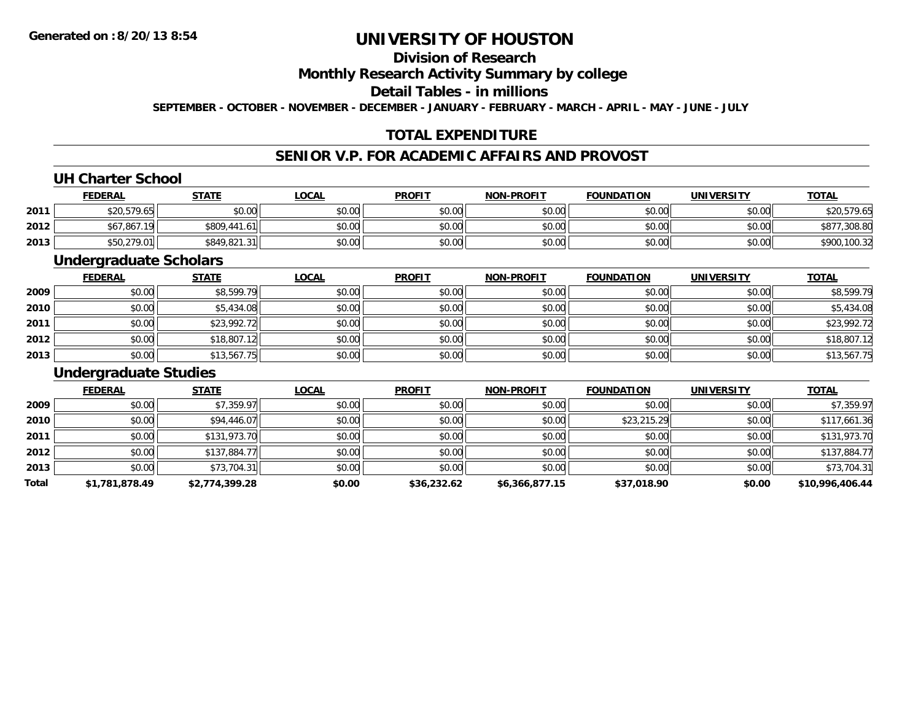# **Division of Research**

**Monthly Research Activity Summary by college**

**Detail Tables - in millions**

**SEPTEMBER - OCTOBER - NOVEMBER - DECEMBER - JANUARY - FEBRUARY - MARCH - APRIL - MAY - JUNE - JULY**

# **TOTAL EXPENDITURE**

## **SENIOR V.P. FOR ACADEMIC AFFAIRS AND PROVOST**

#### **UH Charter School**

|      | <b>FEDERAL</b> | <u>STATE</u> | <b>LOCAL</b> | <b>PROFIT</b> | <b>NON-PROFIT</b> | <b>FOUNDATION</b> | <b>UNIVERSITY</b> | <u>TOTAL</u> |
|------|----------------|--------------|--------------|---------------|-------------------|-------------------|-------------------|--------------|
| 2011 | \$20,579.65    | \$0.00       | \$0.00       | \$0.00        | \$0.00            | \$0.00            | \$0.00            | \$20,579.65  |
| 2012 | \$67,867.19    | \$809,441.61 | \$0.00       | \$0.00        | \$0.00            | \$0.00            | \$0.00            | \$877,308.80 |
| 2013 | \$50,279.01    | \$849,821.31 | \$0.00       | \$0.00        | \$0.00            | \$0.00            | \$0.00            | \$900,100.32 |

#### **Undergraduate Scholars**

|      | <b>FEDERAL</b> | <b>STATE</b> | <b>LOCAL</b> | <b>PROFIT</b> | <b>NON-PROFIT</b> | <b>FOUNDATION</b> | <b>UNIVERSITY</b> | <b>TOTAL</b> |
|------|----------------|--------------|--------------|---------------|-------------------|-------------------|-------------------|--------------|
| 2009 | \$0.00         | \$8,599.79   | \$0.00       | \$0.00        | \$0.00            | \$0.00            | \$0.00            | \$8,599.79   |
| 2010 | \$0.00         | \$5,434.08   | \$0.00       | \$0.00        | \$0.00            | \$0.00            | \$0.00            | \$5,434.08   |
| 2011 | \$0.00         | \$23,992.72  | \$0.00       | \$0.00        | \$0.00            | \$0.00            | \$0.00            | \$23,992.72  |
| 2012 | \$0.00         | \$18,807.12  | \$0.00       | \$0.00        | \$0.00            | \$0.00            | \$0.00            | \$18,807.12  |
| 2013 | \$0.00         | \$13,567.75  | \$0.00       | \$0.00        | \$0.00            | \$0.00            | \$0.00            | \$13,567.75  |

#### **Undergraduate Studies**

|       | <b>FEDERAL</b> | <b>STATE</b>   | <u>LOCAL</u> | <b>PROFIT</b> | <b>NON-PROFIT</b> | <b>FOUNDATION</b> | <b>UNIVERSITY</b> | <b>TOTAL</b>    |
|-------|----------------|----------------|--------------|---------------|-------------------|-------------------|-------------------|-----------------|
| 2009  | \$0.00         | \$7,359.97     | \$0.00       | \$0.00        | \$0.00            | \$0.00            | \$0.00            | \$7,359.97      |
| 2010  | \$0.00         | \$94,446.07    | \$0.00       | \$0.00        | \$0.00            | \$23,215.29       | \$0.00            | \$117,661.36    |
| 2011  | \$0.00         | \$131,973.70   | \$0.00       | \$0.00        | \$0.00            | \$0.00            | \$0.00            | \$131,973.70    |
| 2012  | \$0.00         | \$137,884.77   | \$0.00       | \$0.00        | \$0.00            | \$0.00            | \$0.00            | \$137,884.77    |
| 2013  | \$0.00         | \$73,704.31    | \$0.00       | \$0.00        | \$0.00            | \$0.00            | \$0.00            | \$73,704.31     |
| Total | \$1,781,878.49 | \$2,774,399.28 | \$0.00       | \$36,232.62   | \$6,366,877.15    | \$37,018.90       | \$0.00            | \$10,996,406.44 |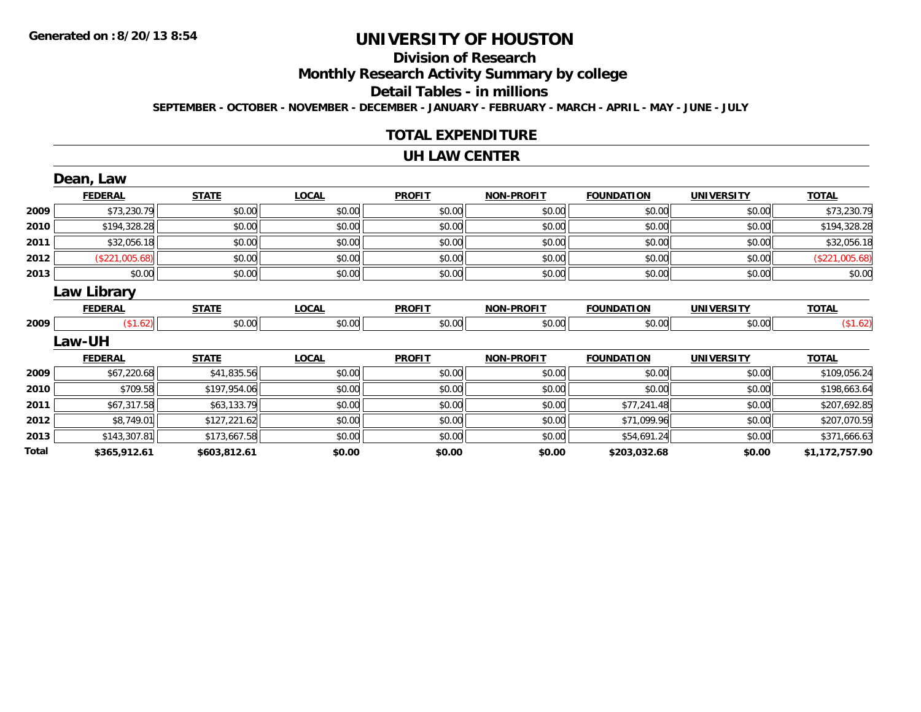# **Division of Research**

**Monthly Research Activity Summary by college**

**Detail Tables - in millions**

**SEPTEMBER - OCTOBER - NOVEMBER - DECEMBER - JANUARY - FEBRUARY - MARCH - APRIL - MAY - JUNE - JULY**

## **TOTAL EXPENDITURE**

#### **UH LAW CENTER**

|       | Dean, Law          |              |              |               |                   |                   |                   |                |
|-------|--------------------|--------------|--------------|---------------|-------------------|-------------------|-------------------|----------------|
|       | <b>FEDERAL</b>     | <b>STATE</b> | <b>LOCAL</b> | <b>PROFIT</b> | <b>NON-PROFIT</b> | <b>FOUNDATION</b> | <b>UNIVERSITY</b> | <b>TOTAL</b>   |
| 2009  | \$73,230.79        | \$0.00       | \$0.00       | \$0.00        | \$0.00            | \$0.00            | \$0.00            | \$73,230.79    |
| 2010  | \$194,328.28       | \$0.00       | \$0.00       | \$0.00        | \$0.00            | \$0.00            | \$0.00            | \$194,328.28   |
| 2011  | \$32,056.18        | \$0.00       | \$0.00       | \$0.00        | \$0.00            | \$0.00            | \$0.00            | \$32,056.18    |
| 2012  | (\$221,005.68)     | \$0.00       | \$0.00       | \$0.00        | \$0.00            | \$0.00            | \$0.00            | (\$221,005.68) |
| 2013  | \$0.00             | \$0.00       | \$0.00       | \$0.00        | \$0.00            | \$0.00            | \$0.00            | \$0.00         |
|       | <b>Law Library</b> |              |              |               |                   |                   |                   |                |
|       | <b>FEDERAL</b>     | <b>STATE</b> | <b>LOCAL</b> | <b>PROFIT</b> | <b>NON-PROFIT</b> | <b>FOUNDATION</b> | <b>UNIVERSITY</b> | <b>TOTAL</b>   |
| 2009  | \$1.62]            | \$0.00       | \$0.00       | \$0.00        | \$0.00            | \$0.00            | \$0.00            | (\$1.62)       |
|       | Law-UH             |              |              |               |                   |                   |                   |                |
|       | <b>FEDERAL</b>     | <b>STATE</b> | <b>LOCAL</b> | <b>PROFIT</b> | <b>NON-PROFIT</b> | <b>FOUNDATION</b> | <b>UNIVERSITY</b> | <b>TOTAL</b>   |
| 2009  | \$67,220.68        | \$41,835.56  | \$0.00       | \$0.00        | \$0.00            | \$0.00            | \$0.00            | \$109,056.24   |
| 2010  | \$709.58           | \$197,954.06 | \$0.00       | \$0.00        | \$0.00            | \$0.00            | \$0.00            | \$198,663.64   |
| 2011  | \$67,317.58        | \$63,133.79  | \$0.00       | \$0.00        | \$0.00            | \$77,241.48       | \$0.00            | \$207,692.85   |
| 2012  | \$8,749.01         | \$127,221.62 | \$0.00       | \$0.00        | \$0.00            | \$71,099.96       | \$0.00            | \$207,070.59   |
| 2013  | \$143,307.81       | \$173,667.58 | \$0.00       | \$0.00        | \$0.00            | \$54,691.24       | \$0.00            | \$371,666.63   |
| Total | \$365,912.61       | \$603,812.61 | \$0.00       | \$0.00        | \$0.00            | \$203,032.68      | \$0.00            | \$1,172,757.90 |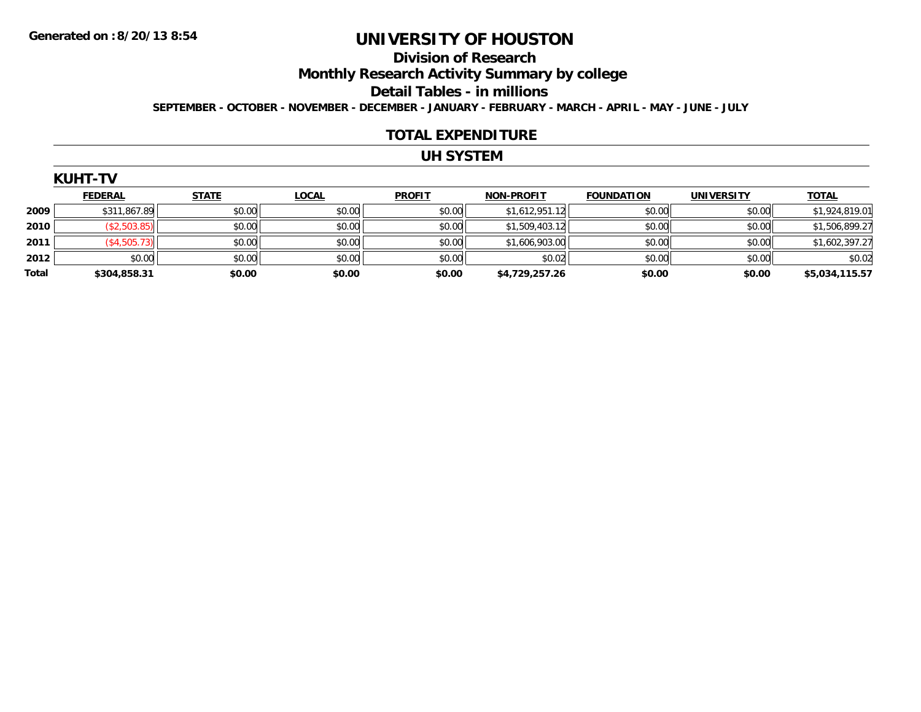#### **Division of Research**

**Monthly Research Activity Summary by college**

**Detail Tables - in millions**

**SEPTEMBER - OCTOBER - NOVEMBER - DECEMBER - JANUARY - FEBRUARY - MARCH - APRIL - MAY - JUNE - JULY**

#### **TOTAL EXPENDITURE**

## **UH SYSTEM**

| N | . .<br>I<br>н |  |
|---|---------------|--|
|   |               |  |

|       | <b>FEDERAL</b> | <b>STATE</b> | <b>LOCAL</b> | <b>PROFIT</b> | <b>NON-PROFIT</b> | <b>FOUNDATION</b> | <b>UNIVERSITY</b> | <b>TOTAL</b>   |
|-------|----------------|--------------|--------------|---------------|-------------------|-------------------|-------------------|----------------|
| 2009  | \$311,867.89   | \$0.00       | \$0.00       | \$0.00        | \$1,612,951.12    | \$0.00            | \$0.00            | \$1,924,819.01 |
| 2010  | \$2,503.85     | \$0.00       | \$0.00       | \$0.00        | \$1,509,403.12    | \$0.00            | \$0.00            | \$1,506,899.27 |
| 2011  | \$4,505.73     | \$0.00       | \$0.00       | \$0.00        | \$1,606,903.00    | \$0.00            | \$0.00            | \$1,602,397.27 |
| 2012  | \$0.00         | \$0.00       | \$0.00       | \$0.00        | \$0.02            | \$0.00            | \$0.00            | \$0.02         |
| Total | \$304,858.31   | \$0.00       | \$0.00       | \$0.00        | \$4,729,257.26    | \$0.00            | \$0.00            | \$5,034,115.57 |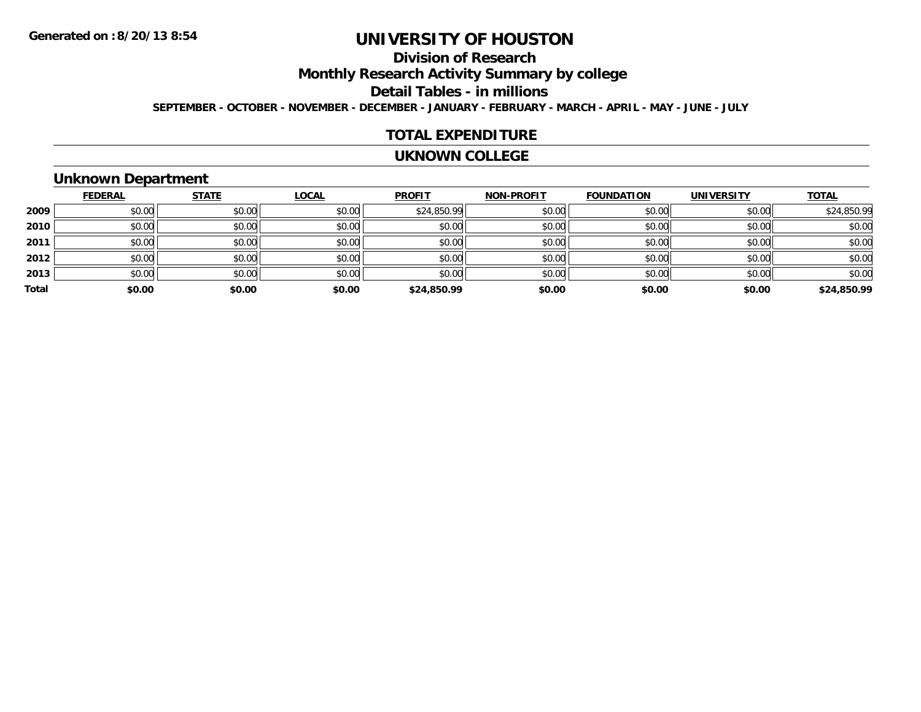# **Division of Research**

**Monthly Research Activity Summary by college**

**Detail Tables - in millions**

**SEPTEMBER - OCTOBER - NOVEMBER - DECEMBER - JANUARY - FEBRUARY - MARCH - APRIL - MAY - JUNE - JULY**

#### **TOTAL EXPENDITURE**

#### **UKNOWN COLLEGE**

### **Unknown Department**

|       | <b>FEDERAL</b> | <b>STATE</b> | <u>LOCAL</u> | <b>PROFIT</b> | <b>NON-PROFIT</b> | <b>FOUNDATION</b> | <b>UNIVERSITY</b> | <b>TOTAL</b> |
|-------|----------------|--------------|--------------|---------------|-------------------|-------------------|-------------------|--------------|
| 2009  | \$0.00         | \$0.00       | \$0.00       | \$24,850.99   | \$0.00            | \$0.00            | \$0.00            | \$24,850.99  |
| 2010  | \$0.00         | \$0.00       | \$0.00       | \$0.00        | \$0.00            | \$0.00            | \$0.00            | \$0.00       |
| 2011  | \$0.00         | \$0.00       | \$0.00       | \$0.00        | \$0.00            | \$0.00            | \$0.00            | \$0.00       |
| 2012  | \$0.00         | \$0.00       | \$0.00       | \$0.00        | \$0.00            | \$0.00            | \$0.00            | \$0.00       |
| 2013  | \$0.00         | \$0.00       | \$0.00       | \$0.00        | \$0.00            | \$0.00            | \$0.00            | \$0.00       |
| Total | \$0.00         | \$0.00       | \$0.00       | \$24,850.99   | \$0.00            | \$0.00            | \$0.00            | \$24,850.99  |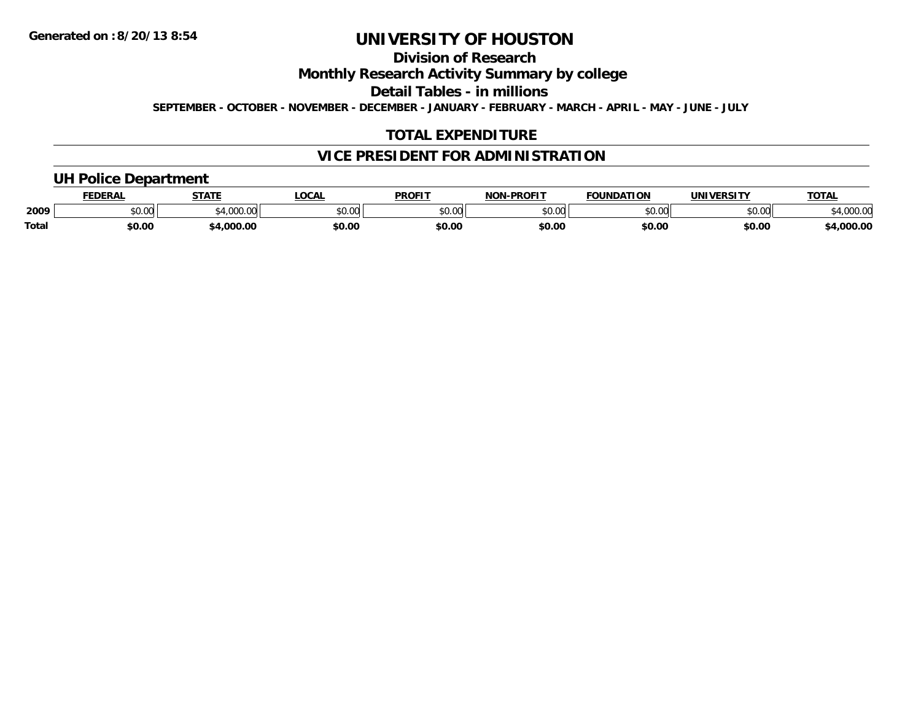# **Division of Research**

**Monthly Research Activity Summary by college**

**Detail Tables - in millions**

**SEPTEMBER - OCTOBER - NOVEMBER - DECEMBER - JANUARY - FEBRUARY - MARCH - APRIL - MAY - JUNE - JULY**

# **TOTAL EXPENDITURE**

## **VICE PRESIDENT FOR ADMINISTRATION**

### **UH Police Department**

|       | <b>FEDERAI</b> | <b>STATE</b>                     | <b>LOCA</b>   | <b>PROFIT</b>                    | <b>J-PROFIT</b><br><b>NON</b> | <b>FOUNDATION</b> | UNIVERSITY | TOTA.              |
|-------|----------------|----------------------------------|---------------|----------------------------------|-------------------------------|-------------------|------------|--------------------|
| 2009  | \$0.00         | <b>000</b><br>$\sim$<br>,,,,,,,, | 0000<br>₽U.UU | $\circ$ $\circ$ $\circ$<br>וט.טי | 0000<br>וט.טי                 | \$0.00            | \$0.00     | 200.00<br>4,000.00 |
| Total | \$0.00         | .000.00                          | \$0.00        | \$0.00                           | \$0.00                        | \$0.00            | \$0.00     | $+0.000.00$        |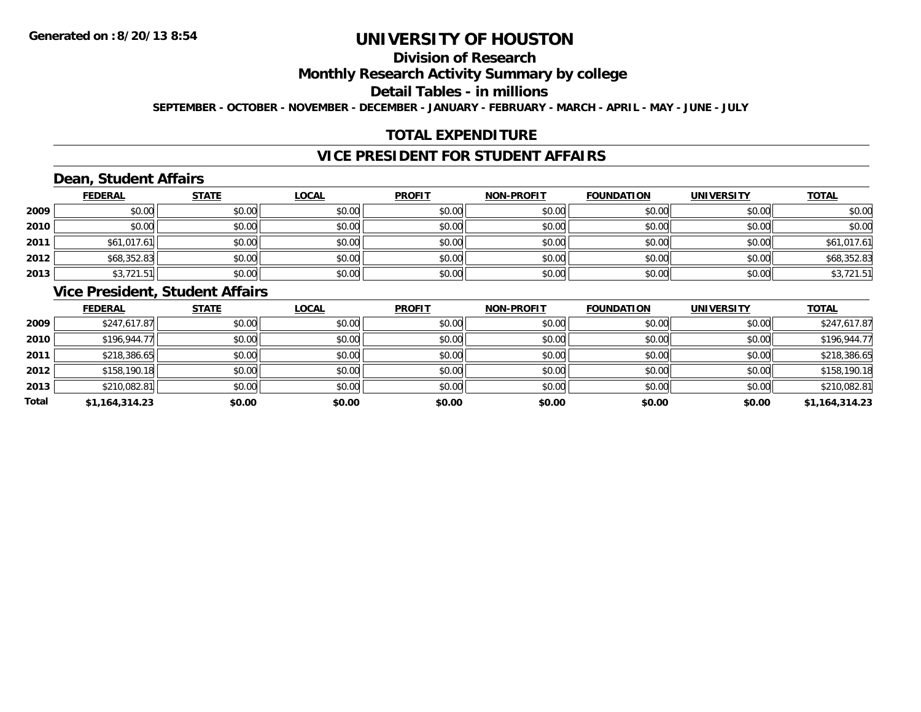# **Division of Research**

**Monthly Research Activity Summary by college**

**Detail Tables - in millions**

**SEPTEMBER - OCTOBER - NOVEMBER - DECEMBER - JANUARY - FEBRUARY - MARCH - APRIL - MAY - JUNE - JULY**

# **TOTAL EXPENDITURE**

## **VICE PRESIDENT FOR STUDENT AFFAIRS**

# **Dean, Student Affairs**

|      | <b>FEDERAL</b> | <b>STATE</b> | <u>LOCAL</u> | <b>PROFIT</b> | <b>NON-PROFIT</b> | <b>FOUNDATION</b> | <b>UNIVERSITY</b> | <b>TOTAL</b> |
|------|----------------|--------------|--------------|---------------|-------------------|-------------------|-------------------|--------------|
| 2009 | \$0.00         | \$0.00       | \$0.00       | \$0.00        | \$0.00            | \$0.00            | \$0.00            | \$0.00       |
| 2010 | \$0.00         | \$0.00       | \$0.00       | \$0.00        | \$0.00            | \$0.00            | \$0.00            | \$0.00       |
| 2011 | \$61,017.61    | \$0.00       | \$0.00       | \$0.00        | \$0.00            | \$0.00            | \$0.00            | \$61,017.61  |
| 2012 | \$68,352.83    | \$0.00       | \$0.00       | \$0.00        | \$0.00            | \$0.00            | \$0.00            | \$68,352.83  |
| 2013 | \$3,721.51     | \$0.00       | \$0.00       | \$0.00        | \$0.00            | \$0.00            | \$0.00            | \$3,721.51   |

#### **Vice President, Student Affairs**

|       | <b>FEDERAL</b> | <b>STATE</b> | <u>LOCAL</u> | <b>PROFIT</b> | <b>NON-PROFIT</b> | <b>FOUNDATION</b> | <b>UNIVERSITY</b> | <b>TOTAL</b>   |
|-------|----------------|--------------|--------------|---------------|-------------------|-------------------|-------------------|----------------|
| 2009  | \$247,617.87   | \$0.00       | \$0.00       | \$0.00        | \$0.00            | \$0.00            | \$0.00            | \$247,617.87   |
| 2010  | \$196,944.77   | \$0.00       | \$0.00       | \$0.00        | \$0.00            | \$0.00            | \$0.00            | \$196,944.77   |
| 2011  | \$218,386.65   | \$0.00       | \$0.00       | \$0.00        | \$0.00            | \$0.00            | \$0.00            | \$218,386.65   |
| 2012  | \$158,190.18   | \$0.00       | \$0.00       | \$0.00        | \$0.00            | \$0.00            | \$0.00            | \$158,190.18   |
| 2013  | \$210,082.81   | \$0.00       | \$0.00       | \$0.00        | \$0.00            | \$0.00            | \$0.00            | \$210,082.81   |
| Total | \$1,164,314.23 | \$0.00       | \$0.00       | \$0.00        | \$0.00            | \$0.00            | \$0.00            | \$1,164,314.23 |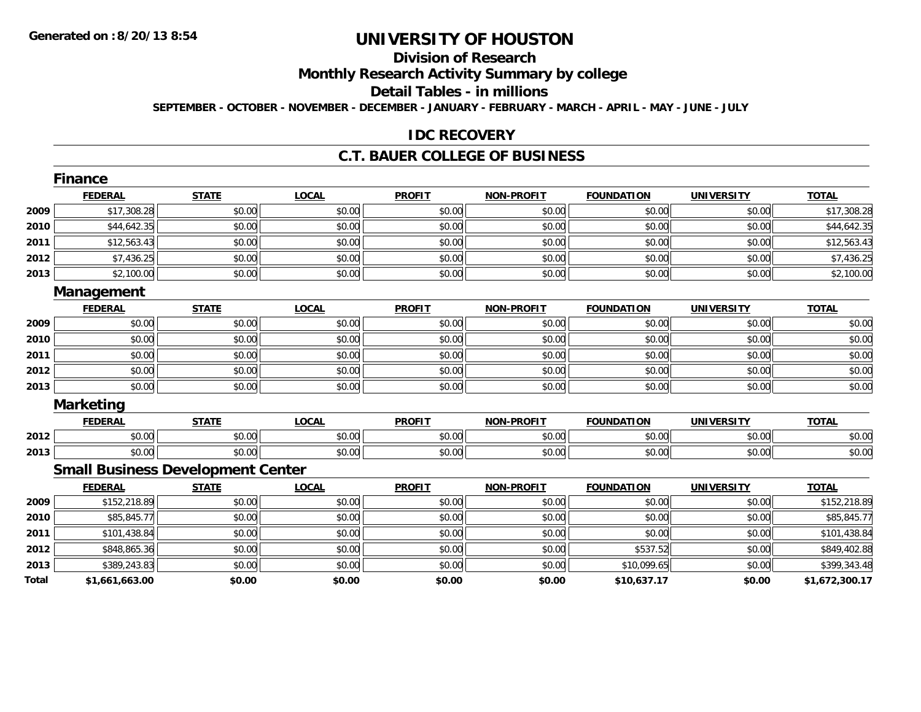# **Division of Research**

**Monthly Research Activity Summary by college**

**Detail Tables - in millions**

**SEPTEMBER - OCTOBER - NOVEMBER - DECEMBER - JANUARY - FEBRUARY - MARCH - APRIL - MAY - JUNE - JULY**

### **IDC RECOVERY**

#### **C.T. BAUER COLLEGE OF BUSINESS**

|       | Finance                                  |              |              |               |                   |                   |                   |                |
|-------|------------------------------------------|--------------|--------------|---------------|-------------------|-------------------|-------------------|----------------|
|       | <b>FEDERAL</b>                           | <b>STATE</b> | <b>LOCAL</b> | <b>PROFIT</b> | <b>NON-PROFIT</b> | <b>FOUNDATION</b> | <b>UNIVERSITY</b> | <b>TOTAL</b>   |
| 2009  | \$17,308.28                              | \$0.00       | \$0.00       | \$0.00        | \$0.00            | \$0.00            | \$0.00            | \$17,308.28    |
| 2010  | \$44,642.35                              | \$0.00       | \$0.00       | \$0.00        | \$0.00            | \$0.00            | \$0.00            | \$44,642.35    |
| 2011  | \$12,563.43                              | \$0.00       | \$0.00       | \$0.00        | \$0.00            | \$0.00            | \$0.00            | \$12,563.43    |
| 2012  | \$7,436.25                               | \$0.00       | \$0.00       | \$0.00        | \$0.00            | \$0.00            | \$0.00            | \$7,436.25     |
| 2013  | \$2,100.00                               | \$0.00       | \$0.00       | \$0.00        | \$0.00            | \$0.00            | \$0.00            | \$2,100.00     |
|       | Management                               |              |              |               |                   |                   |                   |                |
|       | <b>FEDERAL</b>                           | <b>STATE</b> | <b>LOCAL</b> | <b>PROFIT</b> | <b>NON-PROFIT</b> | <b>FOUNDATION</b> | <b>UNIVERSITY</b> | <b>TOTAL</b>   |
| 2009  | \$0.00                                   | \$0.00       | \$0.00       | \$0.00        | \$0.00            | \$0.00            | \$0.00            | \$0.00         |
| 2010  | \$0.00                                   | \$0.00       | \$0.00       | \$0.00        | \$0.00            | \$0.00            | \$0.00            | \$0.00         |
| 2011  | \$0.00                                   | \$0.00       | \$0.00       | \$0.00        | \$0.00            | \$0.00            | \$0.00            | \$0.00         |
| 2012  | \$0.00                                   | \$0.00       | \$0.00       | \$0.00        | \$0.00            | \$0.00            | \$0.00            | \$0.00         |
| 2013  | \$0.00                                   | \$0.00       | \$0.00       | \$0.00        | \$0.00            | \$0.00            | \$0.00            | \$0.00         |
|       | <b>Marketing</b>                         |              |              |               |                   |                   |                   |                |
|       | <b>FEDERAL</b>                           | <b>STATE</b> | <b>LOCAL</b> | <b>PROFIT</b> | <b>NON-PROFIT</b> | <b>FOUNDATION</b> | <b>UNIVERSITY</b> | <b>TOTAL</b>   |
| 2012  | \$0.00                                   | \$0.00       | \$0.00       | \$0.00        | \$0.00            | \$0.00            | \$0.00            | \$0.00         |
| 2013  | \$0.00                                   | \$0.00       | \$0.00       | \$0.00        | \$0.00            | \$0.00            | \$0.00            | \$0.00         |
|       | <b>Small Business Development Center</b> |              |              |               |                   |                   |                   |                |
|       | <b>FEDERAL</b>                           | <b>STATE</b> | <b>LOCAL</b> | <b>PROFIT</b> | <b>NON-PROFIT</b> | <b>FOUNDATION</b> | <b>UNIVERSITY</b> | <b>TOTAL</b>   |
| 2009  | \$152,218.89                             | \$0.00       | \$0.00       | \$0.00        | \$0.00            | \$0.00            | \$0.00            | \$152,218.89   |
| 2010  | \$85,845.77                              | \$0.00       | \$0.00       | \$0.00        | \$0.00            | \$0.00            | \$0.00            | \$85,845.77    |
| 2011  | \$101,438.84                             | \$0.00       | \$0.00       | \$0.00        | \$0.00            | \$0.00            | \$0.00            | \$101,438.84   |
| 2012  | \$848,865.36                             | \$0.00       | \$0.00       | \$0.00        | \$0.00            | \$537.52          | \$0.00            | \$849,402.88   |
| 2013  | \$389,243.83                             | \$0.00       | \$0.00       | \$0.00        | \$0.00            | \$10,099.65       | \$0.00            | \$399,343.48   |
| Total | \$1,661,663.00                           | \$0.00       | \$0.00       | \$0.00        | \$0.00            | \$10,637.17       | \$0.00            | \$1,672,300.17 |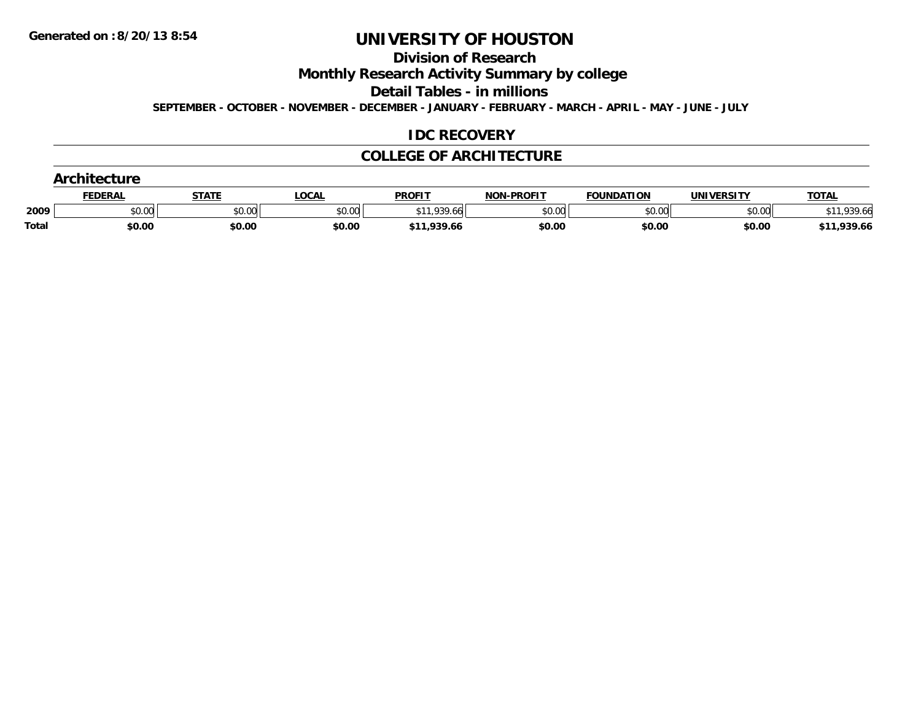**Division of Research**

**Monthly Research Activity Summary by college**

**Detail Tables - in millions**

**SEPTEMBER - OCTOBER - NOVEMBER - DECEMBER - JANUARY - FEBRUARY - MARCH - APRIL - MAY - JUNE - JULY**

#### **IDC RECOVERY**

#### **COLLEGE OF ARCHITECTURE**

|       | FEDERAL | <u>STATE</u> | <b>LOCAL</b> | <b>PROFIT</b> | <b>NON-PROFIT</b> | <b>FOUNDATION</b> | UNIVERSITY | <b>TOTAL</b> |  |  |
|-------|---------|--------------|--------------|---------------|-------------------|-------------------|------------|--------------|--|--|
| 2009  | \$0.00  | \$0.00       | \$0.00       | \$11.939.66   | \$0.00            | \$0.00            | \$0.00     | $*11,939.66$ |  |  |
| Total | \$0.00  | \$0.00       | \$0.00       | \$11,939.66   | \$0.00            | \$0.00            | \$0.00     | \$11,939.66  |  |  |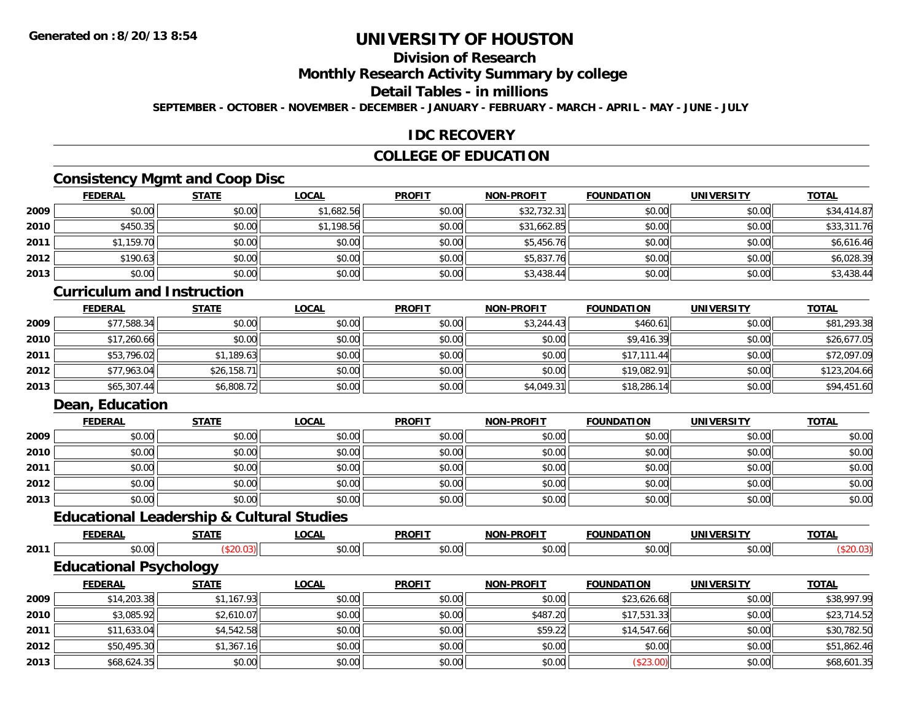# **Division of Research**

**Monthly Research Activity Summary by college**

#### **Detail Tables - in millions**

**SEPTEMBER - OCTOBER - NOVEMBER - DECEMBER - JANUARY - FEBRUARY - MARCH - APRIL - MAY - JUNE - JULY**

## **IDC RECOVERY**

## **COLLEGE OF EDUCATION**

# **Consistency Mgmt and Coop Disc**

|      | <b>FEDERAL</b> | <b>STATE</b> | <b>LOCAL</b> | <b>PROFIT</b> | <b>NON-PROFIT</b> | <b>FOUNDATION</b> | <b>UNIVERSITY</b> | <b>TOTAL</b> |
|------|----------------|--------------|--------------|---------------|-------------------|-------------------|-------------------|--------------|
| 2009 | \$0.00         | \$0.00       | \$1,682.56   | \$0.00        | \$32,732.31       | \$0.00            | \$0.00            | \$34,414.87  |
| 2010 | \$450.35       | \$0.00       | \$1,198.56   | \$0.00        | \$31,662.85       | \$0.00            | \$0.00            | \$33,311.76  |
| 2011 | \$1,159.70     | \$0.00       | \$0.00       | \$0.00        | \$5,456.76        | \$0.00            | \$0.00            | \$6,616.46   |
| 2012 | \$190.63       | \$0.00       | \$0.00       | \$0.00        | \$5,837.76        | \$0.00            | \$0.00            | \$6,028.39   |
| 2013 | \$0.00         | \$0.00       | \$0.00       | \$0.00        | \$3,438.44        | \$0.00            | \$0.00            | \$3,438.44   |

#### **Curriculum and Instruction**

|      | <b>FEDERAL</b> | <b>STATE</b> | <u>LOCAL</u> | <b>PROFIT</b> | <b>NON-PROFIT</b> | <b>FOUNDATION</b> | <b>UNIVERSITY</b> | <b>TOTAL</b> |
|------|----------------|--------------|--------------|---------------|-------------------|-------------------|-------------------|--------------|
| 2009 | \$77,588.34    | \$0.00       | \$0.00       | \$0.00        | \$3,244.43        | \$460.61          | \$0.00            | \$81,293.38  |
| 2010 | \$17,260.66    | \$0.00       | \$0.00       | \$0.00        | \$0.00            | \$9,416.39        | \$0.00            | \$26,677.05  |
| 2011 | \$53,796.02    | \$1,189.63   | \$0.00       | \$0.00        | \$0.00            | \$17,111.44       | \$0.00            | \$72,097.09  |
| 2012 | \$77,963.04    | \$26,158.71  | \$0.00       | \$0.00        | \$0.00            | \$19,082.91       | \$0.00            | \$123,204.66 |
| 2013 | \$65,307.44    | \$6,808.72   | \$0.00       | \$0.00        | \$4,049.31        | \$18,286.14       | \$0.00            | \$94,451.60  |

## **Dean, Education**

**2011**

**2012**

**2013**

|      | <b>FEDERAL</b> | <b>STATE</b> | <u>LOCAL</u> | <b>PROFIT</b> | NON-PROFIT | <b>FOUNDATION</b> | <b>UNIVERSITY</b> | <b>TOTAL</b> |
|------|----------------|--------------|--------------|---------------|------------|-------------------|-------------------|--------------|
| 2009 | \$0.00         | \$0.00       | \$0.00       | \$0.00        | \$0.00     | \$0.00            | \$0.00            | \$0.00       |
| 2010 | \$0.00         | \$0.00       | \$0.00       | \$0.00        | \$0.00     | \$0.00            | \$0.00            | \$0.00       |
| 2011 | \$0.00         | \$0.00       | \$0.00       | \$0.00        | \$0.00     | \$0.00            | \$0.00            | \$0.00       |
| 2012 | \$0.00         | \$0.00       | \$0.00       | \$0.00        | \$0.00     | \$0.00            | \$0.00            | \$0.00       |
| 2013 | \$0.00         | \$0.00       | \$0.00       | \$0.00        | \$0.00     | \$0.00            | \$0.00            | \$0.00       |

# **Educational Leadership & Cultural Studies**

|      | <b>FEDERAL</b>                | <b>STATE</b> | <b>LOCAL</b> | <b>PROFIT</b> | <b>NON-PROFIT</b> | <b>FOUNDATION</b> | UNIVERSITY | <b>TOTAL</b> |
|------|-------------------------------|--------------|--------------|---------------|-------------------|-------------------|------------|--------------|
| 2011 | \$0.00                        | \$20.03]     | \$0.00       | \$0.00        | \$0.00            | \$0.00            | \$0.00     | (\$20.03)    |
|      | <b>Educational Psychology</b> |              |              |               |                   |                   |            |              |
|      | <b>FEDERAL</b>                | <b>STATE</b> | <b>LOCAL</b> | <b>PROFIT</b> | <b>NON-PROFIT</b> | <b>FOUNDATION</b> | UNIVERSITY | <b>TOTAL</b> |
| 2009 | \$14,203.38                   | \$1,167.93   | \$0.00       | \$0.00        | \$0.00            | \$23,626.68       | \$0.00     | \$38,997.99  |
| 2010 | \$3,085.92                    | \$2,610.07   | \$0.00       | \$0.00        | \$487.20          | \$17,531.33       | \$0.00     | \$23,714.52  |

1 \$11,633.04 \$11,633.04 \$4,542.58 \$0.00 \$0.00 \$0.00 \$0.00 \$0.00 \$59.22 \$14,547.66 \$10,03 \$30,782.50

2 | \$50,495.30| \$1,367.16| \$1,367.16| \$0.00| \$0.00| \$0.00| \$0.00| \$0.00| \$0.00| \$0.00| \$51,862.46

\$68,624.35 \$0.00 \$0.00 \$0.00 \$0.00 (\$23.00) \$0.00 \$68,601.35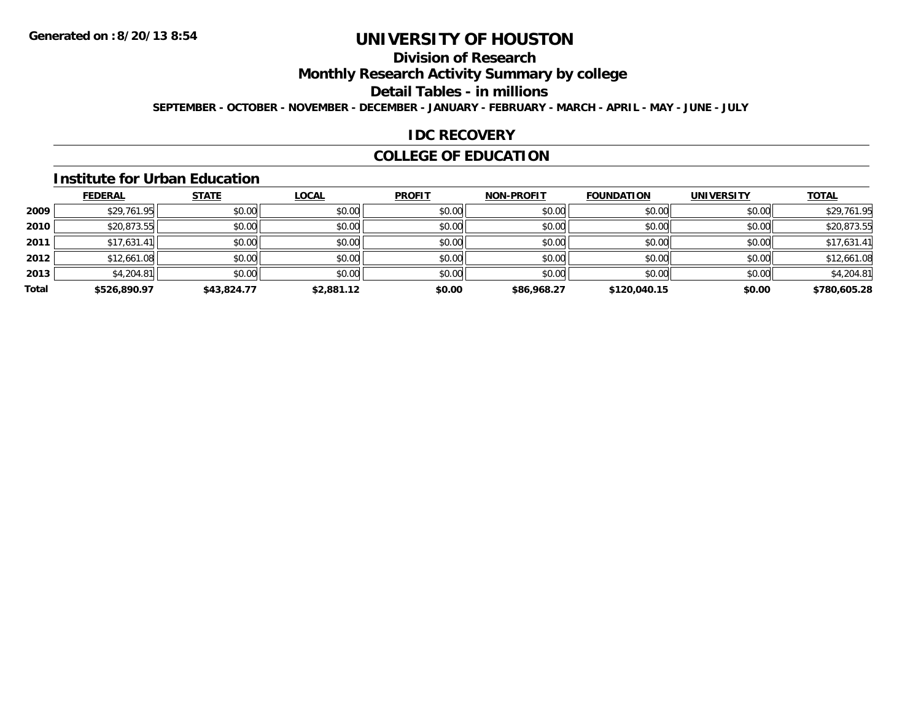### **Division of Research**

**Monthly Research Activity Summary by college**

**Detail Tables - in millions**

**SEPTEMBER - OCTOBER - NOVEMBER - DECEMBER - JANUARY - FEBRUARY - MARCH - APRIL - MAY - JUNE - JULY**

#### **IDC RECOVERY**

#### **COLLEGE OF EDUCATION**

#### **Institute for Urban Education**

|       | <b>FEDERAL</b> | <b>STATE</b> | <b>LOCAL</b> | <b>PROFIT</b> | <b>NON-PROFIT</b> | <b>FOUNDATION</b> | <b>UNIVERSITY</b> | <b>TOTAL</b> |
|-------|----------------|--------------|--------------|---------------|-------------------|-------------------|-------------------|--------------|
| 2009  | \$29,761.95    | \$0.00       | \$0.00       | \$0.00        | \$0.00            | \$0.00            | \$0.00            | \$29,761.95  |
| 2010  | \$20,873.55    | \$0.00       | \$0.00       | \$0.00        | \$0.00            | \$0.00            | \$0.00            | \$20,873.55  |
| 2011  | \$17,631.41    | \$0.00       | \$0.00       | \$0.00        | \$0.00            | \$0.00            | \$0.00            | \$17,631.41  |
| 2012  | \$12,661.08    | \$0.00       | \$0.00       | \$0.00        | \$0.00            | \$0.00            | \$0.00            | \$12,661.08  |
| 2013  | \$4,204.81     | \$0.00       | \$0.00       | \$0.00        | \$0.00            | \$0.00            | \$0.00            | \$4,204.81   |
| Total | \$526,890.97   | \$43,824.77  | \$2,881.12   | \$0.00        | \$86,968.27       | \$120,040.15      | \$0.00            | \$780,605.28 |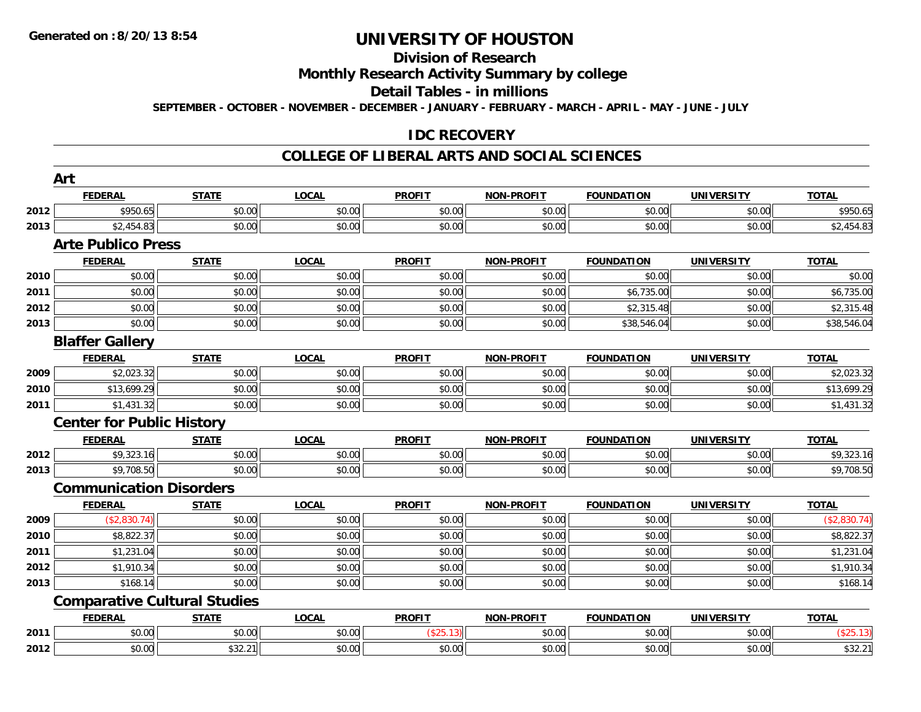## **Division of Research**

#### **Monthly Research Activity Summary by college**

#### **Detail Tables - in millions**

**SEPTEMBER - OCTOBER - NOVEMBER - DECEMBER - JANUARY - FEBRUARY - MARCH - APRIL - MAY - JUNE - JULY**

#### **IDC RECOVERY**

#### **COLLEGE OF LIBERAL ARTS AND SOCIAL SCIENCES**

|      | Art                                 |              |              |               |                   |                   |                   |              |
|------|-------------------------------------|--------------|--------------|---------------|-------------------|-------------------|-------------------|--------------|
|      | <b>FEDERAL</b>                      | <b>STATE</b> | <b>LOCAL</b> | <b>PROFIT</b> | <b>NON-PROFIT</b> | <b>FOUNDATION</b> | <b>UNIVERSITY</b> | <b>TOTAL</b> |
| 2012 | \$950.65                            | \$0.00       | \$0.00       | \$0.00        | \$0.00            | \$0.00            | \$0.00            | \$950.65     |
| 2013 | \$2,454.83                          | \$0.00       | \$0.00       | \$0.00        | \$0.00            | \$0.00            | \$0.00            | \$2,454.83   |
|      | <b>Arte Publico Press</b>           |              |              |               |                   |                   |                   |              |
|      | <b>FEDERAL</b>                      | <b>STATE</b> | <b>LOCAL</b> | <b>PROFIT</b> | <b>NON-PROFIT</b> | <b>FOUNDATION</b> | <b>UNIVERSITY</b> | <b>TOTAL</b> |
| 2010 | \$0.00                              | \$0.00       | \$0.00       | \$0.00        | \$0.00            | \$0.00            | \$0.00            | \$0.00       |
| 2011 | \$0.00                              | \$0.00       | \$0.00       | \$0.00        | \$0.00            | \$6,735.00        | \$0.00            | \$6,735.00   |
| 2012 | \$0.00                              | \$0.00       | \$0.00       | \$0.00        | \$0.00            | \$2,315.48        | \$0.00            | \$2,315.48   |
| 2013 | \$0.00                              | \$0.00       | \$0.00       | \$0.00        | \$0.00            | \$38,546.04       | \$0.00            | \$38,546.04  |
|      | <b>Blaffer Gallery</b>              |              |              |               |                   |                   |                   |              |
|      | <b>FEDERAL</b>                      | <b>STATE</b> | <b>LOCAL</b> | <b>PROFIT</b> | <b>NON-PROFIT</b> | <b>FOUNDATION</b> | <b>UNIVERSITY</b> | <b>TOTAL</b> |
| 2009 | \$2,023.32                          | \$0.00       | \$0.00       | \$0.00        | \$0.00            | \$0.00            | \$0.00            | \$2,023.32   |
| 2010 | \$13,699.29                         | \$0.00       | \$0.00       | \$0.00        | \$0.00            | \$0.00            | \$0.00            | \$13,699.29  |
| 2011 | \$1,431.32                          | \$0.00       | \$0.00       | \$0.00        | \$0.00            | \$0.00            | \$0.00            | \$1,431.32   |
|      | <b>Center for Public History</b>    |              |              |               |                   |                   |                   |              |
|      | <b>FEDERAL</b>                      | <b>STATE</b> | <b>LOCAL</b> | <b>PROFIT</b> | <b>NON-PROFIT</b> | <b>FOUNDATION</b> | <b>UNIVERSITY</b> | <b>TOTAL</b> |
| 2012 | \$9,323.16                          | \$0.00       | \$0.00       | \$0.00        | \$0.00            | \$0.00            | \$0.00            | \$9,323.16   |
| 2013 | \$9,708.50                          | \$0.00       | \$0.00       | \$0.00        | \$0.00            | \$0.00            | \$0.00            | \$9,708.50   |
|      | <b>Communication Disorders</b>      |              |              |               |                   |                   |                   |              |
|      | <b>FEDERAL</b>                      | <b>STATE</b> | <b>LOCAL</b> | <b>PROFIT</b> | <b>NON-PROFIT</b> | <b>FOUNDATION</b> | <b>UNIVERSITY</b> | <b>TOTAL</b> |
| 2009 | (\$2,830.74)                        | \$0.00       | \$0.00       | \$0.00        | \$0.00            | \$0.00            | \$0.00            | (\$2,830.74) |
| 2010 | \$8,822.37                          | \$0.00       | \$0.00       | \$0.00        | \$0.00            | \$0.00            | \$0.00            | \$8,822.37   |
| 2011 | \$1,231.04                          | \$0.00       | \$0.00       | \$0.00        | \$0.00            | \$0.00            | \$0.00            | \$1,231.04   |
| 2012 | \$1,910.34                          | \$0.00       | \$0.00       | \$0.00        | \$0.00            | \$0.00            | \$0.00            | \$1,910.34   |
| 2013 | \$168.14                            | \$0.00       | \$0.00       | \$0.00        | \$0.00            | \$0.00            | \$0.00            | \$168.14     |
|      | <b>Comparative Cultural Studies</b> |              |              |               |                   |                   |                   |              |
|      | <b>FEDERAL</b>                      | <b>STATE</b> | <b>LOCAL</b> | <b>PROFIT</b> | <b>NON-PROFIT</b> | <b>FOUNDATION</b> | <b>UNIVERSITY</b> | <b>TOTAL</b> |
| 2011 | \$0.00                              | \$0.00       | \$0.00       | (\$25.13)     | \$0.00            | \$0.00            | \$0.00            | (\$25.13)    |
| 2012 | \$0.00                              | \$32.21      | \$0.00       | \$0.00        | \$0.00            | \$0.00            | \$0.00            | \$32.21      |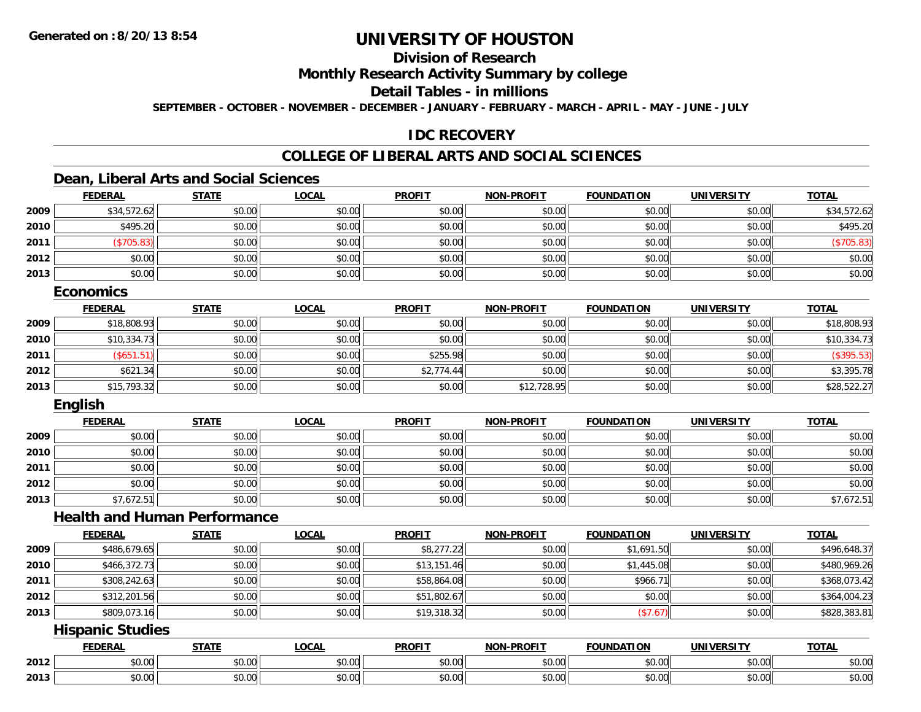### **Division of Research**

**Monthly Research Activity Summary by college**

**Detail Tables - in millions**

**SEPTEMBER - OCTOBER - NOVEMBER - DECEMBER - JANUARY - FEBRUARY - MARCH - APRIL - MAY - JUNE - JULY**

#### **IDC RECOVERY**

### **COLLEGE OF LIBERAL ARTS AND SOCIAL SCIENCES**

#### **Dean, Liberal Arts and Social Sciences**

|      | <b>FEDERAL</b> | <b>STATE</b> | <u>LOCAL</u> | <b>PROFIT</b> | <b>NON-PROFIT</b> | <b>FOUNDATION</b> | <b>UNIVERSITY</b> | <b>TOTAL</b> |
|------|----------------|--------------|--------------|---------------|-------------------|-------------------|-------------------|--------------|
| 2009 | \$34,572.62    | \$0.00       | \$0.00       | \$0.00        | \$0.00            | \$0.00            | \$0.00            | \$34,572.62  |
| 2010 | \$495.20       | \$0.00       | \$0.00       | \$0.00        | \$0.00            | \$0.00            | \$0.00            | \$495.20     |
| 2011 | \$705.83       | \$0.00       | \$0.00       | \$0.00        | \$0.00            | \$0.00            | \$0.00            | (\$705.83)   |
| 2012 | \$0.00         | \$0.00       | \$0.00       | \$0.00        | \$0.00            | \$0.00            | \$0.00            | \$0.00       |
| 2013 | \$0.00         | \$0.00       | \$0.00       | \$0.00        | \$0.00            | \$0.00            | \$0.00            | \$0.00       |

#### **Economics**

|      | <u>FEDERAL</u> | <b>STATE</b> | <u>LOCAL</u> | <b>PROFIT</b> | <b>NON-PROFIT</b> | <b>FOUNDATION</b> | <b>UNIVERSITY</b> | <b>TOTAL</b> |
|------|----------------|--------------|--------------|---------------|-------------------|-------------------|-------------------|--------------|
| 2009 | \$18,808.93    | \$0.00       | \$0.00       | \$0.00        | \$0.00            | \$0.00            | \$0.00            | \$18,808.93  |
| 2010 | \$10,334.73    | \$0.00       | \$0.00       | \$0.00        | \$0.00            | \$0.00            | \$0.00            | \$10,334.73  |
| 2011 | (S651.51)      | \$0.00       | \$0.00       | \$255.98      | \$0.00            | \$0.00            | \$0.00            | (\$395.53)   |
| 2012 | \$621.34       | \$0.00       | \$0.00       | \$2,774.44    | \$0.00            | \$0.00            | \$0.00            | \$3,395.78   |
| 2013 | \$15,793.32    | \$0.00       | \$0.00       | \$0.00        | \$12,728.95       | \$0.00            | \$0.00            | \$28,522.27  |

#### **English**

|      | <b>FEDERAL</b> | <b>STATE</b> | <b>LOCAL</b> | <b>PROFIT</b> | <b>NON-PROFIT</b> | <b>FOUNDATION</b> | <b>UNIVERSITY</b> | <b>TOTAL</b> |
|------|----------------|--------------|--------------|---------------|-------------------|-------------------|-------------------|--------------|
| 2009 | \$0.00         | \$0.00       | \$0.00       | \$0.00        | \$0.00            | \$0.00            | \$0.00            | \$0.00       |
| 2010 | \$0.00         | \$0.00       | \$0.00       | \$0.00        | \$0.00            | \$0.00            | \$0.00            | \$0.00       |
| 2011 | \$0.00         | \$0.00       | \$0.00       | \$0.00        | \$0.00            | \$0.00            | \$0.00            | \$0.00       |
| 2012 | \$0.00         | \$0.00       | \$0.00       | \$0.00        | \$0.00            | \$0.00            | \$0.00            | \$0.00       |
| 2013 | \$7,672.51     | \$0.00       | \$0.00       | \$0.00        | \$0.00            | \$0.00            | \$0.00            | \$7,672.51   |

#### **Health and Human Performance**

|      | <b>FEDERAL</b> | <b>STATE</b> | <u>LOCAL</u> | <b>PROFIT</b> | <b>NON-PROFIT</b> | <b>FOUNDATION</b> | UNIVERSITY | <b>TOTAL</b> |
|------|----------------|--------------|--------------|---------------|-------------------|-------------------|------------|--------------|
| 2009 | \$486,679.65   | \$0.00       | \$0.00       | \$8,277.22    | \$0.00            | \$1,691.50        | \$0.00     | \$496,648.37 |
| 2010 | \$466,372.73   | \$0.00       | \$0.00       | \$13,151.46   | \$0.00            | \$1,445.08        | \$0.00     | \$480,969.26 |
| 2011 | \$308,242.63   | \$0.00       | \$0.00       | \$58,864.08   | \$0.00            | \$966.71          | \$0.00     | \$368,073.42 |
| 2012 | \$312,201.56   | \$0.00       | \$0.00       | \$51,802.67   | \$0.00            | \$0.00            | \$0.00     | \$364,004.23 |
| 2013 | \$809,073.16   | \$0.00       | \$0.00       | \$19,318.32   | \$0.00            | (\$7.67)          | \$0.00     | \$828,383.81 |

#### **Hispanic Studies**

|      | <b>FFBFB</b><br>-115 | $- - - - -$                                                                             | $\sim$ $\sim$ $\sim$<br>.UUA | <b>PROFIT</b> | $$ DDOF!<br>  | .<br><b>'INDL</b>                                              | <b>ININI</b><br>ne 1.<br>$\mathbf{v}$ | <b>TOTAL</b>                    |
|------|----------------------|-----------------------------------------------------------------------------------------|------------------------------|---------------|---------------|----------------------------------------------------------------|---------------------------------------|---------------------------------|
| 2012 | $\sim$ 00<br>טט.     | $\sim$ 00<br>JU.U                                                                       | $\sim$ $\sim$<br>vv.vv       | 0000<br>ww.uu | 0.00<br>wu.uu | $\theta \cap \theta$<br>JU.UU                                  | $\sim$ 00<br>ψU.                      | $\triangle$ $\triangle$<br>JU.U |
| 2013 | $\sim$ 00<br>JU.UU   | $\begin{array}{c} \hline \text{A} & \text{A} & \text{A} \\ \hline \end{array}$<br>JU.UU | $\sim$ $\sim$<br>JU.UU       | 0000<br>JU.UU | 0.00<br>JU.UU | $\mathfrak{g} \cap \mathfrak{g} \subset \mathfrak{g}$<br>JU.UU | $\sim$ 00<br>JU.UU                    | JU.UU                           |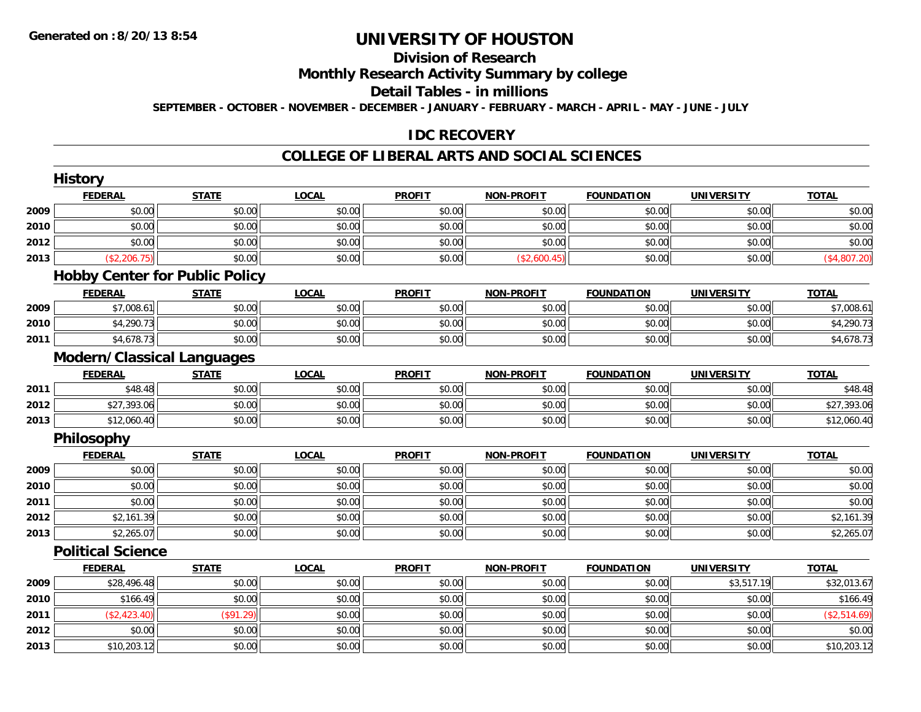### **Division of Research**

**Monthly Research Activity Summary by college**

**Detail Tables - in millions**

**SEPTEMBER - OCTOBER - NOVEMBER - DECEMBER - JANUARY - FEBRUARY - MARCH - APRIL - MAY - JUNE - JULY**

### **IDC RECOVERY**

#### **COLLEGE OF LIBERAL ARTS AND SOCIAL SCIENCES**

|      | <b>History</b>                        |              |              |               |                   |                   |                   |                     |
|------|---------------------------------------|--------------|--------------|---------------|-------------------|-------------------|-------------------|---------------------|
|      | <b>FEDERAL</b>                        | <b>STATE</b> | <b>LOCAL</b> | <b>PROFIT</b> | <b>NON-PROFIT</b> | <b>FOUNDATION</b> | <b>UNIVERSITY</b> | <b>TOTAL</b>        |
| 2009 | \$0.00                                | \$0.00       | \$0.00       | \$0.00        | \$0.00            | \$0.00            | \$0.00            | \$0.00              |
| 2010 | \$0.00                                | \$0.00       | \$0.00       | \$0.00        | \$0.00            | \$0.00            | \$0.00            | \$0.00              |
| 2012 | \$0.00                                | \$0.00       | \$0.00       | \$0.00        | \$0.00            | \$0.00            | \$0.00            | \$0.00              |
| 2013 | (\$2,206.75)                          | \$0.00       | \$0.00       | \$0.00        | (\$2,600.45)      | \$0.00            | \$0.00            | (\$4,807.20)        |
|      | <b>Hobby Center for Public Policy</b> |              |              |               |                   |                   |                   |                     |
|      | <b>FEDERAL</b>                        | <b>STATE</b> | <b>LOCAL</b> | <b>PROFIT</b> | <b>NON-PROFIT</b> | <b>FOUNDATION</b> | <b>UNIVERSITY</b> | <b>TOTAL</b>        |
| 2009 | \$7,008.61                            | \$0.00       | \$0.00       | \$0.00        | \$0.00            | \$0.00            | \$0.00            | \$7,008.61          |
| 2010 | \$4,290.73                            | \$0.00       | \$0.00       | \$0.00        | \$0.00            | \$0.00            | \$0.00            | \$4,290.73          |
| 2011 | \$4,678.73                            | \$0.00       | \$0.00       | \$0.00        | \$0.00            | \$0.00            | \$0.00            | \$4,678.73          |
|      | <b>Modern/Classical Languages</b>     |              |              |               |                   |                   |                   |                     |
|      | <b>FEDERAL</b>                        | <b>STATE</b> | <b>LOCAL</b> | <b>PROFIT</b> | <b>NON-PROFIT</b> | <b>FOUNDATION</b> | <b>UNIVERSITY</b> | <b>TOTAL</b>        |
| 2011 | \$48.48                               | \$0.00       | \$0.00       | \$0.00        | \$0.00            | \$0.00            | \$0.00            | $\overline{$48.48}$ |
| 2012 | \$27,393.06                           | \$0.00       | \$0.00       | \$0.00        | \$0.00            | \$0.00            | \$0.00            | \$27,393.06         |
| 2013 | \$12,060.40                           | \$0.00       | \$0.00       | \$0.00        | \$0.00            | \$0.00            | \$0.00            | \$12,060.40         |
|      | Philosophy                            |              |              |               |                   |                   |                   |                     |
|      | <b>FEDERAL</b>                        | <b>STATE</b> | <b>LOCAL</b> | <b>PROFIT</b> | <b>NON-PROFIT</b> | <b>FOUNDATION</b> | <b>UNIVERSITY</b> | <b>TOTAL</b>        |
| 2009 | \$0.00                                | \$0.00       | \$0.00       | \$0.00        | \$0.00            | \$0.00            | \$0.00            | \$0.00              |
| 2010 | \$0.00                                | \$0.00       | \$0.00       | \$0.00        | \$0.00            | \$0.00            | \$0.00            | \$0.00              |
| 2011 | \$0.00                                | \$0.00       | \$0.00       | \$0.00        | \$0.00            | \$0.00            | \$0.00            | \$0.00              |
| 2012 | \$2,161.39                            | \$0.00       | \$0.00       | \$0.00        | \$0.00            | \$0.00            | \$0.00            | \$2,161.39          |
| 2013 | \$2,265.07                            | \$0.00       | \$0.00       | \$0.00        | \$0.00            | \$0.00            | \$0.00            | \$2,265.07          |
|      | <b>Political Science</b>              |              |              |               |                   |                   |                   |                     |
|      | <b>FEDERAL</b>                        | <b>STATE</b> | <b>LOCAL</b> | <b>PROFIT</b> | <b>NON-PROFIT</b> | <b>FOUNDATION</b> | <b>UNIVERSITY</b> | <b>TOTAL</b>        |
| 2009 | \$28,496.48                           | \$0.00       | \$0.00       | \$0.00        | \$0.00            | \$0.00            | \$3,517.19        | \$32,013.67         |
| 2010 | \$166.49                              | \$0.00       | \$0.00       | \$0.00        | \$0.00            | \$0.00            | \$0.00            | \$166.49            |
| 2011 | (\$2,423.40)                          | (\$91.29)    | \$0.00       | \$0.00        | \$0.00            | \$0.00            | \$0.00            | (\$2,514.69)        |
| 2012 | \$0.00                                | \$0.00       | \$0.00       | \$0.00        | \$0.00            | \$0.00            | \$0.00            | \$0.00              |
| 2013 | \$10,203.12                           | \$0.00       | \$0.00       | \$0.00        | \$0.00            | \$0.00            | \$0.00            | \$10,203.12         |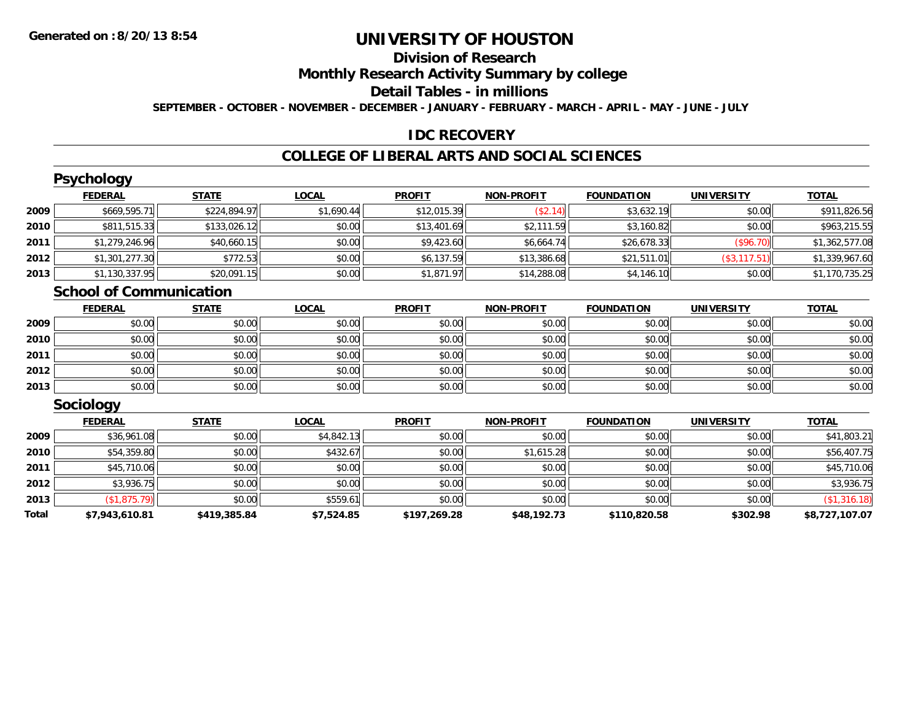**2012**

**2013**

**Total**

## **UNIVERSITY OF HOUSTON**

### **Division of Research**

**Monthly Research Activity Summary by college**

#### **Detail Tables - in millions**

**SEPTEMBER - OCTOBER - NOVEMBER - DECEMBER - JANUARY - FEBRUARY - MARCH - APRIL - MAY - JUNE - JULY**

#### **IDC RECOVERY**

#### **COLLEGE OF LIBERAL ARTS AND SOCIAL SCIENCES**

|      | <b>Psychology</b>              |              |              |               |                   |                   |                   |                |
|------|--------------------------------|--------------|--------------|---------------|-------------------|-------------------|-------------------|----------------|
|      | <b>FEDERAL</b>                 | <b>STATE</b> | <b>LOCAL</b> | <b>PROFIT</b> | <b>NON-PROFIT</b> | <b>FOUNDATION</b> | <b>UNIVERSITY</b> | <b>TOTAL</b>   |
| 2009 | \$669,595.71                   | \$224,894.97 | \$1,690.44   | \$12,015.39   | (\$2.14)          | \$3,632.19        | \$0.00            | \$911,826.56   |
| 2010 | \$811,515.33                   | \$133,026.12 | \$0.00       | \$13,401.69   | \$2,111.59        | \$3,160.82        | \$0.00            | \$963,215.55   |
| 2011 | \$1,279,246.96                 | \$40,660.15  | \$0.00       | \$9,423.60    | \$6,664.74        | \$26,678.33       | (\$96.70)         | \$1,362,577.08 |
| 2012 | \$1,301,277.30                 | \$772.53     | \$0.00       | \$6,137.59    | \$13,386.68       | \$21,511.01       | (\$3,117.51)      | \$1,339,967.60 |
| 2013 | \$1,130,337.95                 | \$20,091.15  | \$0.00       | \$1,871.97    | \$14,288.08       | \$4,146.10        | \$0.00            | \$1,170,735.25 |
|      | <b>School of Communication</b> |              |              |               |                   |                   |                   |                |
|      | <b>FEDERAL</b>                 | <b>STATE</b> | <b>LOCAL</b> | <b>PROFIT</b> | <b>NON-PROFIT</b> | <b>FOUNDATION</b> | <b>UNIVERSITY</b> | <b>TOTAL</b>   |
| 2009 | \$0.00                         | \$0.00       | \$0.00       | \$0.00        | \$0.00            | \$0.00            | \$0.00            | \$0.00         |
| 2010 | \$0.00                         | \$0.00       | \$0.00       | \$0.00        | \$0.00            | \$0.00            | \$0.00            | \$0.00         |
| 2011 | \$0.00                         | \$0.00       | \$0.00       | \$0.00        | \$0.00            | \$0.00            | \$0.00            | \$0.00         |
| 2012 | \$0.00                         | \$0.00       | \$0.00       | \$0.00        | \$0.00            | \$0.00            | \$0.00            | \$0.00         |
| 2013 | \$0.00                         | \$0.00       | \$0.00       | \$0.00        | \$0.00            | \$0.00            | \$0.00            | \$0.00         |
|      | Sociology                      |              |              |               |                   |                   |                   |                |
|      | <b>FEDERAL</b>                 | <b>STATE</b> | <b>LOCAL</b> | <b>PROFIT</b> | <b>NON-PROFIT</b> | <b>FOUNDATION</b> | <b>UNIVERSITY</b> | <b>TOTAL</b>   |
| 2009 | \$36,961.08                    | \$0.00       | \$4,842.13   | \$0.00        | \$0.00            | \$0.00            | \$0.00            | \$41,803.21    |
| 2010 | \$54,359.80                    | \$0.00       | \$432.67     | \$0.00        | \$1,615.28        | \$0.00            | \$0.00            | \$56,407.75    |
| 2011 | \$45,710.06                    | \$0.00       | \$0.00       | \$0.00        | \$0.00            | \$0.00            | \$0.00            | \$45,710.06    |

\$3,936.75 \$0.00 \$0.00 \$0.00 \$0.00 \$0.00 \$0.00 \$3,936.75

 $\textbf{3} \hspace{14mm} |\hspace{14mm} \text{ $60.00]} \hspace{14mm} \text{ $50.00]} \hspace{14mm} |\hspace{14mm} \text{ $50.00]} \hspace{14mm} |\hspace{14mm} \text{ $60.00]} \hspace{14mm} |\hspace{14mm} \text{ $50.00]} \hspace{14mm} |\hspace{14mm} \text{ $50.00]} \hspace{14mm} |\hspace{14mm} \text{ $50.00]} \hspace{14mm} |\hspace{14mm} \text{ $50.00]} \hspace{14mm} |\hspace{14$ 

**\$7,943,610.81 \$419,385.84 \$7,524.85 \$197,269.28 \$48,192.73 \$110,820.58 \$302.98 \$8,727,107.07**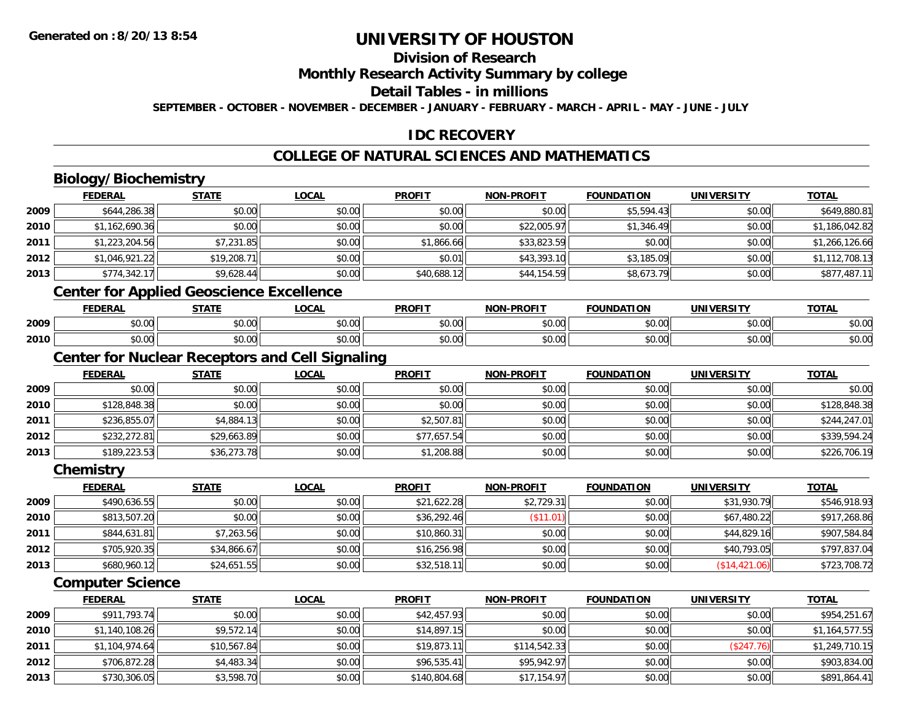### **Division of Research**

**Monthly Research Activity Summary by college**

**Detail Tables - in millions**

**SEPTEMBER - OCTOBER - NOVEMBER - DECEMBER - JANUARY - FEBRUARY - MARCH - APRIL - MAY - JUNE - JULY**

### **IDC RECOVERY**

### **COLLEGE OF NATURAL SCIENCES AND MATHEMATICS**

### **Biology/Biochemistry**

|      | <b>FEDERAL</b> | <b>STATE</b>                                    | LOCAL  | <b>PROFIT</b> | <b>NON-PROFIT</b> | <b>FOUNDATION</b>        | <b>UNIVERSITY</b> | <b>TOTAL</b>   |
|------|----------------|-------------------------------------------------|--------|---------------|-------------------|--------------------------|-------------------|----------------|
| 2009 | \$644,286.38   | \$0.00                                          | \$0.00 | \$0.00        | \$0.00            | \$5,594.43               | \$0.00            | \$649,880.81   |
| 2010 | \$1,162,690.36 | \$0.00                                          | \$0.00 | \$0.00        | \$22,005.97       | \$1,346.49               | \$0.00            | \$1,186,042.82 |
| 2011 | \$1,223,204.56 | \$7,231.85                                      | \$0.00 | \$1,866.66    | \$33,823.59       | \$0.00                   | \$0.00            | \$1,266,126.66 |
| 2012 | \$1,046,921.22 | \$19,208.71                                     | \$0.00 | \$0.01        | \$43,393.10       | \$3,185.09               | \$0.00            | \$1,112,708.13 |
| 2013 | \$774,342.17   | \$9,628.44                                      | \$0.00 | \$40,688.12   | \$44,154.59       | \$8,673.79               | \$0.00            | \$877,487.11   |
|      |                | <b>Center for Applied Geoscience Excellence</b> |        |               |                   |                          |                   |                |
|      | <b>FEBEBAL</b> | <b>CTATE</b>                                    | 10011  | <b>DDAFIT</b> | NAN DDAFIT        | <b><i>FOUNDATION</i></b> | <b>INIUTROTV</b>  | <b>TOTAL</b>   |

#### **FEDERAL STATE LOCAL PROFIT NON-PROFIT FOUNDATION UNIVERSITY TOTAL**<u>TOTAL</u> **2009** \$0.00 \$0.00 \$0.00 \$0.00 \$0.00 \$0.00 \$0.00 \$0.00 **2010**0 \$0.00 \$0.00 \$0.00 \$0.00 \$0.00 \$0.00 \$0.00 \$0.00 \$0.00 \$0.00 \$0.00 \$0.00 \$0.00 \$0.00 \$0.00 \$0.00 \$0.00

#### **Center for Nuclear Receptors and Cell Signaling**

|      | <b>FEDERAL</b> | <u>STATE</u> | <u>LOCAL</u> | <b>PROFIT</b> | <b>NON-PROFIT</b> | <b>FOUNDATION</b> | <b>UNIVERSITY</b> | <b>TOTAL</b> |
|------|----------------|--------------|--------------|---------------|-------------------|-------------------|-------------------|--------------|
| 2009 | \$0.00         | \$0.00       | \$0.00       | \$0.00        | \$0.00            | \$0.00            | \$0.00            | \$0.00       |
| 2010 | \$128,848.38   | \$0.00       | \$0.00       | \$0.00        | \$0.00            | \$0.00            | \$0.00            | \$128,848.38 |
| 2011 | \$236,855.07   | \$4,884.13   | \$0.00       | \$2,507.81    | \$0.00            | \$0.00            | \$0.00            | \$244,247.01 |
| 2012 | \$232,272.81   | \$29,663.89  | \$0.00       | \$77,657.54   | \$0.00            | \$0.00            | \$0.00            | \$339,594.24 |
| 2013 | \$189,223.53   | \$36,273.78  | \$0.00       | \$1,208.88    | \$0.00            | \$0.00            | \$0.00            | \$226,706.19 |

**Chemistry**

|      | <b>FEDERAL</b> | <u>STATE</u> | <u>LOCAL</u> | <b>PROFIT</b> | <b>NON-PROFIT</b> | <b>FOUNDATION</b> | <b>UNIVERSITY</b> | <b>TOTAL</b> |
|------|----------------|--------------|--------------|---------------|-------------------|-------------------|-------------------|--------------|
| 2009 | \$490,636.55   | \$0.00       | \$0.00       | \$21,622.28   | \$2,729.31        | \$0.00            | \$31,930.79       | \$546,918.93 |
| 2010 | \$813,507.20   | \$0.00       | \$0.00       | \$36,292.46   | \$11.01]          | \$0.00            | \$67,480.22       | \$917,268.86 |
| 2011 | \$844,631.81   | \$7,263.56   | \$0.00       | \$10,860.31   | \$0.00            | \$0.00            | \$44,829.16       | \$907,584.84 |
| 2012 | \$705,920.35   | \$34,866.67  | \$0.00       | \$16,256.98   | \$0.00            | \$0.00            | \$40,793.05       | \$797,837.04 |
| 2013 | \$680,960.12   | \$24,651.55  | \$0.00       | \$32,518.11   | \$0.00            | \$0.00            | (\$14,421.06)     | \$723,708.72 |

#### **Computer Science**

|      | <b>FEDERAL</b> | <u>STATE</u> | <b>LOCAL</b> | <b>PROFIT</b> | <b>NON-PROFIT</b> | <b>FOUNDATION</b> | <b>UNIVERSITY</b> | <u>TOTAL</u>   |
|------|----------------|--------------|--------------|---------------|-------------------|-------------------|-------------------|----------------|
| 2009 | \$911,793.74   | \$0.00       | \$0.00       | \$42,457.93   | \$0.00            | \$0.00            | \$0.00            | \$954,251.67   |
| 2010 | \$1,140,108.26 | \$9,572.14   | \$0.00       | \$14,897.15   | \$0.00            | \$0.00            | \$0.00            | \$1,164,577.55 |
| 2011 | \$1,104,974.64 | \$10,567.84  | \$0.00       | \$19,873.11   | \$114,542.33      | \$0.00            | (\$247.76)        | \$1,249,710.15 |
| 2012 | \$706,872.28   | \$4,483.34   | \$0.00       | \$96,535.41   | \$95,942.97       | \$0.00            | \$0.00            | \$903,834.00   |
| 2013 | \$730,306.05   | \$3,598.70   | \$0.00       | \$140,804.68  | \$17,154.97       | \$0.00            | \$0.00            | \$891,864.41   |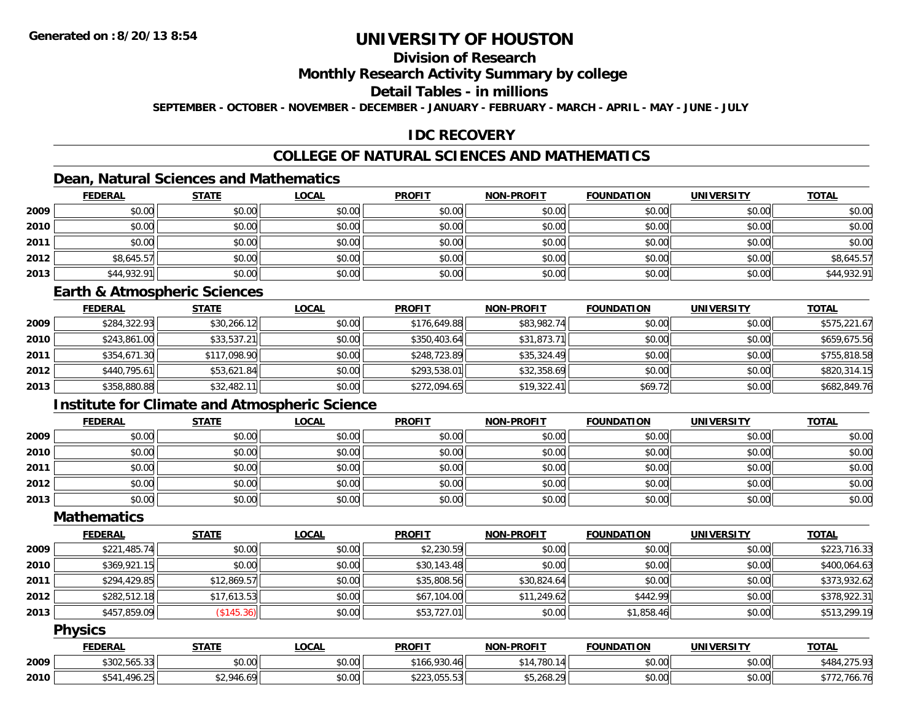### **Division of Research**

#### **Monthly Research Activity Summary by college**

#### **Detail Tables - in millions**

**SEPTEMBER - OCTOBER - NOVEMBER - DECEMBER - JANUARY - FEBRUARY - MARCH - APRIL - MAY - JUNE - JULY**

#### **IDC RECOVERY**

### **COLLEGE OF NATURAL SCIENCES AND MATHEMATICS**

### **Dean, Natural Sciences and Mathematics**

|      | <u>FEDERAL</u> | <b>STATE</b> | <b>LOCAL</b> | <b>PROFIT</b> | <b>NON-PROFIT</b> | <b>FOUNDATION</b> | <b>UNIVERSITY</b> | <b>TOTAL</b> |
|------|----------------|--------------|--------------|---------------|-------------------|-------------------|-------------------|--------------|
| 2009 | \$0.00         | \$0.00       | \$0.00       | \$0.00        | \$0.00            | \$0.00            | \$0.00            | \$0.00       |
| 2010 | \$0.00         | \$0.00       | \$0.00       | \$0.00        | \$0.00            | \$0.00            | \$0.00            | \$0.00       |
| 2011 | \$0.00         | \$0.00       | \$0.00       | \$0.00        | \$0.00            | \$0.00            | \$0.00            | \$0.00       |
| 2012 | \$8,645.57     | \$0.00       | \$0.00       | \$0.00        | \$0.00            | \$0.00            | \$0.00            | \$8,645.57   |
| 2013 | \$44,932.91    | \$0.00       | \$0.00       | \$0.00        | \$0.00            | \$0.00            | \$0.00            | \$44,932.91  |

#### **Earth & Atmospheric Sciences**

|      | <b>FEDERAL</b> | <b>STATE</b> | <b>LOCAL</b> | <b>PROFIT</b> | <b>NON-PROFIT</b> | <b>FOUNDATION</b> | <b>UNIVERSITY</b> | <b>TOTAL</b> |
|------|----------------|--------------|--------------|---------------|-------------------|-------------------|-------------------|--------------|
| 2009 | \$284,322.93   | \$30,266.12  | \$0.00       | \$176,649.88  | \$83,982.74       | \$0.00            | \$0.00            | \$575,221.67 |
| 2010 | \$243,861.00   | \$33,537.21  | \$0.00       | \$350,403.64  | \$31,873.71       | \$0.00            | \$0.00            | \$659,675.56 |
| 2011 | \$354,671.30   | \$117,098.90 | \$0.00       | \$248,723.89  | \$35,324.49       | \$0.00            | \$0.00            | \$755,818.58 |
| 2012 | \$440.795.61   | \$53,621.84  | \$0.00       | \$293,538.01  | \$32,358.69       | \$0.00            | \$0.00            | \$820,314.15 |
| 2013 | \$358,880.88   | \$32,482.11  | \$0.00       | \$272,094.65  | \$19,322.41       | \$69.72           | \$0.00            | \$682,849.76 |

#### **Institute for Climate and Atmospheric Science**

|      | <b>FEDERAL</b> | <b>STATE</b> | <b>LOCAL</b> | <b>PROFIT</b> | <b>NON-PROFIT</b> | <b>FOUNDATION</b> | <b>UNIVERSITY</b> | <b>TOTAL</b> |
|------|----------------|--------------|--------------|---------------|-------------------|-------------------|-------------------|--------------|
| 2009 | \$0.00         | \$0.00       | \$0.00       | \$0.00        | \$0.00            | \$0.00            | \$0.00            | \$0.00       |
| 2010 | \$0.00         | \$0.00       | \$0.00       | \$0.00        | \$0.00            | \$0.00            | \$0.00            | \$0.00       |
| 2011 | \$0.00         | \$0.00       | \$0.00       | \$0.00        | \$0.00            | \$0.00            | \$0.00            | \$0.00       |
| 2012 | \$0.00         | \$0.00       | \$0.00       | \$0.00        | \$0.00            | \$0.00            | \$0.00            | \$0.00       |
| 2013 | \$0.00         | \$0.00       | \$0.00       | \$0.00        | \$0.00            | \$0.00            | \$0.00            | \$0.00       |

#### **Mathematics**

|      | <b>FEDERAL</b> | <b>STATE</b> | <u>LOCAL</u> | <b>PROFIT</b> | <b>NON-PROFIT</b> | <b>FOUNDATION</b> | <b>UNIVERSITY</b> | <b>TOTAL</b> |
|------|----------------|--------------|--------------|---------------|-------------------|-------------------|-------------------|--------------|
| 2009 | \$221,485.74   | \$0.00       | \$0.00       | \$2,230.59    | \$0.00            | \$0.00            | \$0.00            | \$223,716.33 |
| 2010 | \$369,921.15   | \$0.00       | \$0.00       | \$30,143.48   | \$0.00            | \$0.00            | \$0.00            | \$400,064.63 |
| 2011 | \$294,429.85   | \$12,869.57  | \$0.00       | \$35,808.56   | \$30,824.64       | \$0.00            | \$0.00            | \$373,932.62 |
| 2012 | \$282,512.18   | \$17,613.53  | \$0.00       | \$67,104.00   | \$11,249.62       | \$442.99          | \$0.00            | \$378,922.31 |
| 2013 | \$457,859.09   | (\$145.36)   | \$0.00       | \$53,727.01   | \$0.00            | \$1,858.46        | \$0.00            | \$513,299.19 |

#### **Physics**

|      | <b>FEDERAL</b>              | STATE                  | LOCAL          | <b>PROFIT</b>                                                                          | <b>NON-PROFIT</b> | <b>FOUNDATION</b> | <b>UNIVERSITY</b> | <b>TOTAL</b>                     |
|------|-----------------------------|------------------------|----------------|----------------------------------------------------------------------------------------|-------------------|-------------------|-------------------|----------------------------------|
| 2009 | $*202E221$<br>\$302,565.33. | ሰ ሳ<br>$\cap$<br>DU.UU | ልስ ሰሰ<br>JU.UU | .930.46<br>166∶                                                                        | .780.1<br>\$14    | \$0.00            | \$0.00            | 275.22<br>\$484.<br>7. Z / J. 7J |
| 2010 | .496.25<br>\$541            | \$2,946.69             | 0000<br>DU.U¢  | $\overline{C}$ $\overline{C}$ $\overline{C}$ $\overline{C}$<br>$\land$<br>\$223,000.00 | \$5,268.20        | \$0.00            | \$0.00            | 700.70                           |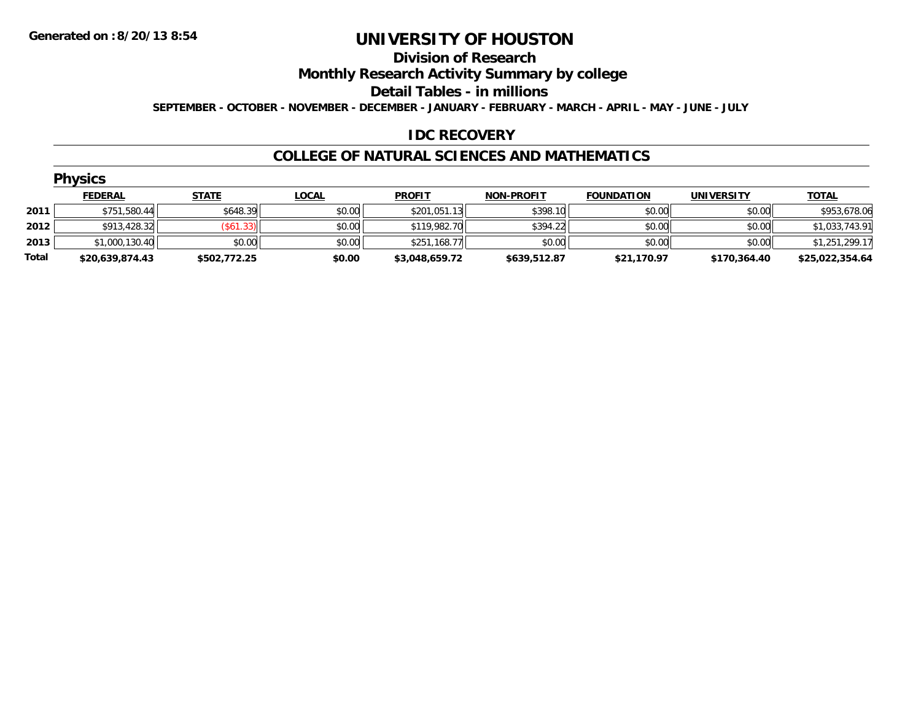### **Division of Research**

**Monthly Research Activity Summary by college**

**Detail Tables - in millions**

**SEPTEMBER - OCTOBER - NOVEMBER - DECEMBER - JANUARY - FEBRUARY - MARCH - APRIL - MAY - JUNE - JULY**

#### **IDC RECOVERY**

#### **COLLEGE OF NATURAL SCIENCES AND MATHEMATICS**

|       | <b>Physics</b>  |                  |              |                |                   |                   |                   |                 |
|-------|-----------------|------------------|--------------|----------------|-------------------|-------------------|-------------------|-----------------|
|       | <b>FEDERAL</b>  | <b>STATE</b>     | <b>LOCAL</b> | <b>PROFIT</b>  | <b>NON-PROFIT</b> | <b>FOUNDATION</b> | <b>UNIVERSITY</b> | <b>TOTAL</b>    |
| 2011  | \$751,580.44    | \$648.39         | \$0.00       | \$201,051.13   | \$398.10          | \$0.00            | \$0.00            | \$953,678.06    |
| 2012  | \$913,428.32    | $($ \$61.33) $ $ | \$0.00       | \$119,982.70   | \$394.22          | \$0.00            | \$0.00            | \$1,033,743.91  |
| 2013  | \$1,000,130.40  | \$0.00           | \$0.00       | \$251,168.77   | \$0.00            | \$0.00            | \$0.00            | \$1,251,299.17  |
| Total | \$20,639,874.43 | \$502,772.25     | \$0.00       | \$3,048,659.72 | \$639,512.87      | \$21,170.97       | \$170,364.40      | \$25,022,354.64 |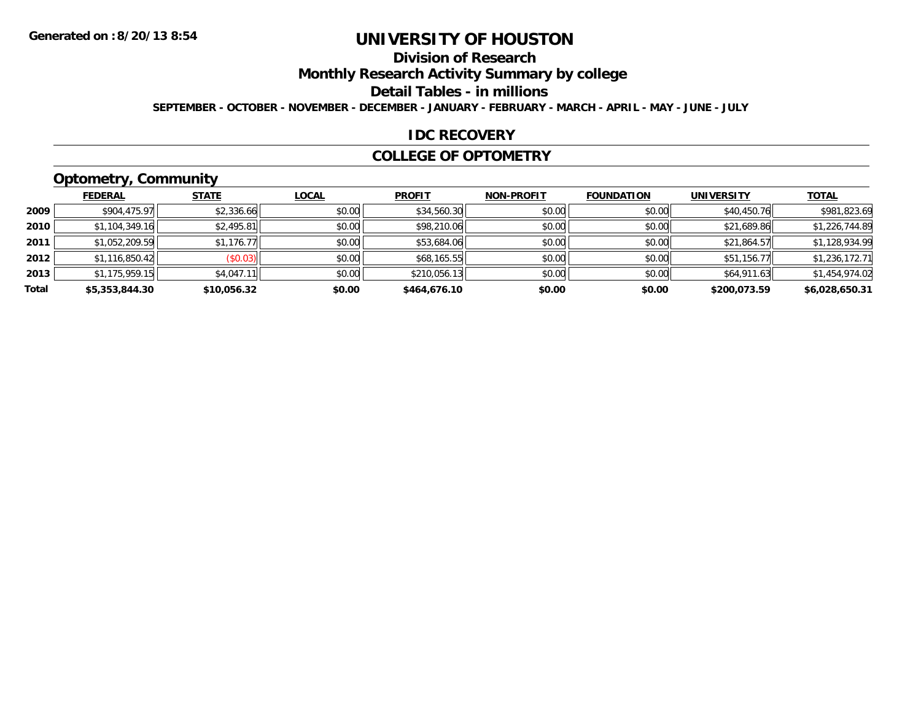### **Division of Research**

**Monthly Research Activity Summary by college**

**Detail Tables - in millions**

**SEPTEMBER - OCTOBER - NOVEMBER - DECEMBER - JANUARY - FEBRUARY - MARCH - APRIL - MAY - JUNE - JULY**

#### **IDC RECOVERY**

#### **COLLEGE OF OPTOMETRY**

## **Optometry, Community**

|       | <b>FEDERAL</b> | <b>STATE</b> | <b>LOCAL</b> | <b>PROFIT</b> | <b>NON-PROFIT</b> | <b>FOUNDATION</b> | <b>UNIVERSITY</b> | <b>TOTAL</b>   |
|-------|----------------|--------------|--------------|---------------|-------------------|-------------------|-------------------|----------------|
| 2009  | \$904,475.97   | \$2,336.66   | \$0.00       | \$34,560.30   | \$0.00            | \$0.00            | \$40,450.76       | \$981,823.69   |
| 2010  | \$1,104,349.16 | \$2,495.81   | \$0.00       | \$98,210.06   | \$0.00            | \$0.00            | \$21,689.86       | \$1,226,744.89 |
| 2011  | \$1,052,209.59 | \$1,176.77   | \$0.00       | \$53,684.06   | \$0.00            | \$0.00            | \$21,864.57       | \$1,128,934.99 |
| 2012  | \$1,116,850.42 | (\$0.03)     | \$0.00       | \$68,165.55   | \$0.00            | \$0.00            | \$51,156.77       | \$1,236,172.71 |
| 2013  | \$1,175,959.15 | \$4,047.11   | \$0.00       | \$210,056.13  | \$0.00            | \$0.00            | \$64,911.63       | \$1,454,974.02 |
| Total | \$5,353,844.30 | \$10,056.32  | \$0.00       | \$464,676.10  | \$0.00            | \$0.00            | \$200,073.59      | \$6,028,650.31 |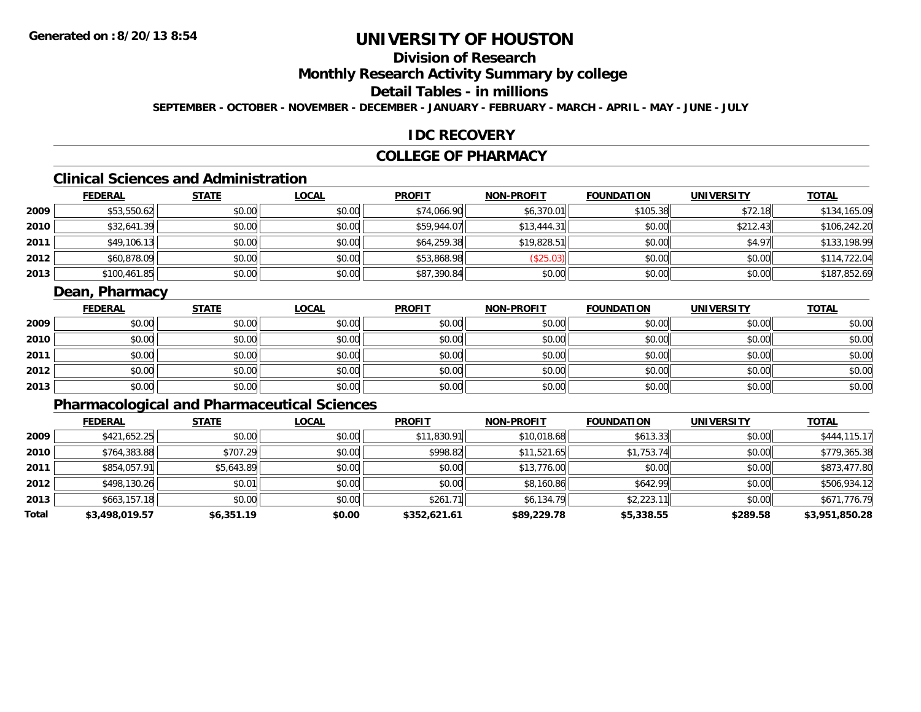### **Division of Research**

**Monthly Research Activity Summary by college**

### **Detail Tables - in millions**

**SEPTEMBER - OCTOBER - NOVEMBER - DECEMBER - JANUARY - FEBRUARY - MARCH - APRIL - MAY - JUNE - JULY**

#### **IDC RECOVERY**

#### **COLLEGE OF PHARMACY**

### **Clinical Sciences and Administration**

|      | <b>FEDERAL</b> | <b>STATE</b> | <u>LOCAL</u> | <b>PROFIT</b> | <b>NON-PROFIT</b> | <b>FOUNDATION</b> | <b>UNIVERSITY</b> | <b>TOTAL</b> |
|------|----------------|--------------|--------------|---------------|-------------------|-------------------|-------------------|--------------|
| 2009 | \$53,550.62    | \$0.00       | \$0.00       | \$74,066.90   | \$6,370.01        | \$105.38          | \$72.18           | \$134,165.09 |
| 2010 | \$32,641.39    | \$0.00       | \$0.00       | \$59,944.07   | \$13,444.31       | \$0.00            | \$212.43          | \$106,242.20 |
| 2011 | \$49,106.13    | \$0.00       | \$0.00       | \$64,259.38   | \$19,828.51       | \$0.00            | \$4.97            | \$133,198.99 |
| 2012 | \$60,878.09    | \$0.00       | \$0.00       | \$53,868.98   | \$25.03           | \$0.00            | \$0.00            | \$114,722.04 |
| 2013 | \$100,461.85   | \$0.00       | \$0.00       | \$87,390.84   | \$0.00            | \$0.00            | \$0.00            | \$187,852.69 |

#### **Dean, Pharmacy**

|      | <b>FEDERAL</b> | <b>STATE</b> | <b>LOCAL</b> | <b>PROFIT</b> | <b>NON-PROFIT</b> | <b>FOUNDATION</b> | <b>UNIVERSITY</b> | <b>TOTAL</b> |
|------|----------------|--------------|--------------|---------------|-------------------|-------------------|-------------------|--------------|
| 2009 | \$0.00         | \$0.00       | \$0.00       | \$0.00        | \$0.00            | \$0.00            | \$0.00            | \$0.00       |
| 2010 | \$0.00         | \$0.00       | \$0.00       | \$0.00        | \$0.00            | \$0.00            | \$0.00            | \$0.00       |
| 2011 | \$0.00         | \$0.00       | \$0.00       | \$0.00        | \$0.00            | \$0.00            | \$0.00            | \$0.00       |
| 2012 | \$0.00         | \$0.00       | \$0.00       | \$0.00        | \$0.00            | \$0.00            | \$0.00            | \$0.00       |
| 2013 | \$0.00         | \$0.00       | \$0.00       | \$0.00        | \$0.00            | \$0.00            | \$0.00            | \$0.00       |

### **Pharmacological and Pharmaceutical Sciences**

|       | <b>FEDERAL</b> | <b>STATE</b> | <b>LOCAL</b> | <b>PROFIT</b> | <b>NON-PROFIT</b> | <b>FOUNDATION</b> | <b>UNIVERSITY</b> | <b>TOTAL</b>   |
|-------|----------------|--------------|--------------|---------------|-------------------|-------------------|-------------------|----------------|
| 2009  | \$421,652.25   | \$0.00       | \$0.00       | \$11,830.91   | \$10,018.68       | \$613.33          | \$0.00            | \$444,115.17   |
| 2010  | \$764,383.88   | \$707.29     | \$0.00       | \$998.82      | \$11.521.65       | \$1,753.74        | \$0.00            | \$779,365.38   |
| 2011  | \$854,057.91   | \$5,643.89   | \$0.00       | \$0.00        | \$13,776.00       | \$0.00            | \$0.00            | \$873,477.80   |
| 2012  | \$498,130.26   | \$0.01       | \$0.00       | \$0.00        | \$8,160.86        | \$642.99          | \$0.00            | \$506,934.12   |
| 2013  | \$663,157.18   | \$0.00       | \$0.00       | \$261.71      | \$6,134.79        | \$2,223.11        | \$0.00            | \$671,776.79   |
| Total | \$3,498,019.57 | \$6,351.19   | \$0.00       | \$352.621.61  | \$89,229.78       | \$5,338.55        | \$289.58          | \$3,951,850.28 |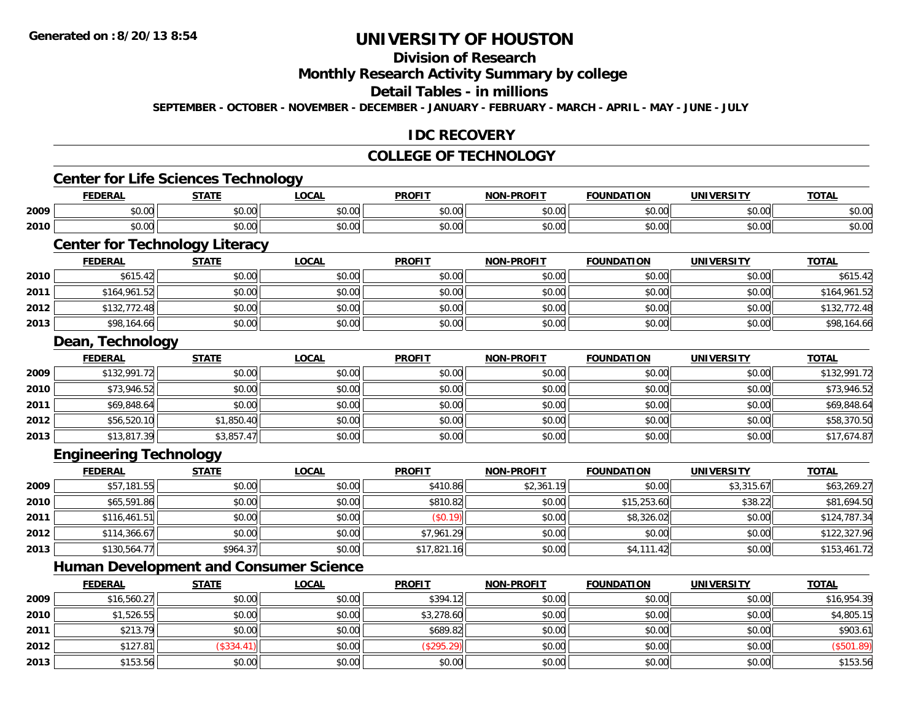### **Division of Research**

**Monthly Research Activity Summary by college**

### **Detail Tables - in millions**

**SEPTEMBER - OCTOBER - NOVEMBER - DECEMBER - JANUARY - FEBRUARY - MARCH - APRIL - MAY - JUNE - JULY**

#### **IDC RECOVERY**

#### **COLLEGE OF TECHNOLOGY**

## **Center for Life Sciences Technology**

|      | <b>FEDERAI</b>     | <b>STATE</b>     | <b>LOCAL</b>  | <b>PROFIT</b> | -PROFIT<br>NON | <b>FOUNDATION</b> | <b>UNIVERSITY</b> | <b>TOTAL</b> |
|------|--------------------|------------------|---------------|---------------|----------------|-------------------|-------------------|--------------|
| 2009 | $\sim$ 00<br>JU.UU | nn nn<br>JU.UU   | 0.00<br>JU.UU | \$0.00        | ልስ ለሰ<br>JU.UU | \$0.00            | \$0.00            | \$0.00       |
| 2010 | $\sim$ 00<br>JU.UU | ቀስ ስስ<br>- JU.UU | 0.00<br>JU.UU | \$0.00        | ልስ ለሰ<br>pu.uu | \$0.00            | \$0.00            | \$0.00       |

## **Center for Technology Literacy**

|      | <b>FEDERAL</b> | <u>STATE</u> | <b>LOCAL</b> | <b>PROFIT</b> | <b>NON-PROFIT</b> | <b>FOUNDATION</b> | <b>UNIVERSITY</b> | <b>TOTAL</b> |
|------|----------------|--------------|--------------|---------------|-------------------|-------------------|-------------------|--------------|
| 2010 | \$615.42       | \$0.00       | \$0.00       | \$0.00        | \$0.00            | \$0.00            | \$0.00            | \$615.42     |
| 2011 | \$164,961.52   | \$0.00       | \$0.00       | \$0.00        | \$0.00            | \$0.00            | \$0.00            | \$164,961.52 |
| 2012 | \$132,772.48   | \$0.00       | \$0.00       | \$0.00        | \$0.00            | \$0.00            | \$0.00            | \$132,772.48 |
| 2013 | \$98,164.66    | \$0.00       | \$0.00       | \$0.00        | \$0.00            | \$0.00            | \$0.00            | \$98,164.66  |

and the control of the control of the control of the control of the control of the control of the control of the

#### **Dean, Technology**

|      | <b>FEDERAL</b> | <b>STATE</b> | <b>LOCAL</b> | <b>PROFIT</b> | <b>NON-PROFIT</b> | <b>FOUNDATION</b> | <b>UNIVERSITY</b> | <b>TOTAL</b> |
|------|----------------|--------------|--------------|---------------|-------------------|-------------------|-------------------|--------------|
| 2009 | \$132,991.72   | \$0.00       | \$0.00       | \$0.00        | \$0.00            | \$0.00            | \$0.00            | \$132,991.72 |
| 2010 | \$73,946.52    | \$0.00       | \$0.00       | \$0.00        | \$0.00            | \$0.00            | \$0.00            | \$73,946.52  |
| 2011 | \$69,848.64    | \$0.00       | \$0.00       | \$0.00        | \$0.00            | \$0.00            | \$0.00            | \$69,848.64  |
| 2012 | \$56,520.10    | \$1,850.40   | \$0.00       | \$0.00        | \$0.00            | \$0.00            | \$0.00            | \$58,370.50  |
| 2013 | \$13,817.39    | \$3,857.47   | \$0.00       | \$0.00        | \$0.00            | \$0.00            | \$0.00            | \$17,674.87  |

#### **Engineering Technology**

|      | <b>FEDERAL</b> | <b>STATE</b> | <b>LOCAL</b> | <b>PROFIT</b> | <b>NON-PROFIT</b> | <b>FOUNDATION</b> | <b>UNIVERSITY</b> | <b>TOTAL</b> |
|------|----------------|--------------|--------------|---------------|-------------------|-------------------|-------------------|--------------|
| 2009 | \$57,181.55    | \$0.00       | \$0.00       | \$410.86      | \$2,361.19        | \$0.00            | \$3,315.67        | \$63,269.27  |
| 2010 | \$65,591.86    | \$0.00       | \$0.00       | \$810.82      | \$0.00            | \$15,253.60       | \$38.22           | \$81,694.50  |
| 2011 | \$116,461.51   | \$0.00       | \$0.00       | (S0.19)       | \$0.00            | \$8,326.02        | \$0.00            | \$124,787.34 |
| 2012 | \$114,366.67   | \$0.00       | \$0.00       | \$7,961.29    | \$0.00            | \$0.00            | \$0.00            | \$122,327.96 |
| 2013 | \$130,564.77   | \$964.37     | \$0.00       | \$17,821.16   | \$0.00            | \$4,111.42        | \$0.00            | \$153,461.72 |

#### **Human Development and Consumer Science**

|      | <b>FEDERAL</b> | <b>STATE</b> | <u>LOCAL</u> | <b>PROFIT</b> | <b>NON-PROFIT</b> | <b>FOUNDATION</b> | <b>UNIVERSITY</b> | <b>TOTAL</b> |
|------|----------------|--------------|--------------|---------------|-------------------|-------------------|-------------------|--------------|
| 2009 | \$16,560.27    | \$0.00       | \$0.00       | \$394.12      | \$0.00            | \$0.00            | \$0.00            | \$16,954.39  |
| 2010 | \$1,526.55     | \$0.00       | \$0.00       | \$3,278.60    | \$0.00            | \$0.00            | \$0.00            | \$4,805.15   |
| 2011 | \$213.79       | \$0.00       | \$0.00       | \$689.82      | \$0.00            | \$0.00            | \$0.00            | \$903.61     |
| 2012 | \$127.81       | (\$334.41)   | \$0.00       | (\$295.29)    | \$0.00            | \$0.00            | \$0.00            | (\$501.89)   |
| 2013 | \$153.56       | \$0.00       | \$0.00       | \$0.00        | \$0.00            | \$0.00            | \$0.00            | \$153.56     |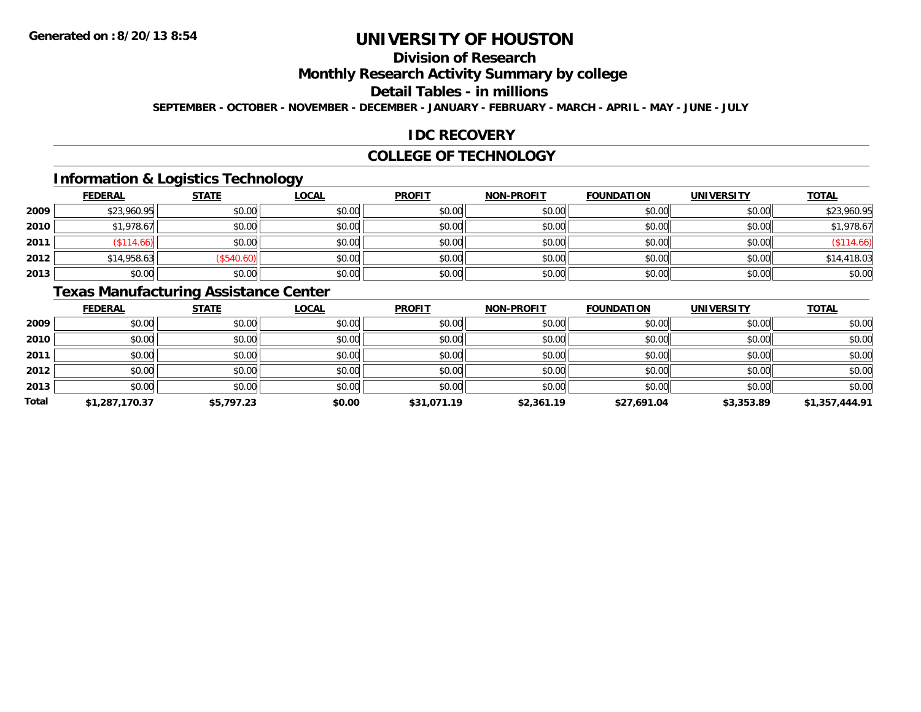## **Division of Research**

**Monthly Research Activity Summary by college**

**Detail Tables - in millions**

**SEPTEMBER - OCTOBER - NOVEMBER - DECEMBER - JANUARY - FEBRUARY - MARCH - APRIL - MAY - JUNE - JULY**

#### **IDC RECOVERY**

#### **COLLEGE OF TECHNOLOGY**

### **Information & Logistics Technology**

|      | <b>FEDERAL</b> | <b>STATE</b> | <u>LOCAL</u> | <b>PROFIT</b> | <b>NON-PROFIT</b> | <b>FOUNDATION</b> | <b>UNIVERSITY</b> | <b>TOTAL</b> |
|------|----------------|--------------|--------------|---------------|-------------------|-------------------|-------------------|--------------|
| 2009 | \$23,960.95    | \$0.00       | \$0.00       | \$0.00        | \$0.00            | \$0.00            | \$0.00            | \$23,960.95  |
| 2010 | \$1,978.67     | \$0.00       | \$0.00       | \$0.00        | \$0.00            | \$0.00            | \$0.00            | \$1,978.67   |
| 2011 | $($ \$114.66)  | \$0.00       | \$0.00       | \$0.00        | \$0.00            | \$0.00            | \$0.00            | (\$114.66)   |
| 2012 | \$14,958.63    | (S540.60)    | \$0.00       | \$0.00        | \$0.00            | \$0.00            | \$0.00            | \$14,418.03  |
| 2013 | \$0.00         | \$0.00       | \$0.00       | \$0.00        | \$0.00            | \$0.00            | \$0.00            | \$0.00       |

### **Texas Manufacturing Assistance Center**

|       | <b>FEDERAL</b> | <b>STATE</b> | <b>LOCAL</b> | <b>PROFIT</b> | <b>NON-PROFIT</b> | <b>FOUNDATION</b> | <b>UNIVERSITY</b> | <b>TOTAL</b>   |
|-------|----------------|--------------|--------------|---------------|-------------------|-------------------|-------------------|----------------|
| 2009  | \$0.00         | \$0.00       | \$0.00       | \$0.00        | \$0.00            | \$0.00            | \$0.00            | \$0.00         |
| 2010  | \$0.00         | \$0.00       | \$0.00       | \$0.00        | \$0.00            | \$0.00            | \$0.00            | \$0.00         |
| 2011  | \$0.00         | \$0.00       | \$0.00       | \$0.00        | \$0.00            | \$0.00            | \$0.00            | \$0.00         |
| 2012  | \$0.00         | \$0.00       | \$0.00       | \$0.00        | \$0.00            | \$0.00            | \$0.00            | \$0.00         |
| 2013  | \$0.00         | \$0.00       | \$0.00       | \$0.00        | \$0.00            | \$0.00            | \$0.00            | \$0.00         |
| Total | \$1,287,170.37 | \$5,797.23   | \$0.00       | \$31,071.19   | \$2,361.19        | \$27,691.04       | \$3,353.89        | \$1,357,444.91 |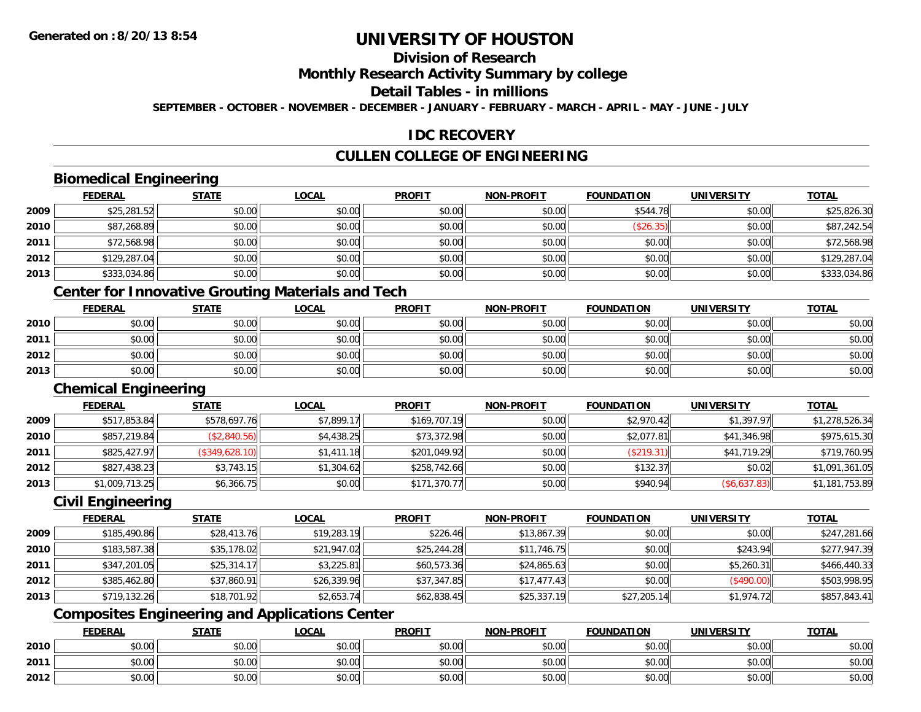### **Division of Research**

**Monthly Research Activity Summary by college**

### **Detail Tables - in millions**

**SEPTEMBER - OCTOBER - NOVEMBER - DECEMBER - JANUARY - FEBRUARY - MARCH - APRIL - MAY - JUNE - JULY**

#### **IDC RECOVERY**

### **CULLEN COLLEGE OF ENGINEERING**

#### **Biomedical Engineering**

|      | <b>FEDERAL</b> | <b>STATE</b> | <b>LOCAL</b> | <b>PROFIT</b> | <b>NON-PROFIT</b> | <b>FOUNDATION</b> | <b>UNIVERSITY</b> | <b>TOTAL</b> |
|------|----------------|--------------|--------------|---------------|-------------------|-------------------|-------------------|--------------|
| 2009 | \$25,281.52    | \$0.00       | \$0.00       | \$0.00        | \$0.00            | \$544.78          | \$0.00            | \$25,826.30  |
| 2010 | \$87,268.89    | \$0.00       | \$0.00       | \$0.00        | \$0.00            | (\$26.35)         | \$0.00            | \$87,242.54  |
| 2011 | \$72,568.98    | \$0.00       | \$0.00       | \$0.00        | \$0.00            | \$0.00            | \$0.00            | \$72,568.98  |
| 2012 | \$129,287.04   | \$0.00       | \$0.00       | \$0.00        | \$0.00            | \$0.00            | \$0.00            | \$129,287.04 |
| 2013 | \$333,034.86   | \$0.00       | \$0.00       | \$0.00        | \$0.00            | \$0.00            | \$0.00            | \$333,034.86 |

#### **Center for Innovative Grouting Materials and Tech**

|      | <b>FEDERAL</b> | <b>STATE</b> | <u>LOCAL</u> | <b>PROFIT</b> | <b>NON-PROFIT</b> | <b>FOUNDATION</b> | <b>UNIVERSITY</b> | <b>TOTAL</b> |
|------|----------------|--------------|--------------|---------------|-------------------|-------------------|-------------------|--------------|
| 2010 | \$0.00         | \$0.00       | \$0.00       | \$0.00        | \$0.00            | \$0.00            | \$0.00            | \$0.00       |
| 2011 | \$0.00         | \$0.00       | \$0.00       | \$0.00        | \$0.00            | \$0.00            | \$0.00            | \$0.00       |
| 2012 | \$0.00         | \$0.00       | \$0.00       | \$0.00        | \$0.00            | \$0.00            | \$0.00            | \$0.00       |
| 2013 | \$0.00         | \$0.00       | \$0.00       | \$0.00        | \$0.00            | \$0.00            | \$0.00            | \$0.00       |

### **Chemical Engineering**

|      | <b>FEDERAL</b> | <b>STATE</b>   | <u>LOCAL</u> | <b>PROFIT</b> | <b>NON-PROFIT</b> | <b>FOUNDATION</b> | <b>UNIVERSITY</b>   | <b>TOTAL</b>   |
|------|----------------|----------------|--------------|---------------|-------------------|-------------------|---------------------|----------------|
| 2009 | \$517,853.84   | \$578,697.76   | \$7,899.17   | \$169,707.19  | \$0.00            | \$2,970.42        | \$1,397.97          | \$1,278,526.34 |
| 2010 | \$857,219.84   | (\$2,840.56)   | \$4,438.25   | \$73,372.98   | \$0.00            | \$2,077.81        | \$41,346.98         | \$975,615.30   |
| 2011 | \$825,427.97   | (\$349,628.10) | \$1,411.18   | \$201,049.92  | \$0.00            | (\$219.31)        | \$41,719.29         | \$719,760.95   |
| 2012 | \$827,438.23   | \$3,743.15     | \$1,304.62   | \$258,742.66  | \$0.00            | \$132.37          | \$0.02              | \$1,091,361.05 |
| 2013 | \$1,009,713.25 | \$6,366.75     | \$0.00       | \$171,370.77  | \$0.00            | \$940.94          | $($ \$6,637.83) $ $ | \$1,181,753.89 |

#### **Civil Engineering**

|      | <b>FEDERAL</b> | <b>STATE</b> | <b>LOCAL</b> | <b>PROFIT</b> | <b>NON-PROFIT</b> | <b>FOUNDATION</b> | <b>UNIVERSITY</b> | <b>TOTAL</b> |
|------|----------------|--------------|--------------|---------------|-------------------|-------------------|-------------------|--------------|
| 2009 | \$185,490.86   | \$28,413.76  | \$19,283.19  | \$226.46      | \$13,867.39       | \$0.00            | \$0.00            | \$247,281.66 |
| 2010 | \$183,587.38   | \$35,178.02  | \$21,947.02  | \$25,244.28   | \$11,746.75       | \$0.00            | \$243.94          | \$277,947.39 |
| 2011 | \$347,201.05   | \$25,314.17  | \$3,225.81   | \$60,573.36   | \$24,865.63       | \$0.00            | \$5,260.31        | \$466,440.33 |
| 2012 | \$385,462.80   | \$37,860.91  | \$26,339.96  | \$37,347.85   | \$17,477.43       | \$0.00            | (\$490.00)        | \$503,998.95 |
| 2013 | \$719,132.26   | \$18,701.92  | \$2,653.74   | \$62,838.45   | \$25,337.19       | \$27,205.14       | \$1.974.72        | \$857,843.41 |

### **Composites Engineering and Applications Center**

|      | <b>FEDERAL</b> | <b>STATE</b> | <b>_OCAL</b>  | <b>PROFIT</b> | <b>NON-PROFIT</b>                                  | <b>FOUNDATION</b> | <b>UNIVERSITY</b> | <b>TOTAL</b> |
|------|----------------|--------------|---------------|---------------|----------------------------------------------------|-------------------|-------------------|--------------|
| 2010 | 0000<br>vu.vu  | \$0.00       | 0000<br>JU.UU | \$0.00        | $\mathsf{A}\cap\mathsf{A}\cap\mathsf{A}$<br>\$0.00 | \$0.00            | \$0.00            | \$0.00       |
| 2011 | PU.UU          | \$0.00       | 0000<br>DU.UG | \$0.00        | 40.00<br><b>DU.UU</b>                              | \$0.00            | \$0.00            | \$0.00       |
| 2012 | 0.00<br>pu.uu  | \$0.00       | 0000<br>ง∪.∪บ | \$0.00        | $\mathsf{A}\cap\mathsf{A}\cap\mathsf{A}$<br>\$0.00 | \$0.00            | \$0.00            | \$0.00       |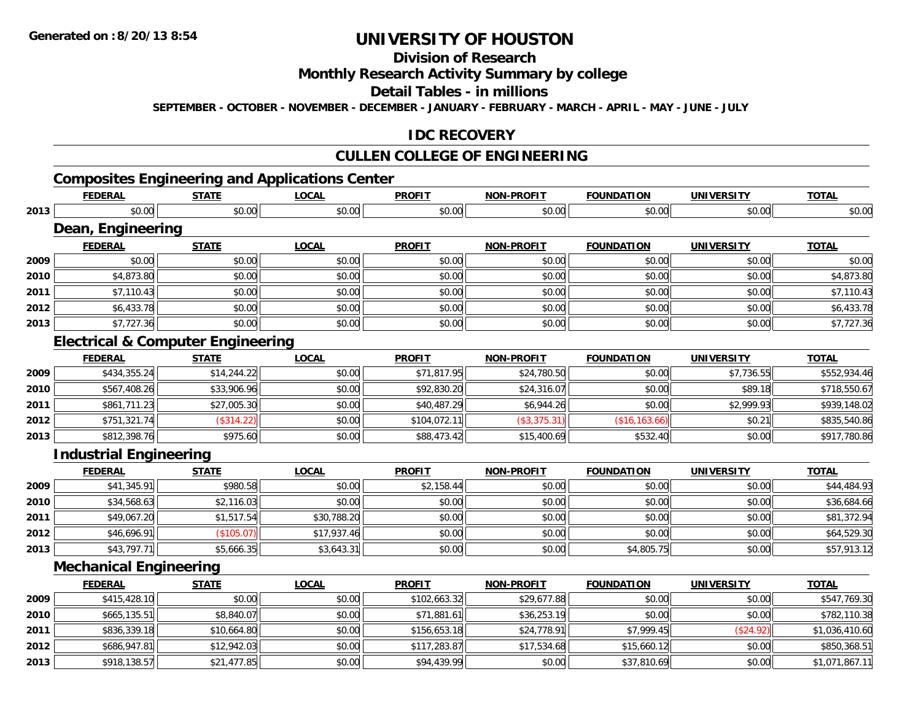**2013**

## **UNIVERSITY OF HOUSTON**

### **Division of Research**

#### **Monthly Research Activity Summary by college**

#### **Detail Tables - in millions**

**SEPTEMBER - OCTOBER - NOVEMBER - DECEMBER - JANUARY - FEBRUARY - MARCH - APRIL - MAY - JUNE - JULY**

#### **IDC RECOVERY**

#### **CULLEN COLLEGE OF ENGINEERING**

## **Composites Engineering and Applications Center**

|      | <b>FEDERAL</b>                               | <b>STATE</b> | <b>LOCAL</b> | <b>PROFIT</b> | <b>NON-PROFIT</b> | <b>FOUNDATION</b> | <b>UNIVERSITY</b> | <b>TOTAL</b>   |
|------|----------------------------------------------|--------------|--------------|---------------|-------------------|-------------------|-------------------|----------------|
| 2013 | \$0.00                                       | \$0.00       | \$0.00       | \$0.00        | \$0.00            | \$0.00            | \$0.00            | \$0.00         |
|      | Dean, Engineering                            |              |              |               |                   |                   |                   |                |
|      | <b>FEDERAL</b>                               | <b>STATE</b> | <b>LOCAL</b> | <b>PROFIT</b> | <b>NON-PROFIT</b> | <b>FOUNDATION</b> | <b>UNIVERSITY</b> | <b>TOTAL</b>   |
| 2009 | \$0.00                                       | \$0.00       | \$0.00       | \$0.00        | \$0.00            | \$0.00            | \$0.00            | \$0.00         |
| 2010 | \$4,873.80                                   | \$0.00       | \$0.00       | \$0.00        | \$0.00            | \$0.00            | \$0.00            | \$4,873.80     |
| 2011 | \$7,110.43                                   | \$0.00       | \$0.00       | \$0.00        | \$0.00            | \$0.00            | \$0.00            | \$7,110.43     |
| 2012 | \$6,433.78                                   | \$0.00       | \$0.00       | \$0.00        | \$0.00            | \$0.00            | \$0.00            | \$6,433.78     |
| 2013 | \$7,727.36                                   | \$0.00       | \$0.00       | \$0.00        | \$0.00            | \$0.00            | \$0.00            | \$7,727.36     |
|      | <b>Electrical &amp; Computer Engineering</b> |              |              |               |                   |                   |                   |                |
|      | <b>FEDERAL</b>                               | <b>STATE</b> | <b>LOCAL</b> | <b>PROFIT</b> | <b>NON-PROFIT</b> | <b>FOUNDATION</b> | <b>UNIVERSITY</b> | <b>TOTAL</b>   |
| 2009 | \$434,355.24                                 | \$14,244.22  | \$0.00       | \$71,817.95   | \$24,780.50       | \$0.00            | \$7,736.55        | \$552,934.46   |
| 2010 | \$567,408.26                                 | \$33,906.96  | \$0.00       | \$92,830.20   | \$24,316.07       | \$0.00            | \$89.18           | \$718,550.67   |
| 2011 | \$861,711.23                                 | \$27,005.30  | \$0.00       | \$40,487.29   | \$6,944.26        | \$0.00            | \$2,999.93        | \$939,148.02   |
| 2012 | \$751,321.74                                 | (\$314.22)   | \$0.00       | \$104,072.11  | (\$3,375.31)      | (\$16, 163.66)    | \$0.21            | \$835,540.86   |
| 2013 | \$812,398.76                                 | \$975.60     | \$0.00       | \$88,473.42   | \$15,400.69       | \$532.40          | \$0.00            | \$917,780.86   |
|      | <b>Industrial Engineering</b>                |              |              |               |                   |                   |                   |                |
|      | <b>FEDERAL</b>                               | <b>STATE</b> | <b>LOCAL</b> | <b>PROFIT</b> | <b>NON-PROFIT</b> | <b>FOUNDATION</b> | <b>UNIVERSITY</b> | <b>TOTAL</b>   |
| 2009 | \$41,345.91                                  | \$980.58     | \$0.00       | \$2,158.44    | \$0.00            | \$0.00            | \$0.00            | \$44,484.93    |
| 2010 | \$34,568.63                                  | \$2,116.03   | \$0.00       | \$0.00        | \$0.00            | \$0.00            | \$0.00            | \$36,684.66    |
| 2011 | \$49,067.20                                  | \$1,517.54   | \$30,788.20  | \$0.00        | \$0.00            | \$0.00            | \$0.00            | \$81,372.94    |
| 2012 | \$46,696.91                                  | (\$105.07)   | \$17,937.46  | \$0.00        | \$0.00            | \$0.00            | \$0.00            | \$64,529.30    |
| 2013 | \$43,797.71                                  | \$5,666.35   | \$3,643.31   | \$0.00        | \$0.00            | \$4,805.75        | \$0.00            | \$57,913.12    |
|      | <b>Mechanical Engineering</b>                |              |              |               |                   |                   |                   |                |
|      | <b>FEDERAL</b>                               | <b>STATE</b> | <b>LOCAL</b> | <b>PROFIT</b> | <b>NON-PROFIT</b> | <b>FOUNDATION</b> | <b>UNIVERSITY</b> | <b>TOTAL</b>   |
| 2009 | \$415,428.10                                 | \$0.00       | \$0.00       | \$102,663.32  | \$29,677.88       | \$0.00            | \$0.00            | \$547,769.30   |
| 2010 | \$665,135.51                                 | \$8,840.07   | \$0.00       | \$71,881.61   | \$36,253.19       | \$0.00            | \$0.00            | \$782,110.38   |
| 2011 | \$836,339.18                                 | \$10,664.80  | \$0.00       | \$156,653.18  | \$24,778.91       | \$7,999.45        | (\$24.92)         | \$1,036,410.60 |
| 2012 | \$686,947.81                                 | \$12,942.03  | \$0.00       | \$117,283.87  | \$17,534.68       | \$15,660.12       | \$0.00            | \$850,368.51   |

3 | \$918,138.57|| \$21,477.85|| \$0.00|| \$94,439.99|| \$0.00|| \$37,810.69|| \$0.00|| \$1,071,867.11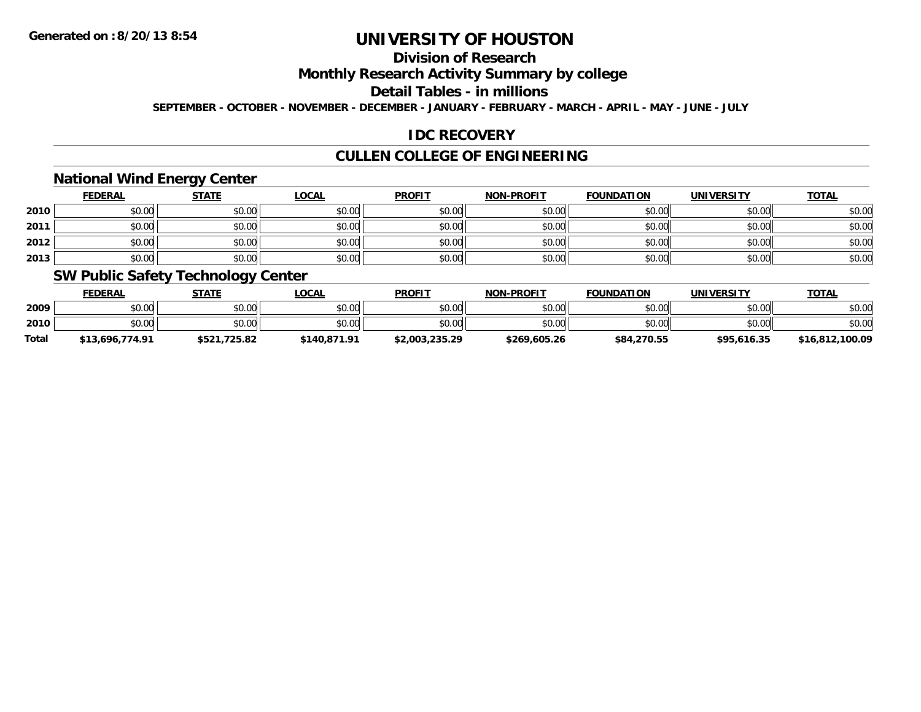### **Division of Research**

**Monthly Research Activity Summary by college**

**Detail Tables - in millions**

**SEPTEMBER - OCTOBER - NOVEMBER - DECEMBER - JANUARY - FEBRUARY - MARCH - APRIL - MAY - JUNE - JULY**

### **IDC RECOVERY**

### **CULLEN COLLEGE OF ENGINEERING**

#### **National Wind Energy Center**

|      | <b>FEDERAL</b> | <b>STATE</b> | <u>LOCAL</u> | <b>PROFIT</b> | <b>NON-PROFIT</b> | <b>FOUNDATION</b> | <b>UNIVERSITY</b> | <u>TOTAL</u> |
|------|----------------|--------------|--------------|---------------|-------------------|-------------------|-------------------|--------------|
| 2010 | \$0.00         | \$0.00       | \$0.00       | \$0.00        | \$0.00            | \$0.00            | \$0.00            | \$0.00       |
| 2011 | \$0.00         | \$0.00       | \$0.00       | \$0.00        | \$0.00            | \$0.00            | \$0.00            | \$0.00       |
| 2012 | \$0.00         | \$0.00       | \$0.00       | \$0.00        | \$0.00            | \$0.00            | \$0.00            | \$0.00       |
| 2013 | \$0.00         | \$0.00       | \$0.00       | \$0.00        | \$0.00            | \$0.00            | \$0.00            | \$0.00       |

#### **SW Public Safety Technology Center**

|              | <b>FEDERAL</b>  | STATE        | _OCAL        | <b>PROFIT</b>  | <b>NON-PROFIT</b> | <b>FOUNDATION</b> | <b>UNIVERSITY</b> | <b>TOTAL</b>    |
|--------------|-----------------|--------------|--------------|----------------|-------------------|-------------------|-------------------|-----------------|
| 2009         | \$0.00          | \$0.00       | \$0.00       | \$0.00         | \$0.00            | \$0.00            | \$0.00            | \$0.00          |
| 2010         | \$0.00          | \$0.00       | \$0.00       | \$0.00         | \$0.00            | \$0.00            | \$0.00            | \$0.00          |
| <b>Total</b> | \$13,696,774.91 | \$521,725.82 | \$140.871.91 | \$2,003,235.29 | \$269,605.26      | \$84,270.55       | \$95,616.35       | \$16,812,100.09 |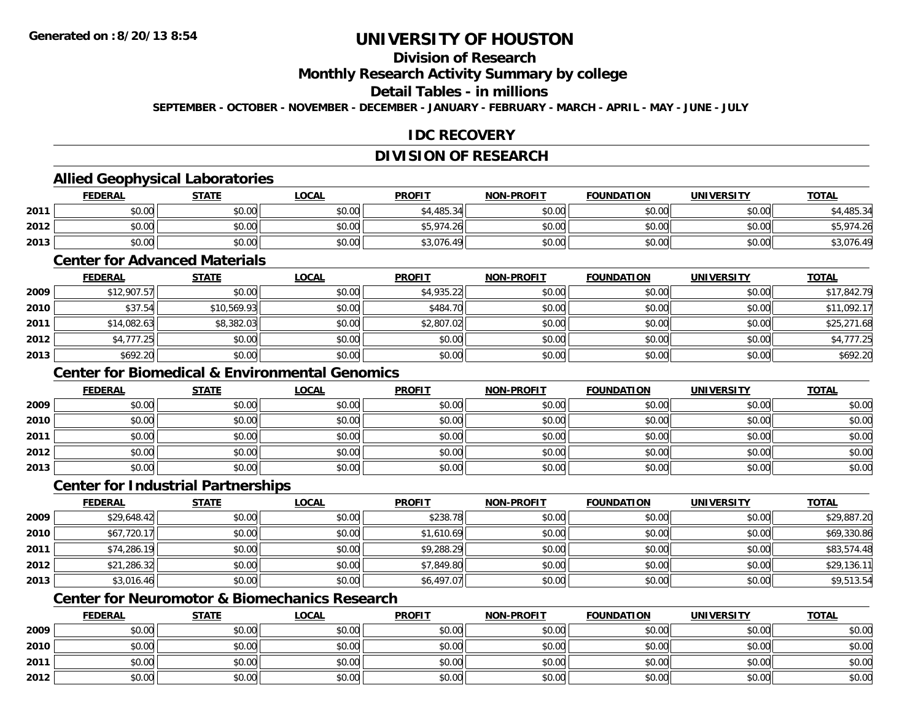### **Division of Research**

**Monthly Research Activity Summary by college**

#### **Detail Tables - in millions**

**SEPTEMBER - OCTOBER - NOVEMBER - DECEMBER - JANUARY - FEBRUARY - MARCH - APRIL - MAY - JUNE - JULY**

#### **IDC RECOVERY**

### **DIVISION OF RESEARCH**

#### **Allied Geophysical Laboratories**

|      | <b>FEDERAL</b> | <u>STATE</u> | <u>LOCAL</u> | <b>PROFIT</b> | <b>NON-PROFIT</b> | <b>FOUNDATION</b> | <b>UNIVERSITY</b> | <b>TOTAL</b> |
|------|----------------|--------------|--------------|---------------|-------------------|-------------------|-------------------|--------------|
| 2011 | \$0.00         | \$0.00       | \$0.00       | \$4,485.34    | \$0.00            | \$0.00            | \$0.00            | \$4,485.34   |
| 2012 | \$0.00         | \$0.00       | \$0.00       | \$5,974.26    | \$0.00            | \$0.00            | \$0.00            | . بن ب       |
| 2013 | \$0.00         | \$0.00       | \$0.00       | \$3,076.49    | \$0.00            | \$0.00            | \$0.00            | \$3,076.49   |

#### **Center for Advanced Materials**

|      | <b>FEDERAL</b> | <b>STATE</b> | <u>LOCAL</u> | <b>PROFIT</b> | <b>NON-PROFIT</b> | <b>FOUNDATION</b> | <b>UNIVERSITY</b> | <b>TOTAL</b> |
|------|----------------|--------------|--------------|---------------|-------------------|-------------------|-------------------|--------------|
| 2009 | \$12,907.57    | \$0.00       | \$0.00       | \$4,935.22    | \$0.00            | \$0.00            | \$0.00            | \$17,842.79  |
| 2010 | \$37.54        | \$10,569.93  | \$0.00       | \$484.70      | \$0.00            | \$0.00            | \$0.00            | \$11,092.17  |
| 2011 | \$14,082.63    | \$8,382.03   | \$0.00       | \$2,807.02    | \$0.00            | \$0.00            | \$0.00            | \$25,271.68  |
| 2012 | \$4,777.25     | \$0.00       | \$0.00       | \$0.00        | \$0.00            | \$0.00            | \$0.00            | \$4,777.25   |
| 2013 | \$692.20       | \$0.00       | \$0.00       | \$0.00        | \$0.00            | \$0.00            | \$0.00            | \$692.20     |

### **Center for Biomedical & Environmental Genomics**

|      | <u>FEDERAL</u> | <b>STATE</b> | <u>LOCAL</u> | <b>PROFIT</b> | <b>NON-PROFIT</b> | <b>FOUNDATION</b> | <b>UNIVERSITY</b> | <b>TOTAL</b> |
|------|----------------|--------------|--------------|---------------|-------------------|-------------------|-------------------|--------------|
| 2009 | \$0.00         | \$0.00       | \$0.00       | \$0.00        | \$0.00            | \$0.00            | \$0.00            | \$0.00       |
| 2010 | \$0.00         | \$0.00       | \$0.00       | \$0.00        | \$0.00            | \$0.00            | \$0.00            | \$0.00       |
| 2011 | \$0.00         | \$0.00       | \$0.00       | \$0.00        | \$0.00            | \$0.00            | \$0.00            | \$0.00       |
| 2012 | \$0.00         | \$0.00       | \$0.00       | \$0.00        | \$0.00            | \$0.00            | \$0.00            | \$0.00       |
| 2013 | \$0.00         | \$0.00       | \$0.00       | \$0.00        | \$0.00            | \$0.00            | \$0.00            | \$0.00       |

#### **Center for Industrial Partnerships**

|      | <b>FEDERAL</b> | <b>STATE</b> | <b>LOCAL</b> | <b>PROFIT</b> | <b>NON-PROFIT</b> | <b>FOUNDATION</b> | <b>UNIVERSITY</b> | <b>TOTAL</b> |
|------|----------------|--------------|--------------|---------------|-------------------|-------------------|-------------------|--------------|
| 2009 | \$29,648.42    | \$0.00       | \$0.00       | \$238.78      | \$0.00            | \$0.00            | \$0.00            | \$29,887.20  |
| 2010 | \$67,720.17    | \$0.00       | \$0.00       | \$1,610.69    | \$0.00            | \$0.00            | \$0.00            | \$69,330.86  |
| 2011 | \$74,286.19    | \$0.00       | \$0.00       | \$9,288.29    | \$0.00            | \$0.00            | \$0.00            | \$83,574.48  |
| 2012 | \$21,286.32    | \$0.00       | \$0.00       | \$7,849.80    | \$0.00            | \$0.00            | \$0.00            | \$29,136.11  |
| 2013 | \$3,016.46     | \$0.00       | \$0.00       | \$6,497.07    | \$0.00            | \$0.00            | \$0.00            | \$9,513.54   |

## **Center for Neuromotor & Biomechanics Research**

|      | <b>FEDERAL</b> | <b>STATE</b> | <u>LOCAL</u> | <b>PROFIT</b> | <b>NON-PROFIT</b> | <b>FOUNDATION</b> | <b>UNIVERSITY</b> | <b>TOTAL</b> |
|------|----------------|--------------|--------------|---------------|-------------------|-------------------|-------------------|--------------|
| 2009 | \$0.00         | \$0.00       | \$0.00       | \$0.00        | \$0.00            | \$0.00            | \$0.00            | \$0.00       |
| 2010 | \$0.00         | \$0.00       | \$0.00       | \$0.00        | \$0.00            | \$0.00            | \$0.00            | \$0.00       |
| 2011 | \$0.00         | \$0.00       | \$0.00       | \$0.00        | \$0.00            | \$0.00            | \$0.00            | \$0.00       |
| 2012 | \$0.00         | \$0.00       | \$0.00       | \$0.00        | \$0.00            | \$0.00            | \$0.00            | \$0.00       |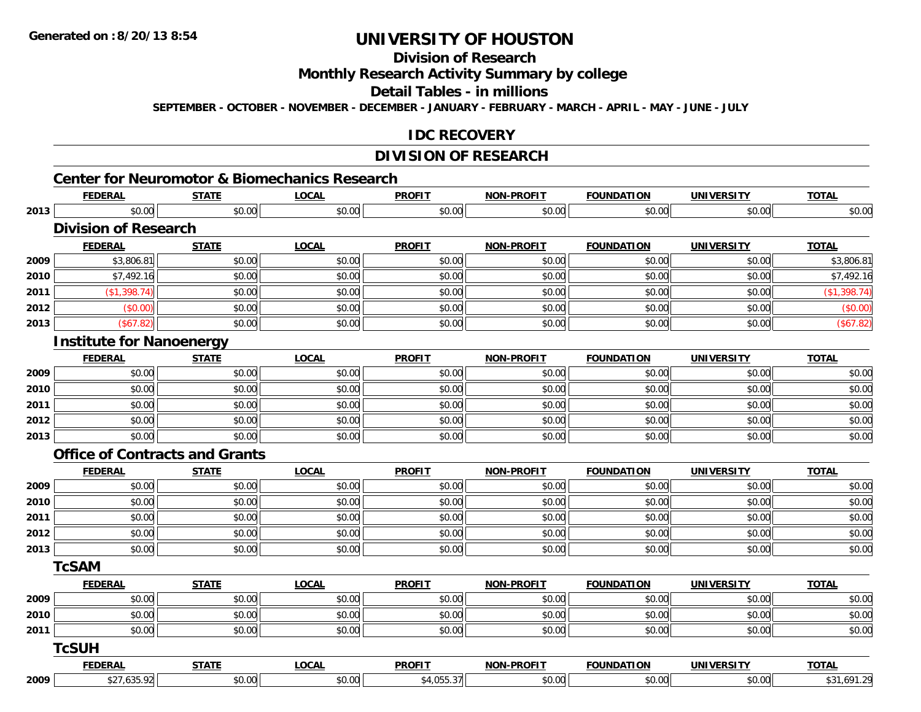## **Division of Research**

**Monthly Research Activity Summary by college**

**Detail Tables - in millions**

**SEPTEMBER - OCTOBER - NOVEMBER - DECEMBER - JANUARY - FEBRUARY - MARCH - APRIL - MAY - JUNE - JULY**

#### **IDC RECOVERY**

#### **DIVISION OF RESEARCH**

# **Center for Neuromotor & Biomechanics Research**

|      | <b>FEDERAL</b>                  | <b>STATE</b>                          | <b>LOCAL</b> | <b>PROFIT</b> | <b>NON-PROFIT</b> | <b>FOUNDATION</b> | <b>UNIVERSITY</b> | <b>TOTAL</b> |
|------|---------------------------------|---------------------------------------|--------------|---------------|-------------------|-------------------|-------------------|--------------|
| 2013 | \$0.00                          | \$0.00                                | \$0.00       | \$0.00        | \$0.00            | \$0.00            | \$0.00            | \$0.00       |
|      | <b>Division of Research</b>     |                                       |              |               |                   |                   |                   |              |
|      | <b>FEDERAL</b>                  | <b>STATE</b>                          | <b>LOCAL</b> | <b>PROFIT</b> | <b>NON-PROFIT</b> | <b>FOUNDATION</b> | <b>UNIVERSITY</b> | <b>TOTAL</b> |
| 2009 | \$3,806.81                      | \$0.00                                | \$0.00       | \$0.00        | \$0.00            | \$0.00            | \$0.00            | \$3,806.81   |
| 2010 | \$7,492.16                      | \$0.00                                | \$0.00       | \$0.00        | \$0.00            | \$0.00            | \$0.00            | \$7,492.16   |
| 2011 | (\$1,398.74)                    | \$0.00                                | \$0.00       | \$0.00        | \$0.00            | \$0.00            | \$0.00            | (\$1,398.74) |
| 2012 | (\$0.00)                        | \$0.00                                | \$0.00       | \$0.00        | \$0.00            | \$0.00            | \$0.00            | (\$0.00)     |
| 2013 | (\$67.82)                       | \$0.00                                | \$0.00       | \$0.00        | \$0.00            | \$0.00            | \$0.00            | (\$67.82)    |
|      | <b>Institute for Nanoenergy</b> |                                       |              |               |                   |                   |                   |              |
|      | <b>FEDERAL</b>                  | <b>STATE</b>                          | <b>LOCAL</b> | <b>PROFIT</b> | <b>NON-PROFIT</b> | <b>FOUNDATION</b> | <b>UNIVERSITY</b> | <b>TOTAL</b> |
| 2009 | \$0.00                          | \$0.00                                | \$0.00       | \$0.00        | \$0.00            | \$0.00            | \$0.00            | \$0.00       |
| 2010 | \$0.00                          | \$0.00                                | \$0.00       | \$0.00        | \$0.00            | \$0.00            | \$0.00            | \$0.00       |
| 2011 | \$0.00                          | \$0.00                                | \$0.00       | \$0.00        | \$0.00            | \$0.00            | \$0.00            | \$0.00       |
| 2012 | \$0.00                          | \$0.00                                | \$0.00       | \$0.00        | \$0.00            | \$0.00            | \$0.00            | \$0.00       |
| 2013 | \$0.00                          | \$0.00                                | \$0.00       | \$0.00        | \$0.00            | \$0.00            | \$0.00            | \$0.00       |
|      |                                 | <b>Office of Contracts and Grants</b> |              |               |                   |                   |                   |              |
|      | <b>FEDERAL</b>                  | <b>STATE</b>                          | <b>LOCAL</b> | <b>PROFIT</b> | <b>NON-PROFIT</b> | <b>FOUNDATION</b> | <b>UNIVERSITY</b> | <b>TOTAL</b> |
| 2009 | \$0.00                          | \$0.00                                | \$0.00       | \$0.00        | \$0.00            | \$0.00            | \$0.00            | \$0.00       |
| 2010 | \$0.00                          | \$0.00                                | \$0.00       | \$0.00        | \$0.00            | \$0.00            | \$0.00            | \$0.00       |
| 2011 | \$0.00                          | \$0.00                                | \$0.00       | \$0.00        | \$0.00            | \$0.00            | \$0.00            | \$0.00       |
| 2012 | \$0.00                          | \$0.00                                | \$0.00       | \$0.00        | \$0.00            | \$0.00            | \$0.00            | \$0.00       |
| 2013 | \$0.00                          | \$0.00                                | \$0.00       | \$0.00        | \$0.00            | \$0.00            | \$0.00            | \$0.00       |
|      | <b>TcSAM</b>                    |                                       |              |               |                   |                   |                   |              |
|      | <b>FEDERAL</b>                  | <b>STATE</b>                          | <b>LOCAL</b> | <b>PROFIT</b> | NON-PROFIT        | <b>FOUNDATION</b> | <b>UNIVERSITY</b> | <b>TOTAL</b> |
| 2009 | \$0.00                          | \$0.00                                | \$0.00       | \$0.00        | \$0.00            | \$0.00            | \$0.00            | \$0.00       |
| 2010 | \$0.00                          | \$0.00                                | \$0.00       | \$0.00        | \$0.00            | \$0.00            | \$0.00            | \$0.00       |
| 2011 | \$0.00                          | \$0.00                                | \$0.00       | \$0.00        | \$0.00            | \$0.00            | \$0.00            | \$0.00       |
|      | <b>TcSUH</b>                    |                                       |              |               |                   |                   |                   |              |
|      | <b>FEDERAL</b>                  | <b>STATE</b>                          | <b>LOCAL</b> | <b>PROFIT</b> | <b>NON-PROFIT</b> | <b>FOUNDATION</b> | <b>UNIVERSITY</b> | <b>TOTAL</b> |
| 2009 | \$27,635.92                     | \$0.00                                | \$0.00       | \$4,055.37    | \$0.00            | \$0.00            | \$0.00            | \$31,691.29  |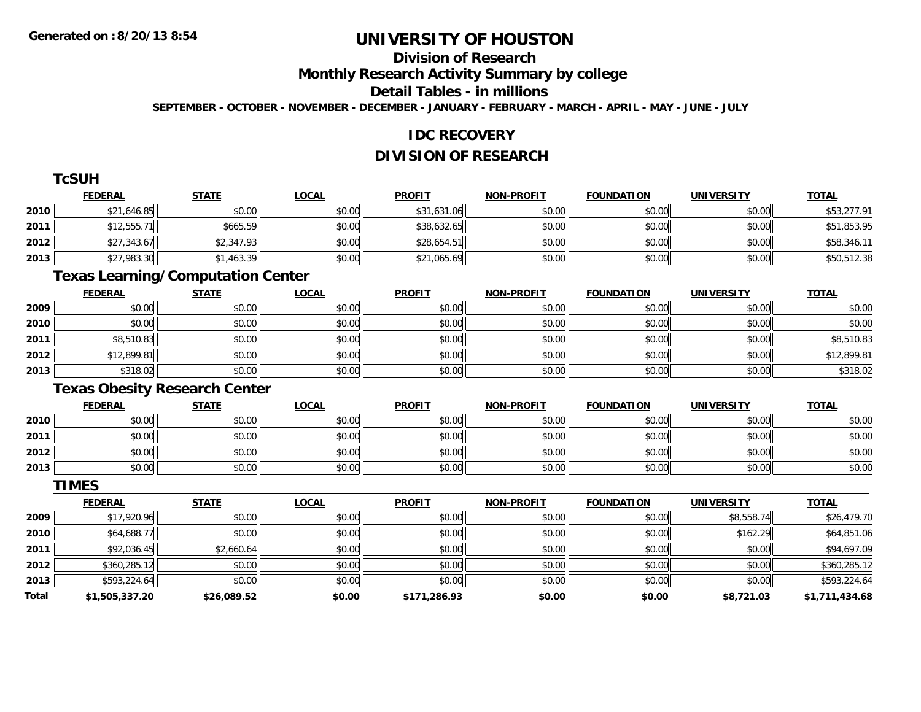## **Division of Research**

**Monthly Research Activity Summary by college**

#### **Detail Tables - in millions**

**SEPTEMBER - OCTOBER - NOVEMBER - DECEMBER - JANUARY - FEBRUARY - MARCH - APRIL - MAY - JUNE - JULY**

#### **IDC RECOVERY**

### **DIVISION OF RESEARCH**

|              | <b>TcSUH</b>                             |              |              |               |                   |                   |                   |                |
|--------------|------------------------------------------|--------------|--------------|---------------|-------------------|-------------------|-------------------|----------------|
|              | <b>FEDERAL</b>                           | <b>STATE</b> | <b>LOCAL</b> | <b>PROFIT</b> | <b>NON-PROFIT</b> | <b>FOUNDATION</b> | <b>UNIVERSITY</b> | <b>TOTAL</b>   |
| 2010         | \$21,646.85                              | \$0.00       | \$0.00       | \$31,631.06   | \$0.00            | \$0.00            | \$0.00            | \$53,277.91    |
| 2011         | \$12,555.71                              | \$665.59     | \$0.00       | \$38,632.65   | \$0.00            | \$0.00            | \$0.00            | \$51,853.95    |
| 2012         | \$27,343.67                              | \$2,347.93   | \$0.00       | \$28,654.51   | \$0.00            | \$0.00            | \$0.00            | \$58,346.11    |
| 2013         | \$27,983.30                              | \$1,463.39   | \$0.00       | \$21,065.69   | \$0.00            | \$0.00            | \$0.00            | \$50,512.38    |
|              | <b>Texas Learning/Computation Center</b> |              |              |               |                   |                   |                   |                |
|              | <b>FEDERAL</b>                           | <b>STATE</b> | <b>LOCAL</b> | <b>PROFIT</b> | <b>NON-PROFIT</b> | <b>FOUNDATION</b> | <b>UNIVERSITY</b> | <b>TOTAL</b>   |
| 2009         | \$0.00                                   | \$0.00       | \$0.00       | \$0.00        | \$0.00            | \$0.00            | \$0.00            | \$0.00         |
| 2010         | \$0.00                                   | \$0.00       | \$0.00       | \$0.00        | \$0.00            | \$0.00            | \$0.00            | \$0.00         |
| 2011         | \$8,510.83                               | \$0.00       | \$0.00       | \$0.00        | \$0.00            | \$0.00            | \$0.00            | \$8,510.83     |
| 2012         | \$12,899.81                              | \$0.00       | \$0.00       | \$0.00        | \$0.00            | \$0.00            | \$0.00            | \$12,899.81    |
| 2013         | \$318.02                                 | \$0.00       | \$0.00       | \$0.00        | \$0.00            | \$0.00            | \$0.00            | \$318.02       |
|              | <b>Texas Obesity Research Center</b>     |              |              |               |                   |                   |                   |                |
|              | <b>FEDERAL</b>                           | <b>STATE</b> | <b>LOCAL</b> | <b>PROFIT</b> | <b>NON-PROFIT</b> | <b>FOUNDATION</b> | <b>UNIVERSITY</b> | <b>TOTAL</b>   |
| 2010         | \$0.00                                   | \$0.00       | \$0.00       | \$0.00        | \$0.00            | \$0.00            | \$0.00            | \$0.00         |
| 2011         | \$0.00                                   | \$0.00       | \$0.00       | \$0.00        | \$0.00            | \$0.00            | \$0.00            | \$0.00         |
| 2012         | \$0.00                                   | \$0.00       | \$0.00       | \$0.00        | \$0.00            | \$0.00            | \$0.00            | \$0.00         |
| 2013         | \$0.00                                   | \$0.00       | \$0.00       | \$0.00        | \$0.00            | \$0.00            | \$0.00            | \$0.00         |
|              | <b>TIMES</b>                             |              |              |               |                   |                   |                   |                |
|              | <b>FEDERAL</b>                           | <b>STATE</b> | <b>LOCAL</b> | <b>PROFIT</b> | <b>NON-PROFIT</b> | <b>FOUNDATION</b> | <b>UNIVERSITY</b> | <b>TOTAL</b>   |
| 2009         | \$17,920.96                              | \$0.00       | \$0.00       | \$0.00        | \$0.00            | \$0.00            | \$8,558.74        | \$26,479.70    |
| 2010         | \$64,688.77                              | \$0.00       | \$0.00       | \$0.00        | \$0.00            | \$0.00            | \$162.29          | \$64,851.06    |
| 2011         | \$92,036.45                              | \$2,660.64   | \$0.00       | \$0.00        | \$0.00            | \$0.00            | \$0.00            | \$94,697.09    |
| 2012         | \$360,285.12                             | \$0.00       | \$0.00       | \$0.00        | \$0.00            | \$0.00            | \$0.00            | \$360,285.12   |
| 2013         | \$593,224.64                             | \$0.00       | \$0.00       | \$0.00        | \$0.00            | \$0.00            | \$0.00            | \$593,224.64   |
| <b>Total</b> | \$1,505,337.20                           | \$26,089.52  | \$0.00       | \$171,286.93  | \$0.00            | \$0.00            | \$8,721.03        | \$1,711,434.68 |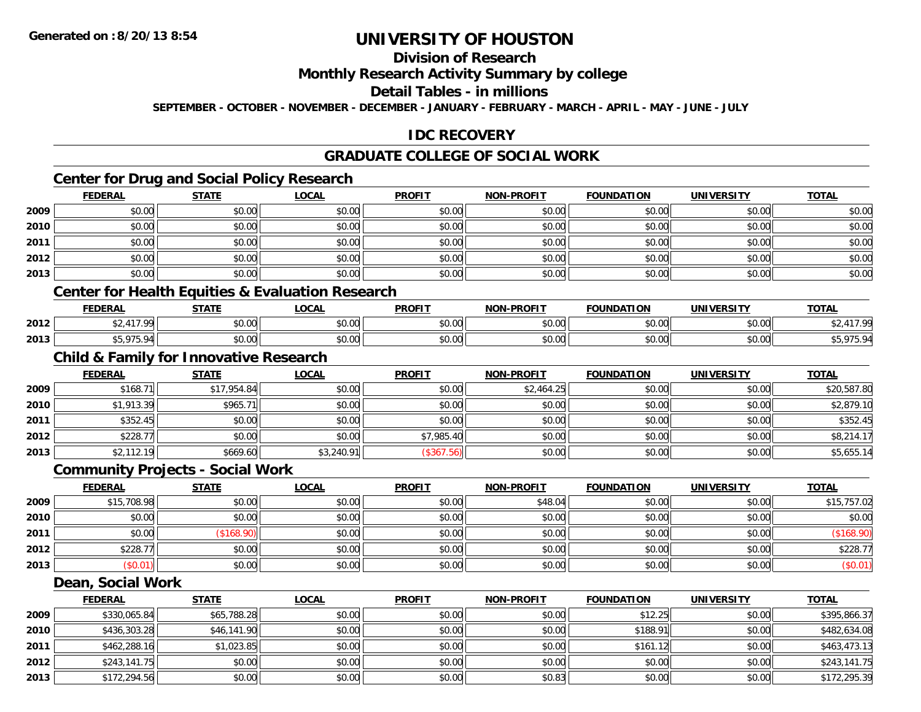### **Division of Research**

#### **Monthly Research Activity Summary by college**

#### **Detail Tables - in millions**

**SEPTEMBER - OCTOBER - NOVEMBER - DECEMBER - JANUARY - FEBRUARY - MARCH - APRIL - MAY - JUNE - JULY**

#### **IDC RECOVERY**

### **GRADUATE COLLEGE OF SOCIAL WORK**

### **Center for Drug and Social Policy Research**

|      | <b>FEDERAL</b> | <b>STATE</b> | <b>LOCAL</b> | <b>PROFIT</b> | <b>NON-PROFIT</b> | <b>FOUNDATION</b> | <b>UNIVERSITY</b> | <b>TOTAL</b> |
|------|----------------|--------------|--------------|---------------|-------------------|-------------------|-------------------|--------------|
| 2009 | \$0.00         | \$0.00       | \$0.00       | \$0.00        | \$0.00            | \$0.00            | \$0.00            | \$0.00       |
| 2010 | \$0.00         | \$0.00       | \$0.00       | \$0.00        | \$0.00            | \$0.00            | \$0.00            | \$0.00       |
| 2011 | \$0.00         | \$0.00       | \$0.00       | \$0.00        | \$0.00            | \$0.00            | \$0.00            | \$0.00       |
| 2012 | \$0.00         | \$0.00       | \$0.00       | \$0.00        | \$0.00            | \$0.00            | \$0.00            | \$0.00       |
| 2013 | \$0.00         | \$0.00       | \$0.00       | \$0.00        | \$0.00            | \$0.00            | \$0.00            | \$0.00       |

#### **Center for Health Equities & Evaluation Research**

|      | ------<br>-n.e | <b>CTATE</b>       | 001<br>ww     | <b>PROFIT</b>                         | -PROFIT<br>חחו            | DATION<br><b>FAUSIP</b> | <b><i>INIVERSITY</i></b> | $T^{\prime}$ |
|------|----------------|--------------------|---------------|---------------------------------------|---------------------------|-------------------------|--------------------------|--------------|
| 2012 |                | $\cdots$<br>JU.UU  | 0.00<br>JU.UU | 0000<br>JU.U                          | $\sim$ 00<br>₽U.UU        | ስ ለሰ                    | $\sim$ 00<br>vv.vv       |              |
| 2013 | $\sim$         | $\sim$ 00<br>PU.UU | \$0.00        | $\mathbb{C} \cap \mathbb{C}$<br>vu.vu | $\sim$ 00<br><b>PU.UU</b> | 0000<br><b>DU.UU</b>    | $\sim$ 00<br>JU.UU       |              |

#### **Child & Family for Innovative Research**

|      | <b>FEDERAL</b> | <b>STATE</b> | <u>LOCAL</u> | <b>PROFIT</b> | <b>NON-PROFIT</b> | FOUNDATION | <b>UNIVERSITY</b> | <b>TOTAL</b> |
|------|----------------|--------------|--------------|---------------|-------------------|------------|-------------------|--------------|
| 2009 | \$168.71       | \$17,954.84  | \$0.00       | \$0.00        | \$2,464.25        | \$0.00     | \$0.00            | \$20,587.80  |
| 2010 | \$1,913.39     | \$965.7      | \$0.00       | \$0.00        | \$0.00            | \$0.00     | \$0.00            | \$2,879.10   |
| 2011 | \$352.45       | \$0.00       | \$0.00       | \$0.00        | \$0.00            | \$0.00     | \$0.00            | \$352.45     |
| 2012 | \$228.77       | \$0.00       | \$0.00       | \$7,985.40    | \$0.00            | \$0.00     | \$0.00            | \$8,214.17   |
| 2013 | \$2,112.19     | \$669.60     | \$3,240.91   | (\$367.56)    | \$0.00            | \$0.00     | \$0.00            | \$5,655.14   |

#### **Community Projects - Social Work**

|      | <u>FEDERAL</u> | <b>STATE</b> | <u>LOCAL</u> | <b>PROFIT</b> | <b>NON-PROFIT</b> | <b>FOUNDATION</b> | <b>UNIVERSITY</b> | <b>TOTAL</b> |
|------|----------------|--------------|--------------|---------------|-------------------|-------------------|-------------------|--------------|
| 2009 | \$15,708.98    | \$0.00       | \$0.00       | \$0.00        | \$48.04           | \$0.00            | \$0.00            | \$15,757.02  |
| 2010 | \$0.00         | \$0.00       | \$0.00       | \$0.00        | \$0.00            | \$0.00            | \$0.00            | \$0.00       |
| 2011 | \$0.00         | \$168.90     | \$0.00       | \$0.00        | \$0.00            | \$0.00            | \$0.00            | (\$168.90)   |
| 2012 | \$228.77       | \$0.00       | \$0.00       | \$0.00        | \$0.00            | \$0.00            | \$0.00            | \$228.77     |
| 2013 | \$0.01)        | \$0.00       | \$0.00       | \$0.00        | \$0.00            | \$0.00            | \$0.00            | (\$0.01)     |

#### **Dean, Social Work**

|      | <b>FEDERAL</b> | <b>STATE</b> | <u>LOCAL</u> | <b>PROFIT</b> | <b>NON-PROFIT</b> | <b>FOUNDATION</b> | <b>UNIVERSITY</b> | <b>TOTAL</b> |
|------|----------------|--------------|--------------|---------------|-------------------|-------------------|-------------------|--------------|
| 2009 | \$330,065.84   | \$65,788.28  | \$0.00       | \$0.00        | \$0.00            | \$12.25           | \$0.00            | \$395,866.37 |
| 2010 | \$436,303.28   | \$46,141.90  | \$0.00       | \$0.00        | \$0.00            | \$188.91          | \$0.00            | \$482,634.08 |
| 2011 | \$462,288.16   | \$1,023.85   | \$0.00       | \$0.00        | \$0.00            | \$161.12          | \$0.00            | \$463,473.13 |
| 2012 | \$243,141.75   | \$0.00       | \$0.00       | \$0.00        | \$0.00            | \$0.00            | \$0.00            | \$243,141.75 |
| 2013 | \$172,294.56   | \$0.00       | \$0.00       | \$0.00        | \$0.83            | \$0.00            | \$0.00            | \$172,295.39 |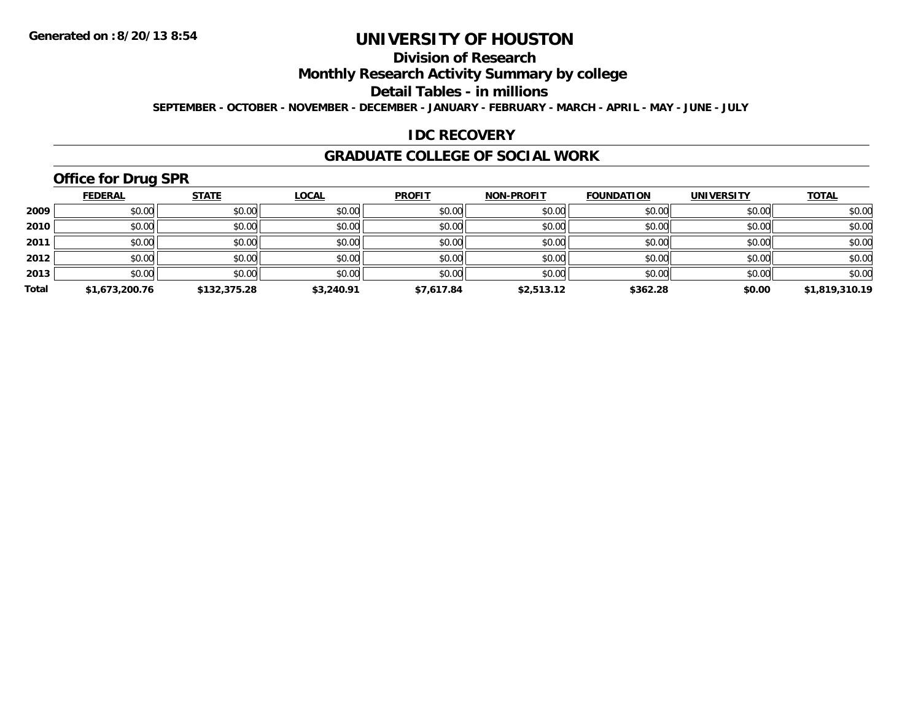### **Division of Research**

**Monthly Research Activity Summary by college**

**Detail Tables - in millions**

**SEPTEMBER - OCTOBER - NOVEMBER - DECEMBER - JANUARY - FEBRUARY - MARCH - APRIL - MAY - JUNE - JULY**

#### **IDC RECOVERY**

#### **GRADUATE COLLEGE OF SOCIAL WORK**

## **Office for Drug SPR**

|       | <b>FEDERAL</b> | <b>STATE</b> | <b>LOCAL</b> | <b>PROFIT</b> | NON-PROFIT | <b>FOUNDATION</b> | <b>UNIVERSITY</b> | <b>TOTAL</b>   |
|-------|----------------|--------------|--------------|---------------|------------|-------------------|-------------------|----------------|
| 2009  | \$0.00         | \$0.00       | \$0.00       | \$0.00        | \$0.00     | \$0.00            | \$0.00            | \$0.00         |
| 2010  | \$0.00         | \$0.00       | \$0.00       | \$0.00        | \$0.00     | \$0.00            | \$0.00            | \$0.00         |
| 2011  | \$0.00         | \$0.00       | \$0.00       | \$0.00        | \$0.00     | \$0.00            | \$0.00            | \$0.00         |
| 2012  | \$0.00         | \$0.00       | \$0.00       | \$0.00        | \$0.00     | \$0.00            | \$0.00            | \$0.00         |
| 2013  | \$0.00         | \$0.00       | \$0.00       | \$0.00        | \$0.00     | \$0.00            | \$0.00            | \$0.00         |
| Total | \$1,673,200.76 | \$132,375.28 | \$3,240.91   | \$7,617.84    | \$2,513.12 | \$362.28          | \$0.00            | \$1,819,310.19 |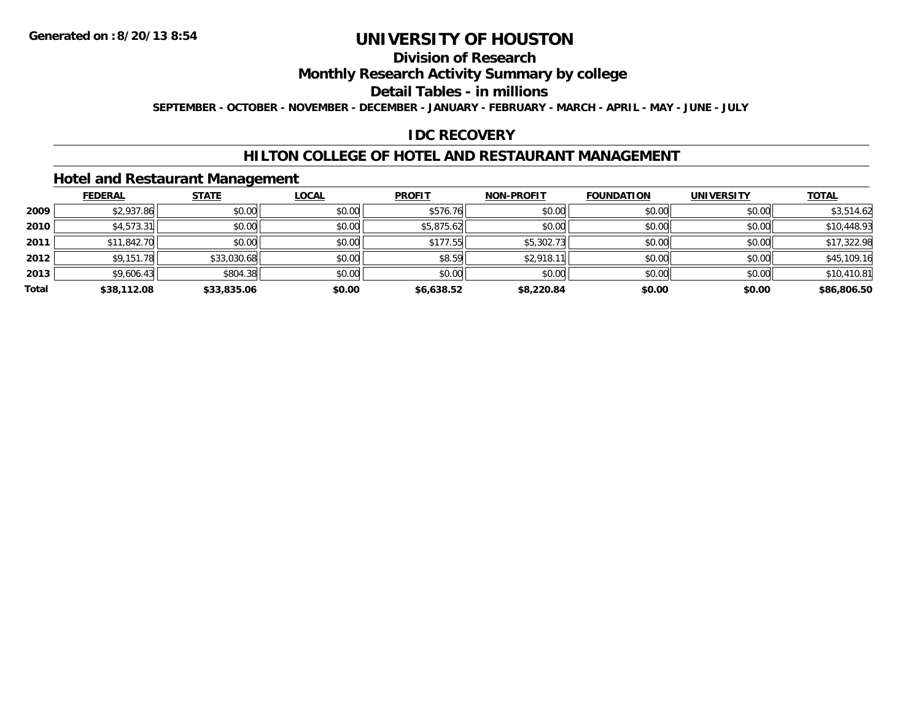### **Division of Research**

**Monthly Research Activity Summary by college**

**Detail Tables - in millions**

**SEPTEMBER - OCTOBER - NOVEMBER - DECEMBER - JANUARY - FEBRUARY - MARCH - APRIL - MAY - JUNE - JULY**

### **IDC RECOVERY**

#### **HILTON COLLEGE OF HOTEL AND RESTAURANT MANAGEMENT**

#### **Hotel and Restaurant Management**

|       | <b>FEDERAL</b> | <b>STATE</b> | <b>LOCAL</b> | <b>PROFIT</b> | <b>NON-PROFIT</b> | <b>FOUNDATION</b> | <b>UNIVERSITY</b> | <b>TOTAL</b> |
|-------|----------------|--------------|--------------|---------------|-------------------|-------------------|-------------------|--------------|
| 2009  | \$2,937.86     | \$0.00       | \$0.00       | \$576.76      | \$0.00            | \$0.00            | \$0.00            | \$3,514.62   |
| 2010  | \$4,573.31     | \$0.00       | \$0.00       | \$5,875.62    | \$0.00            | \$0.00            | \$0.00            | \$10,448.93  |
| 2011  | \$11,842.70    | \$0.00       | \$0.00       | \$177.55      | \$5,302.73        | \$0.00            | \$0.00            | \$17,322.98  |
| 2012  | \$9,151.78     | \$33,030.68  | \$0.00       | \$8.59        | \$2,918.1         | \$0.00            | \$0.00            | \$45,109.16  |
| 2013  | \$9,606.43     | \$804.38     | \$0.00       | \$0.00        | \$0.00            | \$0.00            | \$0.00            | \$10,410.81  |
| Total | \$38,112.08    | \$33,835.06  | \$0.00       | \$6,638.52    | \$8,220.84        | \$0.00            | \$0.00            | \$86,806.50  |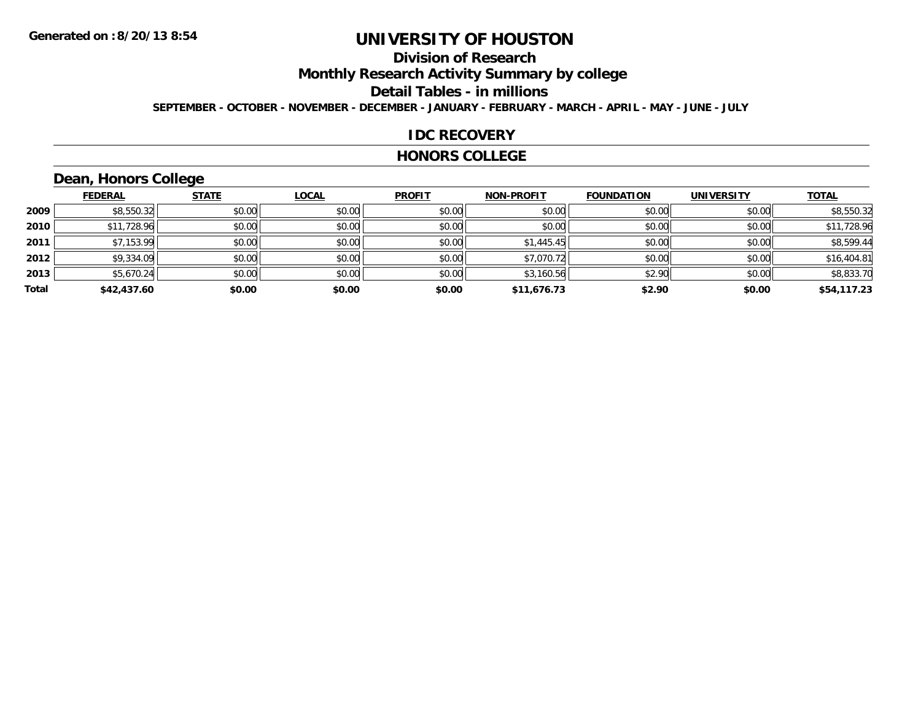### **Division of Research**

**Monthly Research Activity Summary by college**

**Detail Tables - in millions**

**SEPTEMBER - OCTOBER - NOVEMBER - DECEMBER - JANUARY - FEBRUARY - MARCH - APRIL - MAY - JUNE - JULY**

#### **IDC RECOVERY**

#### **HONORS COLLEGE**

### **Dean, Honors College**

|       | <b>FEDERAL</b> | <b>STATE</b> | <b>LOCAL</b> | <b>PROFIT</b> | <b>NON-PROFIT</b> | <b>FOUNDATION</b> | <b>UNIVERSITY</b> | <b>TOTAL</b> |
|-------|----------------|--------------|--------------|---------------|-------------------|-------------------|-------------------|--------------|
| 2009  | \$8,550.32     | \$0.00       | \$0.00       | \$0.00        | \$0.00            | \$0.00            | \$0.00            | \$8,550.32   |
| 2010  | \$11,728.96    | \$0.00       | \$0.00       | \$0.00        | \$0.00            | \$0.00            | \$0.00            | \$11,728.96  |
| 2011  | \$7,153.99     | \$0.00       | \$0.00       | \$0.00        | \$1,445.45        | \$0.00            | \$0.00            | \$8,599.44   |
| 2012  | \$9,334.09     | \$0.00       | \$0.00       | \$0.00        | \$7,070.72        | \$0.00            | \$0.00            | \$16,404.81  |
| 2013  | \$5,670.24     | \$0.00       | \$0.00       | \$0.00        | \$3,160.56        | \$2.90            | \$0.00            | \$8,833.70   |
| Total | \$42,437.60    | \$0.00       | \$0.00       | \$0.00        | \$11,676.73       | \$2.90            | \$0.00            | \$54,117.23  |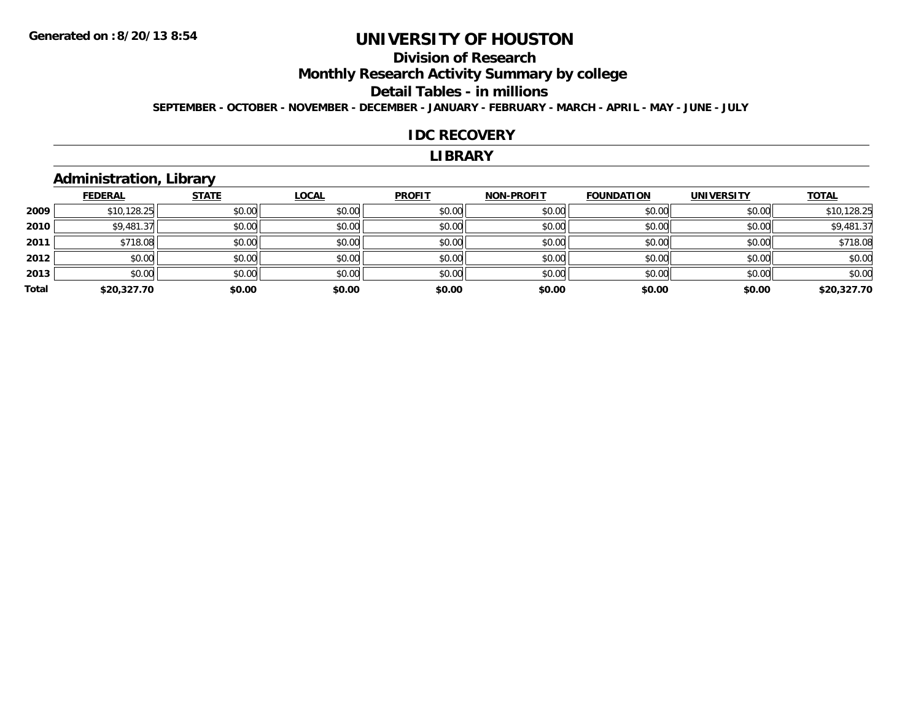### **Division of Research**

**Monthly Research Activity Summary by college**

#### **Detail Tables - in millions**

**SEPTEMBER - OCTOBER - NOVEMBER - DECEMBER - JANUARY - FEBRUARY - MARCH - APRIL - MAY - JUNE - JULY**

#### **IDC RECOVERY**

#### **LIBRARY**

### **Administration, Library**

|       | <b>FEDERAL</b> | <b>STATE</b> | <b>LOCAL</b> | <b>PROFIT</b> | <b>NON-PROFIT</b> | <b>FOUNDATION</b> | <b>UNIVERSITY</b> | <b>TOTAL</b> |
|-------|----------------|--------------|--------------|---------------|-------------------|-------------------|-------------------|--------------|
| 2009  | \$10,128.25    | \$0.00       | \$0.00       | \$0.00        | \$0.00            | \$0.00            | \$0.00            | \$10,128.25  |
| 2010  | \$9,481.37     | \$0.00       | \$0.00       | \$0.00        | \$0.00            | \$0.00            | \$0.00            | \$9,481.37   |
| 2011  | \$718.08       | \$0.00       | \$0.00       | \$0.00        | \$0.00            | \$0.00            | \$0.00            | \$718.08     |
| 2012  | \$0.00         | \$0.00       | \$0.00       | \$0.00        | \$0.00            | \$0.00            | \$0.00            | \$0.00       |
| 2013  | \$0.00         | \$0.00       | \$0.00       | \$0.00        | \$0.00            | \$0.00            | \$0.00            | \$0.00       |
| Total | \$20,327.70    | \$0.00       | \$0.00       | \$0.00        | \$0.00            | \$0.00            | \$0.00            | \$20,327.70  |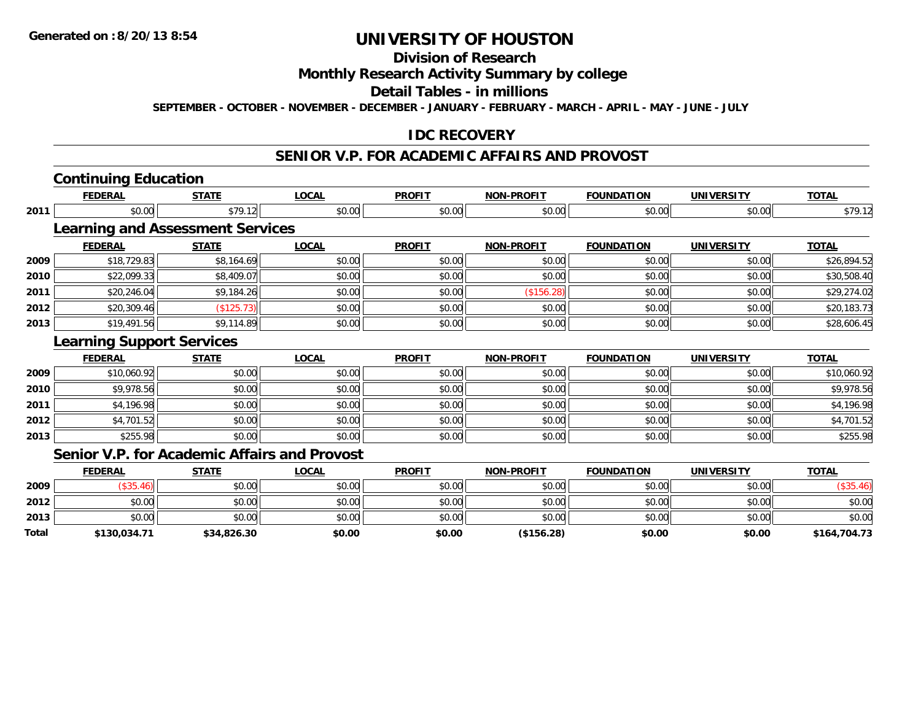### **Division of Research**

#### **Monthly Research Activity Summary by college**

#### **Detail Tables - in millions**

**SEPTEMBER - OCTOBER - NOVEMBER - DECEMBER - JANUARY - FEBRUARY - MARCH - APRIL - MAY - JUNE - JULY**

#### **IDC RECOVERY**

#### **SENIOR V.P. FOR ACADEMIC AFFAIRS AND PROVOST**

## **Continuing Education**

|      | <b>FEDERAL</b>                   | <b>STATE</b>                               | <b>LOCAL</b> | <b>PROFIT</b> | <b>NON-PROFIT</b> | <b>FOUNDATION</b> | <b>UNIVERSITY</b> | <b>TOTAL</b> |
|------|----------------------------------|--------------------------------------------|--------------|---------------|-------------------|-------------------|-------------------|--------------|
| 2011 | \$0.00                           | \$79.12                                    | \$0.00       | \$0.00        | \$0.00            | \$0.00            | \$0.00            | \$79.12      |
|      |                                  | <b>Learning and Assessment Services</b>    |              |               |                   |                   |                   |              |
|      | <b>FEDERAL</b>                   | <b>STATE</b>                               | <b>LOCAL</b> | <b>PROFIT</b> | <b>NON-PROFIT</b> | <b>FOUNDATION</b> | <b>UNIVERSITY</b> | <b>TOTAL</b> |
| 2009 | \$18,729.83                      | \$8,164.69                                 | \$0.00       | \$0.00        | \$0.00            | \$0.00            | \$0.00            | \$26,894.52  |
| 2010 | \$22,099.33                      | \$8,409.07                                 | \$0.00       | \$0.00        | \$0.00            | \$0.00            | \$0.00            | \$30,508.40  |
| 2011 | \$20,246.04                      | \$9,184.26                                 | \$0.00       | \$0.00        | (\$156.28)        | \$0.00            | \$0.00            | \$29,274.02  |
| 2012 | \$20,309.46                      | (\$125.73)                                 | \$0.00       | \$0.00        | \$0.00            | \$0.00            | \$0.00            | \$20,183.73  |
| 2013 | \$19,491.56                      | \$9,114.89                                 | \$0.00       | \$0.00        | \$0.00            | \$0.00            | \$0.00            | \$28,606.45  |
|      | <b>Learning Support Services</b> |                                            |              |               |                   |                   |                   |              |
|      | <b>FEDERAL</b>                   | <b>STATE</b>                               | <b>LOCAL</b> | <b>PROFIT</b> | <b>NON-PROFIT</b> | <b>FOUNDATION</b> | <b>UNIVERSITY</b> | <b>TOTAL</b> |
| 2009 | \$10,060.92                      | \$0.00                                     | \$0.00       | \$0.00        | \$0.00            | \$0.00            | \$0.00            | \$10,060.92  |
| 2010 | \$9,978.56                       | \$0.00                                     | \$0.00       | \$0.00        | \$0.00            | \$0.00            | \$0.00            | \$9,978.56   |
| 2011 | \$4,196.98                       | \$0.00                                     | \$0.00       | \$0.00        | \$0.00            | \$0.00            | \$0.00            | \$4,196.98   |
| 2012 | \$4,701.52                       | \$0.00                                     | \$0.00       | \$0.00        | \$0.00            | \$0.00            | \$0.00            | \$4,701.52   |
| 2013 | \$255.98                         | \$0.00                                     | \$0.00       | \$0.00        | \$0.00            | \$0.00            | \$0.00            | \$255.98     |
|      |                                  | Conier VD for Acodemic Affeire and Drouget |              |               |                   |                   |                   |              |

#### **Senior V.P. for Academic Affairs and Provost**

|       | <b>FEDERAL</b> | <b>STATE</b> | <b>LOCAL</b> | <b>PROFIT</b> | <b>NON-PROFIT</b> | <b>FOUNDATION</b> | <b>UNIVERSITY</b> | <b>TOTAL</b> |
|-------|----------------|--------------|--------------|---------------|-------------------|-------------------|-------------------|--------------|
| 2009  |                | \$0.00       | \$0.00       | \$0.00        | \$0.00            | \$0.00            | \$0.00            | $′$ \$35.    |
| 2012  | \$0.00         | \$0.00       | \$0.00       | \$0.00        | \$0.00            | \$0.00            | \$0.00            | \$0.00       |
| 2013  | \$0.00         | \$0.00       | \$0.00       | \$0.00        | \$0.00            | \$0.00            | \$0.00            | \$0.00       |
| Total | \$130,034.71   | \$34,826.30  | \$0.00       | \$0.00        | (\$156.28)        | \$0.00            | \$0.00            | \$164,704.73 |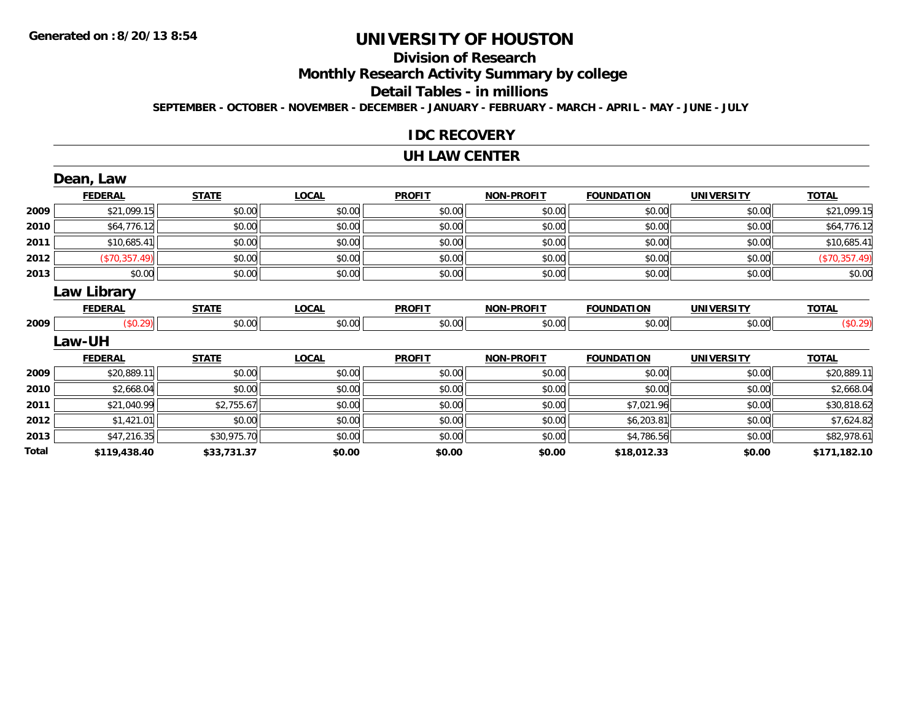## **Division of Research**

**Monthly Research Activity Summary by college**

**Detail Tables - in millions**

**SEPTEMBER - OCTOBER - NOVEMBER - DECEMBER - JANUARY - FEBRUARY - MARCH - APRIL - MAY - JUNE - JULY**

#### **IDC RECOVERY**

#### **UH LAW CENTER**

|       | Dean, Law          |              |              |               |                   |                   |                   |               |
|-------|--------------------|--------------|--------------|---------------|-------------------|-------------------|-------------------|---------------|
|       | <b>FEDERAL</b>     | <b>STATE</b> | <b>LOCAL</b> | <b>PROFIT</b> | <b>NON-PROFIT</b> | <b>FOUNDATION</b> | <b>UNIVERSITY</b> | <b>TOTAL</b>  |
| 2009  | \$21,099.15        | \$0.00       | \$0.00       | \$0.00        | \$0.00            | \$0.00            | \$0.00            | \$21,099.15   |
| 2010  | \$64,776.12        | \$0.00       | \$0.00       | \$0.00        | \$0.00            | \$0.00            | \$0.00            | \$64,776.12   |
| 2011  | \$10,685.41        | \$0.00       | \$0.00       | \$0.00        | \$0.00            | \$0.00            | \$0.00            | \$10,685.41   |
| 2012  | (\$70,357.49)      | \$0.00       | \$0.00       | \$0.00        | \$0.00            | \$0.00            | \$0.00            | (\$70,357.49) |
| 2013  | \$0.00             | \$0.00       | \$0.00       | \$0.00        | \$0.00            | \$0.00            | \$0.00            | \$0.00        |
|       | <b>Law Library</b> |              |              |               |                   |                   |                   |               |
|       | <b>FEDERAL</b>     | <b>STATE</b> | <b>LOCAL</b> | <b>PROFIT</b> | <b>NON-PROFIT</b> | <b>FOUNDATION</b> | <b>UNIVERSITY</b> | <b>TOTAL</b>  |
| 2009  | (\$0.29)           | \$0.00       | \$0.00       | \$0.00        | \$0.00            | \$0.00            | \$0.00            | (\$0.29)      |
|       | Law-UH             |              |              |               |                   |                   |                   |               |
|       | <b>FEDERAL</b>     | <b>STATE</b> | <b>LOCAL</b> | <b>PROFIT</b> | <b>NON-PROFIT</b> | <b>FOUNDATION</b> | <b>UNIVERSITY</b> | <b>TOTAL</b>  |
| 2009  | \$20,889.11        | \$0.00       | \$0.00       | \$0.00        | \$0.00            | \$0.00            | \$0.00            | \$20,889.11   |
| 2010  | \$2,668.04         | \$0.00       | \$0.00       | \$0.00        | \$0.00            | \$0.00            | \$0.00            | \$2,668.04    |
| 2011  | \$21,040.99        | \$2,755.67   | \$0.00       | \$0.00        | \$0.00            | \$7,021.96        | \$0.00            | \$30,818.62   |
| 2012  | \$1,421.01         | \$0.00       | \$0.00       | \$0.00        | \$0.00            | \$6,203.81        | \$0.00            | \$7,624.82    |
| 2013  | \$47,216.35        | \$30,975.70  | \$0.00       | \$0.00        | \$0.00            | \$4,786.56        | \$0.00            | \$82,978.61   |
| Total | \$119,438.40       | \$33,731.37  | \$0.00       | \$0.00        | \$0.00            | \$18,012.33       | \$0.00            | \$171,182.10  |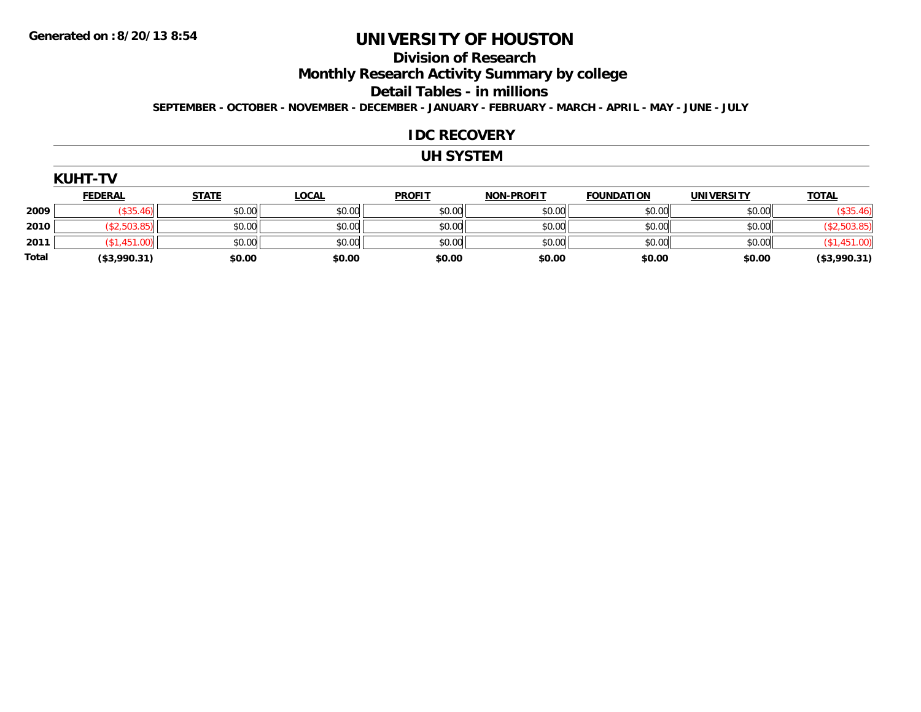#### **Division of Research**

**Monthly Research Activity Summary by college**

**Detail Tables - in millions**

**SEPTEMBER - OCTOBER - NOVEMBER - DECEMBER - JANUARY - FEBRUARY - MARCH - APRIL - MAY - JUNE - JULY**

#### **IDC RECOVERY**

#### **UH SYSTEM**

| (UH<br>ı- |  |
|-----------|--|
|-----------|--|

|              | <u>FEDERAL</u> | <b>STATE</b> | <u>LOCAL</u> | <b>PROFIT</b> | <b>NON-PROFIT</b> | <b>FOUNDATION</b> | <b>UNIVERSITY</b> | <b>TOTAL</b> |
|--------------|----------------|--------------|--------------|---------------|-------------------|-------------------|-------------------|--------------|
| 2009         |                | \$0.00       | \$0.00       | \$0.00        | \$0.00            | \$0.00            | \$0.00            | (\$35.46)    |
| 2010         |                | \$0.00       | \$0.00       | \$0.00        | \$0.00            | \$0.00            | \$0.00            |              |
| 2011         |                | \$0.00       | \$0.00       | \$0.00        | \$0.00            | \$0.00            | \$0.00            |              |
| <b>Total</b> | (\$3,990.31)   | \$0.00       | \$0.00       | \$0.00        | \$0.00            | \$0.00            | \$0.00            | (\$3,990.31) |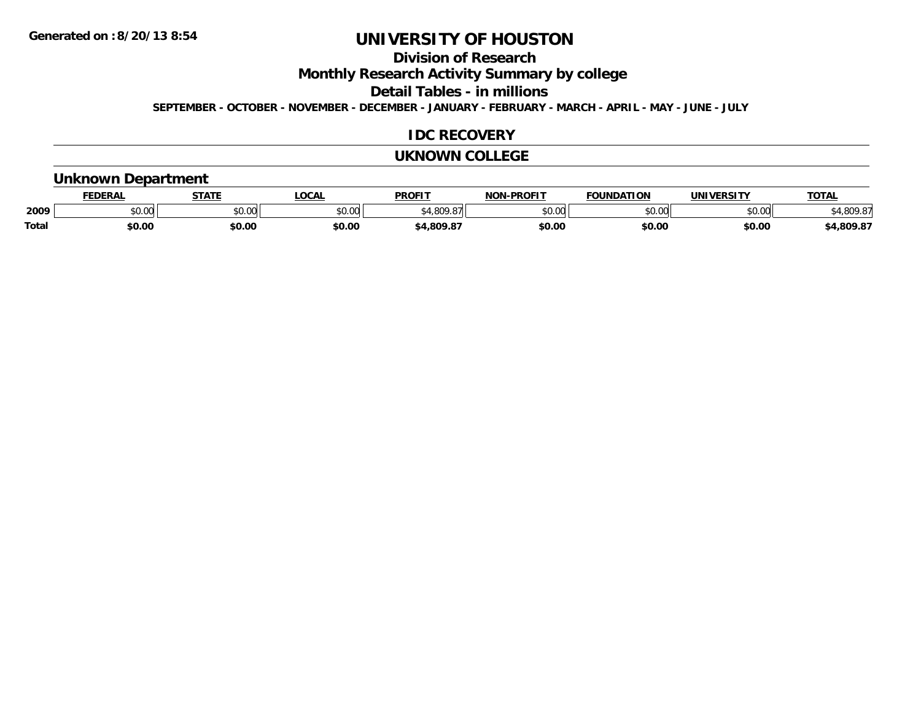### **Division of Research**

**Monthly Research Activity Summary by college**

**Detail Tables - in millions**

**SEPTEMBER - OCTOBER - NOVEMBER - DECEMBER - JANUARY - FEBRUARY - MARCH - APRIL - MAY - JUNE - JULY**

#### **IDC RECOVERY**

#### **UKNOWN COLLEGE**

#### **Unknown Department**

|              | <b>DERAI</b>           | CTATL         | .OCAL  | <b>PROFIT</b> | <b>DDOEL1</b><br>810 R | <b>FOUNDATION</b> | UNIVERSITY | TOTA.    |
|--------------|------------------------|---------------|--------|---------------|------------------------|-------------------|------------|----------|
| 2009         | $\sim$ $\sim$<br>JU.UU | 0.00<br>JU.UU | \$0.00 |               | $\sim$ 00<br>ט.טי      | 0000<br>.         | \$0.00     | 0.000    |
| <b>Total</b> | \$0.00                 | \$0.00        | \$0.00 | .809.8        | \$0.00                 | \$0.00            | \$0.00     | +,809.87 |